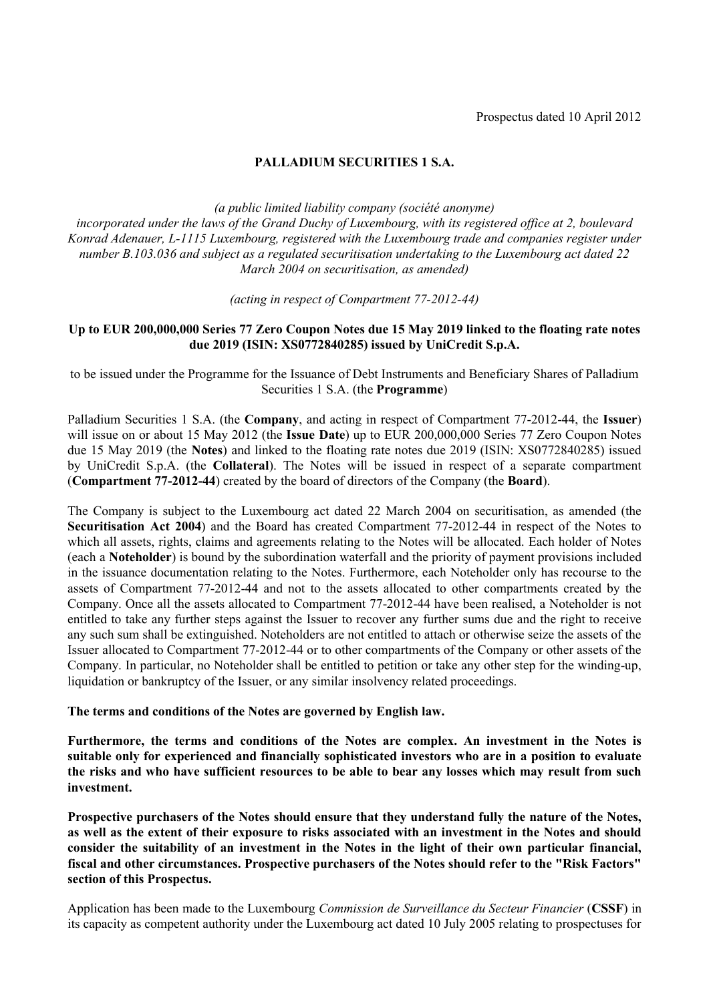# **PALLADIUM SECURITIES 1 S.A.**

*(a public limited liability company (société anonyme)*

*incorporated under the laws of the Grand Duchy of Luxembourg, with its registered office at 2, boulevard Konrad Adenauer, L-1115 Luxembourg, registered with the Luxembourg trade and companies register under number B.103.036 and subject as a regulated securitisation undertaking to the Luxembourg act dated 22 March 2004 on securitisation, as amended)* 

*(acting in respect of Compartment 77-2012-44)*

## **Up to EUR 200,000,000 Series 77 Zero Coupon Notes due 15 May 2019 linked to the floating rate notes due 2019 (ISIN: XS0772840285) issued by UniCredit S.p.A.**

to be issued under the Programme for the Issuance of Debt Instruments and Beneficiary Shares of Palladium Securities 1 S.A. (the **Programme**)

Palladium Securities 1 S.A. (the **Company**, and acting in respect of Compartment 77-2012-44, the **Issuer**) will issue on or about 15 May 2012 (the **Issue Date**) up to EUR 200,000,000 Series 77 Zero Coupon Notes due 15 May 2019 (the **Notes**) and linked to the floating rate notes due 2019 (ISIN: XS0772840285) issued by UniCredit S.p.A. (the **Collateral**). The Notes will be issued in respect of a separate compartment (**Compartment 77-2012-44**) created by the board of directors of the Company (the **Board**).

The Company is subject to the Luxembourg act dated 22 March 2004 on securitisation, as amended (the **Securitisation Act 2004**) and the Board has created Compartment 77-2012-44 in respect of the Notes to which all assets, rights, claims and agreements relating to the Notes will be allocated. Each holder of Notes (each a **Noteholder**) is bound by the subordination waterfall and the priority of payment provisions included in the issuance documentation relating to the Notes. Furthermore, each Noteholder only has recourse to the assets of Compartment 77-2012-44 and not to the assets allocated to other compartments created by the Company. Once all the assets allocated to Compartment 77-2012-44 have been realised, a Noteholder is not entitled to take any further steps against the Issuer to recover any further sums due and the right to receive any such sum shall be extinguished. Noteholders are not entitled to attach or otherwise seize the assets of the Issuer allocated to Compartment 77-2012-44 or to other compartments of the Company or other assets of the Company. In particular, no Noteholder shall be entitled to petition or take any other step for the winding-up, liquidation or bankruptcy of the Issuer, or any similar insolvency related proceedings.

**The terms and conditions of the Notes are governed by English law.**

**Furthermore, the terms and conditions of the Notes are complex. An investment in the Notes is suitable only for experienced and financially sophisticated investors who are in a position to evaluate the risks and who have sufficient resources to be able to bear any losses which may result from such investment.**

**Prospective purchasers of the Notes should ensure that they understand fully the nature of the Notes, as well as the extent of their exposure to risks associated with an investment in the Notes and should consider the suitability of an investment in the Notes in the light of their own particular financial, fiscal and other circumstances. Prospective purchasers of the Notes should refer to the "Risk Factors" section of this Prospectus.** 

Application has been made to the Luxembourg *Commission de Surveillance du Secteur Financier* (**CSSF**) in its capacity as competent authority under the Luxembourg act dated 10 July 2005 relating to prospectuses for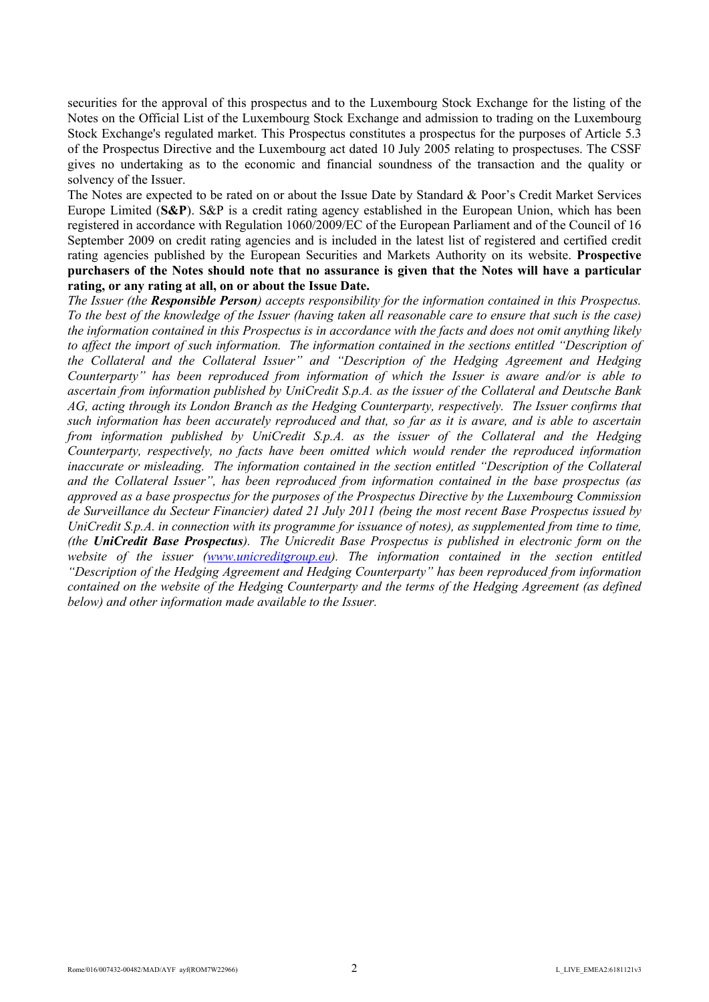securities for the approval of this prospectus and to the Luxembourg Stock Exchange for the listing of the Notes on the Official List of the Luxembourg Stock Exchange and admission to trading on the Luxembourg Stock Exchange's regulated market. This Prospectus constitutes a prospectus for the purposes of Article 5.3 of the Prospectus Directive and the Luxembourg act dated 10 July 2005 relating to prospectuses. The CSSF gives no undertaking as to the economic and financial soundness of the transaction and the quality or solvency of the Issuer.

The Notes are expected to be rated on or about the Issue Date by Standard & Poor's Credit Market Services Europe Limited (**S&P**). S&P is a credit rating agency established in the European Union, which has been registered in accordance with Regulation 1060/2009/EC of the European Parliament and of the Council of 16 September 2009 on credit rating agencies and is included in the latest list of registered and certified credit rating agencies published by the European Securities and Markets Authority on its website. **Prospective purchasers of the Notes should note that no assurance is given that the Notes will have a particular rating, or any rating at all, on or about the Issue Date.**

*The Issuer (the Responsible Person) accepts responsibility for the information contained in this Prospectus. To the best of the knowledge of the Issuer (having taken all reasonable care to ensure that such is the case) the information contained in this Prospectus is in accordance with the facts and does not omit anything likely*  to affect the import of such information. The information contained in the sections entitled "Description of *the Collateral and the Collateral Issuer" and "Description of the Hedging Agreement and Hedging Counterparty" has been reproduced from information of which the Issuer is aware and/or is able to ascertain from information published by UniCredit S.p.A. as the issuer of the Collateral and Deutsche Bank AG, acting through its London Branch as the Hedging Counterparty, respectively. The Issuer confirms that such information has been accurately reproduced and that, so far as it is aware, and is able to ascertain from information published by UniCredit S.p.A. as the issuer of the Collateral and the Hedging Counterparty, respectively, no facts have been omitted which would render the reproduced information inaccurate or misleading. The information contained in the section entitled "Description of the Collateral and the Collateral Issuer", has been reproduced from information contained in the base prospectus (as approved as a base prospectus for the purposes of the Prospectus Directive by the Luxembourg Commission de Surveillance du Secteur Financier) dated 21 July 2011 (being the most recent Base Prospectus issued by UniCredit S.p.A. in connection with its programme for issuance of notes), as supplemented from time to time, (the UniCredit Base Prospectus). The Unicredit Base Prospectus is published in electronic form on the website of the issuer [\(www.unicreditgroup.eu](http://www.unicreditgroup.eu/)). The information contained in the section entitled "Description of the Hedging Agreement and Hedging Counterparty" has been reproduced from information contained on the website of the Hedging Counterparty and the terms of the Hedging Agreement (as defined below) and other information made available to the Issuer.*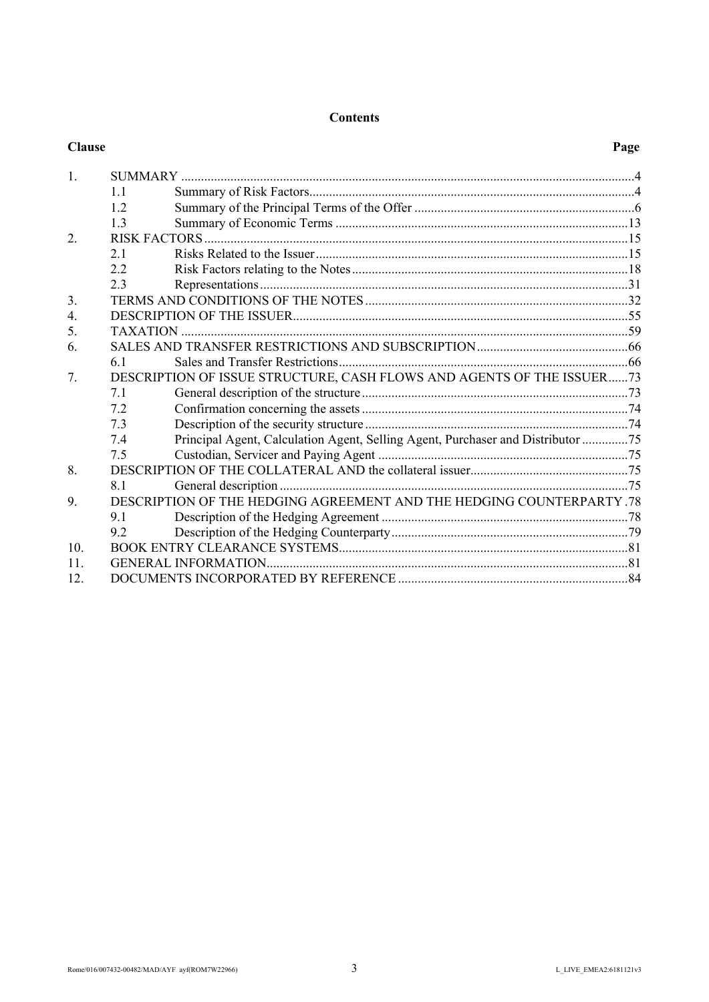# **Contents**

| <b>Clause</b>    |     |                                                                                 | Page |
|------------------|-----|---------------------------------------------------------------------------------|------|
| 1.               |     |                                                                                 |      |
|                  | 1.1 |                                                                                 |      |
|                  | 12  |                                                                                 |      |
|                  | 13  |                                                                                 |      |
| $\overline{2}$ . |     |                                                                                 |      |
|                  | 2.1 |                                                                                 |      |
|                  | 2.2 |                                                                                 |      |
|                  | 2.3 |                                                                                 |      |
| 3.               |     |                                                                                 |      |
| 4.               |     |                                                                                 |      |
| 5.               |     |                                                                                 |      |
| 6.               |     |                                                                                 |      |
|                  | 61  |                                                                                 |      |
| 7.               |     | DESCRIPTION OF ISSUE STRUCTURE, CASH FLOWS AND AGENTS OF THE ISSUER73           |      |
|                  | 7.1 |                                                                                 |      |
|                  | 7.2 |                                                                                 |      |
|                  | 7.3 |                                                                                 |      |
|                  | 7.4 | Principal Agent, Calculation Agent, Selling Agent, Purchaser and Distributor 75 |      |
|                  | 7.5 |                                                                                 |      |
| 8.               |     |                                                                                 |      |
|                  | 8.1 |                                                                                 |      |
| 9.               |     | DESCRIPTION OF THE HEDGING AGREEMENT AND THE HEDGING COUNTERPARTY .78           |      |
|                  | 91  |                                                                                 |      |
|                  | 9.2 |                                                                                 |      |
| 10 <sub>l</sub>  |     |                                                                                 |      |
| 11.              |     |                                                                                 |      |
| 12.              |     |                                                                                 |      |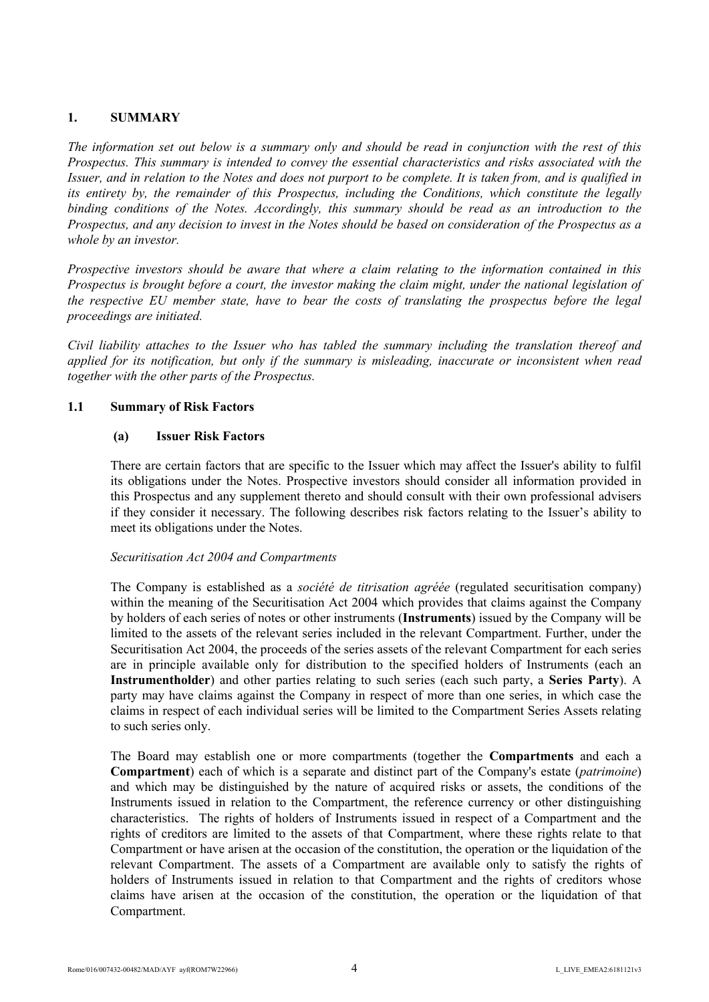# <span id="page-3-0"></span>**1. SUMMARY**

*The information set out below is a summary only and should be read in conjunction with the rest of this Prospectus. This summary is intended to convey the essential characteristics and risks associated with the Issuer, and in relation to the Notes and does not purport to be complete. It is taken from, and is qualified in its entirety by, the remainder of this Prospectus, including the Conditions, which constitute the legally binding conditions of the Notes. Accordingly, this summary should be read as an introduction to the Prospectus, and any decision to invest in the Notes should be based on consideration of the Prospectus as a whole by an investor.*

*Prospective investors should be aware that where a claim relating to the information contained in this Prospectus is brought before a court, the investor making the claim might, under the national legislation of the respective EU member state, have to bear the costs of translating the prospectus before the legal proceedings are initiated.*

*Civil liability attaches to the Issuer who has tabled the summary including the translation thereof and applied for its notification, but only if the summary is misleading, inaccurate or inconsistent when read together with the other parts of the Prospectus.*

# **1.1 Summary of Risk Factors**

#### <span id="page-3-1"></span>**(a) Issuer Risk Factors**

There are certain factors that are specific to the Issuer which may affect the Issuer's ability to fulfil its obligations under the Notes. Prospective investors should consider all information provided in this Prospectus and any supplement thereto and should consult with their own professional advisers if they consider it necessary. The following describes risk factors relating to the Issuer's ability to meet its obligations under the Notes.

## *Securitisation Act 2004 and Compartments*

The Company is established as a *société de titrisation agréée* (regulated securitisation company) within the meaning of the Securitisation Act 2004 which provides that claims against the Company by holders of each series of notes or other instruments (**Instruments**) issued by the Company will be limited to the assets of the relevant series included in the relevant Compartment. Further, under the Securitisation Act 2004, the proceeds of the series assets of the relevant Compartment for each series are in principle available only for distribution to the specified holders of Instruments (each an **Instrumentholder**) and other parties relating to such series (each such party, a **Series Party**). A party may have claims against the Company in respect of more than one series, in which case the claims in respect of each individual series will be limited to the Compartment Series Assets relating to such series only.

The Board may establish one or more compartments (together the **Compartments** and each a **Compartment**) each of which is a separate and distinct part of the Company's estate (*patrimoine*) and which may be distinguished by the nature of acquired risks or assets, the conditions of the Instruments issued in relation to the Compartment, the reference currency or other distinguishing characteristics. The rights of holders of Instruments issued in respect of a Compartment and the rights of creditors are limited to the assets of that Compartment, where these rights relate to that Compartment or have arisen at the occasion of the constitution, the operation or the liquidation of the relevant Compartment. The assets of a Compartment are available only to satisfy the rights of holders of Instruments issued in relation to that Compartment and the rights of creditors whose claims have arisen at the occasion of the constitution, the operation or the liquidation of that Compartment.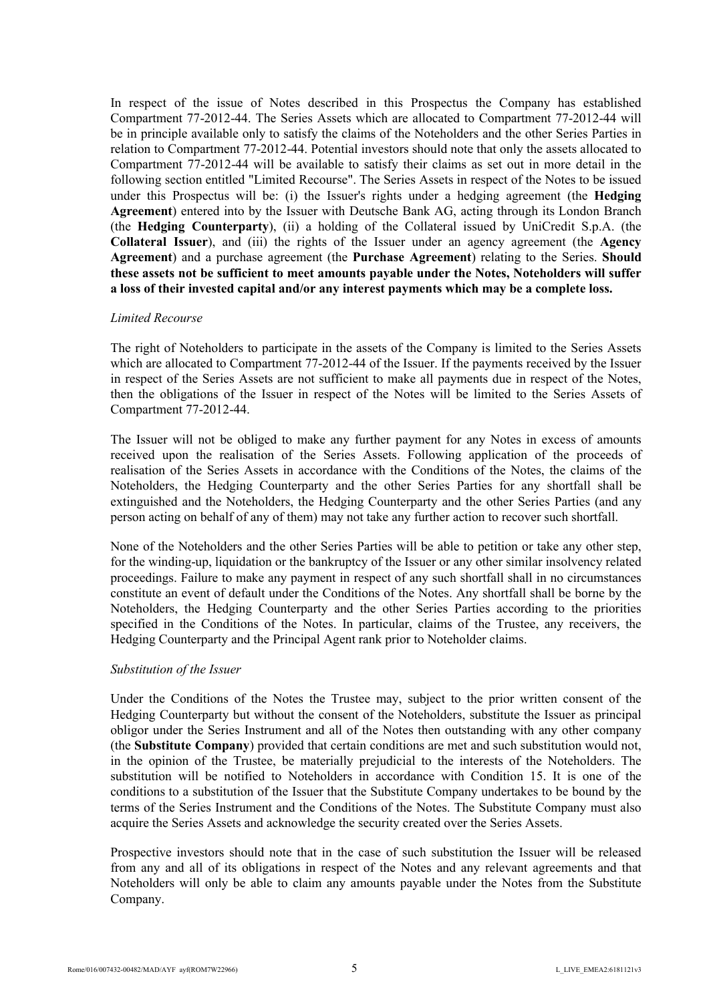In respect of the issue of Notes described in this Prospectus the Company has established Compartment 77-2012-44. The Series Assets which are allocated to Compartment 77-2012-44 will be in principle available only to satisfy the claims of the Noteholders and the other Series Parties in relation to Compartment 77-2012-44. Potential investors should note that only the assets allocated to Compartment 77-2012-44 will be available to satisfy their claims as set out in more detail in the following section entitled "Limited Recourse". The Series Assets in respect of the Notes to be issued under this Prospectus will be: (i) the Issuer's rights under a hedging agreement (the **Hedging Agreement**) entered into by the Issuer with Deutsche Bank AG, acting through its London Branch (the **Hedging Counterparty**), (ii) a holding of the Collateral issued by UniCredit S.p.A. (the **Collateral Issuer**), and (iii) the rights of the Issuer under an agency agreement (the **Agency Agreement**) and a purchase agreement (the **Purchase Agreement**) relating to the Series. **Should these assets not be sufficient to meet amounts payable under the Notes, Noteholders will suffer a loss of their invested capital and/or any interest payments which may be a complete loss.**

#### *Limited Recourse*

The right of Noteholders to participate in the assets of the Company is limited to the Series Assets which are allocated to Compartment 77-2012-44 of the Issuer. If the payments received by the Issuer in respect of the Series Assets are not sufficient to make all payments due in respect of the Notes, then the obligations of the Issuer in respect of the Notes will be limited to the Series Assets of Compartment 77-2012-44.

The Issuer will not be obliged to make any further payment for any Notes in excess of amounts received upon the realisation of the Series Assets. Following application of the proceeds of realisation of the Series Assets in accordance with the Conditions of the Notes, the claims of the Noteholders, the Hedging Counterparty and the other Series Parties for any shortfall shall be extinguished and the Noteholders, the Hedging Counterparty and the other Series Parties (and any person acting on behalf of any of them) may not take any further action to recover such shortfall.

None of the Noteholders and the other Series Parties will be able to petition or take any other step, for the winding-up, liquidation or the bankruptcy of the Issuer or any other similar insolvency related proceedings. Failure to make any payment in respect of any such shortfall shall in no circumstances constitute an event of default under the Conditions of the Notes. Any shortfall shall be borne by the Noteholders, the Hedging Counterparty and the other Series Parties according to the priorities specified in the Conditions of the Notes. In particular, claims of the Trustee, any receivers, the Hedging Counterparty and the Principal Agent rank prior to Noteholder claims.

## *Substitution of the Issuer*

Under the Conditions of the Notes the Trustee may, subject to the prior written consent of the Hedging Counterparty but without the consent of the Noteholders, substitute the Issuer as principal obligor under the Series Instrument and all of the Notes then outstanding with any other company (the **Substitute Company**) provided that certain conditions are met and such substitution would not, in the opinion of the Trustee, be materially prejudicial to the interests of the Noteholders. The substitution will be notified to Noteholders in accordance with Condition 15. It is one of the conditions to a substitution of the Issuer that the Substitute Company undertakes to be bound by the terms of the Series Instrument and the Conditions of the Notes. The Substitute Company must also acquire the Series Assets and acknowledge the security created over the Series Assets.

Prospective investors should note that in the case of such substitution the Issuer will be released from any and all of its obligations in respect of the Notes and any relevant agreements and that Noteholders will only be able to claim any amounts payable under the Notes from the Substitute Company.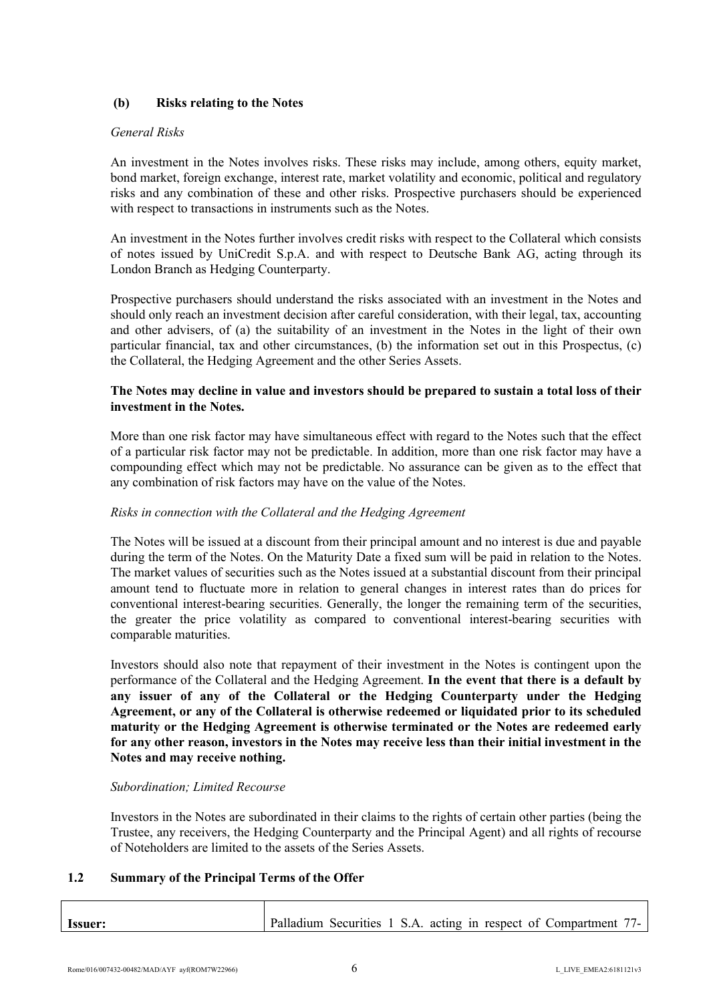# **(b) Risks relating to the Notes**

#### *General Risks*

An investment in the Notes involves risks. These risks may include, among others, equity market, bond market, foreign exchange, interest rate, market volatility and economic, political and regulatory risks and any combination of these and other risks. Prospective purchasers should be experienced with respect to transactions in instruments such as the Notes.

An investment in the Notes further involves credit risks with respect to the Collateral which consists of notes issued by UniCredit S.p.A. and with respect to Deutsche Bank AG, acting through its London Branch as Hedging Counterparty.

Prospective purchasers should understand the risks associated with an investment in the Notes and should only reach an investment decision after careful consideration, with their legal, tax, accounting and other advisers, of (a) the suitability of an investment in the Notes in the light of their own particular financial, tax and other circumstances, (b) the information set out in this Prospectus, (c) the Collateral, the Hedging Agreement and the other Series Assets.

## **The Notes may decline in value and investors should be prepared to sustain a total loss of their investment in the Notes.**

More than one risk factor may have simultaneous effect with regard to the Notes such that the effect of a particular risk factor may not be predictable. In addition, more than one risk factor may have a compounding effect which may not be predictable. No assurance can be given as to the effect that any combination of risk factors may have on the value of the Notes.

## *Risks in connection with the Collateral and the Hedging Agreement*

The Notes will be issued at a discount from their principal amount and no interest is due and payable during the term of the Notes. On the Maturity Date a fixed sum will be paid in relation to the Notes. The market values of securities such as the Notes issued at a substantial discount from their principal amount tend to fluctuate more in relation to general changes in interest rates than do prices for conventional interest-bearing securities. Generally, the longer the remaining term of the securities, the greater the price volatility as compared to conventional interest-bearing securities with comparable maturities.

Investors should also note that repayment of their investment in the Notes is contingent upon the performance of the Collateral and the Hedging Agreement. **In the event that there is a default by any issuer of any of the Collateral or the Hedging Counterparty under the Hedging Agreement, or any of the Collateral is otherwise redeemed or liquidated prior to its scheduled maturity or the Hedging Agreement is otherwise terminated or the Notes are redeemed early for any other reason, investors in the Notes may receive less than their initial investment in the Notes and may receive nothing.**

## *Subordination; Limited Recourse*

Investors in the Notes are subordinated in their claims to the rights of certain other parties (being the Trustee, any receivers, the Hedging Counterparty and the Principal Agent) and all rights of recourse of Noteholders are limited to the assets of the Series Assets.

## <span id="page-5-0"></span>**1.2 Summary of the Principal Terms of the Offer**

| <b>Issuer:</b> |  |  |  |  | Palladium Securities 1 S.A. acting in respect of Compartment 77- |  |
|----------------|--|--|--|--|------------------------------------------------------------------|--|
|                |  |  |  |  |                                                                  |  |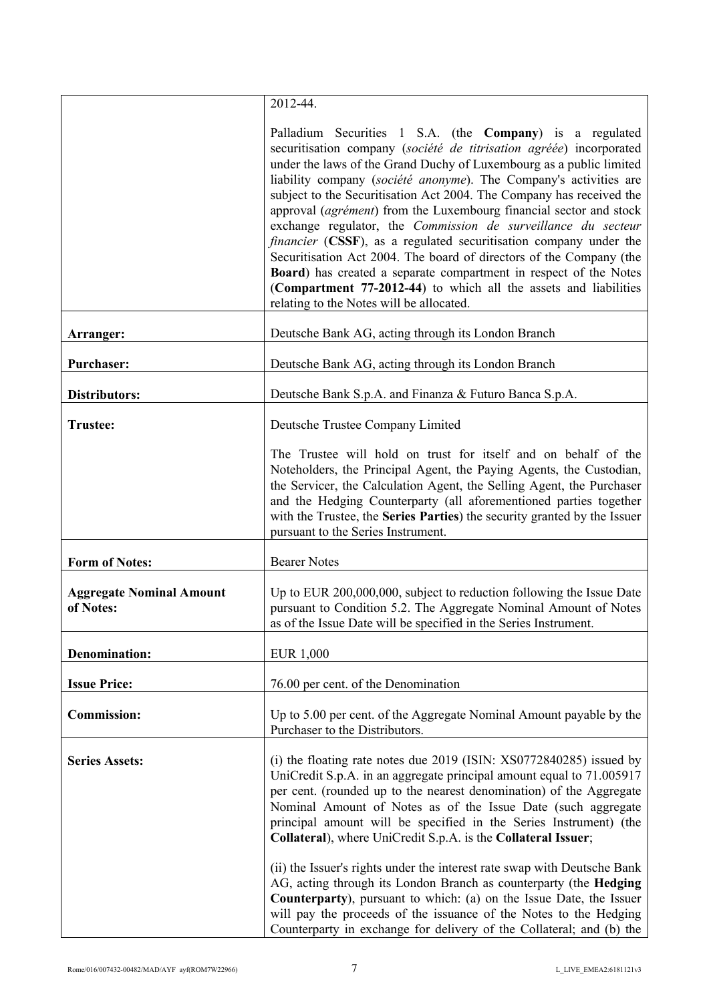|                                              | 2012-44.                                                                                                                                                                                                                                                                                                                                                                                                                                                                                                                                                                                                                                                                                                                                                                                                                            |
|----------------------------------------------|-------------------------------------------------------------------------------------------------------------------------------------------------------------------------------------------------------------------------------------------------------------------------------------------------------------------------------------------------------------------------------------------------------------------------------------------------------------------------------------------------------------------------------------------------------------------------------------------------------------------------------------------------------------------------------------------------------------------------------------------------------------------------------------------------------------------------------------|
|                                              | Palladium Securities 1 S.A. (the Company) is a regulated<br>securitisation company (société de titrisation agréée) incorporated<br>under the laws of the Grand Duchy of Luxembourg as a public limited<br>liability company (société anonyme). The Company's activities are<br>subject to the Securitisation Act 2004. The Company has received the<br>approval (agrément) from the Luxembourg financial sector and stock<br>exchange regulator, the Commission de surveillance du secteur<br>financier (CSSF), as a regulated securitisation company under the<br>Securitisation Act 2004. The board of directors of the Company (the<br><b>Board</b> ) has created a separate compartment in respect of the Notes<br>(Compartment 77-2012-44) to which all the assets and liabilities<br>relating to the Notes will be allocated. |
| Arranger:                                    | Deutsche Bank AG, acting through its London Branch                                                                                                                                                                                                                                                                                                                                                                                                                                                                                                                                                                                                                                                                                                                                                                                  |
| <b>Purchaser:</b>                            | Deutsche Bank AG, acting through its London Branch                                                                                                                                                                                                                                                                                                                                                                                                                                                                                                                                                                                                                                                                                                                                                                                  |
| <b>Distributors:</b>                         | Deutsche Bank S.p.A. and Finanza & Futuro Banca S.p.A.                                                                                                                                                                                                                                                                                                                                                                                                                                                                                                                                                                                                                                                                                                                                                                              |
| <b>Trustee:</b>                              | Deutsche Trustee Company Limited                                                                                                                                                                                                                                                                                                                                                                                                                                                                                                                                                                                                                                                                                                                                                                                                    |
|                                              | The Trustee will hold on trust for itself and on behalf of the<br>Noteholders, the Principal Agent, the Paying Agents, the Custodian,<br>the Servicer, the Calculation Agent, the Selling Agent, the Purchaser<br>and the Hedging Counterparty (all aforementioned parties together<br>with the Trustee, the Series Parties) the security granted by the Issuer<br>pursuant to the Series Instrument.                                                                                                                                                                                                                                                                                                                                                                                                                               |
| <b>Form of Notes:</b>                        | <b>Bearer Notes</b>                                                                                                                                                                                                                                                                                                                                                                                                                                                                                                                                                                                                                                                                                                                                                                                                                 |
| <b>Aggregate Nominal Amount</b><br>of Notes: | Up to EUR 200,000,000, subject to reduction following the Issue Date<br>pursuant to Condition 5.2. The Aggregate Nominal Amount of Notes<br>as of the Issue Date will be specified in the Series Instrument.                                                                                                                                                                                                                                                                                                                                                                                                                                                                                                                                                                                                                        |
| <b>Denomination:</b>                         | <b>EUR 1,000</b>                                                                                                                                                                                                                                                                                                                                                                                                                                                                                                                                                                                                                                                                                                                                                                                                                    |
| <b>Issue Price:</b>                          | 76.00 per cent. of the Denomination                                                                                                                                                                                                                                                                                                                                                                                                                                                                                                                                                                                                                                                                                                                                                                                                 |
| <b>Commission:</b>                           | Up to 5.00 per cent. of the Aggregate Nominal Amount payable by the<br>Purchaser to the Distributors.                                                                                                                                                                                                                                                                                                                                                                                                                                                                                                                                                                                                                                                                                                                               |
| <b>Series Assets:</b>                        | (i) the floating rate notes due 2019 (ISIN: XS0772840285) issued by<br>UniCredit S.p.A. in an aggregate principal amount equal to 71.005917<br>per cent. (rounded up to the nearest denomination) of the Aggregate<br>Nominal Amount of Notes as of the Issue Date (such aggregate<br>principal amount will be specified in the Series Instrument) (the<br>Collateral), where UniCredit S.p.A. is the Collateral Issuer;<br>(ii) the Issuer's rights under the interest rate swap with Deutsche Bank<br>AG, acting through its London Branch as counterparty (the Hedging<br>Counterparty), pursuant to which: (a) on the Issue Date, the Issuer<br>will pay the proceeds of the issuance of the Notes to the Hedging<br>Counterparty in exchange for delivery of the Collateral; and (b) the                                       |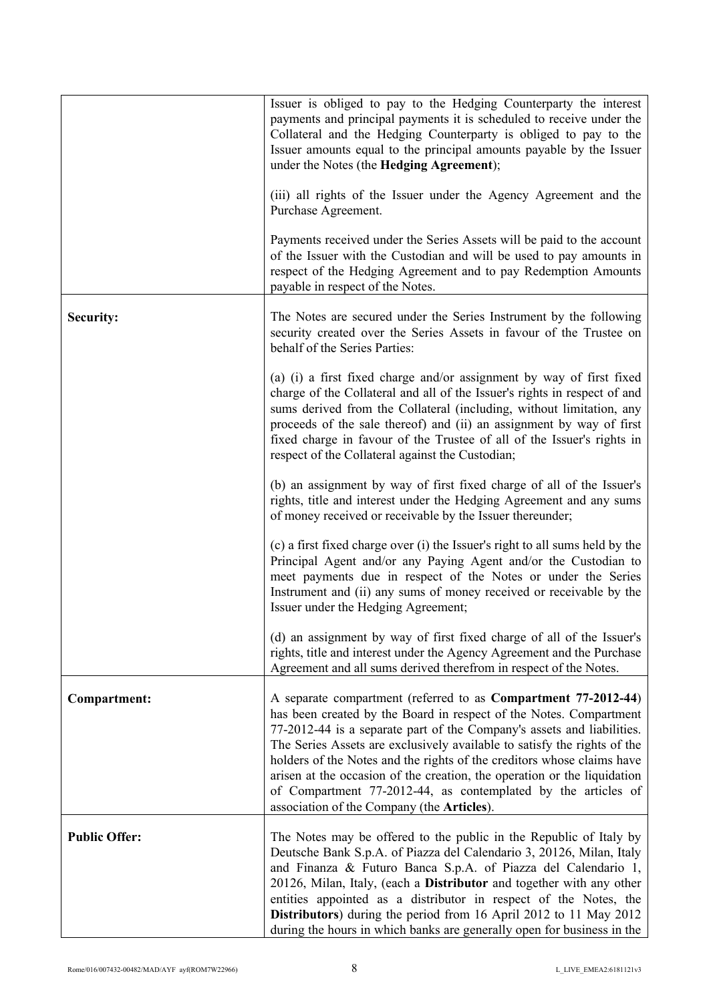|                      | Issuer is obliged to pay to the Hedging Counterparty the interest<br>payments and principal payments it is scheduled to receive under the<br>Collateral and the Hedging Counterparty is obliged to pay to the<br>Issuer amounts equal to the principal amounts payable by the Issuer<br>under the Notes (the Hedging Agreement);                                                                                                                                                                                                                                |
|----------------------|-----------------------------------------------------------------------------------------------------------------------------------------------------------------------------------------------------------------------------------------------------------------------------------------------------------------------------------------------------------------------------------------------------------------------------------------------------------------------------------------------------------------------------------------------------------------|
|                      | (iii) all rights of the Issuer under the Agency Agreement and the<br>Purchase Agreement.                                                                                                                                                                                                                                                                                                                                                                                                                                                                        |
|                      | Payments received under the Series Assets will be paid to the account<br>of the Issuer with the Custodian and will be used to pay amounts in<br>respect of the Hedging Agreement and to pay Redemption Amounts<br>payable in respect of the Notes.                                                                                                                                                                                                                                                                                                              |
| Security:            | The Notes are secured under the Series Instrument by the following<br>security created over the Series Assets in favour of the Trustee on<br>behalf of the Series Parties:                                                                                                                                                                                                                                                                                                                                                                                      |
|                      | (a) (i) a first fixed charge and/or assignment by way of first fixed<br>charge of the Collateral and all of the Issuer's rights in respect of and<br>sums derived from the Collateral (including, without limitation, any<br>proceeds of the sale thereof) and (ii) an assignment by way of first<br>fixed charge in favour of the Trustee of all of the Issuer's rights in<br>respect of the Collateral against the Custodian;                                                                                                                                 |
|                      | (b) an assignment by way of first fixed charge of all of the Issuer's<br>rights, title and interest under the Hedging Agreement and any sums<br>of money received or receivable by the Issuer thereunder;                                                                                                                                                                                                                                                                                                                                                       |
|                      | (c) a first fixed charge over (i) the Issuer's right to all sums held by the<br>Principal Agent and/or any Paying Agent and/or the Custodian to<br>meet payments due in respect of the Notes or under the Series<br>Instrument and (ii) any sums of money received or receivable by the<br>Issuer under the Hedging Agreement;                                                                                                                                                                                                                                  |
|                      | (d) an assignment by way of first fixed charge of all of the Issuer's<br>rights, title and interest under the Agency Agreement and the Purchase<br>Agreement and all sums derived therefrom in respect of the Notes.                                                                                                                                                                                                                                                                                                                                            |
| Compartment:         | A separate compartment (referred to as Compartment 77-2012-44)<br>has been created by the Board in respect of the Notes. Compartment<br>77-2012-44 is a separate part of the Company's assets and liabilities.<br>The Series Assets are exclusively available to satisfy the rights of the<br>holders of the Notes and the rights of the creditors whose claims have<br>arisen at the occasion of the creation, the operation or the liquidation<br>of Compartment 77-2012-44, as contemplated by the articles of<br>association of the Company (the Articles). |
| <b>Public Offer:</b> | The Notes may be offered to the public in the Republic of Italy by<br>Deutsche Bank S.p.A. of Piazza del Calendario 3, 20126, Milan, Italy<br>and Finanza & Futuro Banca S.p.A. of Piazza del Calendario 1,<br>20126, Milan, Italy, (each a Distributor and together with any other<br>entities appointed as a distributor in respect of the Notes, the<br>Distributors) during the period from 16 April 2012 to 11 May 2012<br>during the hours in which banks are generally open for business in the                                                          |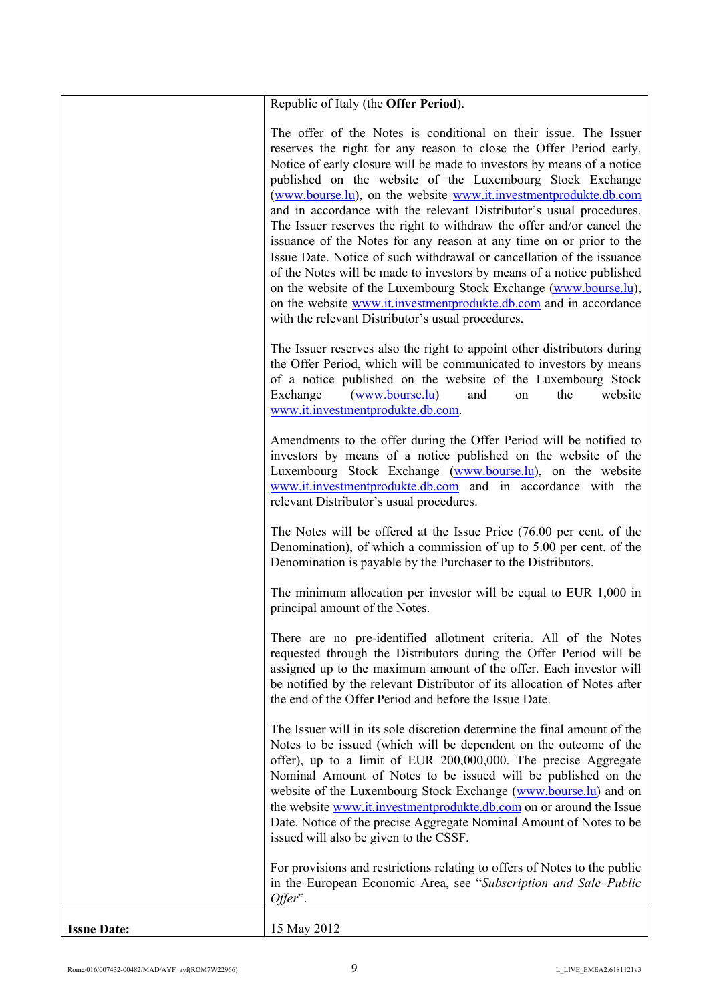|                    | Republic of Italy (the <b>Offer Period</b> ).                                                                                                                                                                                                                                                                                                                                                                                                                                                                                                                                                                                                                                                                                                                                                                                                                                                                            |
|--------------------|--------------------------------------------------------------------------------------------------------------------------------------------------------------------------------------------------------------------------------------------------------------------------------------------------------------------------------------------------------------------------------------------------------------------------------------------------------------------------------------------------------------------------------------------------------------------------------------------------------------------------------------------------------------------------------------------------------------------------------------------------------------------------------------------------------------------------------------------------------------------------------------------------------------------------|
|                    | The offer of the Notes is conditional on their issue. The Issuer<br>reserves the right for any reason to close the Offer Period early.<br>Notice of early closure will be made to investors by means of a notice<br>published on the website of the Luxembourg Stock Exchange<br>(www.bourse.lu), on the website www.it.investmentprodukte.db.com<br>and in accordance with the relevant Distributor's usual procedures.<br>The Issuer reserves the right to withdraw the offer and/or cancel the<br>issuance of the Notes for any reason at any time on or prior to the<br>Issue Date. Notice of such withdrawal or cancellation of the issuance<br>of the Notes will be made to investors by means of a notice published<br>on the website of the Luxembourg Stock Exchange (www.bourse.lu),<br>on the website www.it.investmentprodukte.db.com and in accordance<br>with the relevant Distributor's usual procedures. |
|                    | The Issuer reserves also the right to appoint other distributors during<br>the Offer Period, which will be communicated to investors by means<br>of a notice published on the website of the Luxembourg Stock<br>Exchange<br>(www.bourse.lu)<br>website<br>the<br>and<br>on<br>www.it.investmentprodukte.db.com.                                                                                                                                                                                                                                                                                                                                                                                                                                                                                                                                                                                                         |
|                    | Amendments to the offer during the Offer Period will be notified to<br>investors by means of a notice published on the website of the<br>Luxembourg Stock Exchange (www.bourse.lu), on the website<br>www.it.investmentprodukte.db.com and in accordance with the<br>relevant Distributor's usual procedures.                                                                                                                                                                                                                                                                                                                                                                                                                                                                                                                                                                                                            |
|                    | The Notes will be offered at the Issue Price (76.00 per cent. of the<br>Denomination), of which a commission of up to 5.00 per cent. of the<br>Denomination is payable by the Purchaser to the Distributors.                                                                                                                                                                                                                                                                                                                                                                                                                                                                                                                                                                                                                                                                                                             |
|                    | The minimum allocation per investor will be equal to EUR 1,000 in<br>principal amount of the Notes.                                                                                                                                                                                                                                                                                                                                                                                                                                                                                                                                                                                                                                                                                                                                                                                                                      |
|                    | There are no pre-identified allotment criteria. All of the Notes<br>requested through the Distributors during the Offer Period will be<br>assigned up to the maximum amount of the offer. Each investor will<br>be notified by the relevant Distributor of its allocation of Notes after<br>the end of the Offer Period and before the Issue Date.                                                                                                                                                                                                                                                                                                                                                                                                                                                                                                                                                                       |
|                    | The Issuer will in its sole discretion determine the final amount of the<br>Notes to be issued (which will be dependent on the outcome of the<br>offer), up to a limit of EUR 200,000,000. The precise Aggregate<br>Nominal Amount of Notes to be issued will be published on the<br>website of the Luxembourg Stock Exchange (www.bourse.lu) and on<br>the website www.it.investmentprodukte.db.com on or around the Issue<br>Date. Notice of the precise Aggregate Nominal Amount of Notes to be<br>issued will also be given to the CSSF.                                                                                                                                                                                                                                                                                                                                                                             |
|                    | For provisions and restrictions relating to offers of Notes to the public<br>in the European Economic Area, see "Subscription and Sale-Public<br>Offer".                                                                                                                                                                                                                                                                                                                                                                                                                                                                                                                                                                                                                                                                                                                                                                 |
| <b>Issue Date:</b> | 15 May 2012                                                                                                                                                                                                                                                                                                                                                                                                                                                                                                                                                                                                                                                                                                                                                                                                                                                                                                              |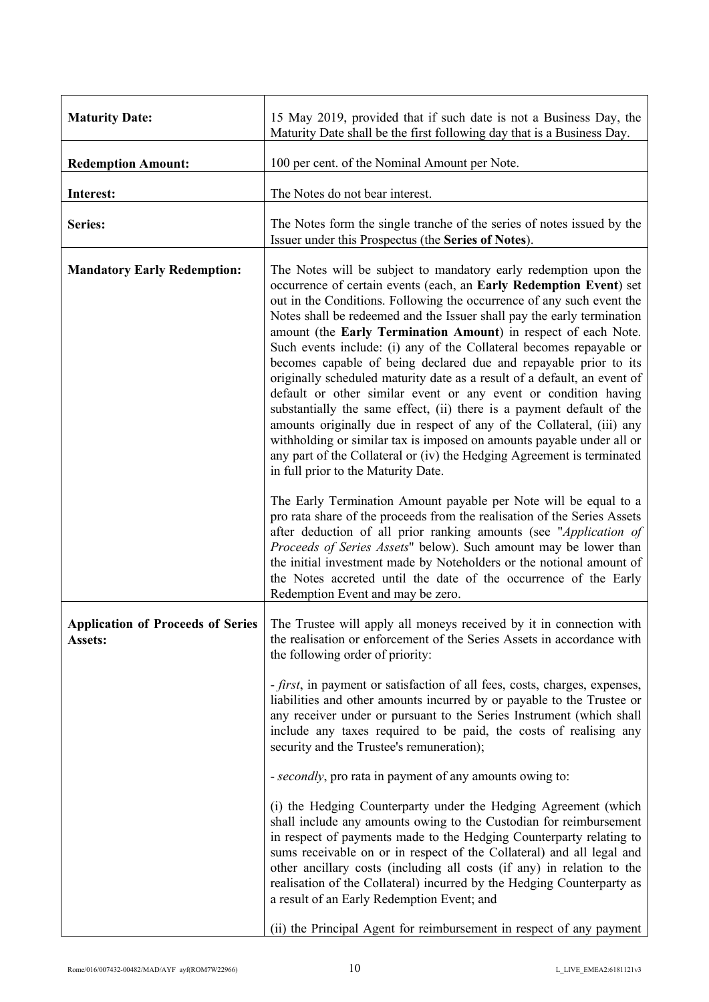| <b>Maturity Date:</b>                               | 15 May 2019, provided that if such date is not a Business Day, the<br>Maturity Date shall be the first following day that is a Business Day.                                                                                                                                                                                                                                                                                                                                                                                                                                                                                                                                                                                                                                                                                                                                                                                                                                                      |  |  |  |  |
|-----------------------------------------------------|---------------------------------------------------------------------------------------------------------------------------------------------------------------------------------------------------------------------------------------------------------------------------------------------------------------------------------------------------------------------------------------------------------------------------------------------------------------------------------------------------------------------------------------------------------------------------------------------------------------------------------------------------------------------------------------------------------------------------------------------------------------------------------------------------------------------------------------------------------------------------------------------------------------------------------------------------------------------------------------------------|--|--|--|--|
| <b>Redemption Amount:</b>                           | 100 per cent. of the Nominal Amount per Note.                                                                                                                                                                                                                                                                                                                                                                                                                                                                                                                                                                                                                                                                                                                                                                                                                                                                                                                                                     |  |  |  |  |
| Interest:                                           | The Notes do not bear interest.                                                                                                                                                                                                                                                                                                                                                                                                                                                                                                                                                                                                                                                                                                                                                                                                                                                                                                                                                                   |  |  |  |  |
| Series:                                             | The Notes form the single tranche of the series of notes issued by the<br>Issuer under this Prospectus (the Series of Notes).                                                                                                                                                                                                                                                                                                                                                                                                                                                                                                                                                                                                                                                                                                                                                                                                                                                                     |  |  |  |  |
| <b>Mandatory Early Redemption:</b>                  | The Notes will be subject to mandatory early redemption upon the<br>occurrence of certain events (each, an Early Redemption Event) set<br>out in the Conditions. Following the occurrence of any such event the<br>Notes shall be redeemed and the Issuer shall pay the early termination<br>amount (the Early Termination Amount) in respect of each Note.<br>Such events include: (i) any of the Collateral becomes repayable or<br>becomes capable of being declared due and repayable prior to its<br>originally scheduled maturity date as a result of a default, an event of<br>default or other similar event or any event or condition having<br>substantially the same effect, (ii) there is a payment default of the<br>amounts originally due in respect of any of the Collateral, (iii) any<br>withholding or similar tax is imposed on amounts payable under all or<br>any part of the Collateral or (iv) the Hedging Agreement is terminated<br>in full prior to the Maturity Date. |  |  |  |  |
|                                                     | The Early Termination Amount payable per Note will be equal to a<br>pro rata share of the proceeds from the realisation of the Series Assets<br>after deduction of all prior ranking amounts (see "Application of<br>Proceeds of Series Assets" below). Such amount may be lower than<br>the initial investment made by Noteholders or the notional amount of<br>the Notes accreted until the date of the occurrence of the Early<br>Redemption Event and may be zero.                                                                                                                                                                                                                                                                                                                                                                                                                                                                                                                            |  |  |  |  |
| <b>Application of Proceeds of Series</b><br>Assets: | The Trustee will apply all moneys received by it in connection with<br>the realisation or enforcement of the Series Assets in accordance with<br>the following order of priority:                                                                                                                                                                                                                                                                                                                                                                                                                                                                                                                                                                                                                                                                                                                                                                                                                 |  |  |  |  |
|                                                     | <i>- first</i> , in payment or satisfaction of all fees, costs, charges, expenses,<br>liabilities and other amounts incurred by or payable to the Trustee or<br>any receiver under or pursuant to the Series Instrument (which shall<br>include any taxes required to be paid, the costs of realising any<br>security and the Trustee's remuneration);                                                                                                                                                                                                                                                                                                                                                                                                                                                                                                                                                                                                                                            |  |  |  |  |
|                                                     | - secondly, pro rata in payment of any amounts owing to:                                                                                                                                                                                                                                                                                                                                                                                                                                                                                                                                                                                                                                                                                                                                                                                                                                                                                                                                          |  |  |  |  |
|                                                     | (i) the Hedging Counterparty under the Hedging Agreement (which<br>shall include any amounts owing to the Custodian for reimbursement<br>in respect of payments made to the Hedging Counterparty relating to<br>sums receivable on or in respect of the Collateral) and all legal and<br>other ancillary costs (including all costs (if any) in relation to the<br>realisation of the Collateral) incurred by the Hedging Counterparty as<br>a result of an Early Redemption Event; and                                                                                                                                                                                                                                                                                                                                                                                                                                                                                                           |  |  |  |  |
|                                                     | (ii) the Principal Agent for reimbursement in respect of any payment                                                                                                                                                                                                                                                                                                                                                                                                                                                                                                                                                                                                                                                                                                                                                                                                                                                                                                                              |  |  |  |  |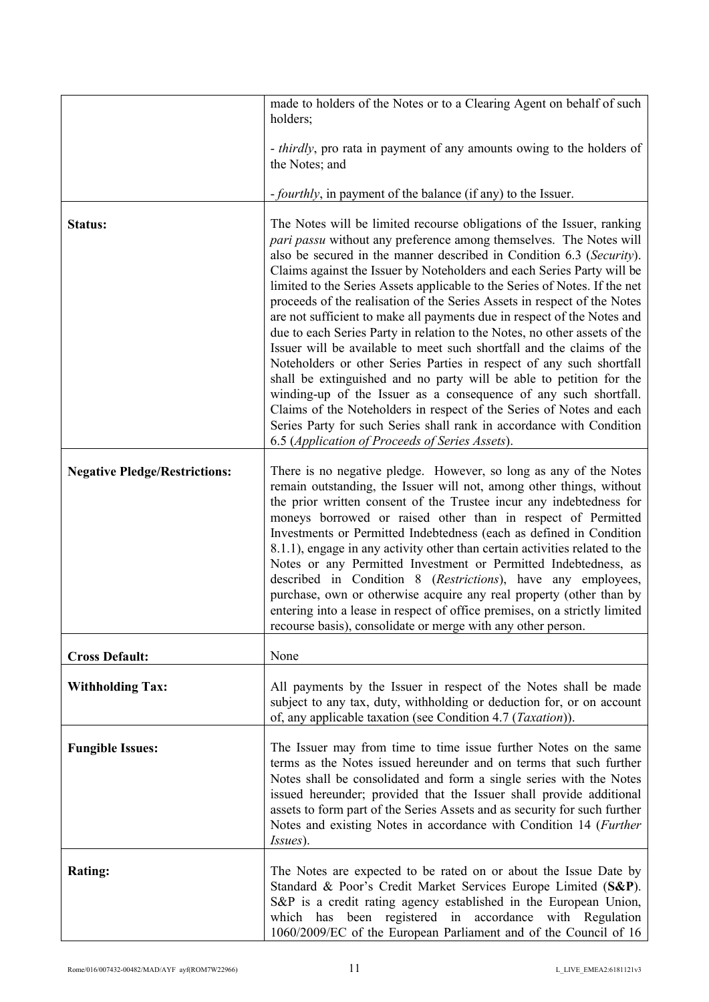|                                      | made to holders of the Notes or to a Clearing Agent on behalf of such<br>holders;                                                                                                                                                                                                                                                                                                                                                                                                                                                                                                                                                                                                                                                                                                                                                                                                                                                                                                                                                                                                                              |
|--------------------------------------|----------------------------------------------------------------------------------------------------------------------------------------------------------------------------------------------------------------------------------------------------------------------------------------------------------------------------------------------------------------------------------------------------------------------------------------------------------------------------------------------------------------------------------------------------------------------------------------------------------------------------------------------------------------------------------------------------------------------------------------------------------------------------------------------------------------------------------------------------------------------------------------------------------------------------------------------------------------------------------------------------------------------------------------------------------------------------------------------------------------|
|                                      | - <i>thirdly</i> , pro rata in payment of any amounts owing to the holders of<br>the Notes; and                                                                                                                                                                                                                                                                                                                                                                                                                                                                                                                                                                                                                                                                                                                                                                                                                                                                                                                                                                                                                |
|                                      | <i>-fourthly</i> , in payment of the balance (if any) to the Issuer.                                                                                                                                                                                                                                                                                                                                                                                                                                                                                                                                                                                                                                                                                                                                                                                                                                                                                                                                                                                                                                           |
| Status:                              | The Notes will be limited recourse obligations of the Issuer, ranking<br>pari passu without any preference among themselves. The Notes will<br>also be secured in the manner described in Condition 6.3 (Security).<br>Claims against the Issuer by Noteholders and each Series Party will be<br>limited to the Series Assets applicable to the Series of Notes. If the net<br>proceeds of the realisation of the Series Assets in respect of the Notes<br>are not sufficient to make all payments due in respect of the Notes and<br>due to each Series Party in relation to the Notes, no other assets of the<br>Issuer will be available to meet such shortfall and the claims of the<br>Noteholders or other Series Parties in respect of any such shortfall<br>shall be extinguished and no party will be able to petition for the<br>winding-up of the Issuer as a consequence of any such shortfall.<br>Claims of the Noteholders in respect of the Series of Notes and each<br>Series Party for such Series shall rank in accordance with Condition<br>6.5 (Application of Proceeds of Series Assets). |
| <b>Negative Pledge/Restrictions:</b> | There is no negative pledge. However, so long as any of the Notes<br>remain outstanding, the Issuer will not, among other things, without<br>the prior written consent of the Trustee incur any indebtedness for<br>moneys borrowed or raised other than in respect of Permitted<br>Investments or Permitted Indebtedness (each as defined in Condition<br>8.1.1), engage in any activity other than certain activities related to the<br>Notes or any Permitted Investment or Permitted Indebtedness, as<br>described in Condition 8 (Restrictions), have any employees,<br>purchase, own or otherwise acquire any real property (other than by<br>entering into a lease in respect of office premises, on a strictly limited<br>recourse basis), consolidate or merge with any other person.                                                                                                                                                                                                                                                                                                                 |
| <b>Cross Default:</b>                | None                                                                                                                                                                                                                                                                                                                                                                                                                                                                                                                                                                                                                                                                                                                                                                                                                                                                                                                                                                                                                                                                                                           |
| <b>Withholding Tax:</b>              | All payments by the Issuer in respect of the Notes shall be made<br>subject to any tax, duty, withholding or deduction for, or on account<br>of, any applicable taxation (see Condition 4.7 ( <i>Taxation</i> )).                                                                                                                                                                                                                                                                                                                                                                                                                                                                                                                                                                                                                                                                                                                                                                                                                                                                                              |
| <b>Fungible Issues:</b>              | The Issuer may from time to time issue further Notes on the same<br>terms as the Notes issued hereunder and on terms that such further<br>Notes shall be consolidated and form a single series with the Notes<br>issued hereunder; provided that the Issuer shall provide additional<br>assets to form part of the Series Assets and as security for such further<br>Notes and existing Notes in accordance with Condition 14 (Further<br>Issues).                                                                                                                                                                                                                                                                                                                                                                                                                                                                                                                                                                                                                                                             |
| <b>Rating:</b>                       | The Notes are expected to be rated on or about the Issue Date by<br>Standard & Poor's Credit Market Services Europe Limited (S&P).<br>S&P is a credit rating agency established in the European Union,<br>which has been registered in accordance with Regulation<br>1060/2009/EC of the European Parliament and of the Council of 16                                                                                                                                                                                                                                                                                                                                                                                                                                                                                                                                                                                                                                                                                                                                                                          |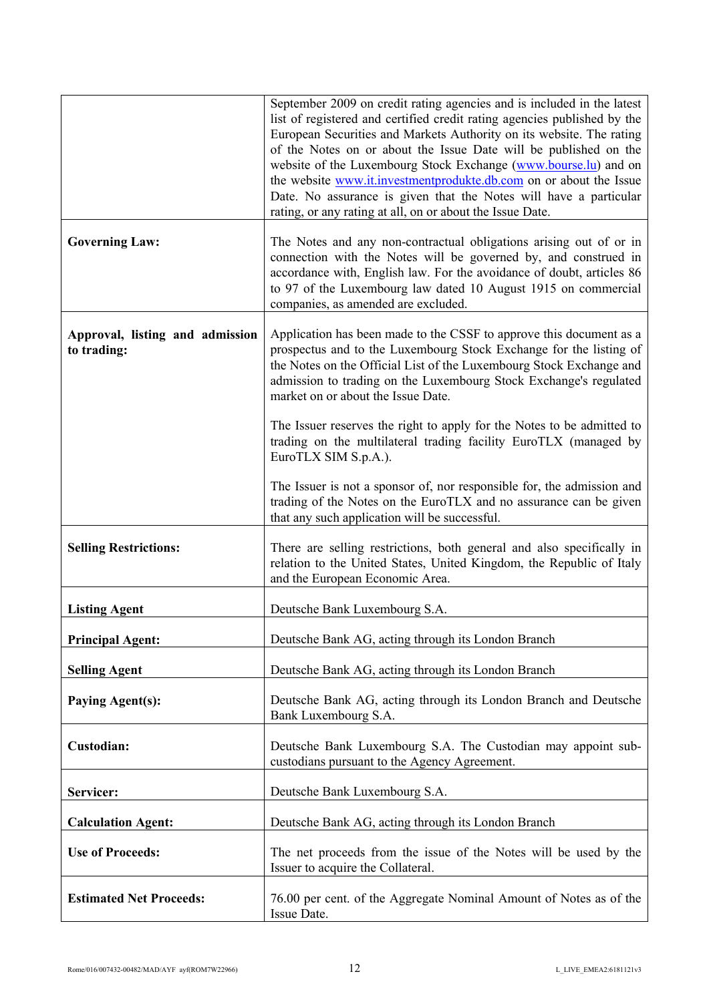|                                                | September 2009 on credit rating agencies and is included in the latest<br>list of registered and certified credit rating agencies published by the<br>European Securities and Markets Authority on its website. The rating<br>of the Notes on or about the Issue Date will be published on the<br>website of the Luxembourg Stock Exchange (www.bourse.lu) and on<br>the website www.it.investmentprodukte.db.com on or about the Issue<br>Date. No assurance is given that the Notes will have a particular<br>rating, or any rating at all, on or about the Issue Date. |  |  |  |  |
|------------------------------------------------|---------------------------------------------------------------------------------------------------------------------------------------------------------------------------------------------------------------------------------------------------------------------------------------------------------------------------------------------------------------------------------------------------------------------------------------------------------------------------------------------------------------------------------------------------------------------------|--|--|--|--|
| <b>Governing Law:</b>                          | The Notes and any non-contractual obligations arising out of or in<br>connection with the Notes will be governed by, and construed in<br>accordance with, English law. For the avoidance of doubt, articles 86<br>to 97 of the Luxembourg law dated 10 August 1915 on commercial<br>companies, as amended are excluded.                                                                                                                                                                                                                                                   |  |  |  |  |
| Approval, listing and admission<br>to trading: | Application has been made to the CSSF to approve this document as a<br>prospectus and to the Luxembourg Stock Exchange for the listing of<br>the Notes on the Official List of the Luxembourg Stock Exchange and<br>admission to trading on the Luxembourg Stock Exchange's regulated<br>market on or about the Issue Date.                                                                                                                                                                                                                                               |  |  |  |  |
|                                                | The Issuer reserves the right to apply for the Notes to be admitted to<br>trading on the multilateral trading facility EuroTLX (managed by<br>EuroTLX SIM S.p.A.).                                                                                                                                                                                                                                                                                                                                                                                                        |  |  |  |  |
|                                                | The Issuer is not a sponsor of, nor responsible for, the admission and<br>trading of the Notes on the EuroTLX and no assurance can be given<br>that any such application will be successful.                                                                                                                                                                                                                                                                                                                                                                              |  |  |  |  |
| <b>Selling Restrictions:</b>                   | There are selling restrictions, both general and also specifically in<br>relation to the United States, United Kingdom, the Republic of Italy<br>and the European Economic Area.                                                                                                                                                                                                                                                                                                                                                                                          |  |  |  |  |
| <b>Listing Agent</b>                           | Deutsche Bank Luxembourg S.A.                                                                                                                                                                                                                                                                                                                                                                                                                                                                                                                                             |  |  |  |  |
| <b>Principal Agent:</b>                        | Deutsche Bank AG, acting through its London Branch                                                                                                                                                                                                                                                                                                                                                                                                                                                                                                                        |  |  |  |  |
| <b>Selling Agent</b>                           | Deutsche Bank AG, acting through its London Branch                                                                                                                                                                                                                                                                                                                                                                                                                                                                                                                        |  |  |  |  |
| <b>Paying Agent(s):</b>                        | Deutsche Bank AG, acting through its London Branch and Deutsche<br>Bank Luxembourg S.A.                                                                                                                                                                                                                                                                                                                                                                                                                                                                                   |  |  |  |  |
| Custodian:                                     | Deutsche Bank Luxembourg S.A. The Custodian may appoint sub-<br>custodians pursuant to the Agency Agreement.                                                                                                                                                                                                                                                                                                                                                                                                                                                              |  |  |  |  |
| Servicer:                                      | Deutsche Bank Luxembourg S.A.                                                                                                                                                                                                                                                                                                                                                                                                                                                                                                                                             |  |  |  |  |
| <b>Calculation Agent:</b>                      | Deutsche Bank AG, acting through its London Branch                                                                                                                                                                                                                                                                                                                                                                                                                                                                                                                        |  |  |  |  |
| <b>Use of Proceeds:</b>                        | The net proceeds from the issue of the Notes will be used by the<br>Issuer to acquire the Collateral.                                                                                                                                                                                                                                                                                                                                                                                                                                                                     |  |  |  |  |
| <b>Estimated Net Proceeds:</b>                 | 76.00 per cent. of the Aggregate Nominal Amount of Notes as of the<br>Issue Date.                                                                                                                                                                                                                                                                                                                                                                                                                                                                                         |  |  |  |  |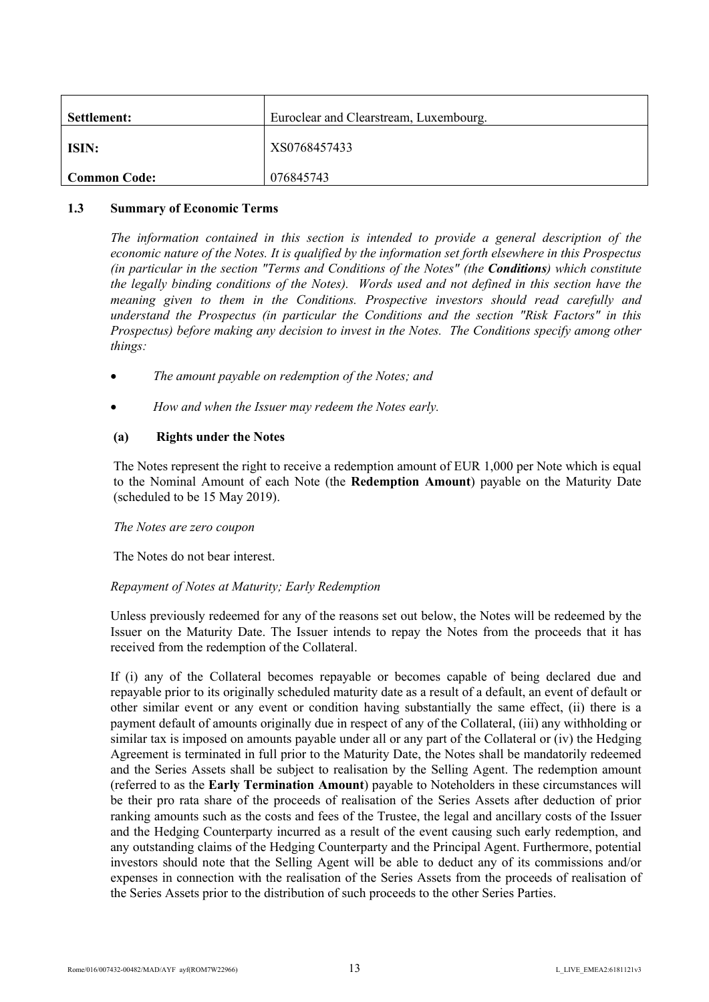| Settlement:  | Euroclear and Clearstream, Luxembourg. |
|--------------|----------------------------------------|
| ISIN:        | XS0768457433                           |
| Common Code: | 076845743                              |

#### **1.3 Summary of Economic Terms**

<span id="page-12-0"></span>*The information contained in this section is intended to provide a general description of the economic nature of the Notes. It is qualified by the information set forth elsewhere in this Prospectus (in particular in the section "Terms and Conditions of the Notes" (the Conditions) which constitute the legally binding conditions of the Notes). Words used and not defined in this section have the meaning given to them in the Conditions. Prospective investors should read carefully and understand the Prospectus (in particular the Conditions and the section "Risk Factors" in this Prospectus) before making any decision to invest in the Notes. The Conditions specify among other things:*

- *The amount payable on redemption of the Notes; and*
- *How and when the Issuer may redeem the Notes early.*

# **(a) Rights under the Notes**

The Notes represent the right to receive a redemption amount of EUR 1,000 per Note which is equal to the Nominal Amount of each Note (the **Redemption Amount**) payable on the Maturity Date (scheduled to be 15 May 2019).

## *The Notes are zero coupon*

The Notes do not bear interest.

## *Repayment of Notes at Maturity; Early Redemption*

Unless previously redeemed for any of the reasons set out below, the Notes will be redeemed by the Issuer on the Maturity Date. The Issuer intends to repay the Notes from the proceeds that it has received from the redemption of the Collateral.

If (i) any of the Collateral becomes repayable or becomes capable of being declared due and repayable prior to its originally scheduled maturity date as a result of a default, an event of default or other similar event or any event or condition having substantially the same effect, (ii) there is a payment default of amounts originally due in respect of any of the Collateral, (iii) any withholding or similar tax is imposed on amounts payable under all or any part of the Collateral or (iv) the Hedging Agreement is terminated in full prior to the Maturity Date, the Notes shall be mandatorily redeemed and the Series Assets shall be subject to realisation by the Selling Agent. The redemption amount (referred to as the **Early Termination Amount**) payable to Noteholders in these circumstances will be their pro rata share of the proceeds of realisation of the Series Assets after deduction of prior ranking amounts such as the costs and fees of the Trustee, the legal and ancillary costs of the Issuer and the Hedging Counterparty incurred as a result of the event causing such early redemption, and any outstanding claims of the Hedging Counterparty and the Principal Agent. Furthermore, potential investors should note that the Selling Agent will be able to deduct any of its commissions and/or expenses in connection with the realisation of the Series Assets from the proceeds of realisation of the Series Assets prior to the distribution of such proceeds to the other Series Parties.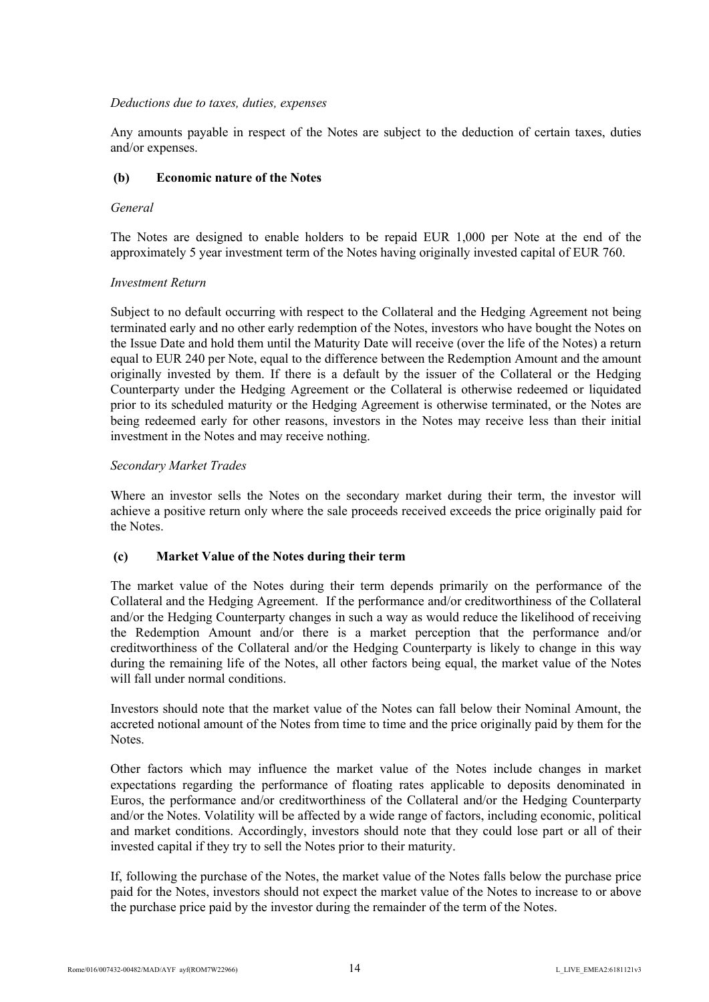## *Deductions due to taxes, duties, expenses*

Any amounts payable in respect of the Notes are subject to the deduction of certain taxes, duties and/or expenses.

## **(b) Economic nature of the Notes**

#### *General*

The Notes are designed to enable holders to be repaid EUR 1,000 per Note at the end of the approximately 5 year investment term of the Notes having originally invested capital of EUR 760.

## *Investment Return*

Subject to no default occurring with respect to the Collateral and the Hedging Agreement not being terminated early and no other early redemption of the Notes, investors who have bought the Notes on the Issue Date and hold them until the Maturity Date will receive (over the life of the Notes) a return equal to EUR 240 per Note, equal to the difference between the Redemption Amount and the amount originally invested by them. If there is a default by the issuer of the Collateral or the Hedging Counterparty under the Hedging Agreement or the Collateral is otherwise redeemed or liquidated prior to its scheduled maturity or the Hedging Agreement is otherwise terminated, or the Notes are being redeemed early for other reasons, investors in the Notes may receive less than their initial investment in the Notes and may receive nothing.

## *Secondary Market Trades*

Where an investor sells the Notes on the secondary market during their term, the investor will achieve a positive return only where the sale proceeds received exceeds the price originally paid for the Notes.

## **(c) Market Value of the Notes during their term**

The market value of the Notes during their term depends primarily on the performance of the Collateral and the Hedging Agreement. If the performance and/or creditworthiness of the Collateral and/or the Hedging Counterparty changes in such a way as would reduce the likelihood of receiving the Redemption Amount and/or there is a market perception that the performance and/or creditworthiness of the Collateral and/or the Hedging Counterparty is likely to change in this way during the remaining life of the Notes, all other factors being equal, the market value of the Notes will fall under normal conditions.

Investors should note that the market value of the Notes can fall below their Nominal Amount, the accreted notional amount of the Notes from time to time and the price originally paid by them for the **Notes**.

Other factors which may influence the market value of the Notes include changes in market expectations regarding the performance of floating rates applicable to deposits denominated in Euros, the performance and/or creditworthiness of the Collateral and/or the Hedging Counterparty and/or the Notes. Volatility will be affected by a wide range of factors, including economic, political and market conditions. Accordingly, investors should note that they could lose part or all of their invested capital if they try to sell the Notes prior to their maturity.

If, following the purchase of the Notes, the market value of the Notes falls below the purchase price paid for the Notes, investors should not expect the market value of the Notes to increase to or above the purchase price paid by the investor during the remainder of the term of the Notes.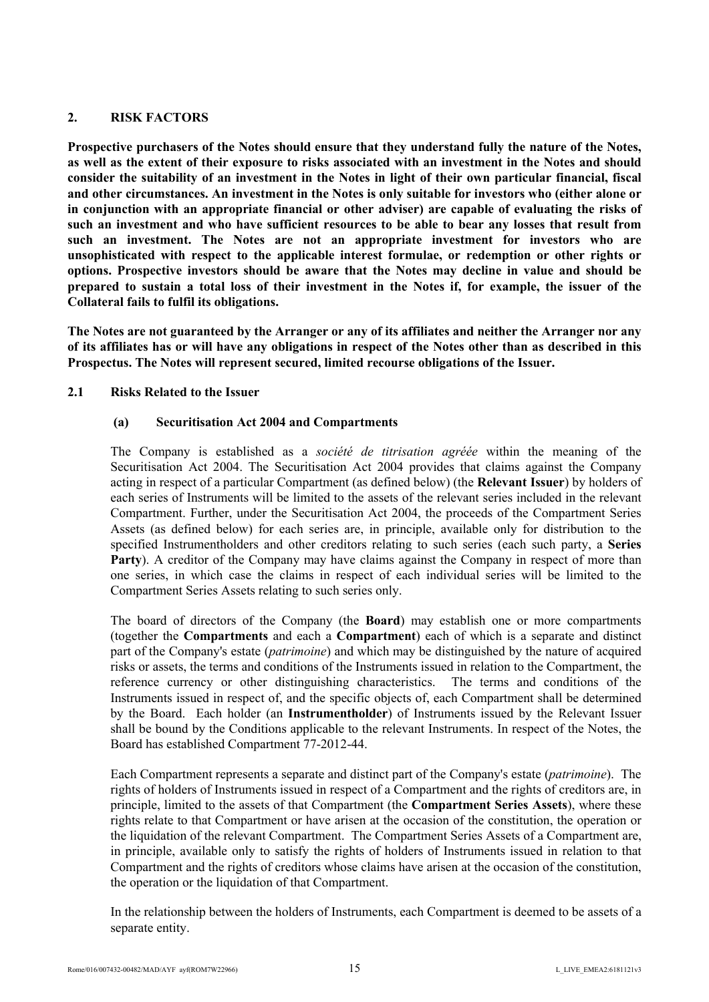# <span id="page-14-0"></span>**2. RISK FACTORS**

**Prospective purchasers of the Notes should ensure that they understand fully the nature of the Notes, as well as the extent of their exposure to risks associated with an investment in the Notes and should consider the suitability of an investment in the Notes in light of their own particular financial, fiscal and other circumstances. An investment in the Notes is only suitable for investors who (either alone or in conjunction with an appropriate financial or other adviser) are capable of evaluating the risks of such an investment and who have sufficient resources to be able to bear any losses that result from such an investment. The Notes are not an appropriate investment for investors who are unsophisticated with respect to the applicable interest formulae, or redemption or other rights or options. Prospective investors should be aware that the Notes may decline in value and should be prepared to sustain a total loss of their investment in the Notes if, for example, the issuer of the Collateral fails to fulfil its obligations.** 

**The Notes are not guaranteed by the Arranger or any of its affiliates and neither the Arranger nor any of its affiliates has or will have any obligations in respect of the Notes other than as described in this Prospectus. The Notes will represent secured, limited recourse obligations of the Issuer.** 

# **2.1 Risks Related to the Issuer**

# <span id="page-14-1"></span>**(a) Securitisation Act 2004 and Compartments**

The Company is established as a *société de titrisation agréée* within the meaning of the Securitisation Act 2004. The Securitisation Act 2004 provides that claims against the Company acting in respect of a particular Compartment (as defined below) (the **Relevant Issuer**) by holders of each series of Instruments will be limited to the assets of the relevant series included in the relevant Compartment. Further, under the Securitisation Act 2004, the proceeds of the Compartment Series Assets (as defined below) for each series are, in principle, available only for distribution to the specified Instrumentholders and other creditors relating to such series (each such party, a **Series**  Party). A creditor of the Company may have claims against the Company in respect of more than one series, in which case the claims in respect of each individual series will be limited to the Compartment Series Assets relating to such series only.

The board of directors of the Company (the **Board**) may establish one or more compartments (together the **Compartments** and each a **Compartment**) each of which is a separate and distinct part of the Company's estate (*patrimoine*) and which may be distinguished by the nature of acquired risks or assets, the terms and conditions of the Instruments issued in relation to the Compartment, the reference currency or other distinguishing characteristics. The terms and conditions of the Instruments issued in respect of, and the specific objects of, each Compartment shall be determined by the Board. Each holder (an **Instrumentholder**) of Instruments issued by the Relevant Issuer shall be bound by the Conditions applicable to the relevant Instruments. In respect of the Notes, the Board has established Compartment 77-2012-44.

Each Compartment represents a separate and distinct part of the Company's estate (*patrimoine*). The rights of holders of Instruments issued in respect of a Compartment and the rights of creditors are, in principle, limited to the assets of that Compartment (the **Compartment Series Assets**), where these rights relate to that Compartment or have arisen at the occasion of the constitution, the operation or the liquidation of the relevant Compartment. The Compartment Series Assets of a Compartment are, in principle, available only to satisfy the rights of holders of Instruments issued in relation to that Compartment and the rights of creditors whose claims have arisen at the occasion of the constitution, the operation or the liquidation of that Compartment.

In the relationship between the holders of Instruments, each Compartment is deemed to be assets of a separate entity.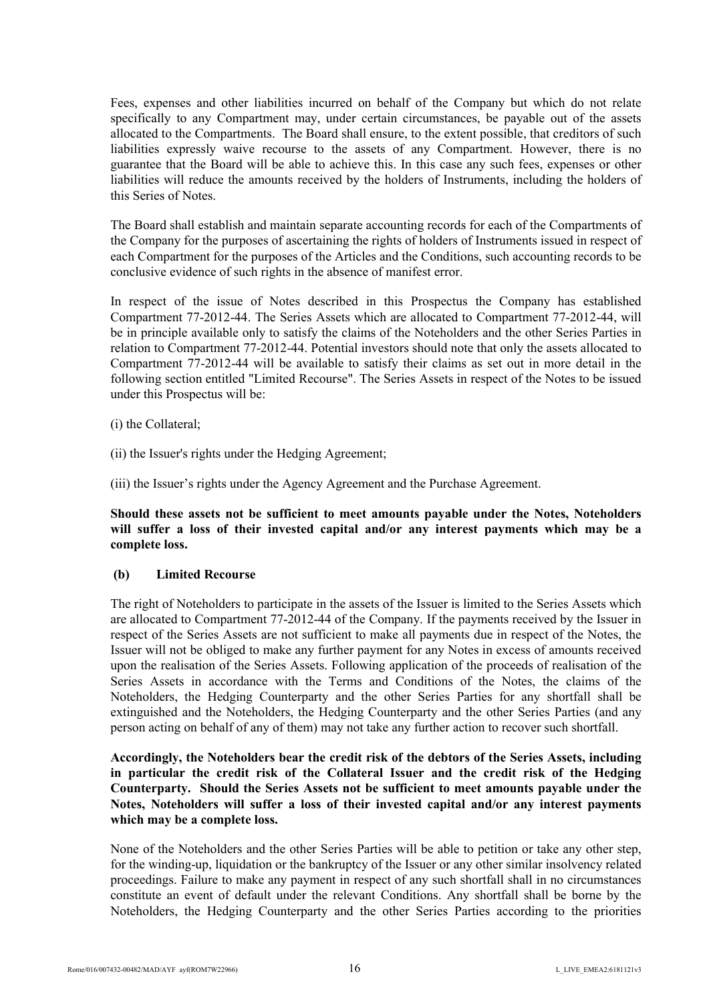Fees, expenses and other liabilities incurred on behalf of the Company but which do not relate specifically to any Compartment may, under certain circumstances, be payable out of the assets allocated to the Compartments. The Board shall ensure, to the extent possible, that creditors of such liabilities expressly waive recourse to the assets of any Compartment. However, there is no guarantee that the Board will be able to achieve this. In this case any such fees, expenses or other liabilities will reduce the amounts received by the holders of Instruments, including the holders of this Series of Notes.

The Board shall establish and maintain separate accounting records for each of the Compartments of the Company for the purposes of ascertaining the rights of holders of Instruments issued in respect of each Compartment for the purposes of the Articles and the Conditions, such accounting records to be conclusive evidence of such rights in the absence of manifest error.

In respect of the issue of Notes described in this Prospectus the Company has established Compartment 77-2012-44. The Series Assets which are allocated to Compartment 77-2012-44, will be in principle available only to satisfy the claims of the Noteholders and the other Series Parties in relation to Compartment 77-2012-44. Potential investors should note that only the assets allocated to Compartment 77-2012-44 will be available to satisfy their claims as set out in more detail in the following section entitled "Limited Recourse". The Series Assets in respect of the Notes to be issued under this Prospectus will be:

- (i) the Collateral;
- (ii) the Issuer's rights under the Hedging Agreement;

(iii) the Issuer's rights under the Agency Agreement and the Purchase Agreement.

**Should these assets not be sufficient to meet amounts payable under the Notes, Noteholders will suffer a loss of their invested capital and/or any interest payments which may be a complete loss.**

#### **(b) Limited Recourse**

The right of Noteholders to participate in the assets of the Issuer is limited to the Series Assets which are allocated to Compartment 77-2012-44 of the Company. If the payments received by the Issuer in respect of the Series Assets are not sufficient to make all payments due in respect of the Notes, the Issuer will not be obliged to make any further payment for any Notes in excess of amounts received upon the realisation of the Series Assets. Following application of the proceeds of realisation of the Series Assets in accordance with the Terms and Conditions of the Notes, the claims of the Noteholders, the Hedging Counterparty and the other Series Parties for any shortfall shall be extinguished and the Noteholders, the Hedging Counterparty and the other Series Parties (and any person acting on behalf of any of them) may not take any further action to recover such shortfall.

# **Accordingly, the Noteholders bear the credit risk of the debtors of the Series Assets, including in particular the credit risk of the Collateral Issuer and the credit risk of the Hedging Counterparty. Should the Series Assets not be sufficient to meet amounts payable under the Notes, Noteholders will suffer a loss of their invested capital and/or any interest payments which may be a complete loss.**

None of the Noteholders and the other Series Parties will be able to petition or take any other step, for the winding-up, liquidation or the bankruptcy of the Issuer or any other similar insolvency related proceedings. Failure to make any payment in respect of any such shortfall shall in no circumstances constitute an event of default under the relevant Conditions. Any shortfall shall be borne by the Noteholders, the Hedging Counterparty and the other Series Parties according to the priorities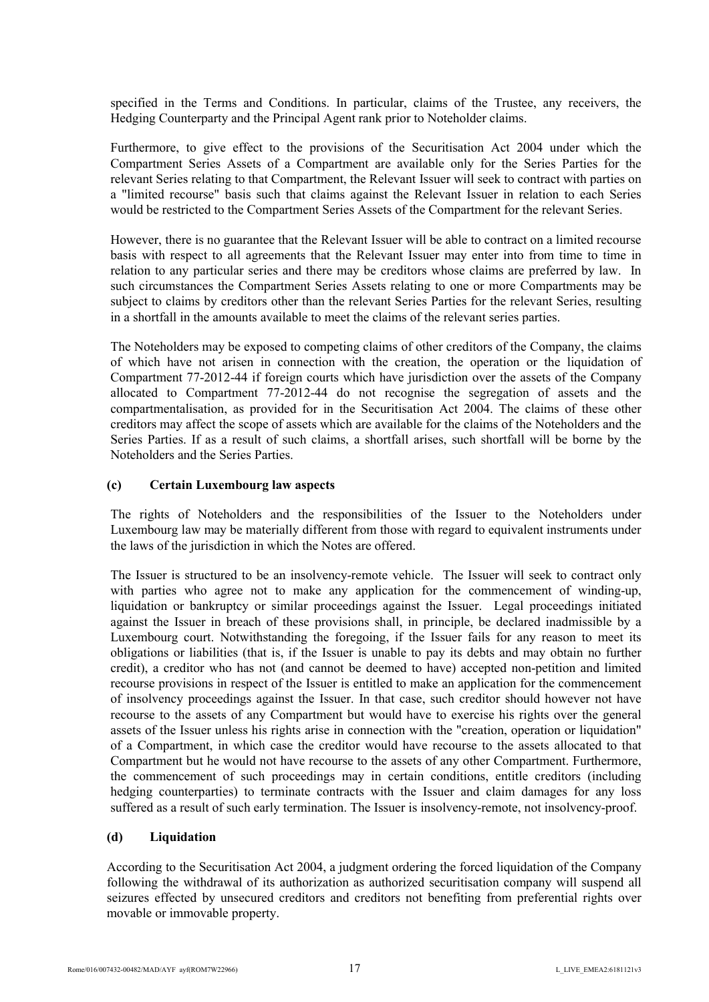specified in the Terms and Conditions. In particular, claims of the Trustee, any receivers, the Hedging Counterparty and the Principal Agent rank prior to Noteholder claims.

Furthermore, to give effect to the provisions of the Securitisation Act 2004 under which the Compartment Series Assets of a Compartment are available only for the Series Parties for the relevant Series relating to that Compartment, the Relevant Issuer will seek to contract with parties on a "limited recourse" basis such that claims against the Relevant Issuer in relation to each Series would be restricted to the Compartment Series Assets of the Compartment for the relevant Series.

However, there is no guarantee that the Relevant Issuer will be able to contract on a limited recourse basis with respect to all agreements that the Relevant Issuer may enter into from time to time in relation to any particular series and there may be creditors whose claims are preferred by law. In such circumstances the Compartment Series Assets relating to one or more Compartments may be subject to claims by creditors other than the relevant Series Parties for the relevant Series, resulting in a shortfall in the amounts available to meet the claims of the relevant series parties.

The Noteholders may be exposed to competing claims of other creditors of the Company, the claims of which have not arisen in connection with the creation, the operation or the liquidation of Compartment 77-2012-44 if foreign courts which have jurisdiction over the assets of the Company allocated to Compartment 77-2012-44 do not recognise the segregation of assets and the compartmentalisation, as provided for in the Securitisation Act 2004. The claims of these other creditors may affect the scope of assets which are available for the claims of the Noteholders and the Series Parties. If as a result of such claims, a shortfall arises, such shortfall will be borne by the Noteholders and the Series Parties.

#### **(c) Certain Luxembourg law aspects**

The rights of Noteholders and the responsibilities of the Issuer to the Noteholders under Luxembourg law may be materially different from those with regard to equivalent instruments under the laws of the jurisdiction in which the Notes are offered.

The Issuer is structured to be an insolvency-remote vehicle. The Issuer will seek to contract only with parties who agree not to make any application for the commencement of winding-up, liquidation or bankruptcy or similar proceedings against the Issuer. Legal proceedings initiated against the Issuer in breach of these provisions shall, in principle, be declared inadmissible by a Luxembourg court. Notwithstanding the foregoing, if the Issuer fails for any reason to meet its obligations or liabilities (that is, if the Issuer is unable to pay its debts and may obtain no further credit), a creditor who has not (and cannot be deemed to have) accepted non-petition and limited recourse provisions in respect of the Issuer is entitled to make an application for the commencement of insolvency proceedings against the Issuer. In that case, such creditor should however not have recourse to the assets of any Compartment but would have to exercise his rights over the general assets of the Issuer unless his rights arise in connection with the "creation, operation or liquidation" of a Compartment, in which case the creditor would have recourse to the assets allocated to that Compartment but he would not have recourse to the assets of any other Compartment. Furthermore, the commencement of such proceedings may in certain conditions, entitle creditors (including hedging counterparties) to terminate contracts with the Issuer and claim damages for any loss suffered as a result of such early termination. The Issuer is insolvency-remote, not insolvency-proof.

## **(d) Liquidation**

According to the Securitisation Act 2004, a judgment ordering the forced liquidation of the Company following the withdrawal of its authorization as authorized securitisation company will suspend all seizures effected by unsecured creditors and creditors not benefiting from preferential rights over movable or immovable property.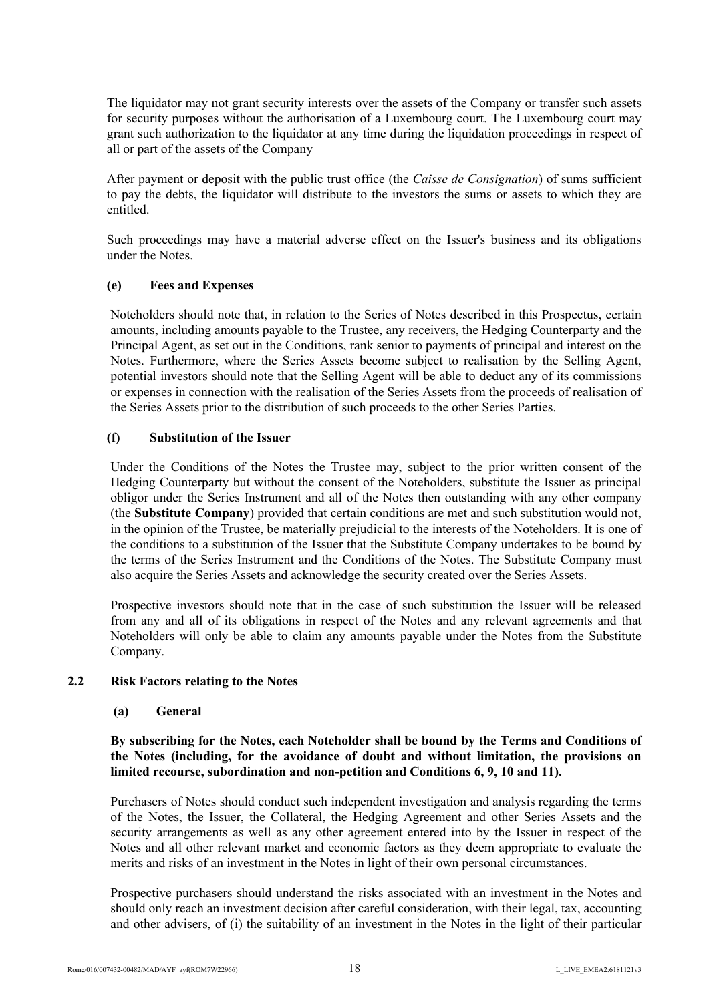The liquidator may not grant security interests over the assets of the Company or transfer such assets for security purposes without the authorisation of a Luxembourg court. The Luxembourg court may grant such authorization to the liquidator at any time during the liquidation proceedings in respect of all or part of the assets of the Company

After payment or deposit with the public trust office (the *Caisse de Consignation*) of sums sufficient to pay the debts, the liquidator will distribute to the investors the sums or assets to which they are entitled.

Such proceedings may have a material adverse effect on the Issuer's business and its obligations under the Notes.

## **(e) Fees and Expenses**

Noteholders should note that, in relation to the Series of Notes described in this Prospectus, certain amounts, including amounts payable to the Trustee, any receivers, the Hedging Counterparty and the Principal Agent, as set out in the Conditions, rank senior to payments of principal and interest on the Notes. Furthermore, where the Series Assets become subject to realisation by the Selling Agent, potential investors should note that the Selling Agent will be able to deduct any of its commissions or expenses in connection with the realisation of the Series Assets from the proceeds of realisation of the Series Assets prior to the distribution of such proceeds to the other Series Parties.

#### **(f) Substitution of the Issuer**

Under the Conditions of the Notes the Trustee may, subject to the prior written consent of the Hedging Counterparty but without the consent of the Noteholders, substitute the Issuer as principal obligor under the Series Instrument and all of the Notes then outstanding with any other company (the **Substitute Company**) provided that certain conditions are met and such substitution would not, in the opinion of the Trustee, be materially prejudicial to the interests of the Noteholders. It is one of the conditions to a substitution of the Issuer that the Substitute Company undertakes to be bound by the terms of the Series Instrument and the Conditions of the Notes. The Substitute Company must also acquire the Series Assets and acknowledge the security created over the Series Assets.

Prospective investors should note that in the case of such substitution the Issuer will be released from any and all of its obligations in respect of the Notes and any relevant agreements and that Noteholders will only be able to claim any amounts payable under the Notes from the Substitute Company.

#### **2.2 Risk Factors relating to the Notes**

#### <span id="page-17-0"></span>**(a) General**

## **By subscribing for the Notes, each Noteholder shall be bound by the Terms and Conditions of the Notes (including, for the avoidance of doubt and without limitation, the provisions on limited recourse, subordination and non-petition and Conditions 6, 9, 10 and 11).**

Purchasers of Notes should conduct such independent investigation and analysis regarding the terms of the Notes, the Issuer, the Collateral, the Hedging Agreement and other Series Assets and the security arrangements as well as any other agreement entered into by the Issuer in respect of the Notes and all other relevant market and economic factors as they deem appropriate to evaluate the merits and risks of an investment in the Notes in light of their own personal circumstances.

Prospective purchasers should understand the risks associated with an investment in the Notes and should only reach an investment decision after careful consideration, with their legal, tax, accounting and other advisers, of (i) the suitability of an investment in the Notes in the light of their particular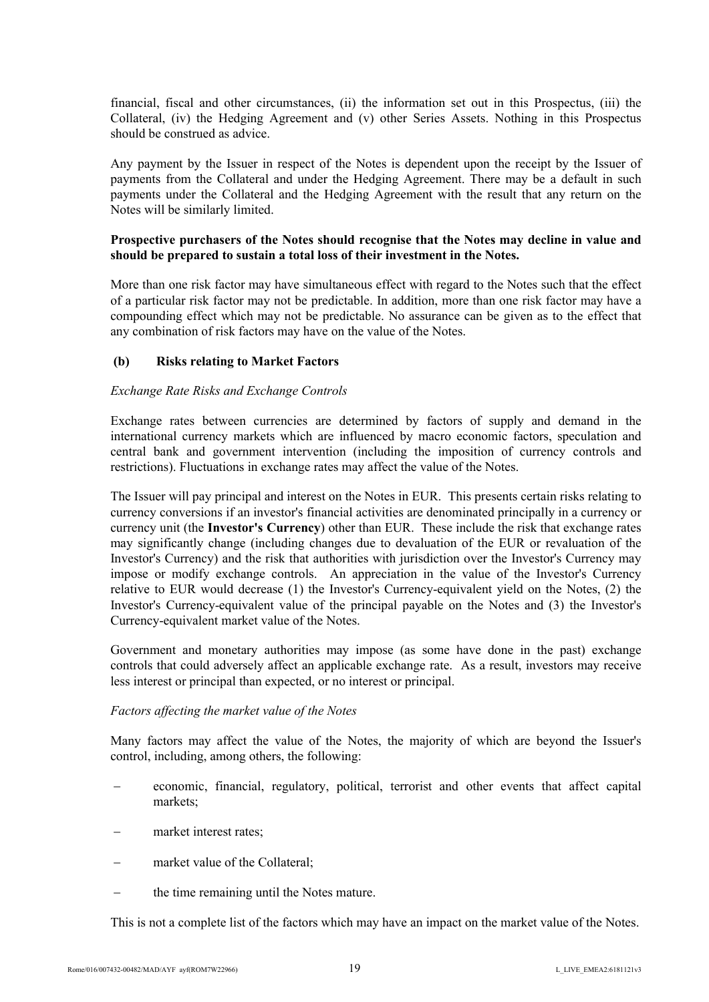financial, fiscal and other circumstances, (ii) the information set out in this Prospectus, (iii) the Collateral, (iv) the Hedging Agreement and (v) other Series Assets. Nothing in this Prospectus should be construed as advice.

Any payment by the Issuer in respect of the Notes is dependent upon the receipt by the Issuer of payments from the Collateral and under the Hedging Agreement. There may be a default in such payments under the Collateral and the Hedging Agreement with the result that any return on the Notes will be similarly limited.

## **Prospective purchasers of the Notes should recognise that the Notes may decline in value and should be prepared to sustain a total loss of their investment in the Notes.**

More than one risk factor may have simultaneous effect with regard to the Notes such that the effect of a particular risk factor may not be predictable. In addition, more than one risk factor may have a compounding effect which may not be predictable. No assurance can be given as to the effect that any combination of risk factors may have on the value of the Notes.

## **(b) Risks relating to Market Factors**

#### *Exchange Rate Risks and Exchange Controls*

Exchange rates between currencies are determined by factors of supply and demand in the international currency markets which are influenced by macro economic factors, speculation and central bank and government intervention (including the imposition of currency controls and restrictions). Fluctuations in exchange rates may affect the value of the Notes.

The Issuer will pay principal and interest on the Notes in EUR. This presents certain risks relating to currency conversions if an investor's financial activities are denominated principally in a currency or currency unit (the **Investor's Currency**) other than EUR. These include the risk that exchange rates may significantly change (including changes due to devaluation of the EUR or revaluation of the Investor's Currency) and the risk that authorities with jurisdiction over the Investor's Currency may impose or modify exchange controls. An appreciation in the value of the Investor's Currency relative to EUR would decrease (1) the Investor's Currency-equivalent yield on the Notes, (2) the Investor's Currency-equivalent value of the principal payable on the Notes and (3) the Investor's Currency-equivalent market value of the Notes.

Government and monetary authorities may impose (as some have done in the past) exchange controls that could adversely affect an applicable exchange rate. As a result, investors may receive less interest or principal than expected, or no interest or principal.

#### *Factors affecting the market value of the Notes*

Many factors may affect the value of the Notes, the majority of which are beyond the Issuer's control, including, among others, the following:

- economic, financial, regulatory, political, terrorist and other events that affect capital markets;
- market interest rates;
- market value of the Collateral;
- the time remaining until the Notes mature.

This is not a complete list of the factors which may have an impact on the market value of the Notes.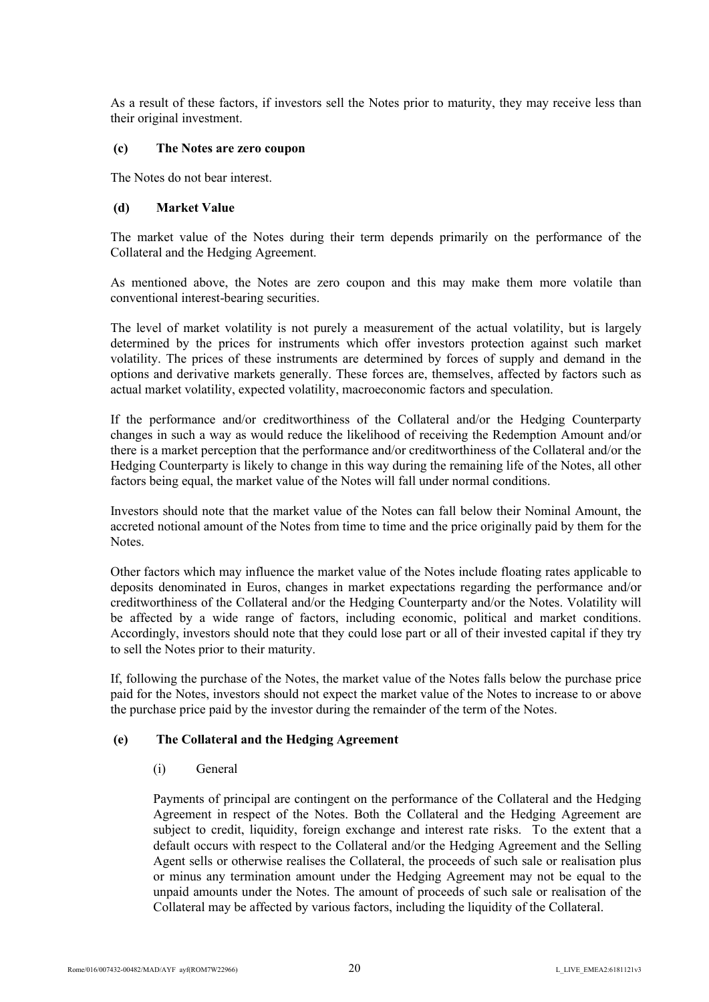As a result of these factors, if investors sell the Notes prior to maturity, they may receive less than their original investment.

#### **(c) The Notes are zero coupon**

The Notes do not bear interest.

#### **(d) Market Value**

The market value of the Notes during their term depends primarily on the performance of the Collateral and the Hedging Agreement.

As mentioned above, the Notes are zero coupon and this may make them more volatile than conventional interest-bearing securities.

The level of market volatility is not purely a measurement of the actual volatility, but is largely determined by the prices for instruments which offer investors protection against such market volatility. The prices of these instruments are determined by forces of supply and demand in the options and derivative markets generally. These forces are, themselves, affected by factors such as actual market volatility, expected volatility, macroeconomic factors and speculation.

If the performance and/or creditworthiness of the Collateral and/or the Hedging Counterparty changes in such a way as would reduce the likelihood of receiving the Redemption Amount and/or there is a market perception that the performance and/or creditworthiness of the Collateral and/or the Hedging Counterparty is likely to change in this way during the remaining life of the Notes, all other factors being equal, the market value of the Notes will fall under normal conditions.

Investors should note that the market value of the Notes can fall below their Nominal Amount, the accreted notional amount of the Notes from time to time and the price originally paid by them for the Notes.

Other factors which may influence the market value of the Notes include floating rates applicable to deposits denominated in Euros, changes in market expectations regarding the performance and/or creditworthiness of the Collateral and/or the Hedging Counterparty and/or the Notes. Volatility will be affected by a wide range of factors, including economic, political and market conditions. Accordingly, investors should note that they could lose part or all of their invested capital if they try to sell the Notes prior to their maturity.

If, following the purchase of the Notes, the market value of the Notes falls below the purchase price paid for the Notes, investors should not expect the market value of the Notes to increase to or above the purchase price paid by the investor during the remainder of the term of the Notes.

## **(e) The Collateral and the Hedging Agreement**

## (i) General

Payments of principal are contingent on the performance of the Collateral and the Hedging Agreement in respect of the Notes. Both the Collateral and the Hedging Agreement are subject to credit, liquidity, foreign exchange and interest rate risks. To the extent that a default occurs with respect to the Collateral and/or the Hedging Agreement and the Selling Agent sells or otherwise realises the Collateral, the proceeds of such sale or realisation plus or minus any termination amount under the Hedging Agreement may not be equal to the unpaid amounts under the Notes. The amount of proceeds of such sale or realisation of the Collateral may be affected by various factors, including the liquidity of the Collateral.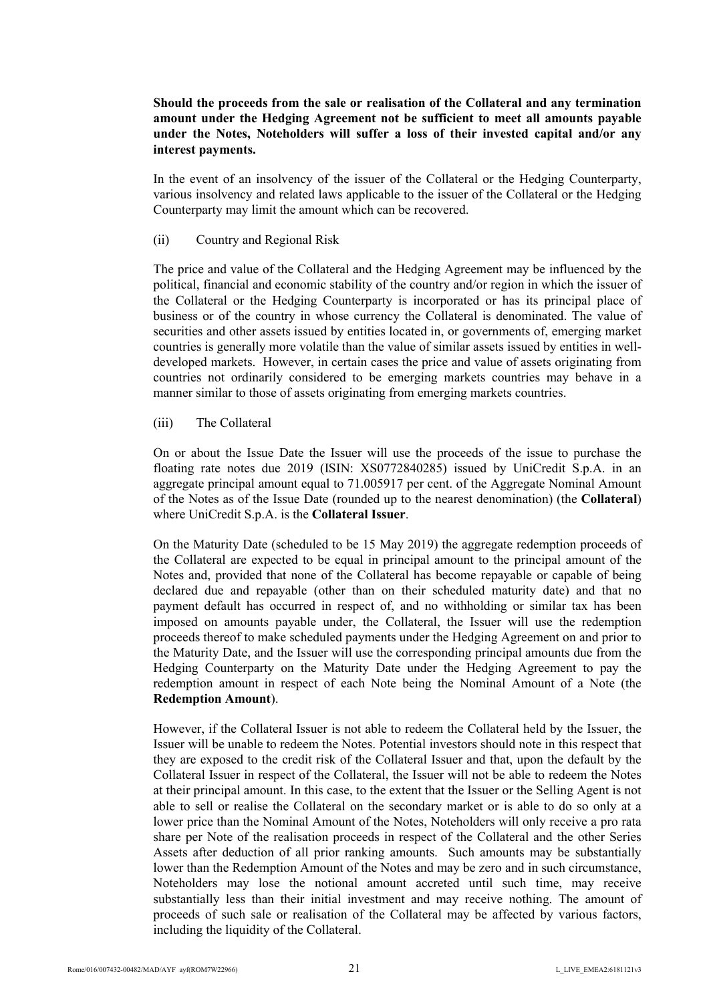**Should the proceeds from the sale or realisation of the Collateral and any termination amount under the Hedging Agreement not be sufficient to meet all amounts payable under the Notes, Noteholders will suffer a loss of their invested capital and/or any interest payments.**

In the event of an insolvency of the issuer of the Collateral or the Hedging Counterparty, various insolvency and related laws applicable to the issuer of the Collateral or the Hedging Counterparty may limit the amount which can be recovered.

(ii) Country and Regional Risk

The price and value of the Collateral and the Hedging Agreement may be influenced by the political, financial and economic stability of the country and/or region in which the issuer of the Collateral or the Hedging Counterparty is incorporated or has its principal place of business or of the country in whose currency the Collateral is denominated. The value of securities and other assets issued by entities located in, or governments of, emerging market countries is generally more volatile than the value of similar assets issued by entities in welldeveloped markets. However, in certain cases the price and value of assets originating from countries not ordinarily considered to be emerging markets countries may behave in a manner similar to those of assets originating from emerging markets countries.

(iii) The Collateral

On or about the Issue Date the Issuer will use the proceeds of the issue to purchase the floating rate notes due 2019 (ISIN: XS0772840285) issued by UniCredit S.p.A. in an aggregate principal amount equal to 71.005917 per cent. of the Aggregate Nominal Amount of the Notes as of the Issue Date (rounded up to the nearest denomination) (the **Collateral**) where UniCredit S.p.A. is the **Collateral Issuer**.

On the Maturity Date (scheduled to be 15 May 2019) the aggregate redemption proceeds of the Collateral are expected to be equal in principal amount to the principal amount of the Notes and, provided that none of the Collateral has become repayable or capable of being declared due and repayable (other than on their scheduled maturity date) and that no payment default has occurred in respect of, and no withholding or similar tax has been imposed on amounts payable under, the Collateral, the Issuer will use the redemption proceeds thereof to make scheduled payments under the Hedging Agreement on and prior to the Maturity Date, and the Issuer will use the corresponding principal amounts due from the Hedging Counterparty on the Maturity Date under the Hedging Agreement to pay the redemption amount in respect of each Note being the Nominal Amount of a Note (the **Redemption Amount**).

However, if the Collateral Issuer is not able to redeem the Collateral held by the Issuer, the Issuer will be unable to redeem the Notes. Potential investors should note in this respect that they are exposed to the credit risk of the Collateral Issuer and that, upon the default by the Collateral Issuer in respect of the Collateral, the Issuer will not be able to redeem the Notes at their principal amount. In this case, to the extent that the Issuer or the Selling Agent is not able to sell or realise the Collateral on the secondary market or is able to do so only at a lower price than the Nominal Amount of the Notes, Noteholders will only receive a pro rata share per Note of the realisation proceeds in respect of the Collateral and the other Series Assets after deduction of all prior ranking amounts. Such amounts may be substantially lower than the Redemption Amount of the Notes and may be zero and in such circumstance, Noteholders may lose the notional amount accreted until such time, may receive substantially less than their initial investment and may receive nothing. The amount of proceeds of such sale or realisation of the Collateral may be affected by various factors, including the liquidity of the Collateral.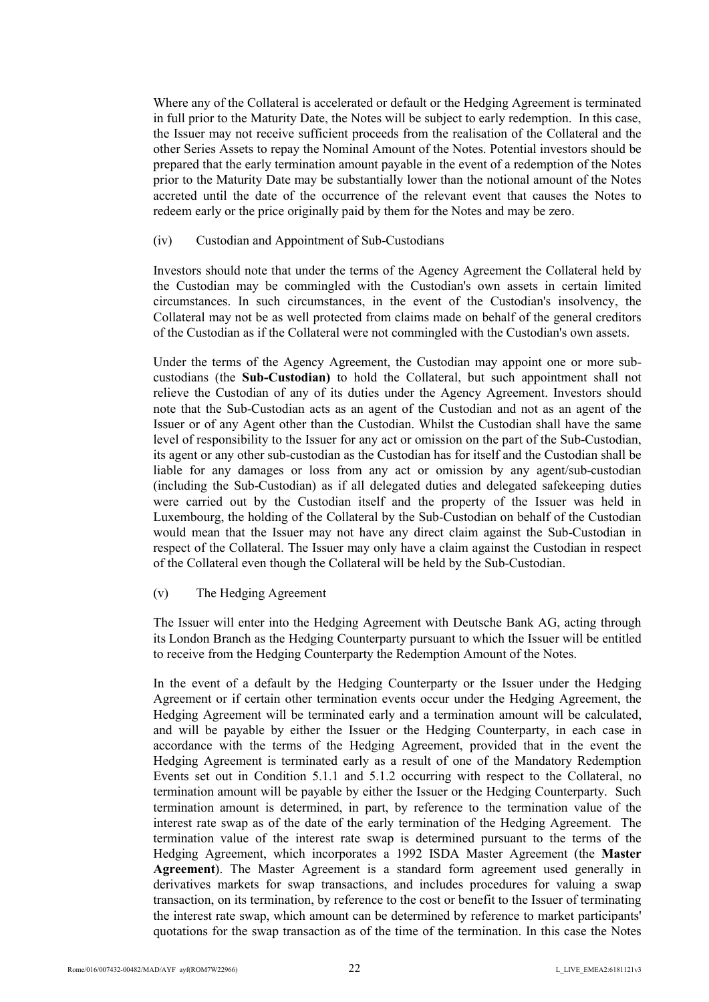Where any of the Collateral is accelerated or default or the Hedging Agreement is terminated in full prior to the Maturity Date, the Notes will be subject to early redemption. In this case, the Issuer may not receive sufficient proceeds from the realisation of the Collateral and the other Series Assets to repay the Nominal Amount of the Notes. Potential investors should be prepared that the early termination amount payable in the event of a redemption of the Notes prior to the Maturity Date may be substantially lower than the notional amount of the Notes accreted until the date of the occurrence of the relevant event that causes the Notes to redeem early or the price originally paid by them for the Notes and may be zero.

#### (iv) Custodian and Appointment of Sub-Custodians

Investors should note that under the terms of the Agency Agreement the Collateral held by the Custodian may be commingled with the Custodian's own assets in certain limited circumstances. In such circumstances, in the event of the Custodian's insolvency, the Collateral may not be as well protected from claims made on behalf of the general creditors of the Custodian as if the Collateral were not commingled with the Custodian's own assets.

Under the terms of the Agency Agreement, the Custodian may appoint one or more subcustodians (the **Sub-Custodian)** to hold the Collateral, but such appointment shall not relieve the Custodian of any of its duties under the Agency Agreement. Investors should note that the Sub-Custodian acts as an agent of the Custodian and not as an agent of the Issuer or of any Agent other than the Custodian. Whilst the Custodian shall have the same level of responsibility to the Issuer for any act or omission on the part of the Sub-Custodian, its agent or any other sub-custodian as the Custodian has for itself and the Custodian shall be liable for any damages or loss from any act or omission by any agent/sub-custodian (including the Sub-Custodian) as if all delegated duties and delegated safekeeping duties were carried out by the Custodian itself and the property of the Issuer was held in Luxembourg, the holding of the Collateral by the Sub-Custodian on behalf of the Custodian would mean that the Issuer may not have any direct claim against the Sub-Custodian in respect of the Collateral. The Issuer may only have a claim against the Custodian in respect of the Collateral even though the Collateral will be held by the Sub-Custodian.

(v) The Hedging Agreement

The Issuer will enter into the Hedging Agreement with Deutsche Bank AG, acting through its London Branch as the Hedging Counterparty pursuant to which the Issuer will be entitled to receive from the Hedging Counterparty the Redemption Amount of the Notes.

In the event of a default by the Hedging Counterparty or the Issuer under the Hedging Agreement or if certain other termination events occur under the Hedging Agreement, the Hedging Agreement will be terminated early and a termination amount will be calculated, and will be payable by either the Issuer or the Hedging Counterparty, in each case in accordance with the terms of the Hedging Agreement, provided that in the event the Hedging Agreement is terminated early as a result of one of the Mandatory Redemption Events set out in Condition 5.1.1 and 5.1.2 occurring with respect to the Collateral, no termination amount will be payable by either the Issuer or the Hedging Counterparty. Such termination amount is determined, in part, by reference to the termination value of the interest rate swap as of the date of the early termination of the Hedging Agreement. The termination value of the interest rate swap is determined pursuant to the terms of the Hedging Agreement, which incorporates a 1992 ISDA Master Agreement (the **Master Agreement**). The Master Agreement is a standard form agreement used generally in derivatives markets for swap transactions, and includes procedures for valuing a swap transaction, on its termination, by reference to the cost or benefit to the Issuer of terminating the interest rate swap, which amount can be determined by reference to market participants' quotations for the swap transaction as of the time of the termination. In this case the Notes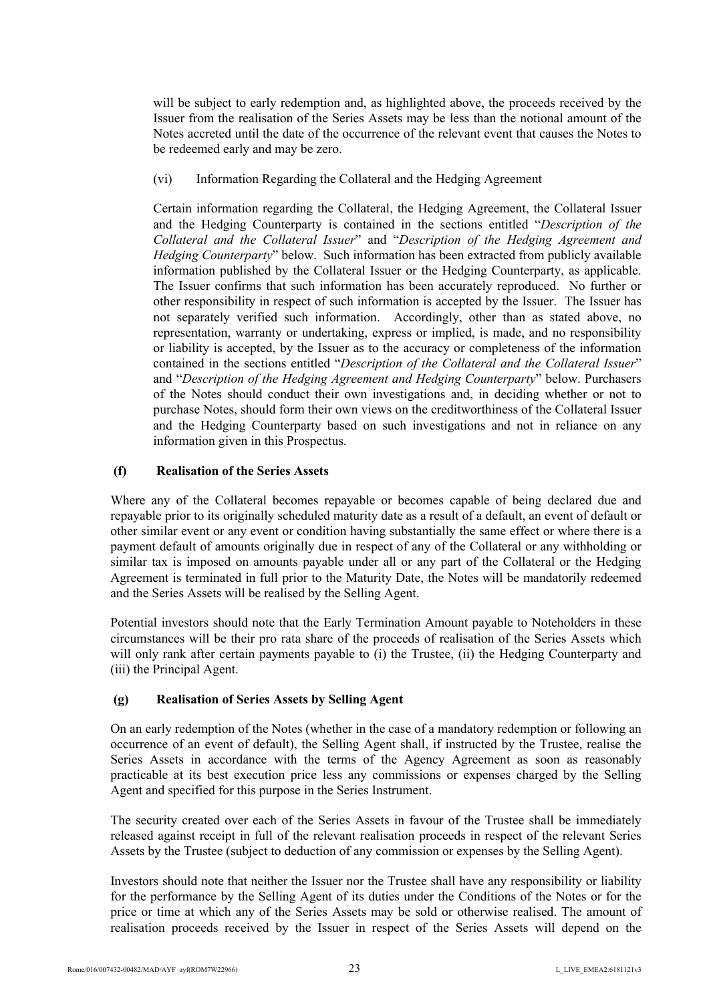will be subject to early redemption and, as highlighted above, the proceeds received by the Issuer from the realisation of the Series Assets may be less than the notional amount of the Notes accreted until the date of the occurrence of the relevant event that causes the Notes to be redeemed early and may be zero.

(vi) Information Regarding the Collateral and the Hedging Agreement

Certain information regarding the Collateral, the Hedging Agreement, the Collateral Issuer and the Hedging Counterparty is contained in the sections entitled "*Description of the Collateral and the Collateral Issuer*" and "*Description of the Hedging Agreement and Hedging Counterparty*" below. Such information has been extracted from publicly available information published by the Collateral Issuer or the Hedging Counterparty, as applicable. The Issuer confirms that such information has been accurately reproduced. No further or other responsibility in respect of such information is accepted by the Issuer. The Issuer has not separately verified such information. Accordingly, other than as stated above, no representation, warranty or undertaking, express or implied, is made, and no responsibility or liability is accepted, by the Issuer as to the accuracy or completeness of the information contained in the sections entitled "*Description of the Collateral and the Collateral Issuer*" and "*Description of the Hedging Agreement and Hedging Counterparty*" below. Purchasers of the Notes should conduct their own investigations and, in deciding whether or not to purchase Notes, should form their own views on the creditworthiness of the Collateral Issuer and the Hedging Counterparty based on such investigations and not in reliance on any information given in this Prospectus.

# **(f) Realisation of the Series Assets**

Where any of the Collateral becomes repayable or becomes capable of being declared due and repayable prior to its originally scheduled maturity date as a result of a default, an event of default or other similar event or any event or condition having substantially the same effect or where there is a payment default of amounts originally due in respect of any of the Collateral or any withholding or similar tax is imposed on amounts payable under all or any part of the Collateral or the Hedging Agreement is terminated in full prior to the Maturity Date, the Notes will be mandatorily redeemed and the Series Assets will be realised by the Selling Agent.

Potential investors should note that the Early Termination Amount payable to Noteholders in these circumstances will be their pro rata share of the proceeds of realisation of the Series Assets which will only rank after certain payments payable to (i) the Trustee, (ii) the Hedging Counterparty and (iii) the Principal Agent.

# **(g) Realisation of Series Assets by Selling Agent**

On an early redemption of the Notes (whether in the case of a mandatory redemption or following an occurrence of an event of default), the Selling Agent shall, if instructed by the Trustee, realise the Series Assets in accordance with the terms of the Agency Agreement as soon as reasonably practicable at its best execution price less any commissions or expenses charged by the Selling Agent and specified for this purpose in the Series Instrument.

The security created over each of the Series Assets in favour of the Trustee shall be immediately released against receipt in full of the relevant realisation proceeds in respect of the relevant Series Assets by the Trustee (subject to deduction of any commission or expenses by the Selling Agent).

Investors should note that neither the Issuer nor the Trustee shall have any responsibility or liability for the performance by the Selling Agent of its duties under the Conditions of the Notes or for the price or time at which any of the Series Assets may be sold or otherwise realised. The amount of realisation proceeds received by the Issuer in respect of the Series Assets will depend on the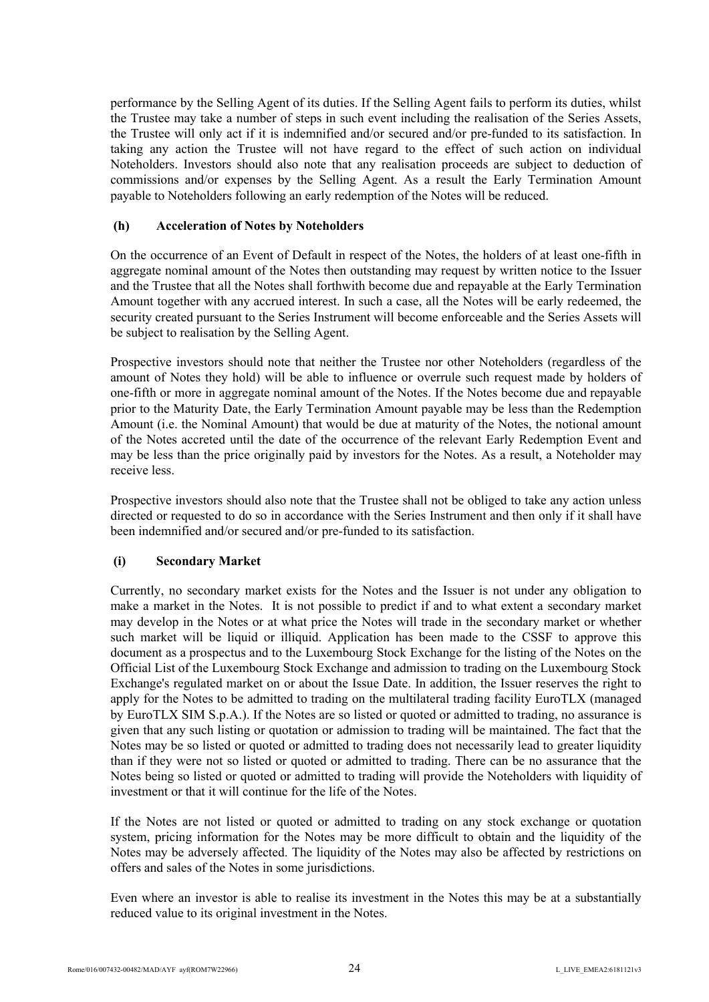performance by the Selling Agent of its duties. If the Selling Agent fails to perform its duties, whilst the Trustee may take a number of steps in such event including the realisation of the Series Assets, the Trustee will only act if it is indemnified and/or secured and/or pre-funded to its satisfaction. In taking any action the Trustee will not have regard to the effect of such action on individual Noteholders. Investors should also note that any realisation proceeds are subject to deduction of commissions and/or expenses by the Selling Agent. As a result the Early Termination Amount payable to Noteholders following an early redemption of the Notes will be reduced.

## **(h) Acceleration of Notes by Noteholders**

On the occurrence of an Event of Default in respect of the Notes, the holders of at least one-fifth in aggregate nominal amount of the Notes then outstanding may request by written notice to the Issuer and the Trustee that all the Notes shall forthwith become due and repayable at the Early Termination Amount together with any accrued interest. In such a case, all the Notes will be early redeemed, the security created pursuant to the Series Instrument will become enforceable and the Series Assets will be subject to realisation by the Selling Agent.

Prospective investors should note that neither the Trustee nor other Noteholders (regardless of the amount of Notes they hold) will be able to influence or overrule such request made by holders of one-fifth or more in aggregate nominal amount of the Notes. If the Notes become due and repayable prior to the Maturity Date, the Early Termination Amount payable may be less than the Redemption Amount (i.e. the Nominal Amount) that would be due at maturity of the Notes, the notional amount of the Notes accreted until the date of the occurrence of the relevant Early Redemption Event and may be less than the price originally paid by investors for the Notes. As a result, a Noteholder may receive less.

Prospective investors should also note that the Trustee shall not be obliged to take any action unless directed or requested to do so in accordance with the Series Instrument and then only if it shall have been indemnified and/or secured and/or pre-funded to its satisfaction.

# **(i) Secondary Market**

Currently, no secondary market exists for the Notes and the Issuer is not under any obligation to make a market in the Notes. It is not possible to predict if and to what extent a secondary market may develop in the Notes or at what price the Notes will trade in the secondary market or whether such market will be liquid or illiquid. Application has been made to the CSSF to approve this document as a prospectus and to the Luxembourg Stock Exchange for the listing of the Notes on the Official List of the Luxembourg Stock Exchange and admission to trading on the Luxembourg Stock Exchange's regulated market on or about the Issue Date. In addition, the Issuer reserves the right to apply for the Notes to be admitted to trading on the multilateral trading facility EuroTLX (managed by EuroTLX SIM S.p.A.). If the Notes are so listed or quoted or admitted to trading, no assurance is given that any such listing or quotation or admission to trading will be maintained. The fact that the Notes may be so listed or quoted or admitted to trading does not necessarily lead to greater liquidity than if they were not so listed or quoted or admitted to trading. There can be no assurance that the Notes being so listed or quoted or admitted to trading will provide the Noteholders with liquidity of investment or that it will continue for the life of the Notes.

If the Notes are not listed or quoted or admitted to trading on any stock exchange or quotation system, pricing information for the Notes may be more difficult to obtain and the liquidity of the Notes may be adversely affected. The liquidity of the Notes may also be affected by restrictions on offers and sales of the Notes in some jurisdictions.

Even where an investor is able to realise its investment in the Notes this may be at a substantially reduced value to its original investment in the Notes.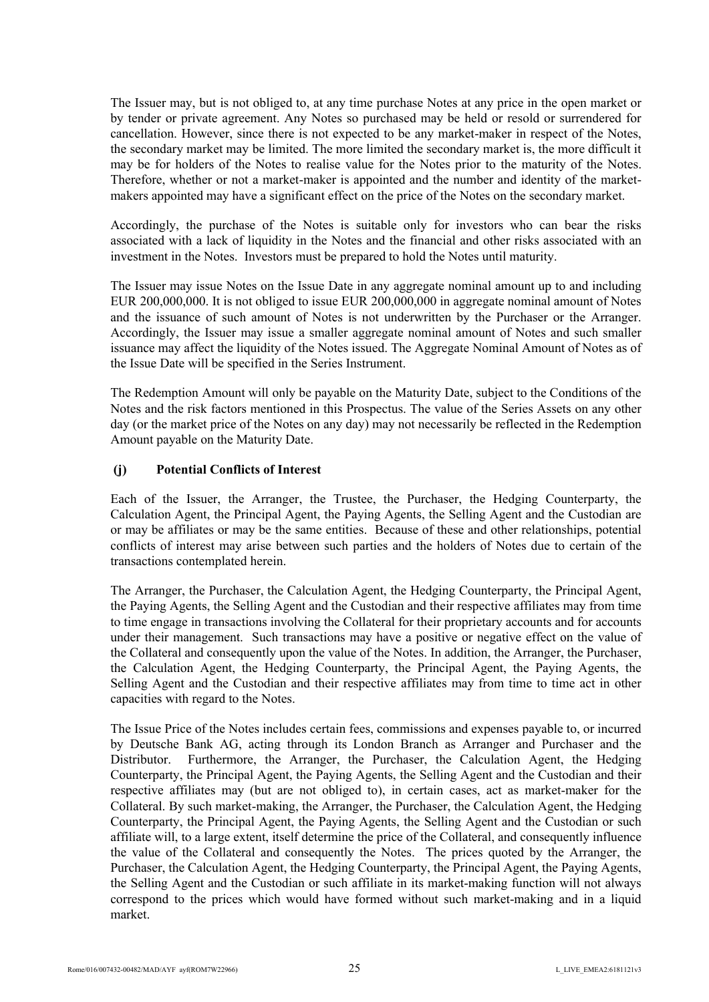The Issuer may, but is not obliged to, at any time purchase Notes at any price in the open market or by tender or private agreement. Any Notes so purchased may be held or resold or surrendered for cancellation. However, since there is not expected to be any market-maker in respect of the Notes, the secondary market may be limited. The more limited the secondary market is, the more difficult it may be for holders of the Notes to realise value for the Notes prior to the maturity of the Notes. Therefore, whether or not a market-maker is appointed and the number and identity of the marketmakers appointed may have a significant effect on the price of the Notes on the secondary market.

Accordingly, the purchase of the Notes is suitable only for investors who can bear the risks associated with a lack of liquidity in the Notes and the financial and other risks associated with an investment in the Notes. Investors must be prepared to hold the Notes until maturity.

The Issuer may issue Notes on the Issue Date in any aggregate nominal amount up to and including EUR 200,000,000. It is not obliged to issue EUR 200,000,000 in aggregate nominal amount of Notes and the issuance of such amount of Notes is not underwritten by the Purchaser or the Arranger. Accordingly, the Issuer may issue a smaller aggregate nominal amount of Notes and such smaller issuance may affect the liquidity of the Notes issued. The Aggregate Nominal Amount of Notes as of the Issue Date will be specified in the Series Instrument.

The Redemption Amount will only be payable on the Maturity Date, subject to the Conditions of the Notes and the risk factors mentioned in this Prospectus. The value of the Series Assets on any other day (or the market price of the Notes on any day) may not necessarily be reflected in the Redemption Amount payable on the Maturity Date.

# **(j) Potential Conflicts of Interest**

Each of the Issuer, the Arranger, the Trustee, the Purchaser, the Hedging Counterparty, the Calculation Agent, the Principal Agent, the Paying Agents, the Selling Agent and the Custodian are or may be affiliates or may be the same entities. Because of these and other relationships, potential conflicts of interest may arise between such parties and the holders of Notes due to certain of the transactions contemplated herein.

The Arranger, the Purchaser, the Calculation Agent, the Hedging Counterparty, the Principal Agent, the Paying Agents, the Selling Agent and the Custodian and their respective affiliates may from time to time engage in transactions involving the Collateral for their proprietary accounts and for accounts under their management. Such transactions may have a positive or negative effect on the value of the Collateral and consequently upon the value of the Notes. In addition, the Arranger, the Purchaser, the Calculation Agent, the Hedging Counterparty, the Principal Agent, the Paying Agents, the Selling Agent and the Custodian and their respective affiliates may from time to time act in other capacities with regard to the Notes.

The Issue Price of the Notes includes certain fees, commissions and expenses payable to, or incurred by Deutsche Bank AG, acting through its London Branch as Arranger and Purchaser and the Distributor. Furthermore, the Arranger, the Purchaser, the Calculation Agent, the Hedging Counterparty, the Principal Agent, the Paying Agents, the Selling Agent and the Custodian and their respective affiliates may (but are not obliged to), in certain cases, act as market-maker for the Collateral. By such market-making, the Arranger, the Purchaser, the Calculation Agent, the Hedging Counterparty, the Principal Agent, the Paying Agents, the Selling Agent and the Custodian or such affiliate will, to a large extent, itself determine the price of the Collateral, and consequently influence the value of the Collateral and consequently the Notes. The prices quoted by the Arranger, the Purchaser, the Calculation Agent, the Hedging Counterparty, the Principal Agent, the Paying Agents, the Selling Agent and the Custodian or such affiliate in its market-making function will not always correspond to the prices which would have formed without such market-making and in a liquid market.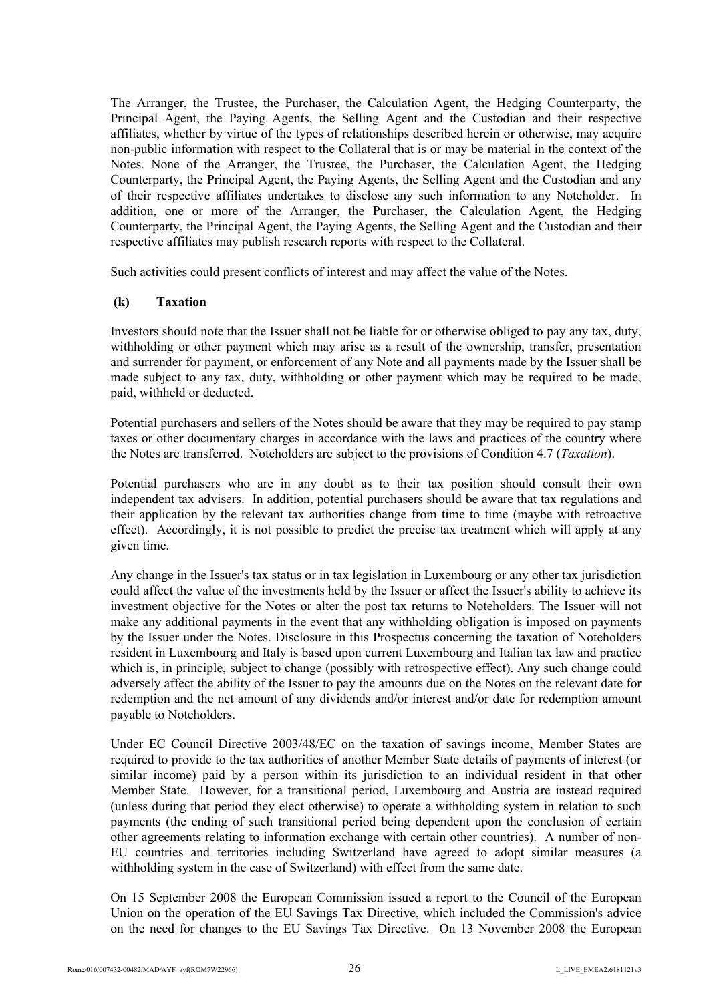The Arranger, the Trustee, the Purchaser, the Calculation Agent, the Hedging Counterparty, the Principal Agent, the Paying Agents, the Selling Agent and the Custodian and their respective affiliates, whether by virtue of the types of relationships described herein or otherwise, may acquire non-public information with respect to the Collateral that is or may be material in the context of the Notes. None of the Arranger, the Trustee, the Purchaser, the Calculation Agent, the Hedging Counterparty, the Principal Agent, the Paying Agents, the Selling Agent and the Custodian and any of their respective affiliates undertakes to disclose any such information to any Noteholder. In addition, one or more of the Arranger, the Purchaser, the Calculation Agent, the Hedging Counterparty, the Principal Agent, the Paying Agents, the Selling Agent and the Custodian and their respective affiliates may publish research reports with respect to the Collateral.

Such activities could present conflicts of interest and may affect the value of the Notes.

## **(k) Taxation**

Investors should note that the Issuer shall not be liable for or otherwise obliged to pay any tax, duty, withholding or other payment which may arise as a result of the ownership, transfer, presentation and surrender for payment, or enforcement of any Note and all payments made by the Issuer shall be made subject to any tax, duty, withholding or other payment which may be required to be made, paid, withheld or deducted.

Potential purchasers and sellers of the Notes should be aware that they may be required to pay stamp taxes or other documentary charges in accordance with the laws and practices of the country where the Notes are transferred. Noteholders are subject to the provisions of Condition 4.7 (*Taxation*).

Potential purchasers who are in any doubt as to their tax position should consult their own independent tax advisers. In addition, potential purchasers should be aware that tax regulations and their application by the relevant tax authorities change from time to time (maybe with retroactive effect). Accordingly, it is not possible to predict the precise tax treatment which will apply at any given time.

Any change in the Issuer's tax status or in tax legislation in Luxembourg or any other tax jurisdiction could affect the value of the investments held by the Issuer or affect the Issuer's ability to achieve its investment objective for the Notes or alter the post tax returns to Noteholders. The Issuer will not make any additional payments in the event that any withholding obligation is imposed on payments by the Issuer under the Notes. Disclosure in this Prospectus concerning the taxation of Noteholders resident in Luxembourg and Italy is based upon current Luxembourg and Italian tax law and practice which is, in principle, subject to change (possibly with retrospective effect). Any such change could adversely affect the ability of the Issuer to pay the amounts due on the Notes on the relevant date for redemption and the net amount of any dividends and/or interest and/or date for redemption amount payable to Noteholders.

Under EC Council Directive 2003/48/EC on the taxation of savings income, Member States are required to provide to the tax authorities of another Member State details of payments of interest (or similar income) paid by a person within its jurisdiction to an individual resident in that other Member State. However, for a transitional period, Luxembourg and Austria are instead required (unless during that period they elect otherwise) to operate a withholding system in relation to such payments (the ending of such transitional period being dependent upon the conclusion of certain other agreements relating to information exchange with certain other countries). A number of non-EU countries and territories including Switzerland have agreed to adopt similar measures (a withholding system in the case of Switzerland) with effect from the same date.

On 15 September 2008 the European Commission issued a report to the Council of the European Union on the operation of the EU Savings Tax Directive, which included the Commission's advice on the need for changes to the EU Savings Tax Directive. On 13 November 2008 the European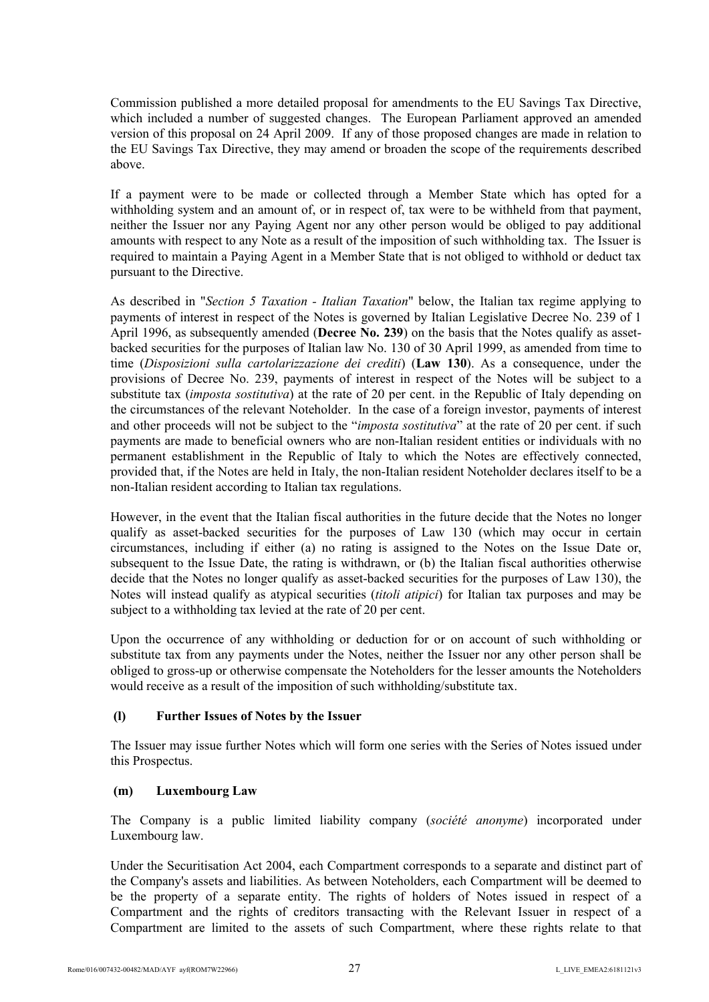Commission published a more detailed proposal for amendments to the EU Savings Tax Directive, which included a number of suggested changes. The European Parliament approved an amended version of this proposal on 24 April 2009. If any of those proposed changes are made in relation to the EU Savings Tax Directive, they may amend or broaden the scope of the requirements described above.

If a payment were to be made or collected through a Member State which has opted for a withholding system and an amount of, or in respect of, tax were to be withheld from that payment, neither the Issuer nor any Paying Agent nor any other person would be obliged to pay additional amounts with respect to any Note as a result of the imposition of such withholding tax. The Issuer is required to maintain a Paying Agent in a Member State that is not obliged to withhold or deduct tax pursuant to the Directive.

As described in "*Section 5 Taxation - Italian Taxation*" below, the Italian tax regime applying to payments of interest in respect of the Notes is governed by Italian Legislative Decree No. 239 of 1 April 1996, as subsequently amended (**Decree No. 239**) on the basis that the Notes qualify as assetbacked securities for the purposes of Italian law No. 130 of 30 April 1999, as amended from time to time (*Disposizioni sulla cartolarizzazione dei crediti*) (**Law 130**). As a consequence, under the provisions of Decree No. 239, payments of interest in respect of the Notes will be subject to a substitute tax (*imposta sostitutiva*) at the rate of 20 per cent. in the Republic of Italy depending on the circumstances of the relevant Noteholder. In the case of a foreign investor, payments of interest and other proceeds will not be subject to the "*imposta sostitutiva*" at the rate of 20 per cent. if such payments are made to beneficial owners who are non-Italian resident entities or individuals with no permanent establishment in the Republic of Italy to which the Notes are effectively connected, provided that, if the Notes are held in Italy, the non-Italian resident Noteholder declares itself to be a non-Italian resident according to Italian tax regulations.

However, in the event that the Italian fiscal authorities in the future decide that the Notes no longer qualify as asset-backed securities for the purposes of Law 130 (which may occur in certain circumstances, including if either (a) no rating is assigned to the Notes on the Issue Date or, subsequent to the Issue Date, the rating is withdrawn, or (b) the Italian fiscal authorities otherwise decide that the Notes no longer qualify as asset-backed securities for the purposes of Law 130), the Notes will instead qualify as atypical securities (*titoli atipici*) for Italian tax purposes and may be subject to a withholding tax levied at the rate of 20 per cent.

Upon the occurrence of any withholding or deduction for or on account of such withholding or substitute tax from any payments under the Notes, neither the Issuer nor any other person shall be obliged to gross-up or otherwise compensate the Noteholders for the lesser amounts the Noteholders would receive as a result of the imposition of such withholding/substitute tax.

## **(l) Further Issues of Notes by the Issuer**

The Issuer may issue further Notes which will form one series with the Series of Notes issued under this Prospectus.

## **(m) Luxembourg Law**

The Company is a public limited liability company (*société anonyme*) incorporated under Luxembourg law.

Under the Securitisation Act 2004, each Compartment corresponds to a separate and distinct part of the Company's assets and liabilities. As between Noteholders, each Compartment will be deemed to be the property of a separate entity. The rights of holders of Notes issued in respect of a Compartment and the rights of creditors transacting with the Relevant Issuer in respect of a Compartment are limited to the assets of such Compartment, where these rights relate to that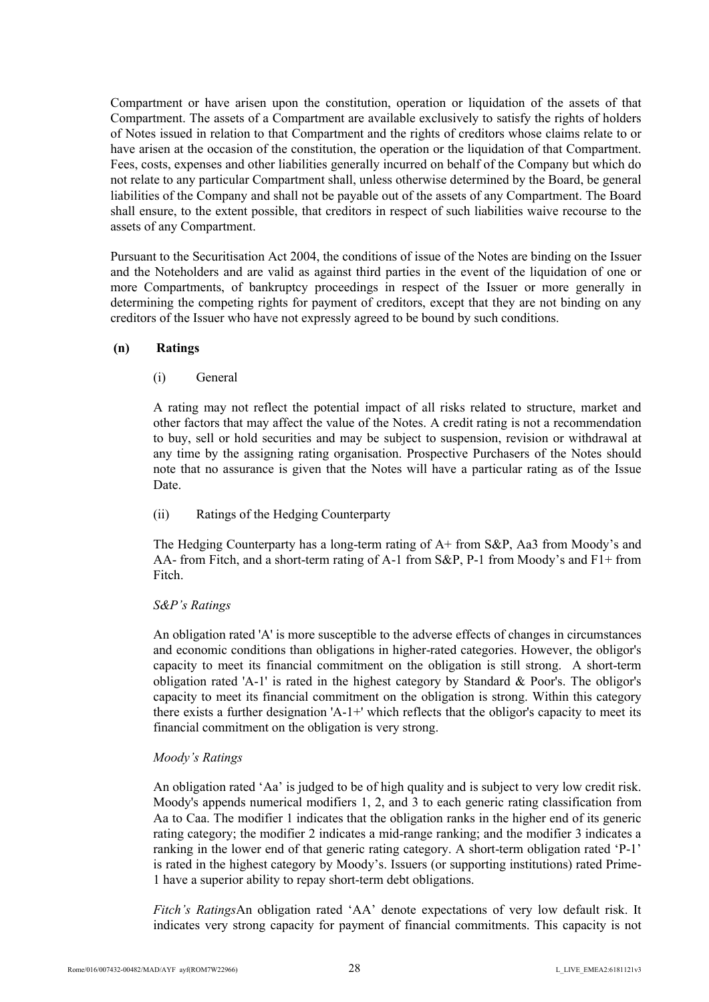Compartment or have arisen upon the constitution, operation or liquidation of the assets of that Compartment. The assets of a Compartment are available exclusively to satisfy the rights of holders of Notes issued in relation to that Compartment and the rights of creditors whose claims relate to or have arisen at the occasion of the constitution, the operation or the liquidation of that Compartment. Fees, costs, expenses and other liabilities generally incurred on behalf of the Company but which do not relate to any particular Compartment shall, unless otherwise determined by the Board, be general liabilities of the Company and shall not be payable out of the assets of any Compartment. The Board shall ensure, to the extent possible, that creditors in respect of such liabilities waive recourse to the assets of any Compartment.

Pursuant to the Securitisation Act 2004, the conditions of issue of the Notes are binding on the Issuer and the Noteholders and are valid as against third parties in the event of the liquidation of one or more Compartments, of bankruptcy proceedings in respect of the Issuer or more generally in determining the competing rights for payment of creditors, except that they are not binding on any creditors of the Issuer who have not expressly agreed to be bound by such conditions.

## **(n) Ratings**

#### (i) General

A rating may not reflect the potential impact of all risks related to structure, market and other factors that may affect the value of the Notes. A credit rating is not a recommendation to buy, sell or hold securities and may be subject to suspension, revision or withdrawal at any time by the assigning rating organisation. Prospective Purchasers of the Notes should note that no assurance is given that the Notes will have a particular rating as of the Issue Date.

## (ii) Ratings of the Hedging Counterparty

The Hedging Counterparty has a long-term rating of A+ from S&P, Aa3 from Moody's and AA- from Fitch, and a short-term rating of A-1 from S&P, P-1 from Moody's and F1+ from Fitch.

#### *S&P's Ratings*

An obligation rated 'A' is more susceptible to the adverse effects of changes in circumstances and economic conditions than obligations in higher-rated categories. However, the obligor's capacity to meet its financial commitment on the obligation is still strong. A short-term obligation rated 'A-1' is rated in the highest category by Standard & Poor's. The obligor's capacity to meet its financial commitment on the obligation is strong. Within this category there exists a further designation  $'A - I +'$  which reflects that the obligor's capacity to meet its financial commitment on the obligation is very strong.

#### *Moody's Ratings*

An obligation rated 'Aa' is judged to be of high quality and is subject to very low credit risk. Moody's appends numerical modifiers 1, 2, and 3 to each generic rating classification from Aa to Caa. The modifier 1 indicates that the obligation ranks in the higher end of its generic rating category; the modifier 2 indicates a mid-range ranking; and the modifier 3 indicates a ranking in the lower end of that generic rating category. A short-term obligation rated 'P-1' is rated in the highest category by Moody's. Issuers (or supporting institutions) rated Prime-1 have a superior ability to repay short-term debt obligations.

*Fitch's Ratings*An obligation rated 'AA' denote expectations of very low default risk. It indicates very strong capacity for payment of financial commitments. This capacity is not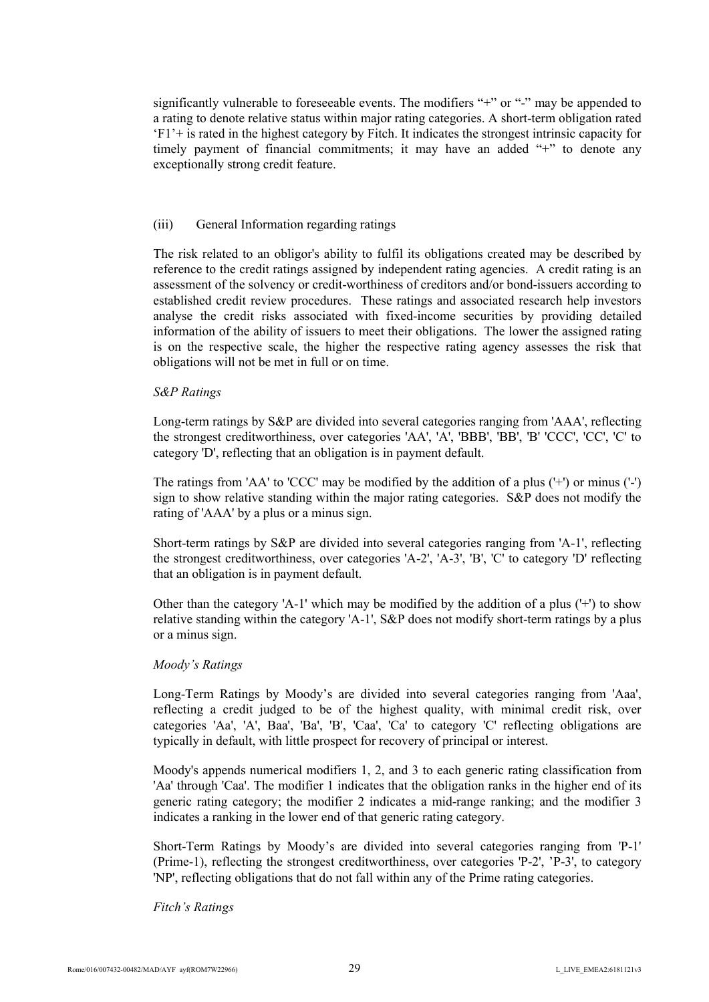significantly vulnerable to foreseeable events. The modifiers "+" or "-" may be appended to a rating to denote relative status within major rating categories. A short-term obligation rated 'F1'+ is rated in the highest category by Fitch. It indicates the strongest intrinsic capacity for timely payment of financial commitments; it may have an added "+" to denote any exceptionally strong credit feature.

#### (iii) General Information regarding ratings

The risk related to an obligor's ability to fulfil its obligations created may be described by reference to the credit ratings assigned by independent rating agencies. A credit rating is an assessment of the solvency or credit-worthiness of creditors and/or bond-issuers according to established credit review procedures. These ratings and associated research help investors analyse the credit risks associated with fixed-income securities by providing detailed information of the ability of issuers to meet their obligations. The lower the assigned rating is on the respective scale, the higher the respective rating agency assesses the risk that obligations will not be met in full or on time.

#### *S&P Ratings*

Long-term ratings by S&P are divided into several categories ranging from 'AAA', reflecting the strongest creditworthiness, over categories 'AA', 'A', 'BBB', 'BB', 'B' 'CCC', 'CC', 'C' to category 'D', reflecting that an obligation is in payment default.

The ratings from 'AA' to 'CCC' may be modified by the addition of a plus ('+') or minus ('-') sign to show relative standing within the major rating categories. S&P does not modify the rating of 'AAA' by a plus or a minus sign.

Short-term ratings by S&P are divided into several categories ranging from 'A-1', reflecting the strongest creditworthiness, over categories 'A-2', 'A-3', 'B', 'C' to category 'D' reflecting that an obligation is in payment default.

Other than the category 'A-1' which may be modified by the addition of a plus ('+') to show relative standing within the category 'A-1', S&P does not modify short-term ratings by a plus or a minus sign.

#### *Moody's Ratings*

Long-Term Ratings by Moody's are divided into several categories ranging from 'Aaa', reflecting a credit judged to be of the highest quality, with minimal credit risk, over categories 'Aa', 'A', Baa', 'Ba', 'B', 'Caa', 'Ca' to category 'C' reflecting obligations are typically in default, with little prospect for recovery of principal or interest.

Moody's appends numerical modifiers 1, 2, and 3 to each generic rating classification from 'Aa' through 'Caa'. The modifier 1 indicates that the obligation ranks in the higher end of its generic rating category; the modifier 2 indicates a mid-range ranking; and the modifier 3 indicates a ranking in the lower end of that generic rating category.

Short-Term Ratings by Moody's are divided into several categories ranging from 'P-1' (Prime-1), reflecting the strongest creditworthiness, over categories 'P-2', 'P-3', to category 'NP', reflecting obligations that do not fall within any of the Prime rating categories.

#### *Fitch's Ratings*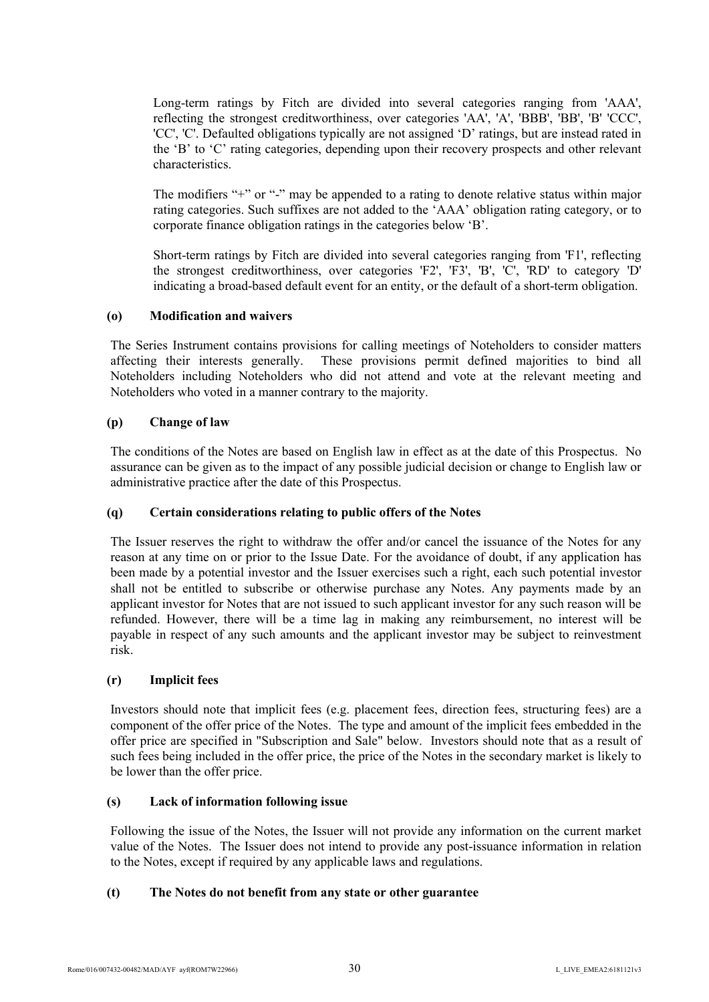Long-term ratings by Fitch are divided into several categories ranging from 'AAA', reflecting the strongest creditworthiness, over categories 'AA', 'A', 'BBB', 'BB', 'B' 'CCC', 'CC', 'C'. Defaulted obligations typically are not assigned 'D' ratings, but are instead rated in the 'B' to 'C' rating categories, depending upon their recovery prospects and other relevant characteristics.

The modifiers "+" or "-" may be appended to a rating to denote relative status within major rating categories. Such suffixes are not added to the 'AAA' obligation rating category, or to corporate finance obligation ratings in the categories below 'B'.

Short-term ratings by Fitch are divided into several categories ranging from 'F1', reflecting the strongest creditworthiness, over categories 'F2', 'F3', 'B', 'C', 'RD' to category 'D' indicating a broad-based default event for an entity, or the default of a short-term obligation.

# **(o) Modification and waivers**

The Series Instrument contains provisions for calling meetings of Noteholders to consider matters affecting their interests generally. These provisions permit defined majorities to bind all Noteholders including Noteholders who did not attend and vote at the relevant meeting and Noteholders who voted in a manner contrary to the majority.

# **(p) Change of law**

The conditions of the Notes are based on English law in effect as at the date of this Prospectus. No assurance can be given as to the impact of any possible judicial decision or change to English law or administrative practice after the date of this Prospectus.

## **(q) Certain considerations relating to public offers of the Notes**

The Issuer reserves the right to withdraw the offer and/or cancel the issuance of the Notes for any reason at any time on or prior to the Issue Date. For the avoidance of doubt, if any application has been made by a potential investor and the Issuer exercises such a right, each such potential investor shall not be entitled to subscribe or otherwise purchase any Notes. Any payments made by an applicant investor for Notes that are not issued to such applicant investor for any such reason will be refunded. However, there will be a time lag in making any reimbursement, no interest will be payable in respect of any such amounts and the applicant investor may be subject to reinvestment risk.

## **(r) Implicit fees**

Investors should note that implicit fees (e.g. placement fees, direction fees, structuring fees) are a component of the offer price of the Notes. The type and amount of the implicit fees embedded in the offer price are specified in "Subscription and Sale" below. Investors should note that as a result of such fees being included in the offer price, the price of the Notes in the secondary market is likely to be lower than the offer price.

## **(s) Lack of information following issue**

Following the issue of the Notes, the Issuer will not provide any information on the current market value of the Notes. The Issuer does not intend to provide any post-issuance information in relation to the Notes, except if required by any applicable laws and regulations.

## **(t) The Notes do not benefit from any state or other guarantee**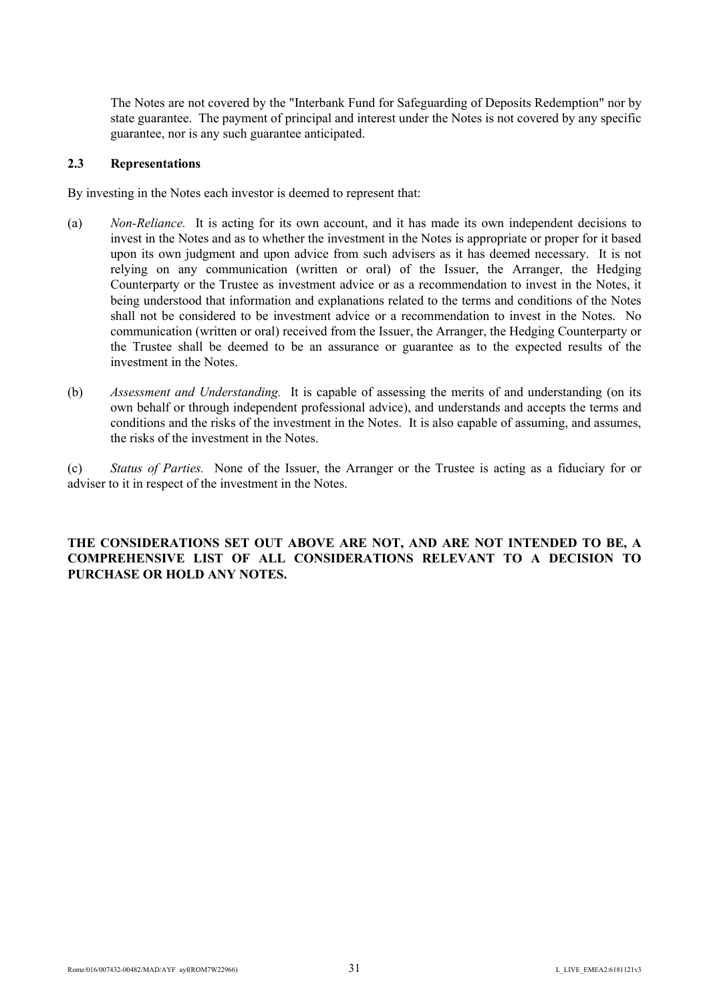The Notes are not covered by the "Interbank Fund for Safeguarding of Deposits Redemption" nor by state guarantee. The payment of principal and interest under the Notes is not covered by any specific guarantee, nor is any such guarantee anticipated.

## <span id="page-30-0"></span>**2.3 Representations**

By investing in the Notes each investor is deemed to represent that:

- (a) *Non-Reliance.* It is acting for its own account, and it has made its own independent decisions to invest in the Notes and as to whether the investment in the Notes is appropriate or proper for it based upon its own judgment and upon advice from such advisers as it has deemed necessary. It is not relying on any communication (written or oral) of the Issuer, the Arranger, the Hedging Counterparty or the Trustee as investment advice or as a recommendation to invest in the Notes, it being understood that information and explanations related to the terms and conditions of the Notes shall not be considered to be investment advice or a recommendation to invest in the Notes. No communication (written or oral) received from the Issuer, the Arranger, the Hedging Counterparty or the Trustee shall be deemed to be an assurance or guarantee as to the expected results of the investment in the Notes.
- (b) *Assessment and Understanding.* It is capable of assessing the merits of and understanding (on its own behalf or through independent professional advice), and understands and accepts the terms and conditions and the risks of the investment in the Notes. It is also capable of assuming, and assumes, the risks of the investment in the Notes.

(c) *Status of Parties.* None of the Issuer, the Arranger or the Trustee is acting as a fiduciary for or adviser to it in respect of the investment in the Notes.

# **THE CONSIDERATIONS SET OUT ABOVE ARE NOT, AND ARE NOT INTENDED TO BE, A COMPREHENSIVE LIST OF ALL CONSIDERATIONS RELEVANT TO A DECISION TO PURCHASE OR HOLD ANY NOTES.**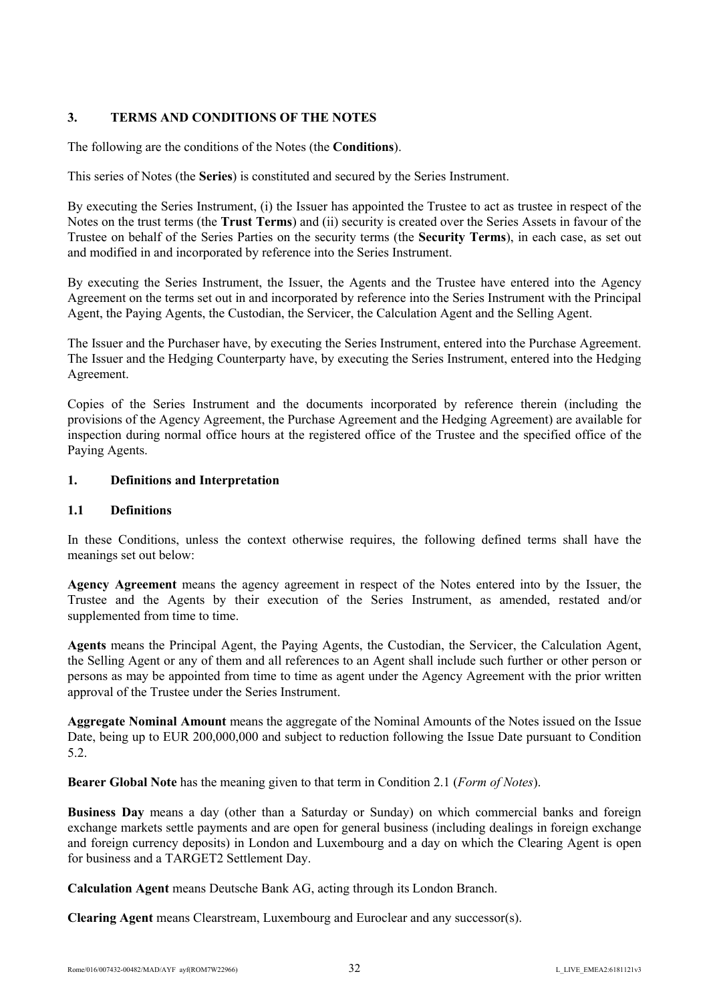# <span id="page-31-0"></span>**3. TERMS AND CONDITIONS OF THE NOTES**

The following are the conditions of the Notes (the **Conditions**).

This series of Notes (the **Series**) is constituted and secured by the Series Instrument.

By executing the Series Instrument, (i) the Issuer has appointed the Trustee to act as trustee in respect of the Notes on the trust terms (the **Trust Terms**) and (ii) security is created over the Series Assets in favour of the Trustee on behalf of the Series Parties on the security terms (the **Security Terms**), in each case, as set out and modified in and incorporated by reference into the Series Instrument.

By executing the Series Instrument, the Issuer, the Agents and the Trustee have entered into the Agency Agreement on the terms set out in and incorporated by reference into the Series Instrument with the Principal Agent, the Paying Agents, the Custodian, the Servicer, the Calculation Agent and the Selling Agent.

The Issuer and the Purchaser have, by executing the Series Instrument, entered into the Purchase Agreement. The Issuer and the Hedging Counterparty have, by executing the Series Instrument, entered into the Hedging Agreement.

Copies of the Series Instrument and the documents incorporated by reference therein (including the provisions of the Agency Agreement, the Purchase Agreement and the Hedging Agreement) are available for inspection during normal office hours at the registered office of the Trustee and the specified office of the Paying Agents.

# **1. Definitions and Interpretation**

# **1.1 Definitions**

In these Conditions, unless the context otherwise requires, the following defined terms shall have the meanings set out below:

**Agency Agreement** means the agency agreement in respect of the Notes entered into by the Issuer, the Trustee and the Agents by their execution of the Series Instrument, as amended, restated and/or supplemented from time to time.

**Agents** means the Principal Agent, the Paying Agents, the Custodian, the Servicer, the Calculation Agent, the Selling Agent or any of them and all references to an Agent shall include such further or other person or persons as may be appointed from time to time as agent under the Agency Agreement with the prior written approval of the Trustee under the Series Instrument.

**Aggregate Nominal Amount** means the aggregate of the Nominal Amounts of the Notes issued on the Issue Date, being up to EUR 200,000,000 and subject to reduction following the Issue Date pursuant to Condition 5.2.

**Bearer Global Note** has the meaning given to that term in Condition 2.1 (*Form of Notes*).

**Business Day** means a day (other than a Saturday or Sunday) on which commercial banks and foreign exchange markets settle payments and are open for general business (including dealings in foreign exchange and foreign currency deposits) in London and Luxembourg and a day on which the Clearing Agent is open for business and a TARGET2 Settlement Day.

**Calculation Agent** means Deutsche Bank AG, acting through its London Branch.

**Clearing Agent** means Clearstream, Luxembourg and Euroclear and any successor(s).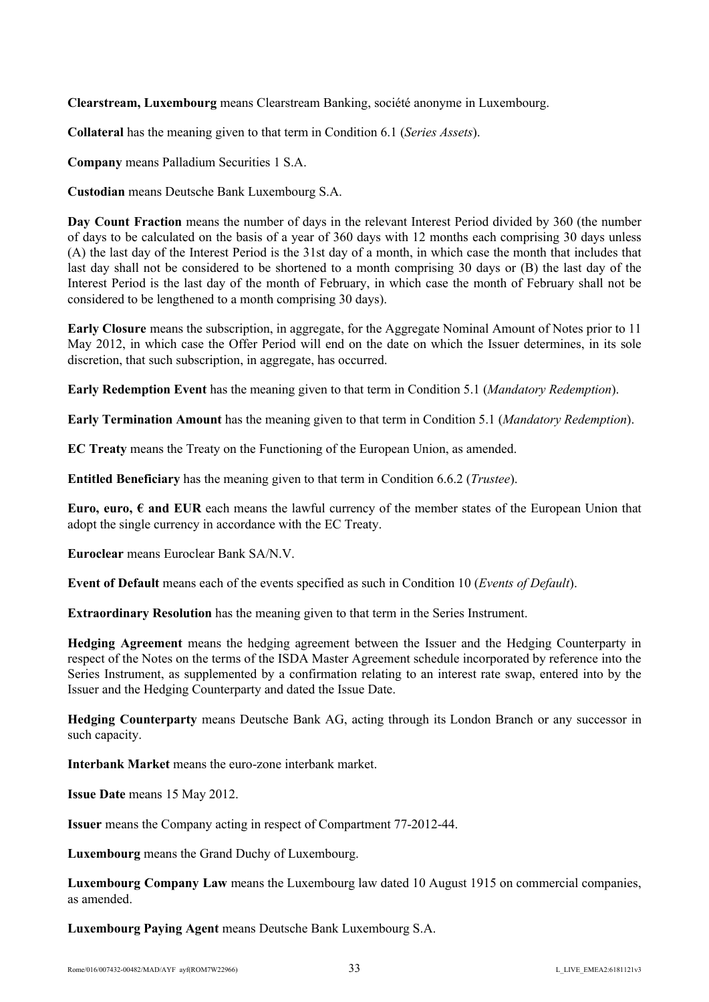**Clearstream, Luxembourg** means Clearstream Banking, société anonyme in Luxembourg.

**Collateral** has the meaning given to that term in Condition 6.1 (*Series Assets*).

**Company** means Palladium Securities 1 S.A.

**Custodian** means Deutsche Bank Luxembourg S.A.

**Day Count Fraction** means the number of days in the relevant Interest Period divided by 360 (the number of days to be calculated on the basis of a year of 360 days with 12 months each comprising 30 days unless (A) the last day of the Interest Period is the 31st day of a month, in which case the month that includes that last day shall not be considered to be shortened to a month comprising 30 days or (B) the last day of the Interest Period is the last day of the month of February, in which case the month of February shall not be considered to be lengthened to a month comprising 30 days).

**Early Closure** means the subscription, in aggregate, for the Aggregate Nominal Amount of Notes prior to 11 May 2012, in which case the Offer Period will end on the date on which the Issuer determines, in its sole discretion, that such subscription, in aggregate, has occurred.

**Early Redemption Event** has the meaning given to that term in Condition 5.1 (*Mandatory Redemption*).

**Early Termination Amount** has the meaning given to that term in Condition 5.1 (*Mandatory Redemption*).

**EC Treaty** means the Treaty on the Functioning of the European Union, as amended.

**Entitled Beneficiary** has the meaning given to that term in Condition 6.6.2 (*Trustee*).

**Euro, euro,**  $\epsilon$  **and EUR** each means the lawful currency of the member states of the European Union that adopt the single currency in accordance with the EC Treaty.

**Euroclear** means Euroclear Bank SA/N.V.

**Event of Default** means each of the events specified as such in Condition 10 (*Events of Default*).

**Extraordinary Resolution** has the meaning given to that term in the Series Instrument.

**Hedging Agreement** means the hedging agreement between the Issuer and the Hedging Counterparty in respect of the Notes on the terms of the ISDA Master Agreement schedule incorporated by reference into the Series Instrument, as supplemented by a confirmation relating to an interest rate swap, entered into by the Issuer and the Hedging Counterparty and dated the Issue Date.

**Hedging Counterparty** means Deutsche Bank AG, acting through its London Branch or any successor in such capacity.

**Interbank Market** means the euro-zone interbank market.

**Issue Date** means 15 May 2012.

**Issuer** means the Company acting in respect of Compartment 77-2012-44.

**Luxembourg** means the Grand Duchy of Luxembourg.

**Luxembourg Company Law** means the Luxembourg law dated 10 August 1915 on commercial companies, as amended.

**Luxembourg Paying Agent** means Deutsche Bank Luxembourg S.A.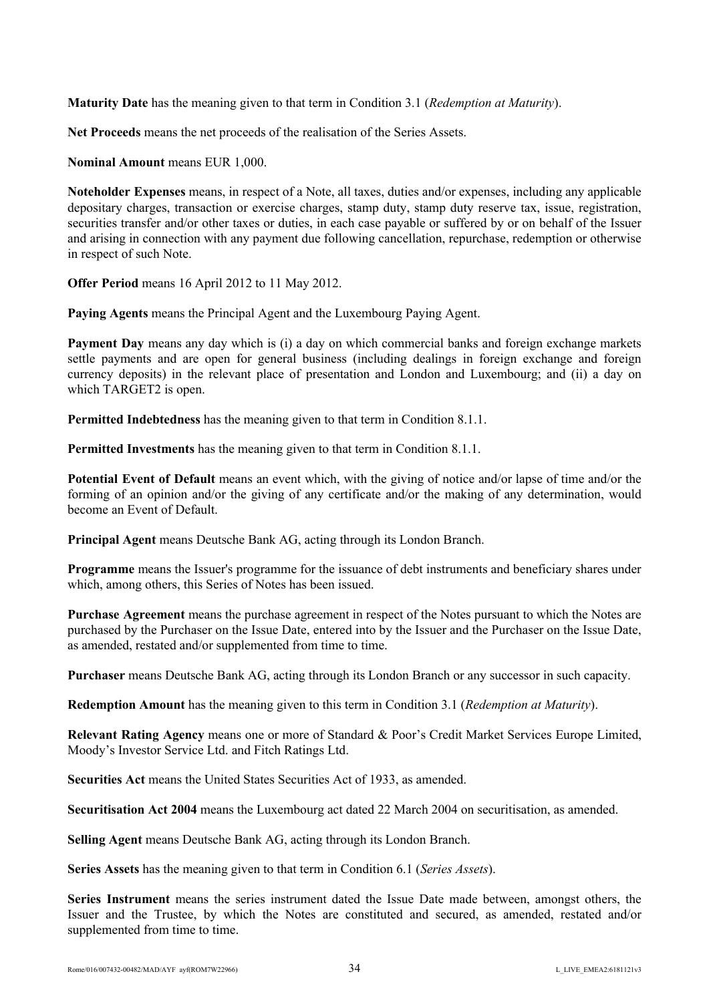**Maturity Date** has the meaning given to that term in Condition 3.1 (*Redemption at Maturity*).

**Net Proceeds** means the net proceeds of the realisation of the Series Assets.

**Nominal Amount** means EUR 1,000.

**Noteholder Expenses** means, in respect of a Note, all taxes, duties and/or expenses, including any applicable depositary charges, transaction or exercise charges, stamp duty, stamp duty reserve tax, issue, registration, securities transfer and/or other taxes or duties, in each case payable or suffered by or on behalf of the Issuer and arising in connection with any payment due following cancellation, repurchase, redemption or otherwise in respect of such Note.

**Offer Period** means 16 April 2012 to 11 May 2012.

**Paying Agents** means the Principal Agent and the Luxembourg Paying Agent.

**Payment Day** means any day which is (i) a day on which commercial banks and foreign exchange markets settle payments and are open for general business (including dealings in foreign exchange and foreign currency deposits) in the relevant place of presentation and London and Luxembourg; and (ii) a day on which TARGET<sub>2</sub> is open.

**Permitted Indebtedness** has the meaning given to that term in Condition 8.1.1.

**Permitted Investments** has the meaning given to that term in Condition 8.1.1.

**Potential Event of Default** means an event which, with the giving of notice and/or lapse of time and/or the forming of an opinion and/or the giving of any certificate and/or the making of any determination, would become an Event of Default.

**Principal Agent** means Deutsche Bank AG, acting through its London Branch.

**Programme** means the Issuer's programme for the issuance of debt instruments and beneficiary shares under which, among others, this Series of Notes has been issued.

**Purchase Agreement** means the purchase agreement in respect of the Notes pursuant to which the Notes are purchased by the Purchaser on the Issue Date, entered into by the Issuer and the Purchaser on the Issue Date, as amended, restated and/or supplemented from time to time.

**Purchaser** means Deutsche Bank AG, acting through its London Branch or any successor in such capacity.

**Redemption Amount** has the meaning given to this term in Condition 3.1 (*Redemption at Maturity*).

**Relevant Rating Agency** means one or more of Standard & Poor's Credit Market Services Europe Limited, Moody's Investor Service Ltd. and Fitch Ratings Ltd.

**Securities Act** means the United States Securities Act of 1933, as amended.

**Securitisation Act 2004** means the Luxembourg act dated 22 March 2004 on securitisation, as amended.

**Selling Agent** means Deutsche Bank AG, acting through its London Branch.

**Series Assets** has the meaning given to that term in Condition 6.1 (*Series Assets*).

**Series Instrument** means the series instrument dated the Issue Date made between, amongst others, the Issuer and the Trustee, by which the Notes are constituted and secured, as amended, restated and/or supplemented from time to time.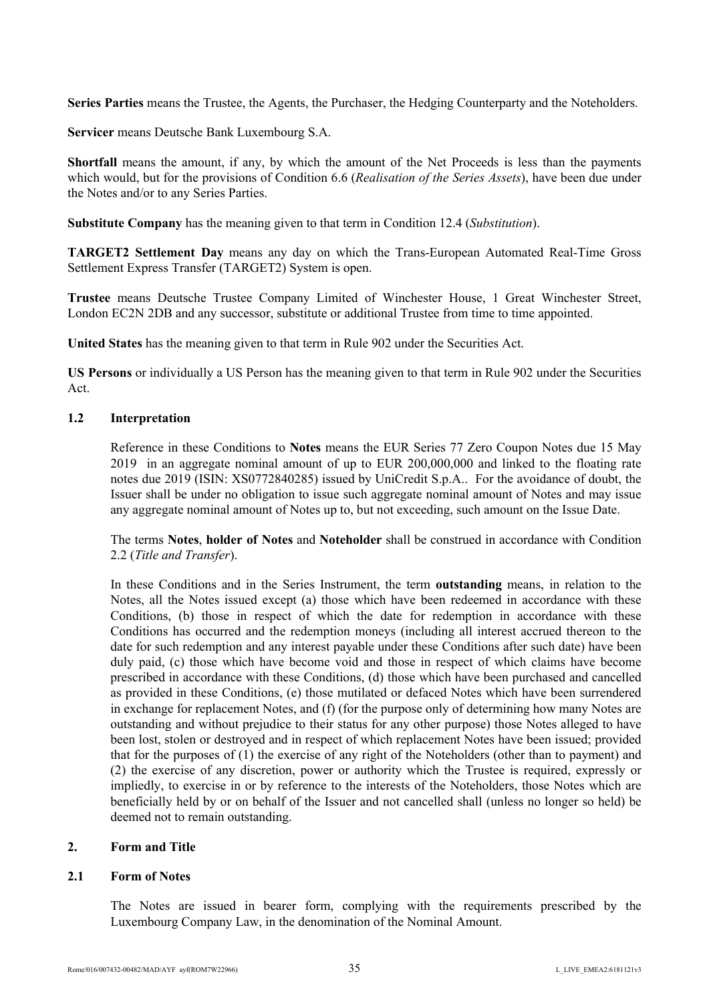**Series Parties** means the Trustee, the Agents, the Purchaser, the Hedging Counterparty and the Noteholders.

**Servicer** means Deutsche Bank Luxembourg S.A.

**Shortfall** means the amount, if any, by which the amount of the Net Proceeds is less than the payments which would, but for the provisions of Condition 6.6 (*Realisation of the Series Assets*), have been due under the Notes and/or to any Series Parties.

**Substitute Company** has the meaning given to that term in Condition 12.4 (*Substitution*).

**TARGET2 Settlement Day** means any day on which the Trans-European Automated Real-Time Gross Settlement Express Transfer (TARGET2) System is open.

**Trustee** means Deutsche Trustee Company Limited of Winchester House, 1 Great Winchester Street, London EC2N 2DB and any successor, substitute or additional Trustee from time to time appointed.

**United States** has the meaning given to that term in Rule 902 under the Securities Act.

**US Persons** or individually a US Person has the meaning given to that term in Rule 902 under the Securities Act.

# **1.2 Interpretation**

Reference in these Conditions to **Notes** means the EUR Series 77 Zero Coupon Notes due 15 May 2019 in an aggregate nominal amount of up to EUR 200,000,000 and linked to the floating rate notes due 2019 (ISIN: XS0772840285) issued by UniCredit S.p.A.. For the avoidance of doubt, the Issuer shall be under no obligation to issue such aggregate nominal amount of Notes and may issue any aggregate nominal amount of Notes up to, but not exceeding, such amount on the Issue Date.

The terms **Notes**, **holder of Notes** and **Noteholder** shall be construed in accordance with Condition 2.2 (*Title and Transfer*).

In these Conditions and in the Series Instrument, the term **outstanding** means, in relation to the Notes, all the Notes issued except (a) those which have been redeemed in accordance with these Conditions, (b) those in respect of which the date for redemption in accordance with these Conditions has occurred and the redemption moneys (including all interest accrued thereon to the date for such redemption and any interest payable under these Conditions after such date) have been duly paid, (c) those which have become void and those in respect of which claims have become prescribed in accordance with these Conditions, (d) those which have been purchased and cancelled as provided in these Conditions, (e) those mutilated or defaced Notes which have been surrendered in exchange for replacement Notes, and (f) (for the purpose only of determining how many Notes are outstanding and without prejudice to their status for any other purpose) those Notes alleged to have been lost, stolen or destroyed and in respect of which replacement Notes have been issued; provided that for the purposes of (1) the exercise of any right of the Noteholders (other than to payment) and (2) the exercise of any discretion, power or authority which the Trustee is required, expressly or impliedly, to exercise in or by reference to the interests of the Noteholders, those Notes which are beneficially held by or on behalf of the Issuer and not cancelled shall (unless no longer so held) be deemed not to remain outstanding.

## **2. Form and Title**

## **2.1 Form of Notes**

The Notes are issued in bearer form, complying with the requirements prescribed by the Luxembourg Company Law, in the denomination of the Nominal Amount.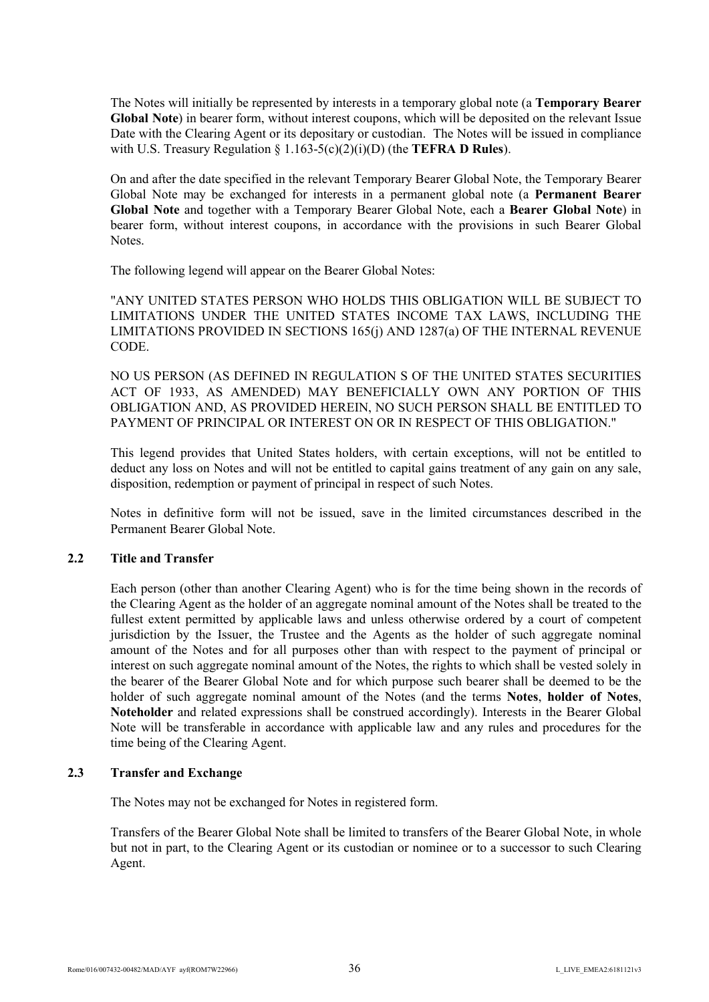The Notes will initially be represented by interests in a temporary global note (a **Temporary Bearer Global Note**) in bearer form, without interest coupons, which will be deposited on the relevant Issue Date with the Clearing Agent or its depositary or custodian. The Notes will be issued in compliance with U.S. Treasury Regulation § 1.163-5(c)(2)(i)(D) (the **TEFRA D Rules**).

On and after the date specified in the relevant Temporary Bearer Global Note, the Temporary Bearer Global Note may be exchanged for interests in a permanent global note (a **Permanent Bearer Global Note** and together with a Temporary Bearer Global Note, each a **Bearer Global Note**) in bearer form, without interest coupons, in accordance with the provisions in such Bearer Global Notes.

The following legend will appear on the Bearer Global Notes:

"ANY UNITED STATES PERSON WHO HOLDS THIS OBLIGATION WILL BE SUBJECT TO LIMITATIONS UNDER THE UNITED STATES INCOME TAX LAWS, INCLUDING THE LIMITATIONS PROVIDED IN SECTIONS 165(j) AND 1287(a) OF THE INTERNAL REVENUE CODE.

NO US PERSON (AS DEFINED IN REGULATION S OF THE UNITED STATES SECURITIES ACT OF 1933, AS AMENDED) MAY BENEFICIALLY OWN ANY PORTION OF THIS OBLIGATION AND, AS PROVIDED HEREIN, NO SUCH PERSON SHALL BE ENTITLED TO PAYMENT OF PRINCIPAL OR INTEREST ON OR IN RESPECT OF THIS OBLIGATION."

This legend provides that United States holders, with certain exceptions, will not be entitled to deduct any loss on Notes and will not be entitled to capital gains treatment of any gain on any sale, disposition, redemption or payment of principal in respect of such Notes.

Notes in definitive form will not be issued, save in the limited circumstances described in the Permanent Bearer Global Note.

## **2.2 Title and Transfer**

Each person (other than another Clearing Agent) who is for the time being shown in the records of the Clearing Agent as the holder of an aggregate nominal amount of the Notes shall be treated to the fullest extent permitted by applicable laws and unless otherwise ordered by a court of competent jurisdiction by the Issuer, the Trustee and the Agents as the holder of such aggregate nominal amount of the Notes and for all purposes other than with respect to the payment of principal or interest on such aggregate nominal amount of the Notes, the rights to which shall be vested solely in the bearer of the Bearer Global Note and for which purpose such bearer shall be deemed to be the holder of such aggregate nominal amount of the Notes (and the terms **Notes**, **holder of Notes**, **Noteholder** and related expressions shall be construed accordingly). Interests in the Bearer Global Note will be transferable in accordance with applicable law and any rules and procedures for the time being of the Clearing Agent.

## **2.3 Transfer and Exchange**

The Notes may not be exchanged for Notes in registered form.

Transfers of the Bearer Global Note shall be limited to transfers of the Bearer Global Note, in whole but not in part, to the Clearing Agent or its custodian or nominee or to a successor to such Clearing Agent.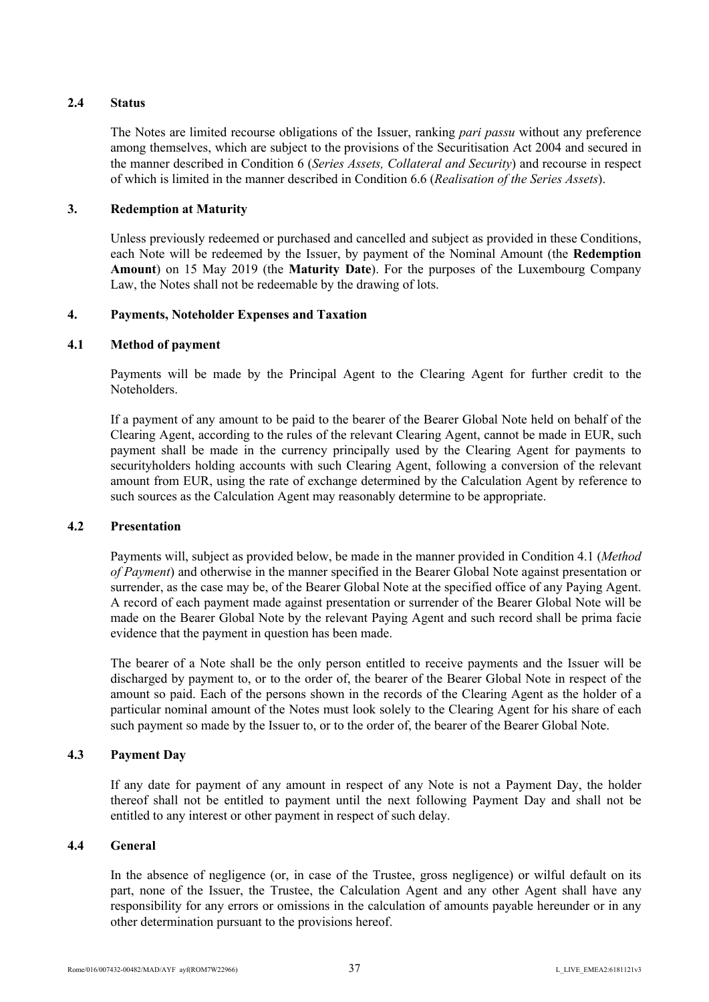# **2.4 Status**

The Notes are limited recourse obligations of the Issuer, ranking *pari passu* without any preference among themselves, which are subject to the provisions of the Securitisation Act 2004 and secured in the manner described in Condition 6 (*Series Assets, Collateral and Security*) and recourse in respect of which is limited in the manner described in Condition 6.6 (*Realisation of the Series Assets*).

# **3. Redemption at Maturity**

Unless previously redeemed or purchased and cancelled and subject as provided in these Conditions, each Note will be redeemed by the Issuer, by payment of the Nominal Amount (the **Redemption Amount**) on 15 May 2019 (the **Maturity Date**). For the purposes of the Luxembourg Company Law, the Notes shall not be redeemable by the drawing of lots.

# **4. Payments, Noteholder Expenses and Taxation**

## **4.1 Method of payment**

Payments will be made by the Principal Agent to the Clearing Agent for further credit to the Noteholders.

If a payment of any amount to be paid to the bearer of the Bearer Global Note held on behalf of the Clearing Agent, according to the rules of the relevant Clearing Agent, cannot be made in EUR, such payment shall be made in the currency principally used by the Clearing Agent for payments to securityholders holding accounts with such Clearing Agent, following a conversion of the relevant amount from EUR, using the rate of exchange determined by the Calculation Agent by reference to such sources as the Calculation Agent may reasonably determine to be appropriate.

## **4.2 Presentation**

Payments will, subject as provided below, be made in the manner provided in Condition 4.1 (*Method of Payment*) and otherwise in the manner specified in the Bearer Global Note against presentation or surrender, as the case may be, of the Bearer Global Note at the specified office of any Paying Agent. A record of each payment made against presentation or surrender of the Bearer Global Note will be made on the Bearer Global Note by the relevant Paying Agent and such record shall be prima facie evidence that the payment in question has been made.

The bearer of a Note shall be the only person entitled to receive payments and the Issuer will be discharged by payment to, or to the order of, the bearer of the Bearer Global Note in respect of the amount so paid. Each of the persons shown in the records of the Clearing Agent as the holder of a particular nominal amount of the Notes must look solely to the Clearing Agent for his share of each such payment so made by the Issuer to, or to the order of, the bearer of the Bearer Global Note.

## **4.3 Payment Day**

If any date for payment of any amount in respect of any Note is not a Payment Day, the holder thereof shall not be entitled to payment until the next following Payment Day and shall not be entitled to any interest or other payment in respect of such delay.

# **4.4 General**

In the absence of negligence (or, in case of the Trustee, gross negligence) or wilful default on its part, none of the Issuer, the Trustee, the Calculation Agent and any other Agent shall have any responsibility for any errors or omissions in the calculation of amounts payable hereunder or in any other determination pursuant to the provisions hereof.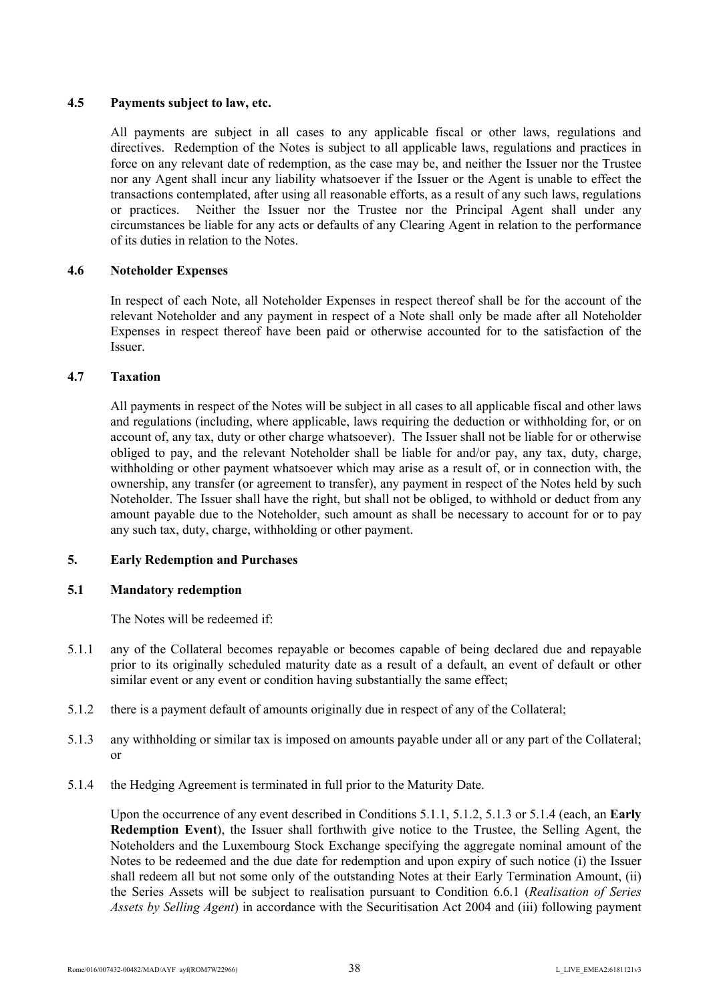## **4.5 Payments subject to law, etc.**

All payments are subject in all cases to any applicable fiscal or other laws, regulations and directives. Redemption of the Notes is subject to all applicable laws, regulations and practices in force on any relevant date of redemption, as the case may be, and neither the Issuer nor the Trustee nor any Agent shall incur any liability whatsoever if the Issuer or the Agent is unable to effect the transactions contemplated, after using all reasonable efforts, as a result of any such laws, regulations or practices. Neither the Issuer nor the Trustee nor the Principal Agent shall under any circumstances be liable for any acts or defaults of any Clearing Agent in relation to the performance of its duties in relation to the Notes.

## **4.6 Noteholder Expenses**

In respect of each Note, all Noteholder Expenses in respect thereof shall be for the account of the relevant Noteholder and any payment in respect of a Note shall only be made after all Noteholder Expenses in respect thereof have been paid or otherwise accounted for to the satisfaction of the Issuer.

## **4.7 Taxation**

All payments in respect of the Notes will be subject in all cases to all applicable fiscal and other laws and regulations (including, where applicable, laws requiring the deduction or withholding for, or on account of, any tax, duty or other charge whatsoever). The Issuer shall not be liable for or otherwise obliged to pay, and the relevant Noteholder shall be liable for and/or pay, any tax, duty, charge, withholding or other payment whatsoever which may arise as a result of, or in connection with, the ownership, any transfer (or agreement to transfer), any payment in respect of the Notes held by such Noteholder. The Issuer shall have the right, but shall not be obliged, to withhold or deduct from any amount payable due to the Noteholder, such amount as shall be necessary to account for or to pay any such tax, duty, charge, withholding or other payment.

## **5. Early Redemption and Purchases**

## **5.1 Mandatory redemption**

The Notes will be redeemed if:

- 5.1.1 any of the Collateral becomes repayable or becomes capable of being declared due and repayable prior to its originally scheduled maturity date as a result of a default, an event of default or other similar event or any event or condition having substantially the same effect;
- 5.1.2 there is a payment default of amounts originally due in respect of any of the Collateral;
- 5.1.3 any withholding or similar tax is imposed on amounts payable under all or any part of the Collateral; or
- 5.1.4 the Hedging Agreement is terminated in full prior to the Maturity Date.

Upon the occurrence of any event described in Conditions 5.1.1, 5.1.2, 5.1.3 or 5.1.4 (each, an **Early Redemption Event**), the Issuer shall forthwith give notice to the Trustee, the Selling Agent, the Noteholders and the Luxembourg Stock Exchange specifying the aggregate nominal amount of the Notes to be redeemed and the due date for redemption and upon expiry of such notice (i) the Issuer shall redeem all but not some only of the outstanding Notes at their Early Termination Amount, (ii) the Series Assets will be subject to realisation pursuant to Condition 6.6.1 (*Realisation of Series Assets by Selling Agent*) in accordance with the Securitisation Act 2004 and (iii) following payment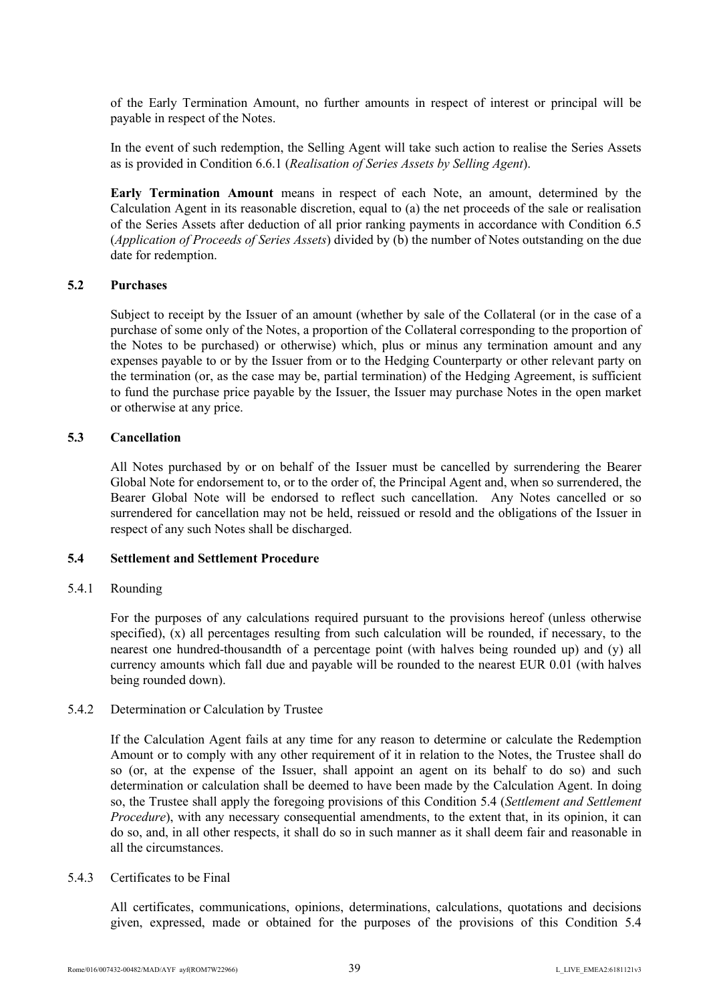of the Early Termination Amount, no further amounts in respect of interest or principal will be payable in respect of the Notes.

In the event of such redemption, the Selling Agent will take such action to realise the Series Assets as is provided in Condition 6.6.1 (*Realisation of Series Assets by Selling Agent*).

**Early Termination Amount** means in respect of each Note, an amount, determined by the Calculation Agent in its reasonable discretion, equal to (a) the net proceeds of the sale or realisation of the Series Assets after deduction of all prior ranking payments in accordance with Condition 6.5 (*Application of Proceeds of Series Assets*) divided by (b) the number of Notes outstanding on the due date for redemption.

## **5.2 Purchases**

Subject to receipt by the Issuer of an amount (whether by sale of the Collateral (or in the case of a purchase of some only of the Notes, a proportion of the Collateral corresponding to the proportion of the Notes to be purchased) or otherwise) which, plus or minus any termination amount and any expenses payable to or by the Issuer from or to the Hedging Counterparty or other relevant party on the termination (or, as the case may be, partial termination) of the Hedging Agreement, is sufficient to fund the purchase price payable by the Issuer, the Issuer may purchase Notes in the open market or otherwise at any price.

### **5.3 Cancellation**

All Notes purchased by or on behalf of the Issuer must be cancelled by surrendering the Bearer Global Note for endorsement to, or to the order of, the Principal Agent and, when so surrendered, the Bearer Global Note will be endorsed to reflect such cancellation. Any Notes cancelled or so surrendered for cancellation may not be held, reissued or resold and the obligations of the Issuer in respect of any such Notes shall be discharged.

## **5.4 Settlement and Settlement Procedure**

#### 5.4.1 Rounding

For the purposes of any calculations required pursuant to the provisions hereof (unless otherwise specified), (x) all percentages resulting from such calculation will be rounded, if necessary, to the nearest one hundred-thousandth of a percentage point (with halves being rounded up) and (y) all currency amounts which fall due and payable will be rounded to the nearest EUR 0.01 (with halves being rounded down).

#### 5.4.2 Determination or Calculation by Trustee

If the Calculation Agent fails at any time for any reason to determine or calculate the Redemption Amount or to comply with any other requirement of it in relation to the Notes, the Trustee shall do so (or, at the expense of the Issuer, shall appoint an agent on its behalf to do so) and such determination or calculation shall be deemed to have been made by the Calculation Agent. In doing so, the Trustee shall apply the foregoing provisions of this Condition 5.4 (*Settlement and Settlement Procedure*), with any necessary consequential amendments, to the extent that, in its opinion, it can do so, and, in all other respects, it shall do so in such manner as it shall deem fair and reasonable in all the circumstances.

#### 5.4.3 Certificates to be Final

All certificates, communications, opinions, determinations, calculations, quotations and decisions given, expressed, made or obtained for the purposes of the provisions of this Condition 5.4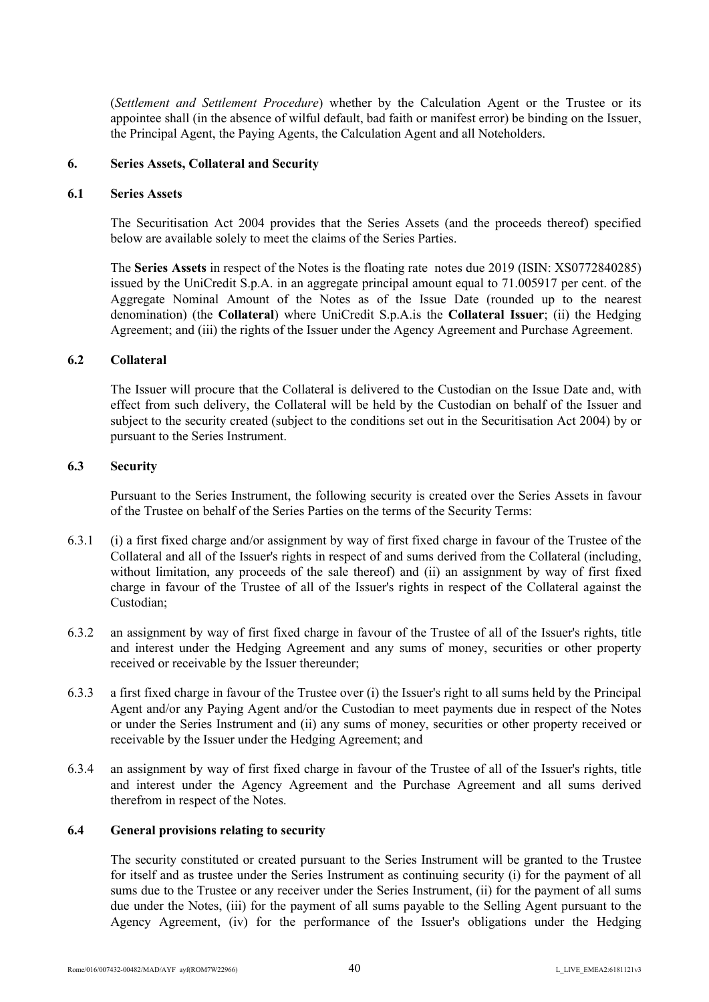(*Settlement and Settlement Procedure*) whether by the Calculation Agent or the Trustee or its appointee shall (in the absence of wilful default, bad faith or manifest error) be binding on the Issuer, the Principal Agent, the Paying Agents, the Calculation Agent and all Noteholders.

## **6. Series Assets, Collateral and Security**

### **6.1 Series Assets**

The Securitisation Act 2004 provides that the Series Assets (and the proceeds thereof) specified below are available solely to meet the claims of the Series Parties.

The **Series Assets** in respect of the Notes is the floating rate notes due 2019 (ISIN: XS0772840285) issued by the UniCredit S.p.A. in an aggregate principal amount equal to 71.005917 per cent. of the Aggregate Nominal Amount of the Notes as of the Issue Date (rounded up to the nearest denomination) (the **Collateral**) where UniCredit S.p.A.is the **Collateral Issuer**; (ii) the Hedging Agreement; and (iii) the rights of the Issuer under the Agency Agreement and Purchase Agreement.

# **6.2 Collateral**

The Issuer will procure that the Collateral is delivered to the Custodian on the Issue Date and, with effect from such delivery, the Collateral will be held by the Custodian on behalf of the Issuer and subject to the security created (subject to the conditions set out in the Securitisation Act 2004) by or pursuant to the Series Instrument.

### **6.3 Security**

Pursuant to the Series Instrument, the following security is created over the Series Assets in favour of the Trustee on behalf of the Series Parties on the terms of the Security Terms:

- 6.3.1 (i) a first fixed charge and/or assignment by way of first fixed charge in favour of the Trustee of the Collateral and all of the Issuer's rights in respect of and sums derived from the Collateral (including, without limitation, any proceeds of the sale thereof) and (ii) an assignment by way of first fixed charge in favour of the Trustee of all of the Issuer's rights in respect of the Collateral against the Custodian;
- 6.3.2 an assignment by way of first fixed charge in favour of the Trustee of all of the Issuer's rights, title and interest under the Hedging Agreement and any sums of money, securities or other property received or receivable by the Issuer thereunder;
- 6.3.3 a first fixed charge in favour of the Trustee over (i) the Issuer's right to all sums held by the Principal Agent and/or any Paying Agent and/or the Custodian to meet payments due in respect of the Notes or under the Series Instrument and (ii) any sums of money, securities or other property received or receivable by the Issuer under the Hedging Agreement; and
- 6.3.4 an assignment by way of first fixed charge in favour of the Trustee of all of the Issuer's rights, title and interest under the Agency Agreement and the Purchase Agreement and all sums derived therefrom in respect of the Notes.

### **6.4 General provisions relating to security**

The security constituted or created pursuant to the Series Instrument will be granted to the Trustee for itself and as trustee under the Series Instrument as continuing security (i) for the payment of all sums due to the Trustee or any receiver under the Series Instrument, (ii) for the payment of all sums due under the Notes, (iii) for the payment of all sums payable to the Selling Agent pursuant to the Agency Agreement, (iv) for the performance of the Issuer's obligations under the Hedging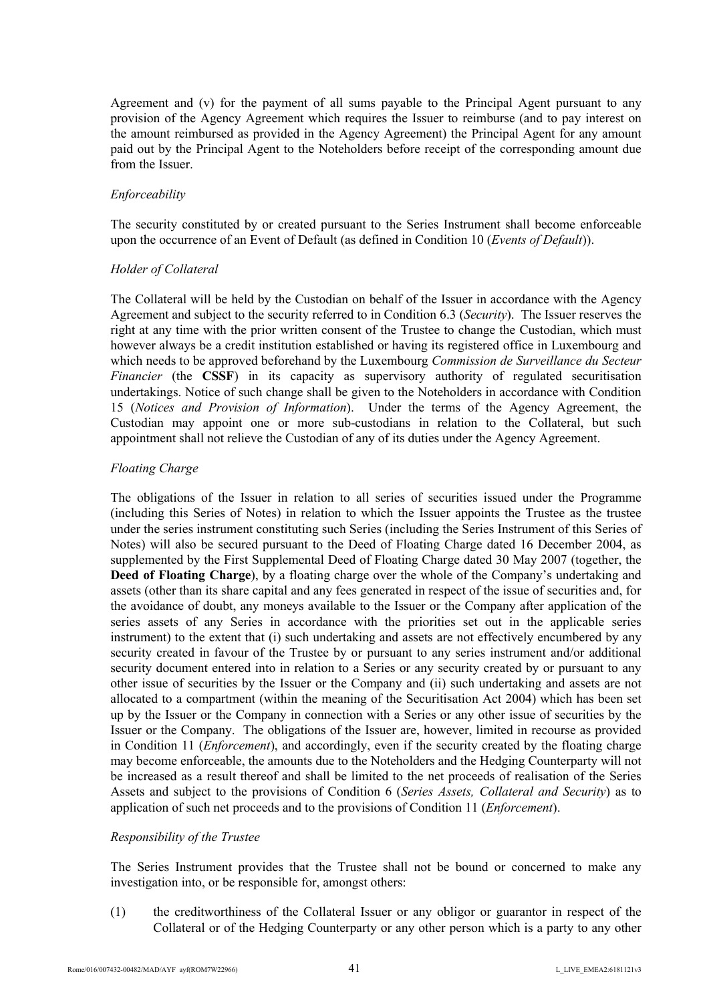Agreement and (v) for the payment of all sums payable to the Principal Agent pursuant to any provision of the Agency Agreement which requires the Issuer to reimburse (and to pay interest on the amount reimbursed as provided in the Agency Agreement) the Principal Agent for any amount paid out by the Principal Agent to the Noteholders before receipt of the corresponding amount due from the Issuer.

## *Enforceability*

The security constituted by or created pursuant to the Series Instrument shall become enforceable upon the occurrence of an Event of Default (as defined in Condition 10 (*Events of Default*)).

# *Holder of Collateral*

The Collateral will be held by the Custodian on behalf of the Issuer in accordance with the Agency Agreement and subject to the security referred to in Condition 6.3 (*Security*). The Issuer reserves the right at any time with the prior written consent of the Trustee to change the Custodian, which must however always be a credit institution established or having its registered office in Luxembourg and which needs to be approved beforehand by the Luxembourg *Commission de Surveillance du Secteur Financier* (the CSSF) in its capacity as supervisory authority of regulated securitisation undertakings. Notice of such change shall be given to the Noteholders in accordance with Condition 15 (*Notices and Provision of Information*). Under the terms of the Agency Agreement, the Custodian may appoint one or more sub-custodians in relation to the Collateral, but such appointment shall not relieve the Custodian of any of its duties under the Agency Agreement.

# *Floating Charge*

The obligations of the Issuer in relation to all series of securities issued under the Programme (including this Series of Notes) in relation to which the Issuer appoints the Trustee as the trustee under the series instrument constituting such Series (including the Series Instrument of this Series of Notes) will also be secured pursuant to the Deed of Floating Charge dated 16 December 2004, as supplemented by the First Supplemental Deed of Floating Charge dated 30 May 2007 (together, the **Deed of Floating Charge**), by a floating charge over the whole of the Company's undertaking and assets (other than its share capital and any fees generated in respect of the issue of securities and, for the avoidance of doubt, any moneys available to the Issuer or the Company after application of the series assets of any Series in accordance with the priorities set out in the applicable series instrument) to the extent that (i) such undertaking and assets are not effectively encumbered by any security created in favour of the Trustee by or pursuant to any series instrument and/or additional security document entered into in relation to a Series or any security created by or pursuant to any other issue of securities by the Issuer or the Company and (ii) such undertaking and assets are not allocated to a compartment (within the meaning of the Securitisation Act 2004) which has been set up by the Issuer or the Company in connection with a Series or any other issue of securities by the Issuer or the Company. The obligations of the Issuer are, however, limited in recourse as provided in Condition 11 (*Enforcement*), and accordingly, even if the security created by the floating charge may become enforceable, the amounts due to the Noteholders and the Hedging Counterparty will not be increased as a result thereof and shall be limited to the net proceeds of realisation of the Series Assets and subject to the provisions of Condition 6 (*Series Assets, Collateral and Security*) as to application of such net proceeds and to the provisions of Condition 11 (*Enforcement*).

## *Responsibility of the Trustee*

The Series Instrument provides that the Trustee shall not be bound or concerned to make any investigation into, or be responsible for, amongst others:

(1) the creditworthiness of the Collateral Issuer or any obligor or guarantor in respect of the Collateral or of the Hedging Counterparty or any other person which is a party to any other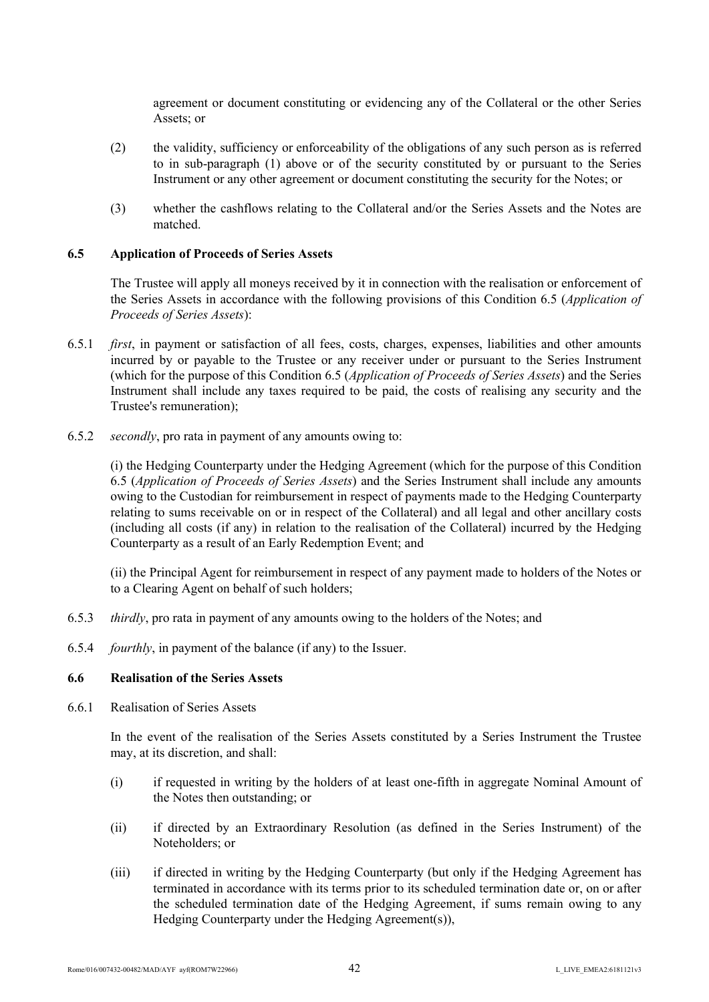agreement or document constituting or evidencing any of the Collateral or the other Series Assets; or

- (2) the validity, sufficiency or enforceability of the obligations of any such person as is referred to in sub-paragraph (1) above or of the security constituted by or pursuant to the Series Instrument or any other agreement or document constituting the security for the Notes; or
- (3) whether the cashflows relating to the Collateral and/or the Series Assets and the Notes are matched.

### **6.5 Application of Proceeds of Series Assets**

The Trustee will apply all moneys received by it in connection with the realisation or enforcement of the Series Assets in accordance with the following provisions of this Condition 6.5 (*Application of Proceeds of Series Assets*):

- 6.5.1 *first*, in payment or satisfaction of all fees, costs, charges, expenses, liabilities and other amounts incurred by or payable to the Trustee or any receiver under or pursuant to the Series Instrument (which for the purpose of this Condition 6.5 (*Application of Proceeds of Series Assets*) and the Series Instrument shall include any taxes required to be paid, the costs of realising any security and the Trustee's remuneration);
- 6.5.2 *secondly*, pro rata in payment of any amounts owing to:

(i) the Hedging Counterparty under the Hedging Agreement (which for the purpose of this Condition 6.5 (*Application of Proceeds of Series Assets*) and the Series Instrument shall include any amounts owing to the Custodian for reimbursement in respect of payments made to the Hedging Counterparty relating to sums receivable on or in respect of the Collateral) and all legal and other ancillary costs (including all costs (if any) in relation to the realisation of the Collateral) incurred by the Hedging Counterparty as a result of an Early Redemption Event; and

(ii) the Principal Agent for reimbursement in respect of any payment made to holders of the Notes or to a Clearing Agent on behalf of such holders;

- 6.5.3 *thirdly*, pro rata in payment of any amounts owing to the holders of the Notes; and
- 6.5.4 *fourthly*, in payment of the balance (if any) to the Issuer.

#### **6.6 Realisation of the Series Assets**

6.6.1 Realisation of Series Assets

In the event of the realisation of the Series Assets constituted by a Series Instrument the Trustee may, at its discretion, and shall:

- (i) if requested in writing by the holders of at least one-fifth in aggregate Nominal Amount of the Notes then outstanding; or
- (ii) if directed by an Extraordinary Resolution (as defined in the Series Instrument) of the Noteholders; or
- (iii) if directed in writing by the Hedging Counterparty (but only if the Hedging Agreement has terminated in accordance with its terms prior to its scheduled termination date or, on or after the scheduled termination date of the Hedging Agreement, if sums remain owing to any Hedging Counterparty under the Hedging Agreement(s)),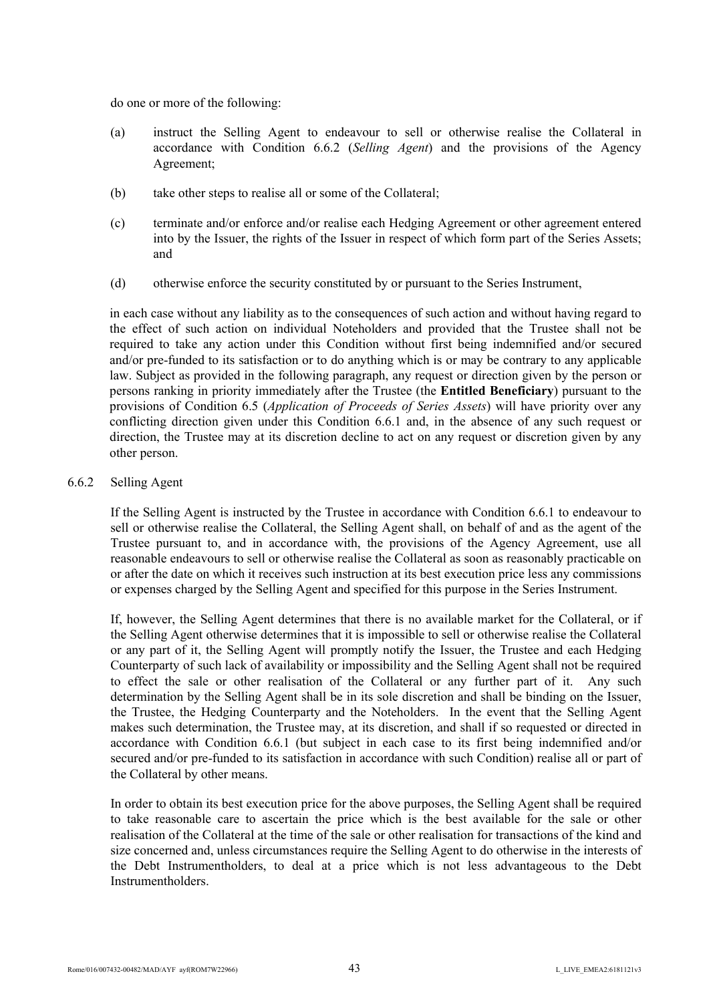do one or more of the following:

- (a) instruct the Selling Agent to endeavour to sell or otherwise realise the Collateral in accordance with Condition 6.6.2 (*Selling Agent*) and the provisions of the Agency Agreement;
- (b) take other steps to realise all or some of the Collateral;
- (c) terminate and/or enforce and/or realise each Hedging Agreement or other agreement entered into by the Issuer, the rights of the Issuer in respect of which form part of the Series Assets; and
- (d) otherwise enforce the security constituted by or pursuant to the Series Instrument,

in each case without any liability as to the consequences of such action and without having regard to the effect of such action on individual Noteholders and provided that the Trustee shall not be required to take any action under this Condition without first being indemnified and/or secured and/or pre-funded to its satisfaction or to do anything which is or may be contrary to any applicable law. Subject as provided in the following paragraph, any request or direction given by the person or persons ranking in priority immediately after the Trustee (the **Entitled Beneficiary**) pursuant to the provisions of Condition 6.5 (*Application of Proceeds of Series Assets*) will have priority over any conflicting direction given under this Condition 6.6.1 and, in the absence of any such request or direction, the Trustee may at its discretion decline to act on any request or discretion given by any other person.

# 6.6.2 Selling Agent

If the Selling Agent is instructed by the Trustee in accordance with Condition 6.6.1 to endeavour to sell or otherwise realise the Collateral, the Selling Agent shall, on behalf of and as the agent of the Trustee pursuant to, and in accordance with, the provisions of the Agency Agreement, use all reasonable endeavours to sell or otherwise realise the Collateral as soon as reasonably practicable on or after the date on which it receives such instruction at its best execution price less any commissions or expenses charged by the Selling Agent and specified for this purpose in the Series Instrument.

If, however, the Selling Agent determines that there is no available market for the Collateral, or if the Selling Agent otherwise determines that it is impossible to sell or otherwise realise the Collateral or any part of it, the Selling Agent will promptly notify the Issuer, the Trustee and each Hedging Counterparty of such lack of availability or impossibility and the Selling Agent shall not be required to effect the sale or other realisation of the Collateral or any further part of it. Any such determination by the Selling Agent shall be in its sole discretion and shall be binding on the Issuer, the Trustee, the Hedging Counterparty and the Noteholders. In the event that the Selling Agent makes such determination, the Trustee may, at its discretion, and shall if so requested or directed in accordance with Condition 6.6.1 (but subject in each case to its first being indemnified and/or secured and/or pre-funded to its satisfaction in accordance with such Condition) realise all or part of the Collateral by other means.

In order to obtain its best execution price for the above purposes, the Selling Agent shall be required to take reasonable care to ascertain the price which is the best available for the sale or other realisation of the Collateral at the time of the sale or other realisation for transactions of the kind and size concerned and, unless circumstances require the Selling Agent to do otherwise in the interests of the Debt Instrumentholders, to deal at a price which is not less advantageous to the Debt **Instrumentholders**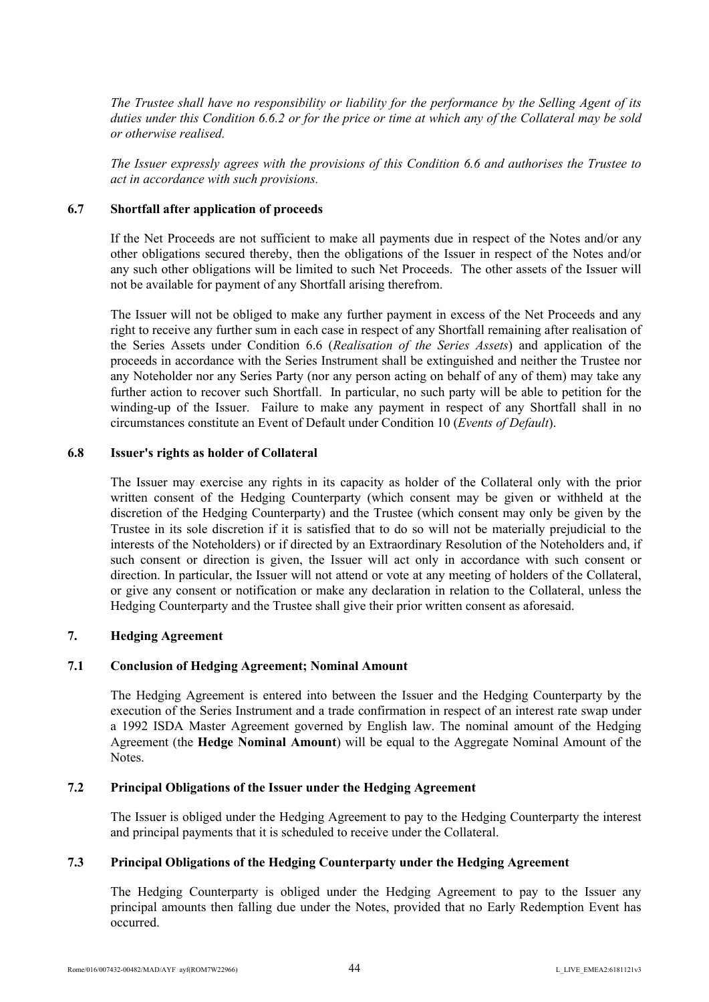*The Trustee shall have no responsibility or liability for the performance by the Selling Agent of its duties under this Condition 6.6.2 or for the price or time at which any of the Collateral may be sold or otherwise realised.*

*The Issuer expressly agrees with the provisions of this Condition 6.6 and authorises the Trustee to act in accordance with such provisions.*

### **6.7 Shortfall after application of proceeds**

If the Net Proceeds are not sufficient to make all payments due in respect of the Notes and/or any other obligations secured thereby, then the obligations of the Issuer in respect of the Notes and/or any such other obligations will be limited to such Net Proceeds. The other assets of the Issuer will not be available for payment of any Shortfall arising therefrom.

The Issuer will not be obliged to make any further payment in excess of the Net Proceeds and any right to receive any further sum in each case in respect of any Shortfall remaining after realisation of the Series Assets under Condition 6.6 (*Realisation of the Series Assets*) and application of the proceeds in accordance with the Series Instrument shall be extinguished and neither the Trustee nor any Noteholder nor any Series Party (nor any person acting on behalf of any of them) may take any further action to recover such Shortfall. In particular, no such party will be able to petition for the winding-up of the Issuer. Failure to make any payment in respect of any Shortfall shall in no circumstances constitute an Event of Default under Condition 10 (*Events of Default*).

### **6.8 Issuer's rights as holder of Collateral**

The Issuer may exercise any rights in its capacity as holder of the Collateral only with the prior written consent of the Hedging Counterparty (which consent may be given or withheld at the discretion of the Hedging Counterparty) and the Trustee (which consent may only be given by the Trustee in its sole discretion if it is satisfied that to do so will not be materially prejudicial to the interests of the Noteholders) or if directed by an Extraordinary Resolution of the Noteholders and, if such consent or direction is given, the Issuer will act only in accordance with such consent or direction. In particular, the Issuer will not attend or vote at any meeting of holders of the Collateral, or give any consent or notification or make any declaration in relation to the Collateral, unless the Hedging Counterparty and the Trustee shall give their prior written consent as aforesaid.

## **7. Hedging Agreement**

## **7.1 Conclusion of Hedging Agreement; Nominal Amount**

The Hedging Agreement is entered into between the Issuer and the Hedging Counterparty by the execution of the Series Instrument and a trade confirmation in respect of an interest rate swap under a 1992 ISDA Master Agreement governed by English law. The nominal amount of the Hedging Agreement (the **Hedge Nominal Amount**) will be equal to the Aggregate Nominal Amount of the Notes.

## **7.2 Principal Obligations of the Issuer under the Hedging Agreement**

The Issuer is obliged under the Hedging Agreement to pay to the Hedging Counterparty the interest and principal payments that it is scheduled to receive under the Collateral.

#### **7.3 Principal Obligations of the Hedging Counterparty under the Hedging Agreement**

The Hedging Counterparty is obliged under the Hedging Agreement to pay to the Issuer any principal amounts then falling due under the Notes, provided that no Early Redemption Event has occurred.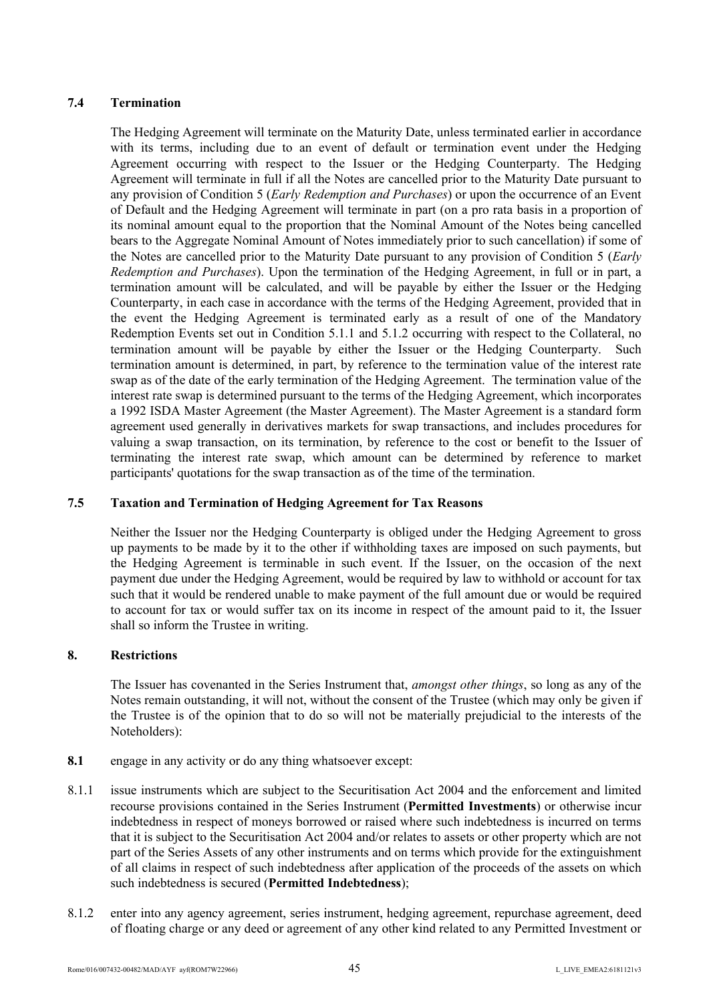# **7.4 Termination**

The Hedging Agreement will terminate on the Maturity Date, unless terminated earlier in accordance with its terms, including due to an event of default or termination event under the Hedging Agreement occurring with respect to the Issuer or the Hedging Counterparty. The Hedging Agreement will terminate in full if all the Notes are cancelled prior to the Maturity Date pursuant to any provision of Condition 5 (*Early Redemption and Purchases*) or upon the occurrence of an Event of Default and the Hedging Agreement will terminate in part (on a pro rata basis in a proportion of its nominal amount equal to the proportion that the Nominal Amount of the Notes being cancelled bears to the Aggregate Nominal Amount of Notes immediately prior to such cancellation) if some of the Notes are cancelled prior to the Maturity Date pursuant to any provision of Condition 5 (*Early Redemption and Purchases*). Upon the termination of the Hedging Agreement, in full or in part, a termination amount will be calculated, and will be payable by either the Issuer or the Hedging Counterparty, in each case in accordance with the terms of the Hedging Agreement, provided that in the event the Hedging Agreement is terminated early as a result of one of the Mandatory Redemption Events set out in Condition 5.1.1 and 5.1.2 occurring with respect to the Collateral, no termination amount will be payable by either the Issuer or the Hedging Counterparty. Such termination amount is determined, in part, by reference to the termination value of the interest rate swap as of the date of the early termination of the Hedging Agreement. The termination value of the interest rate swap is determined pursuant to the terms of the Hedging Agreement, which incorporates a 1992 ISDA Master Agreement (the Master Agreement). The Master Agreement is a standard form agreement used generally in derivatives markets for swap transactions, and includes procedures for valuing a swap transaction, on its termination, by reference to the cost or benefit to the Issuer of terminating the interest rate swap, which amount can be determined by reference to market participants' quotations for the swap transaction as of the time of the termination.

# **7.5 Taxation and Termination of Hedging Agreement for Tax Reasons**

Neither the Issuer nor the Hedging Counterparty is obliged under the Hedging Agreement to gross up payments to be made by it to the other if withholding taxes are imposed on such payments, but the Hedging Agreement is terminable in such event. If the Issuer, on the occasion of the next payment due under the Hedging Agreement, would be required by law to withhold or account for tax such that it would be rendered unable to make payment of the full amount due or would be required to account for tax or would suffer tax on its income in respect of the amount paid to it, the Issuer shall so inform the Trustee in writing.

## **8. Restrictions**

The Issuer has covenanted in the Series Instrument that, *amongst other things*, so long as any of the Notes remain outstanding, it will not, without the consent of the Trustee (which may only be given if the Trustee is of the opinion that to do so will not be materially prejudicial to the interests of the Noteholders):

- **8.1** engage in any activity or do any thing whatsoever except:
- 8.1.1 issue instruments which are subject to the Securitisation Act 2004 and the enforcement and limited recourse provisions contained in the Series Instrument (**Permitted Investments**) or otherwise incur indebtedness in respect of moneys borrowed or raised where such indebtedness is incurred on terms that it is subject to the Securitisation Act 2004 and/or relates to assets or other property which are not part of the Series Assets of any other instruments and on terms which provide for the extinguishment of all claims in respect of such indebtedness after application of the proceeds of the assets on which such indebtedness is secured (**Permitted Indebtedness**);
- 8.1.2 enter into any agency agreement, series instrument, hedging agreement, repurchase agreement, deed of floating charge or any deed or agreement of any other kind related to any Permitted Investment or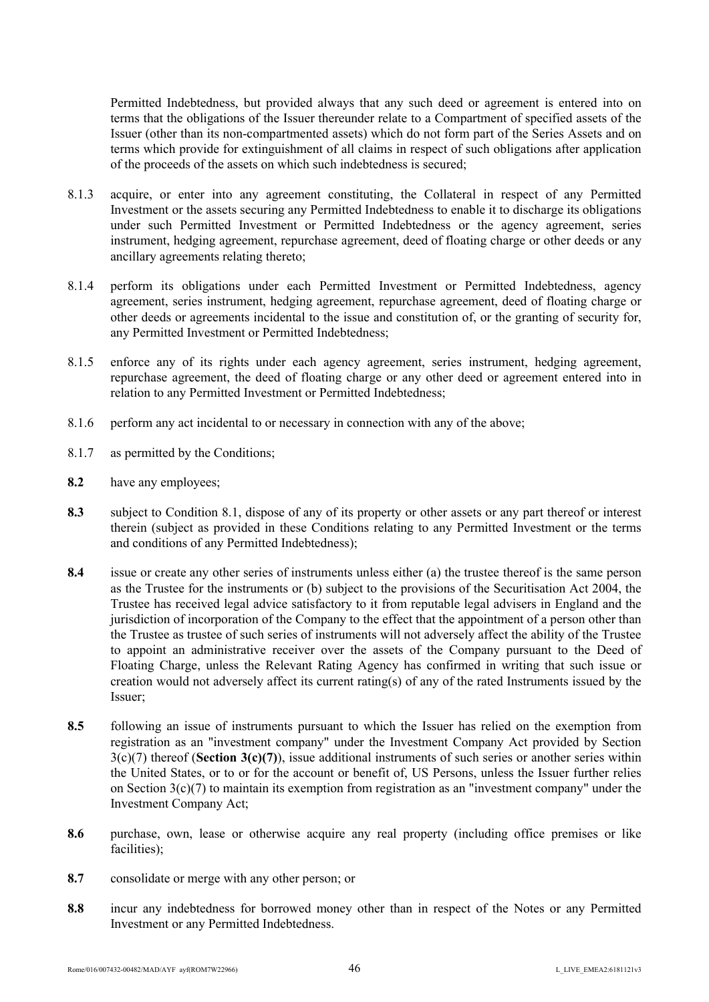Permitted Indebtedness, but provided always that any such deed or agreement is entered into on terms that the obligations of the Issuer thereunder relate to a Compartment of specified assets of the Issuer (other than its non-compartmented assets) which do not form part of the Series Assets and on terms which provide for extinguishment of all claims in respect of such obligations after application of the proceeds of the assets on which such indebtedness is secured;

- 8.1.3 acquire, or enter into any agreement constituting, the Collateral in respect of any Permitted Investment or the assets securing any Permitted Indebtedness to enable it to discharge its obligations under such Permitted Investment or Permitted Indebtedness or the agency agreement, series instrument, hedging agreement, repurchase agreement, deed of floating charge or other deeds or any ancillary agreements relating thereto;
- 8.1.4 perform its obligations under each Permitted Investment or Permitted Indebtedness, agency agreement, series instrument, hedging agreement, repurchase agreement, deed of floating charge or other deeds or agreements incidental to the issue and constitution of, or the granting of security for, any Permitted Investment or Permitted Indebtedness;
- 8.1.5 enforce any of its rights under each agency agreement, series instrument, hedging agreement, repurchase agreement, the deed of floating charge or any other deed or agreement entered into in relation to any Permitted Investment or Permitted Indebtedness;
- 8.1.6 perform any act incidental to or necessary in connection with any of the above;
- 8.1.7 as permitted by the Conditions;
- **8.2** have any employees;
- **8.3** subject to Condition 8.1, dispose of any of its property or other assets or any part thereof or interest therein (subject as provided in these Conditions relating to any Permitted Investment or the terms and conditions of any Permitted Indebtedness);
- **8.4** issue or create any other series of instruments unless either (a) the trustee thereof is the same person as the Trustee for the instruments or (b) subject to the provisions of the Securitisation Act 2004, the Trustee has received legal advice satisfactory to it from reputable legal advisers in England and the jurisdiction of incorporation of the Company to the effect that the appointment of a person other than the Trustee as trustee of such series of instruments will not adversely affect the ability of the Trustee to appoint an administrative receiver over the assets of the Company pursuant to the Deed of Floating Charge, unless the Relevant Rating Agency has confirmed in writing that such issue or creation would not adversely affect its current rating(s) of any of the rated Instruments issued by the Issuer;
- **8.5** following an issue of instruments pursuant to which the Issuer has relied on the exemption from registration as an "investment company" under the Investment Company Act provided by Section 3(c)(7) thereof (**Section 3(c)(7)**), issue additional instruments of such series or another series within the United States, or to or for the account or benefit of, US Persons, unless the Issuer further relies on Section 3(c)(7) to maintain its exemption from registration as an "investment company" under the Investment Company Act;
- 8.6 purchase, own, lease or otherwise acquire any real property (including office premises or like facilities):
- **8.7** consolidate or merge with any other person; or
- **8.8** incur any indebtedness for borrowed money other than in respect of the Notes or any Permitted Investment or any Permitted Indebtedness.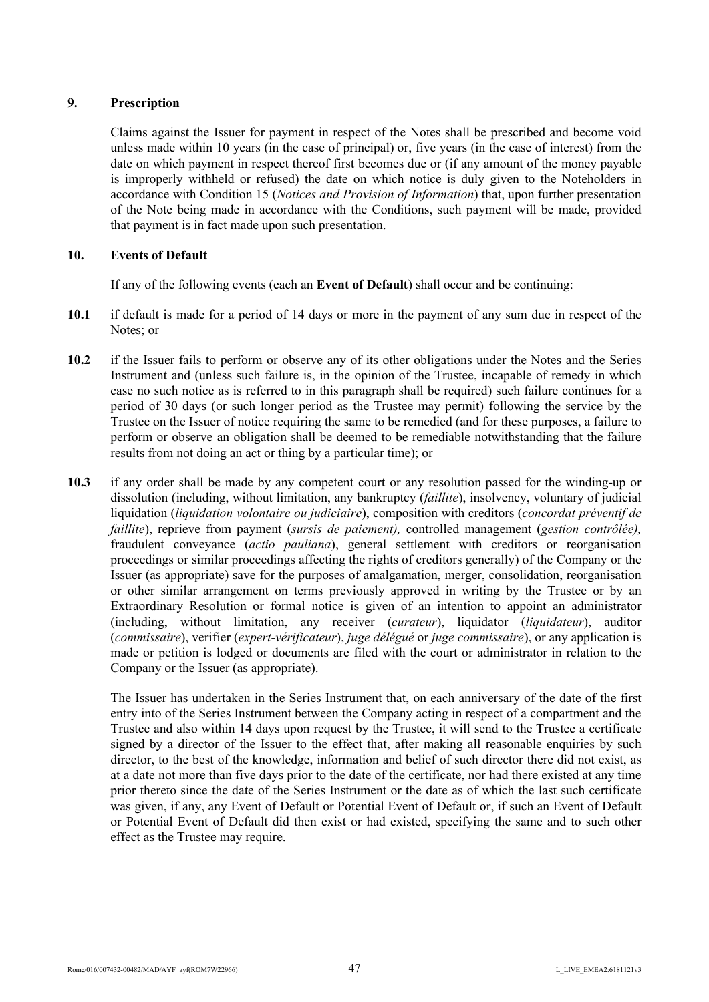# **9. Prescription**

Claims against the Issuer for payment in respect of the Notes shall be prescribed and become void unless made within 10 years (in the case of principal) or, five years (in the case of interest) from the date on which payment in respect thereof first becomes due or (if any amount of the money payable is improperly withheld or refused) the date on which notice is duly given to the Noteholders in accordance with Condition 15 (*Notices and Provision of Information*) that, upon further presentation of the Note being made in accordance with the Conditions, such payment will be made, provided that payment is in fact made upon such presentation.

# **10. Events of Default**

If any of the following events (each an **Event of Default**) shall occur and be continuing:

- **10.1** if default is made for a period of 14 days or more in the payment of any sum due in respect of the Notes; or
- **10.2** if the Issuer fails to perform or observe any of its other obligations under the Notes and the Series Instrument and (unless such failure is, in the opinion of the Trustee, incapable of remedy in which case no such notice as is referred to in this paragraph shall be required) such failure continues for a period of 30 days (or such longer period as the Trustee may permit) following the service by the Trustee on the Issuer of notice requiring the same to be remedied (and for these purposes, a failure to perform or observe an obligation shall be deemed to be remediable notwithstanding that the failure results from not doing an act or thing by a particular time); or
- **10.3** if any order shall be made by any competent court or any resolution passed for the winding-up or dissolution (including, without limitation, any bankruptcy (*faillite*), insolvency, voluntary of judicial liquidation (*liquidation volontaire ou judiciaire*), composition with creditors (*concordat préventif de faillite*), reprieve from payment (*sursis de paiement),* controlled management (*gestion contrôlée),*  fraudulent conveyance (*actio pauliana*), general settlement with creditors or reorganisation proceedings or similar proceedings affecting the rights of creditors generally) of the Company or the Issuer (as appropriate) save for the purposes of amalgamation, merger, consolidation, reorganisation or other similar arrangement on terms previously approved in writing by the Trustee or by an Extraordinary Resolution or formal notice is given of an intention to appoint an administrator (including, without limitation, any receiver (*curateur*), liquidator (*liquidateur*), auditor (*commissaire*), verifier (*expert-vérificateur*), *juge délégué* or *juge commissaire*), or any application is made or petition is lodged or documents are filed with the court or administrator in relation to the Company or the Issuer (as appropriate).

The Issuer has undertaken in the Series Instrument that, on each anniversary of the date of the first entry into of the Series Instrument between the Company acting in respect of a compartment and the Trustee and also within 14 days upon request by the Trustee, it will send to the Trustee a certificate signed by a director of the Issuer to the effect that, after making all reasonable enquiries by such director, to the best of the knowledge, information and belief of such director there did not exist, as at a date not more than five days prior to the date of the certificate, nor had there existed at any time prior thereto since the date of the Series Instrument or the date as of which the last such certificate was given, if any, any Event of Default or Potential Event of Default or, if such an Event of Default or Potential Event of Default did then exist or had existed, specifying the same and to such other effect as the Trustee may require.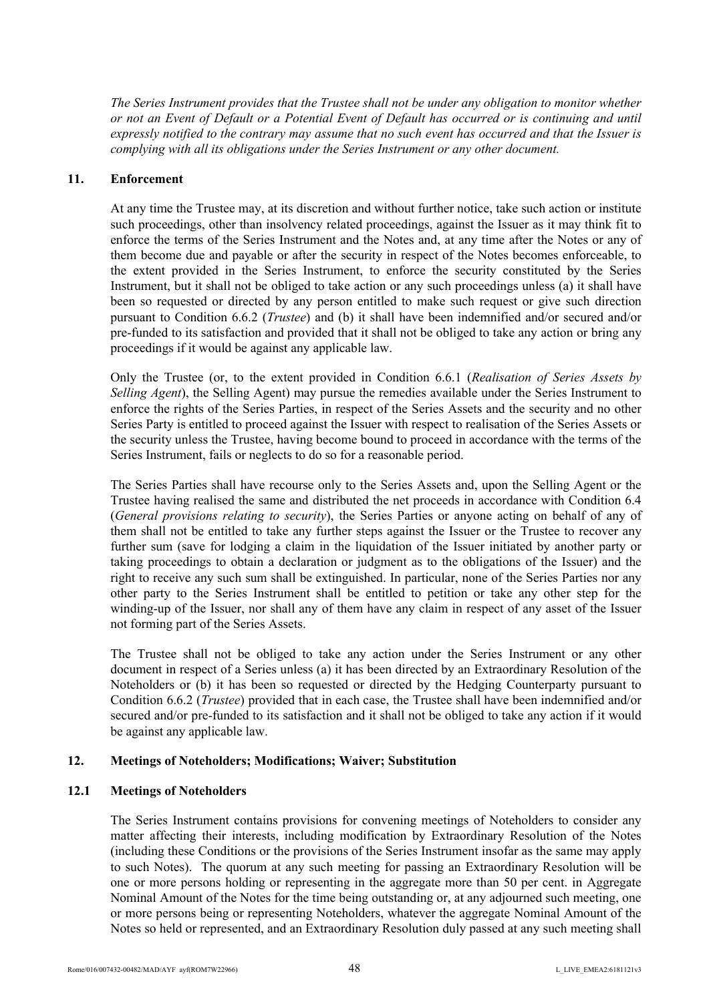*The Series Instrument provides that the Trustee shall not be under any obligation to monitor whether or not an Event of Default or a Potential Event of Default has occurred or is continuing and until expressly notified to the contrary may assume that no such event has occurred and that the Issuer is complying with all its obligations under the Series Instrument or any other document.*

### **11. Enforcement**

At any time the Trustee may, at its discretion and without further notice, take such action or institute such proceedings, other than insolvency related proceedings, against the Issuer as it may think fit to enforce the terms of the Series Instrument and the Notes and, at any time after the Notes or any of them become due and payable or after the security in respect of the Notes becomes enforceable, to the extent provided in the Series Instrument, to enforce the security constituted by the Series Instrument, but it shall not be obliged to take action or any such proceedings unless (a) it shall have been so requested or directed by any person entitled to make such request or give such direction pursuant to Condition 6.6.2 (*Trustee*) and (b) it shall have been indemnified and/or secured and/or pre-funded to its satisfaction and provided that it shall not be obliged to take any action or bring any proceedings if it would be against any applicable law.

Only the Trustee (or, to the extent provided in Condition 6.6.1 (*Realisation of Series Assets by Selling Agent*), the Selling Agent) may pursue the remedies available under the Series Instrument to enforce the rights of the Series Parties, in respect of the Series Assets and the security and no other Series Party is entitled to proceed against the Issuer with respect to realisation of the Series Assets or the security unless the Trustee, having become bound to proceed in accordance with the terms of the Series Instrument, fails or neglects to do so for a reasonable period.

The Series Parties shall have recourse only to the Series Assets and, upon the Selling Agent or the Trustee having realised the same and distributed the net proceeds in accordance with Condition 6.4 (*General provisions relating to security*), the Series Parties or anyone acting on behalf of any of them shall not be entitled to take any further steps against the Issuer or the Trustee to recover any further sum (save for lodging a claim in the liquidation of the Issuer initiated by another party or taking proceedings to obtain a declaration or judgment as to the obligations of the Issuer) and the right to receive any such sum shall be extinguished. In particular, none of the Series Parties nor any other party to the Series Instrument shall be entitled to petition or take any other step for the winding-up of the Issuer, nor shall any of them have any claim in respect of any asset of the Issuer not forming part of the Series Assets.

The Trustee shall not be obliged to take any action under the Series Instrument or any other document in respect of a Series unless (a) it has been directed by an Extraordinary Resolution of the Noteholders or (b) it has been so requested or directed by the Hedging Counterparty pursuant to Condition 6.6.2 (*Trustee*) provided that in each case, the Trustee shall have been indemnified and/or secured and/or pre-funded to its satisfaction and it shall not be obliged to take any action if it would be against any applicable law.

## **12. Meetings of Noteholders; Modifications; Waiver; Substitution**

## **12.1 Meetings of Noteholders**

The Series Instrument contains provisions for convening meetings of Noteholders to consider any matter affecting their interests, including modification by Extraordinary Resolution of the Notes (including these Conditions or the provisions of the Series Instrument insofar as the same may apply to such Notes). The quorum at any such meeting for passing an Extraordinary Resolution will be one or more persons holding or representing in the aggregate more than 50 per cent. in Aggregate Nominal Amount of the Notes for the time being outstanding or, at any adjourned such meeting, one or more persons being or representing Noteholders, whatever the aggregate Nominal Amount of the Notes so held or represented, and an Extraordinary Resolution duly passed at any such meeting shall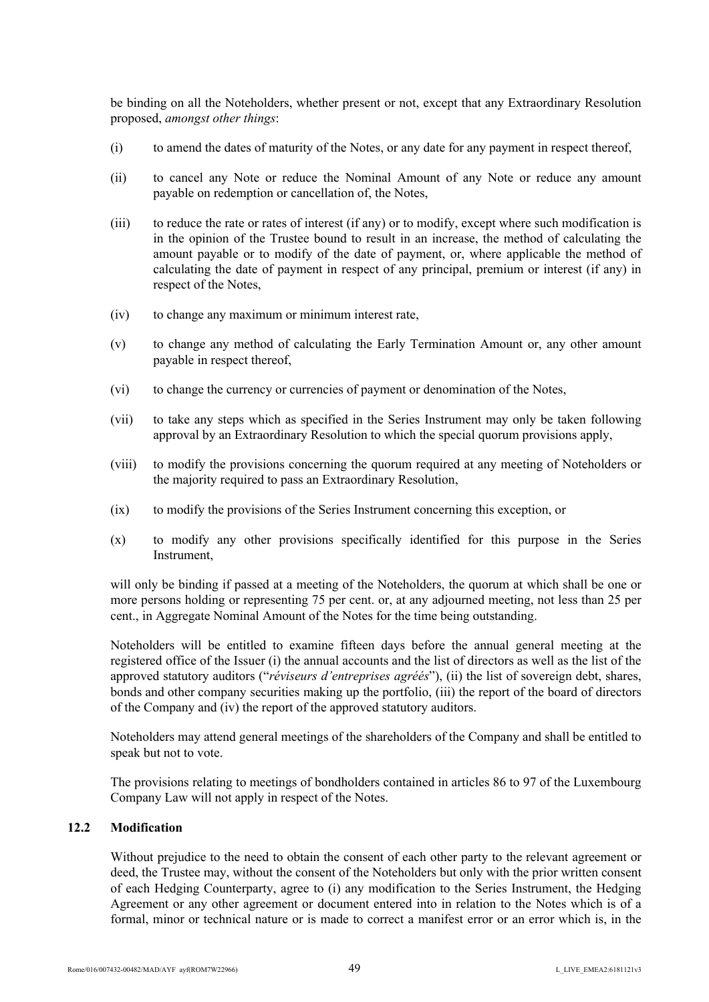be binding on all the Noteholders, whether present or not, except that any Extraordinary Resolution proposed, *amongst other things*:

- (i) to amend the dates of maturity of the Notes, or any date for any payment in respect thereof,
- (ii) to cancel any Note or reduce the Nominal Amount of any Note or reduce any amount payable on redemption or cancellation of, the Notes,
- (iii) to reduce the rate or rates of interest (if any) or to modify, except where such modification is in the opinion of the Trustee bound to result in an increase, the method of calculating the amount payable or to modify of the date of payment, or, where applicable the method of calculating the date of payment in respect of any principal, premium or interest (if any) in respect of the Notes,
- (iv) to change any maximum or minimum interest rate,
- (v) to change any method of calculating the Early Termination Amount or, any other amount payable in respect thereof,
- (vi) to change the currency or currencies of payment or denomination of the Notes,
- (vii) to take any steps which as specified in the Series Instrument may only be taken following approval by an Extraordinary Resolution to which the special quorum provisions apply,
- (viii) to modify the provisions concerning the quorum required at any meeting of Noteholders or the majority required to pass an Extraordinary Resolution,
- (ix) to modify the provisions of the Series Instrument concerning this exception, or
- (x) to modify any other provisions specifically identified for this purpose in the Series Instrument,

will only be binding if passed at a meeting of the Noteholders, the quorum at which shall be one or more persons holding or representing 75 per cent. or, at any adjourned meeting, not less than 25 per cent., in Aggregate Nominal Amount of the Notes for the time being outstanding.

Noteholders will be entitled to examine fifteen days before the annual general meeting at the registered office of the Issuer (i) the annual accounts and the list of directors as well as the list of the approved statutory auditors ("*réviseurs d'entreprises agréés*"), (ii) the list of sovereign debt, shares, bonds and other company securities making up the portfolio, (iii) the report of the board of directors of the Company and (iv) the report of the approved statutory auditors.

Noteholders may attend general meetings of the shareholders of the Company and shall be entitled to speak but not to vote.

The provisions relating to meetings of bondholders contained in articles 86 to 97 of the Luxembourg Company Law will not apply in respect of the Notes.

# **12.2 Modification**

Without prejudice to the need to obtain the consent of each other party to the relevant agreement or deed, the Trustee may, without the consent of the Noteholders but only with the prior written consent of each Hedging Counterparty, agree to (i) any modification to the Series Instrument, the Hedging Agreement or any other agreement or document entered into in relation to the Notes which is of a formal, minor or technical nature or is made to correct a manifest error or an error which is, in the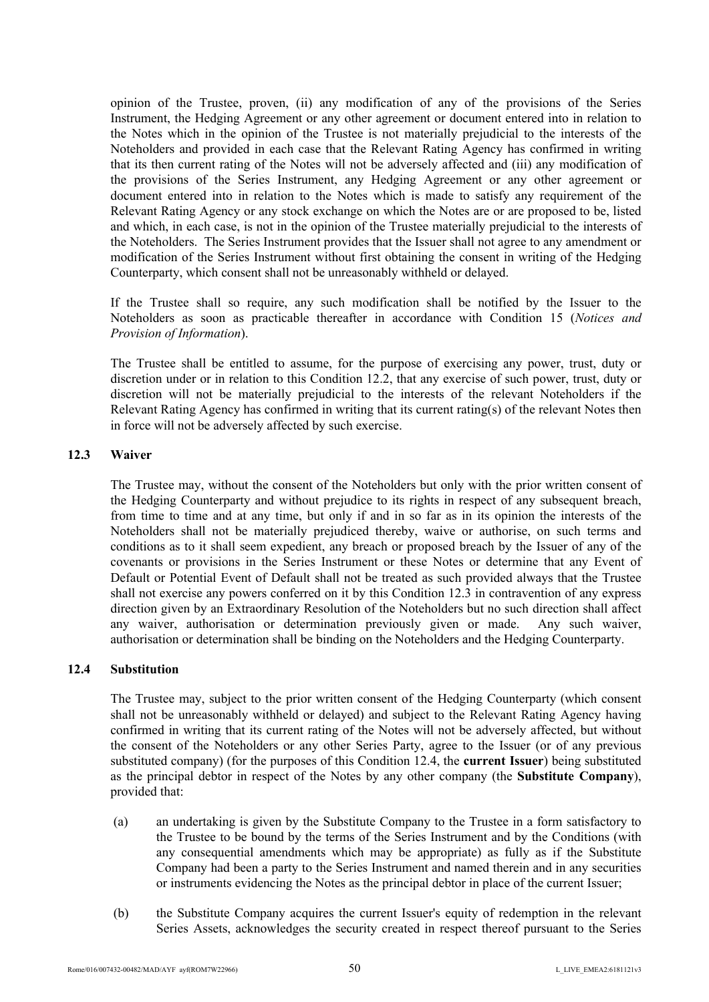opinion of the Trustee, proven, (ii) any modification of any of the provisions of the Series Instrument, the Hedging Agreement or any other agreement or document entered into in relation to the Notes which in the opinion of the Trustee is not materially prejudicial to the interests of the Noteholders and provided in each case that the Relevant Rating Agency has confirmed in writing that its then current rating of the Notes will not be adversely affected and (iii) any modification of the provisions of the Series Instrument, any Hedging Agreement or any other agreement or document entered into in relation to the Notes which is made to satisfy any requirement of the Relevant Rating Agency or any stock exchange on which the Notes are or are proposed to be, listed and which, in each case, is not in the opinion of the Trustee materially prejudicial to the interests of the Noteholders. The Series Instrument provides that the Issuer shall not agree to any amendment or modification of the Series Instrument without first obtaining the consent in writing of the Hedging Counterparty, which consent shall not be unreasonably withheld or delayed.

If the Trustee shall so require, any such modification shall be notified by the Issuer to the Noteholders as soon as practicable thereafter in accordance with Condition 15 (*Notices and Provision of Information*).

The Trustee shall be entitled to assume, for the purpose of exercising any power, trust, duty or discretion under or in relation to this Condition 12.2, that any exercise of such power, trust, duty or discretion will not be materially prejudicial to the interests of the relevant Noteholders if the Relevant Rating Agency has confirmed in writing that its current rating(s) of the relevant Notes then in force will not be adversely affected by such exercise.

# **12.3 Waiver**

The Trustee may, without the consent of the Noteholders but only with the prior written consent of the Hedging Counterparty and without prejudice to its rights in respect of any subsequent breach, from time to time and at any time, but only if and in so far as in its opinion the interests of the Noteholders shall not be materially prejudiced thereby, waive or authorise, on such terms and conditions as to it shall seem expedient, any breach or proposed breach by the Issuer of any of the covenants or provisions in the Series Instrument or these Notes or determine that any Event of Default or Potential Event of Default shall not be treated as such provided always that the Trustee shall not exercise any powers conferred on it by this Condition 12.3 in contravention of any express direction given by an Extraordinary Resolution of the Noteholders but no such direction shall affect any waiver, authorisation or determination previously given or made. Any such waiver, authorisation or determination shall be binding on the Noteholders and the Hedging Counterparty.

# **12.4 Substitution**

The Trustee may, subject to the prior written consent of the Hedging Counterparty (which consent shall not be unreasonably withheld or delayed) and subject to the Relevant Rating Agency having confirmed in writing that its current rating of the Notes will not be adversely affected, but without the consent of the Noteholders or any other Series Party, agree to the Issuer (or of any previous substituted company) (for the purposes of this Condition 12.4, the **current Issuer**) being substituted as the principal debtor in respect of the Notes by any other company (the **Substitute Company**), provided that:

- (a) an undertaking is given by the Substitute Company to the Trustee in a form satisfactory to the Trustee to be bound by the terms of the Series Instrument and by the Conditions (with any consequential amendments which may be appropriate) as fully as if the Substitute Company had been a party to the Series Instrument and named therein and in any securities or instruments evidencing the Notes as the principal debtor in place of the current Issuer;
- (b) the Substitute Company acquires the current Issuer's equity of redemption in the relevant Series Assets, acknowledges the security created in respect thereof pursuant to the Series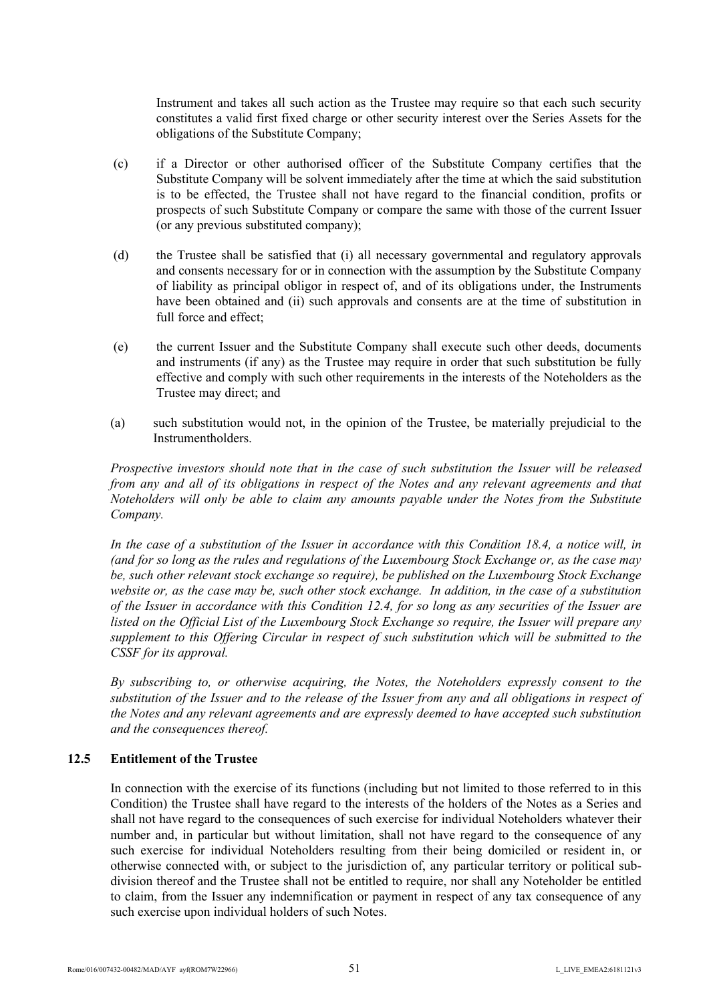Instrument and takes all such action as the Trustee may require so that each such security constitutes a valid first fixed charge or other security interest over the Series Assets for the obligations of the Substitute Company;

- (c) if a Director or other authorised officer of the Substitute Company certifies that the Substitute Company will be solvent immediately after the time at which the said substitution is to be effected, the Trustee shall not have regard to the financial condition, profits or prospects of such Substitute Company or compare the same with those of the current Issuer (or any previous substituted company);
- (d) the Trustee shall be satisfied that (i) all necessary governmental and regulatory approvals and consents necessary for or in connection with the assumption by the Substitute Company of liability as principal obligor in respect of, and of its obligations under, the Instruments have been obtained and (ii) such approvals and consents are at the time of substitution in full force and effect;
- (e) the current Issuer and the Substitute Company shall execute such other deeds, documents and instruments (if any) as the Trustee may require in order that such substitution be fully effective and comply with such other requirements in the interests of the Noteholders as the Trustee may direct; and
- (a) such substitution would not, in the opinion of the Trustee, be materially prejudicial to the Instrumentholders.

*Prospective investors should note that in the case of such substitution the Issuer will be released from any and all of its obligations in respect of the Notes and any relevant agreements and that Noteholders will only be able to claim any amounts payable under the Notes from the Substitute Company.*

*In the case of a substitution of the Issuer in accordance with this Condition 18.4, a notice will, in (and for so long as the rules and regulations of the Luxembourg Stock Exchange or, as the case may be, such other relevant stock exchange so require), be published on the Luxembourg Stock Exchange website or, as the case may be, such other stock exchange. In addition, in the case of a substitution of the Issuer in accordance with this Condition 12.4, for so long as any securities of the Issuer are listed on the Official List of the Luxembourg Stock Exchange so require, the Issuer will prepare any supplement to this Offering Circular in respect of such substitution which will be submitted to the CSSF for its approval.*

*By subscribing to, or otherwise acquiring, the Notes, the Noteholders expressly consent to the substitution of the Issuer and to the release of the Issuer from any and all obligations in respect of the Notes and any relevant agreements and are expressly deemed to have accepted such substitution and the consequences thereof.*

## **12.5 Entitlement of the Trustee**

In connection with the exercise of its functions (including but not limited to those referred to in this Condition) the Trustee shall have regard to the interests of the holders of the Notes as a Series and shall not have regard to the consequences of such exercise for individual Noteholders whatever their number and, in particular but without limitation, shall not have regard to the consequence of any such exercise for individual Noteholders resulting from their being domiciled or resident in, or otherwise connected with, or subject to the jurisdiction of, any particular territory or political subdivision thereof and the Trustee shall not be entitled to require, nor shall any Noteholder be entitled to claim, from the Issuer any indemnification or payment in respect of any tax consequence of any such exercise upon individual holders of such Notes.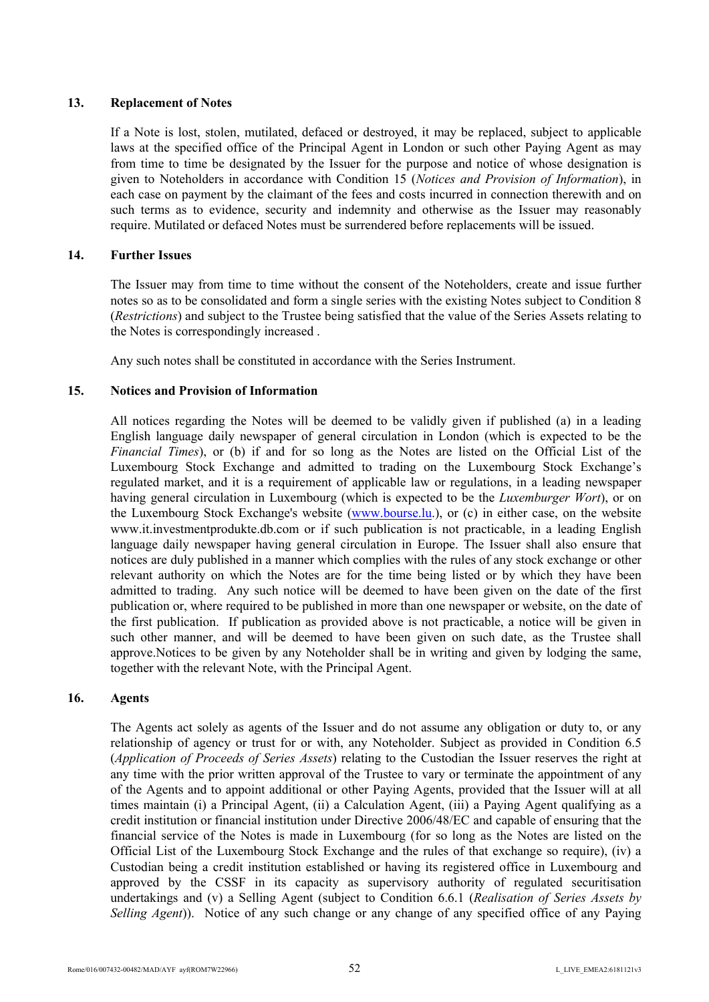# **13. Replacement of Notes**

If a Note is lost, stolen, mutilated, defaced or destroyed, it may be replaced, subject to applicable laws at the specified office of the Principal Agent in London or such other Paying Agent as may from time to time be designated by the Issuer for the purpose and notice of whose designation is given to Noteholders in accordance with Condition 15 (*Notices and Provision of Information*), in each case on payment by the claimant of the fees and costs incurred in connection therewith and on such terms as to evidence, security and indemnity and otherwise as the Issuer may reasonably require. Mutilated or defaced Notes must be surrendered before replacements will be issued.

# **14. Further Issues**

The Issuer may from time to time without the consent of the Noteholders, create and issue further notes so as to be consolidated and form a single series with the existing Notes subject to Condition 8 (*Restrictions*) and subject to the Trustee being satisfied that the value of the Series Assets relating to the Notes is correspondingly increased .

Any such notes shall be constituted in accordance with the Series Instrument.

# **15. Notices and Provision of Information**

All notices regarding the Notes will be deemed to be validly given if published (a) in a leading English language daily newspaper of general circulation in London (which is expected to be the *Financial Times*), or (b) if and for so long as the Notes are listed on the Official List of the Luxembourg Stock Exchange and admitted to trading on the Luxembourg Stock Exchange's regulated market, and it is a requirement of applicable law or regulations, in a leading newspaper having general circulation in Luxembourg (which is expected to be the *Luxemburger Wort*), or on the Luxembourg Stock Exchange's website (www.bourse.lu.), or (c) in either case, on the website www.it.investmentprodukte.db.com or if suc[h publication is](http://www.bourse.lu/) not practicable, in a leading English [language daily newspaper having g](http://www.it.investmentprodukte.db.com/)eneral circulation in Europe. The Issuer shall also ensure that notices are duly published in a manner which complies with the rules of any stock exchange or other relevant authority on which the Notes are for the time being listed or by which they have been admitted to trading. Any such notice will be deemed to have been given on the date of the first publication or, where required to be published in more than one newspaper or website, on the date of the first publication. If publication as provided above is not practicable, a notice will be given in such other manner, and will be deemed to have been given on such date, as the Trustee shall approve.Notices to be given by any Noteholder shall be in writing and given by lodging the same, together with the relevant Note, with the Principal Agent.

## **16. Agents**

The Agents act solely as agents of the Issuer and do not assume any obligation or duty to, or any relationship of agency or trust for or with, any Noteholder. Subject as provided in Condition 6.5 (*Application of Proceeds of Series Assets*) relating to the Custodian the Issuer reserves the right at any time with the prior written approval of the Trustee to vary or terminate the appointment of any of the Agents and to appoint additional or other Paying Agents, provided that the Issuer will at all times maintain (i) a Principal Agent, (ii) a Calculation Agent, (iii) a Paying Agent qualifying as a credit institution or financial institution under Directive 2006/48/EC and capable of ensuring that the financial service of the Notes is made in Luxembourg (for so long as the Notes are listed on the Official List of the Luxembourg Stock Exchange and the rules of that exchange so require), (iv) a Custodian being a credit institution established or having its registered office in Luxembourg and approved by the CSSF in its capacity as supervisory authority of regulated securitisation undertakings and (v) a Selling Agent (subject to Condition 6.6.1 (*Realisation of Series Assets by Selling Agent*)). Notice of any such change or any change of any specified office of any Paying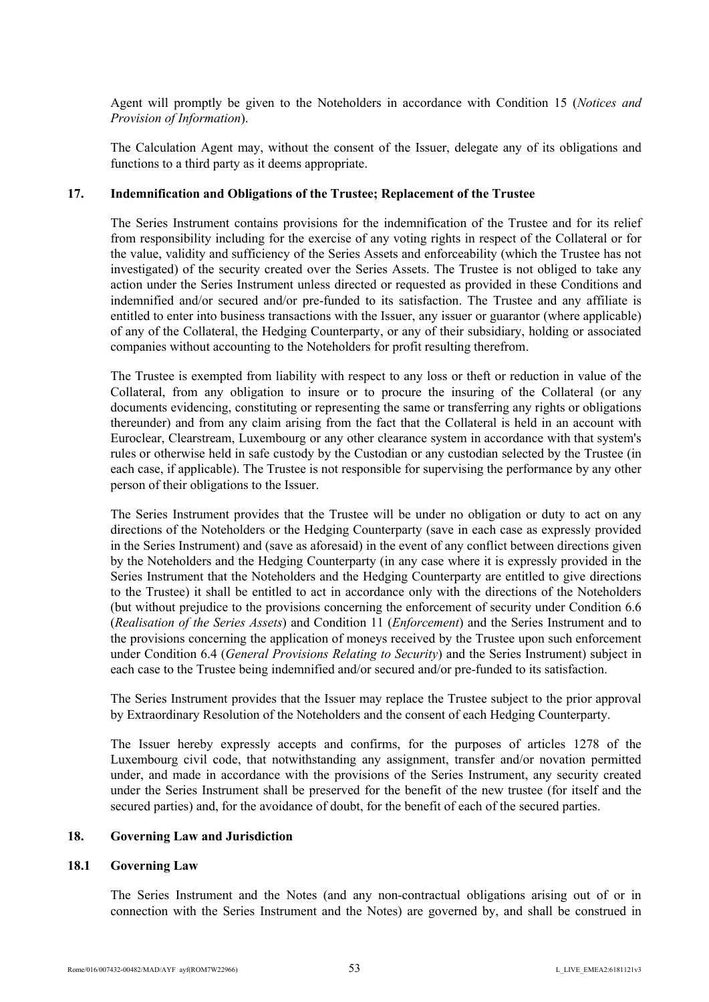Agent will promptly be given to the Noteholders in accordance with Condition 15 (*Notices and Provision of Information*).

The Calculation Agent may, without the consent of the Issuer, delegate any of its obligations and functions to a third party as it deems appropriate.

# **17. Indemnification and Obligations of the Trustee; Replacement of the Trustee**

The Series Instrument contains provisions for the indemnification of the Trustee and for its relief from responsibility including for the exercise of any voting rights in respect of the Collateral or for the value, validity and sufficiency of the Series Assets and enforceability (which the Trustee has not investigated) of the security created over the Series Assets. The Trustee is not obliged to take any action under the Series Instrument unless directed or requested as provided in these Conditions and indemnified and/or secured and/or pre-funded to its satisfaction. The Trustee and any affiliate is entitled to enter into business transactions with the Issuer, any issuer or guarantor (where applicable) of any of the Collateral, the Hedging Counterparty, or any of their subsidiary, holding or associated companies without accounting to the Noteholders for profit resulting therefrom.

The Trustee is exempted from liability with respect to any loss or theft or reduction in value of the Collateral, from any obligation to insure or to procure the insuring of the Collateral (or any documents evidencing, constituting or representing the same or transferring any rights or obligations thereunder) and from any claim arising from the fact that the Collateral is held in an account with Euroclear, Clearstream, Luxembourg or any other clearance system in accordance with that system's rules or otherwise held in safe custody by the Custodian or any custodian selected by the Trustee (in each case, if applicable). The Trustee is not responsible for supervising the performance by any other person of their obligations to the Issuer.

The Series Instrument provides that the Trustee will be under no obligation or duty to act on any directions of the Noteholders or the Hedging Counterparty (save in each case as expressly provided in the Series Instrument) and (save as aforesaid) in the event of any conflict between directions given by the Noteholders and the Hedging Counterparty (in any case where it is expressly provided in the Series Instrument that the Noteholders and the Hedging Counterparty are entitled to give directions to the Trustee) it shall be entitled to act in accordance only with the directions of the Noteholders (but without prejudice to the provisions concerning the enforcement of security under Condition 6.6 (*Realisation of the Series Assets*) and Condition 11 (*Enforcement*) and the Series Instrument and to the provisions concerning the application of moneys received by the Trustee upon such enforcement under Condition 6.4 (*General Provisions Relating to Security*) and the Series Instrument) subject in each case to the Trustee being indemnified and/or secured and/or pre-funded to its satisfaction.

The Series Instrument provides that the Issuer may replace the Trustee subject to the prior approval by Extraordinary Resolution of the Noteholders and the consent of each Hedging Counterparty.

The Issuer hereby expressly accepts and confirms, for the purposes of articles 1278 of the Luxembourg civil code, that notwithstanding any assignment, transfer and/or novation permitted under, and made in accordance with the provisions of the Series Instrument, any security created under the Series Instrument shall be preserved for the benefit of the new trustee (for itself and the secured parties) and, for the avoidance of doubt, for the benefit of each of the secured parties.

#### **18. Governing Law and Jurisdiction**

## **18.1 Governing Law**

The Series Instrument and the Notes (and any non-contractual obligations arising out of or in connection with the Series Instrument and the Notes) are governed by, and shall be construed in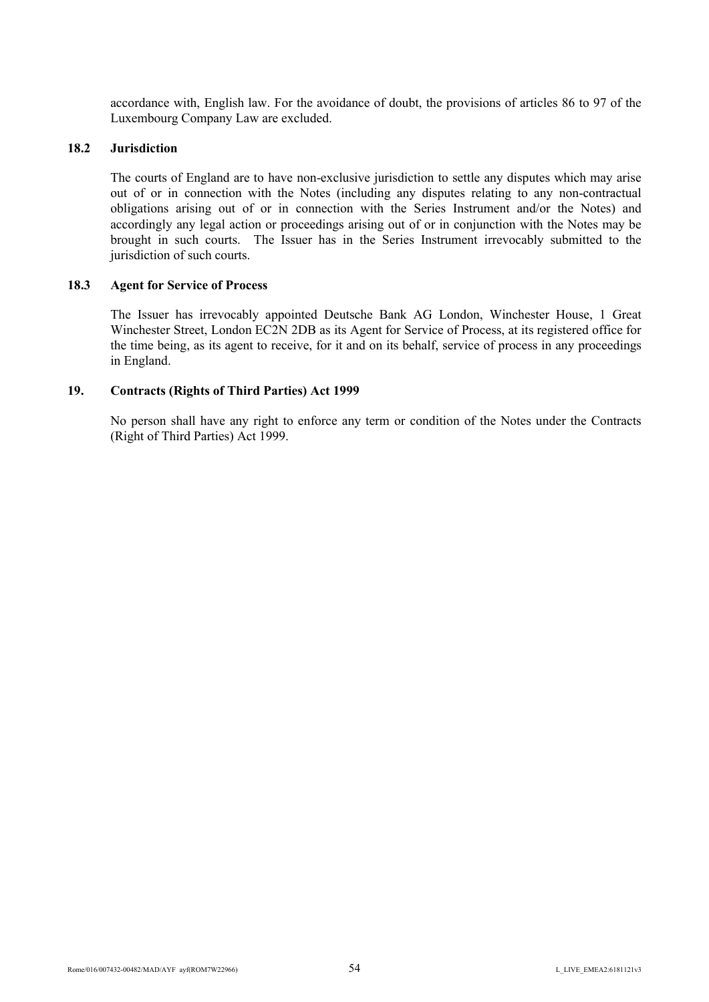accordance with, English law. For the avoidance of doubt, the provisions of articles 86 to 97 of the Luxembourg Company Law are excluded.

## **18.2 Jurisdiction**

The courts of England are to have non-exclusive jurisdiction to settle any disputes which may arise out of or in connection with the Notes (including any disputes relating to any non-contractual obligations arising out of or in connection with the Series Instrument and/or the Notes) and accordingly any legal action or proceedings arising out of or in conjunction with the Notes may be brought in such courts. The Issuer has in the Series Instrument irrevocably submitted to the jurisdiction of such courts.

### **18.3 Agent for Service of Process**

The Issuer has irrevocably appointed Deutsche Bank AG London, Winchester House, 1 Great Winchester Street, London EC2N 2DB as its Agent for Service of Process, at its registered office for the time being, as its agent to receive, for it and on its behalf, service of process in any proceedings in England.

### **19. Contracts (Rights of Third Parties) Act 1999**

No person shall have any right to enforce any term or condition of the Notes under the Contracts (Right of Third Parties) Act 1999.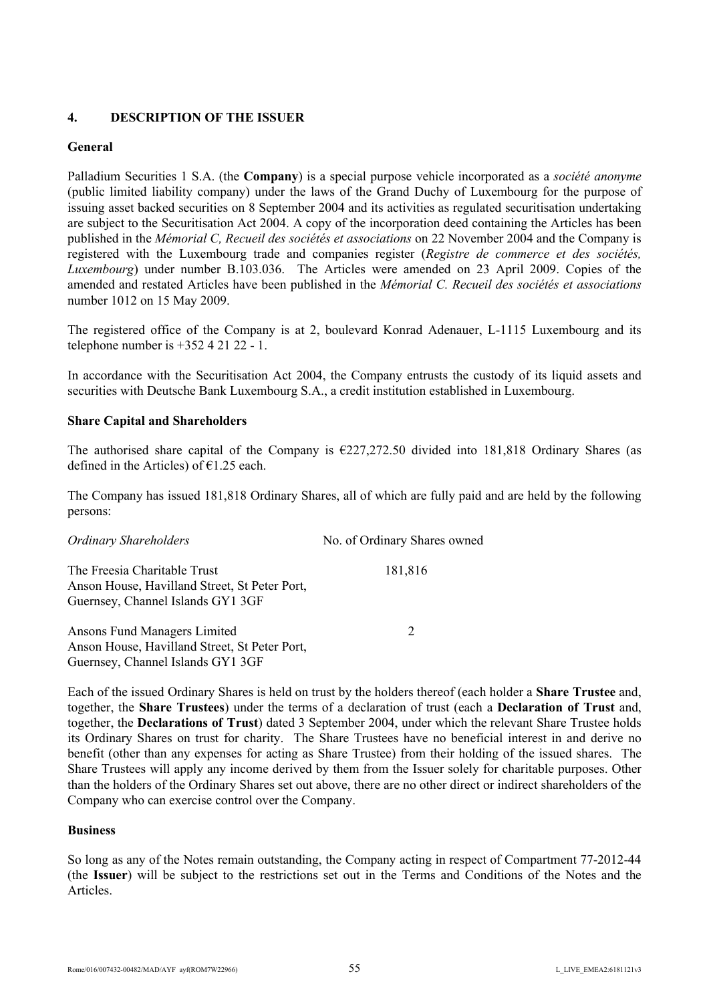# **4. DESCRIPTION OF THE ISSUER**

# **General**

Palladium Securities 1 S.A. (the **Company**) is a special purpose vehicle incorporated as a *société anonyme* (public limited liability company) under the laws of the Grand Duchy of Luxembourg for the purpose of issuing asset backed securities on 8 September 2004 and its activities as regulated securitisation undertaking are subject to the Securitisation Act 2004. A copy of the incorporation deed containing the Articles has been published in the *Mémorial C, Recueil des sociétés et associations* on 22 November 2004 and the Company is registered with the Luxembourg trade and companies register (*Registre de commerce et des sociétés, Luxembourg*) under number B.103.036. The Articles were amended on 23 April 2009. Copies of the amended and restated Articles have been published in the *Mémorial C. Recueil des sociétés et associations* number 1012 on 15 May 2009.

The registered office of the Company is at 2, boulevard Konrad Adenauer, L-1115 Luxembourg and its telephone number is  $+35242122 - 1$ .

In accordance with the Securitisation Act 2004, the Company entrusts the custody of its liquid assets and securities with Deutsche Bank Luxembourg S.A., a credit institution established in Luxembourg.

# **Share Capital and Shareholders**

The authorised share capital of the Company is  $\epsilon$ 227,272.50 divided into 181,818 Ordinary Shares (as defined in the Articles) of  $\epsilon$ 1.25 each.

The Company has issued 181,818 Ordinary Shares, all of which are fully paid and are held by the following persons:

| <b>Ordinary Shareholders</b>                                                                                       | No. of Ordinary Shares owned |
|--------------------------------------------------------------------------------------------------------------------|------------------------------|
| The Freesia Charitable Trust<br>Anson House, Havilland Street, St Peter Port,<br>Guernsey, Channel Islands GY1 3GF | 181,816                      |
| Ansons Fund Managers Limited<br>Anson House, Havilland Street, St Peter Port,<br>Guernsey, Channel Islands GY1 3GF | 2                            |

Each of the issued Ordinary Shares is held on trust by the holders thereof (each holder a **Share Trustee** and, together, the **Share Trustees**) under the terms of a declaration of trust (each a **Declaration of Trust** and, together, the **Declarations of Trust**) dated 3 September 2004, under which the relevant Share Trustee holds its Ordinary Shares on trust for charity. The Share Trustees have no beneficial interest in and derive no benefit (other than any expenses for acting as Share Trustee) from their holding of the issued shares. The Share Trustees will apply any income derived by them from the Issuer solely for charitable purposes. Other than the holders of the Ordinary Shares set out above, there are no other direct or indirect shareholders of the Company who can exercise control over the Company.

## **Business**

So long as any of the Notes remain outstanding, the Company acting in respect of Compartment 77-2012-44 (the **Issuer**) will be subject to the restrictions set out in the Terms and Conditions of the Notes and the Articles.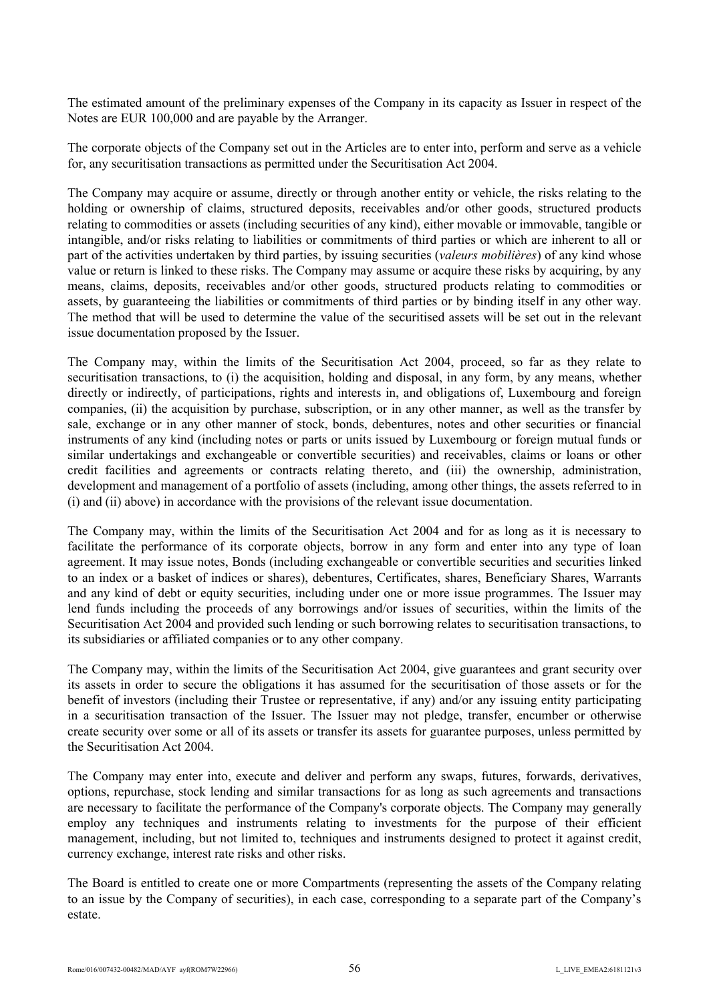The estimated amount of the preliminary expenses of the Company in its capacity as Issuer in respect of the Notes are EUR 100,000 and are payable by the Arranger.

The corporate objects of the Company set out in the Articles are to enter into, perform and serve as a vehicle for, any securitisation transactions as permitted under the Securitisation Act 2004.

The Company may acquire or assume, directly or through another entity or vehicle, the risks relating to the holding or ownership of claims, structured deposits, receivables and/or other goods, structured products relating to commodities or assets (including securities of any kind), either movable or immovable, tangible or intangible, and/or risks relating to liabilities or commitments of third parties or which are inherent to all or part of the activities undertaken by third parties, by issuing securities (*valeurs mobilières*) of any kind whose value or return is linked to these risks. The Company may assume or acquire these risks by acquiring, by any means, claims, deposits, receivables and/or other goods, structured products relating to commodities or assets, by guaranteeing the liabilities or commitments of third parties or by binding itself in any other way. The method that will be used to determine the value of the securitised assets will be set out in the relevant issue documentation proposed by the Issuer.

The Company may, within the limits of the Securitisation Act 2004, proceed, so far as they relate to securitisation transactions, to (i) the acquisition, holding and disposal, in any form, by any means, whether directly or indirectly, of participations, rights and interests in, and obligations of, Luxembourg and foreign companies, (ii) the acquisition by purchase, subscription, or in any other manner, as well as the transfer by sale, exchange or in any other manner of stock, bonds, debentures, notes and other securities or financial instruments of any kind (including notes or parts or units issued by Luxembourg or foreign mutual funds or similar undertakings and exchangeable or convertible securities) and receivables, claims or loans or other credit facilities and agreements or contracts relating thereto, and (iii) the ownership, administration, development and management of a portfolio of assets (including, among other things, the assets referred to in (i) and (ii) above) in accordance with the provisions of the relevant issue documentation.

The Company may, within the limits of the Securitisation Act 2004 and for as long as it is necessary to facilitate the performance of its corporate objects, borrow in any form and enter into any type of loan agreement. It may issue notes, Bonds (including exchangeable or convertible securities and securities linked to an index or a basket of indices or shares), debentures, Certificates, shares, Beneficiary Shares, Warrants and any kind of debt or equity securities, including under one or more issue programmes. The Issuer may lend funds including the proceeds of any borrowings and/or issues of securities, within the limits of the Securitisation Act 2004 and provided such lending or such borrowing relates to securitisation transactions, to its subsidiaries or affiliated companies or to any other company.

The Company may, within the limits of the Securitisation Act 2004, give guarantees and grant security over its assets in order to secure the obligations it has assumed for the securitisation of those assets or for the benefit of investors (including their Trustee or representative, if any) and/or any issuing entity participating in a securitisation transaction of the Issuer. The Issuer may not pledge, transfer, encumber or otherwise create security over some or all of its assets or transfer its assets for guarantee purposes, unless permitted by the Securitisation Act 2004.

The Company may enter into, execute and deliver and perform any swaps, futures, forwards, derivatives, options, repurchase, stock lending and similar transactions for as long as such agreements and transactions are necessary to facilitate the performance of the Company's corporate objects. The Company may generally employ any techniques and instruments relating to investments for the purpose of their efficient management, including, but not limited to, techniques and instruments designed to protect it against credit, currency exchange, interest rate risks and other risks.

The Board is entitled to create one or more Compartments (representing the assets of the Company relating to an issue by the Company of securities), in each case, corresponding to a separate part of the Company's estate.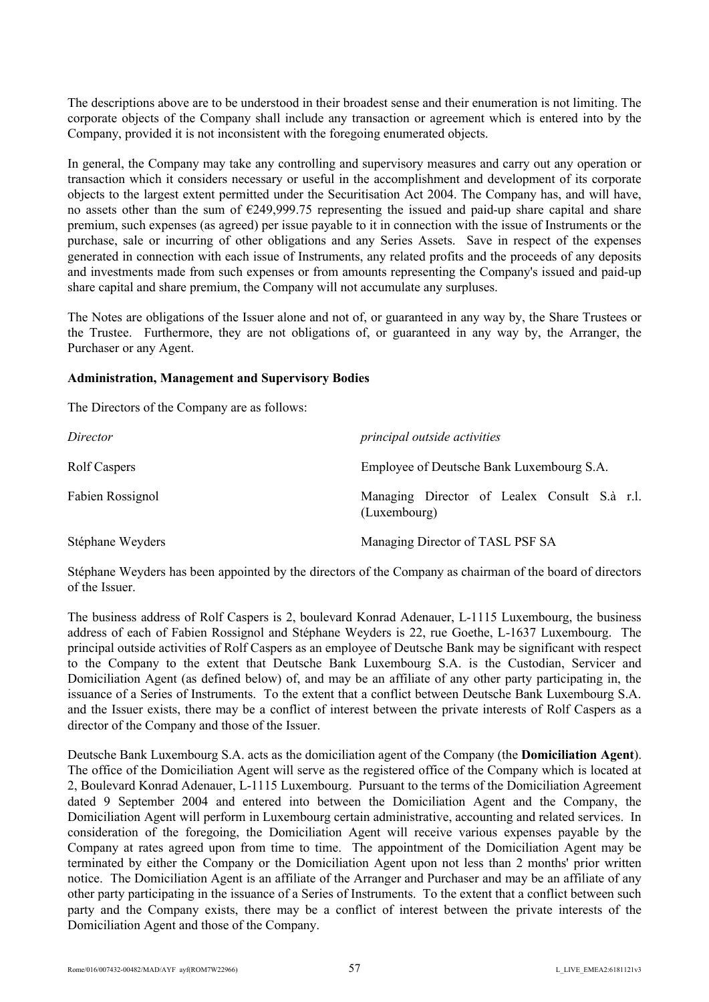The descriptions above are to be understood in their broadest sense and their enumeration is not limiting. The corporate objects of the Company shall include any transaction or agreement which is entered into by the Company, provided it is not inconsistent with the foregoing enumerated objects.

In general, the Company may take any controlling and supervisory measures and carry out any operation or transaction which it considers necessary or useful in the accomplishment and development of its corporate objects to the largest extent permitted under the Securitisation Act 2004. The Company has, and will have, no assets other than the sum of €249,999.75 representing the issued and paid-up share capital and share premium, such expenses (as agreed) per issue payable to it in connection with the issue of Instruments or the purchase, sale or incurring of other obligations and any Series Assets. Save in respect of the expenses generated in connection with each issue of Instruments, any related profits and the proceeds of any deposits and investments made from such expenses or from amounts representing the Company's issued and paid-up share capital and share premium, the Company will not accumulate any surpluses.

The Notes are obligations of the Issuer alone and not of, or guaranteed in any way by, the Share Trustees or the Trustee. Furthermore, they are not obligations of, or guaranteed in any way by, the Arranger, the Purchaser or any Agent.

### **Administration, Management and Supervisory Bodies**

The Directors of the Company are as follows:

| Director         | principal outside activities                                 |
|------------------|--------------------------------------------------------------|
| Rolf Caspers     | Employee of Deutsche Bank Luxembourg S.A.                    |
| Fabien Rossignol | Managing Director of Lealex Consult S.à r.l.<br>(Luxembourg) |
| Stéphane Weyders | Managing Director of TASL PSF SA                             |

Stéphane Weyders has been appointed by the directors of the Company as chairman of the board of directors of the Issuer.

The business address of Rolf Caspers is 2, boulevard Konrad Adenauer, L-1115 Luxembourg, the business address of each of Fabien Rossignol and Stéphane Weyders is 22, rue Goethe, L-1637 Luxembourg. The principal outside activities of Rolf Caspers as an employee of Deutsche Bank may be significant with respect to the Company to the extent that Deutsche Bank Luxembourg S.A. is the Custodian, Servicer and Domiciliation Agent (as defined below) of, and may be an affiliate of any other party participating in, the issuance of a Series of Instruments. To the extent that a conflict between Deutsche Bank Luxembourg S.A. and the Issuer exists, there may be a conflict of interest between the private interests of Rolf Caspers as a director of the Company and those of the Issuer.

Deutsche Bank Luxembourg S.A. acts as the domiciliation agent of the Company (the **Domiciliation Agent**). The office of the Domiciliation Agent will serve as the registered office of the Company which is located at 2, Boulevard Konrad Adenauer, L-1115 Luxembourg. Pursuant to the terms of the Domiciliation Agreement dated 9 September 2004 and entered into between the Domiciliation Agent and the Company, the Domiciliation Agent will perform in Luxembourg certain administrative, accounting and related services. In consideration of the foregoing, the Domiciliation Agent will receive various expenses payable by the Company at rates agreed upon from time to time. The appointment of the Domiciliation Agent may be terminated by either the Company or the Domiciliation Agent upon not less than 2 months' prior written notice. The Domiciliation Agent is an affiliate of the Arranger and Purchaser and may be an affiliate of any other party participating in the issuance of a Series of Instruments. To the extent that a conflict between such party and the Company exists, there may be a conflict of interest between the private interests of the Domiciliation Agent and those of the Company.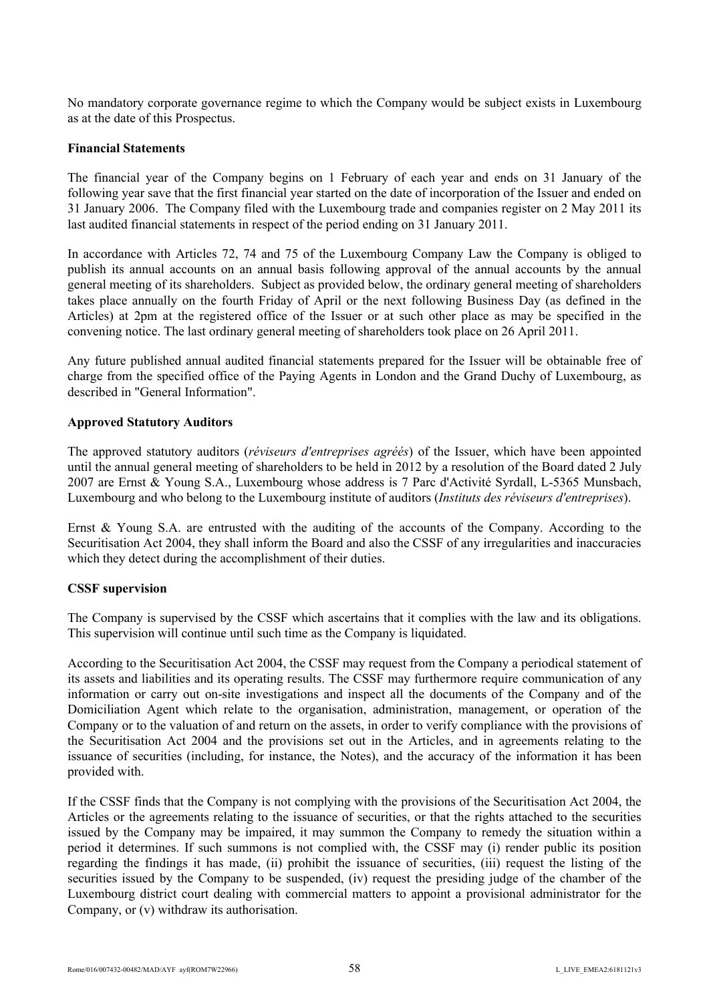No mandatory corporate governance regime to which the Company would be subject exists in Luxembourg as at the date of this Prospectus.

#### **Financial Statements**

The financial year of the Company begins on 1 February of each year and ends on 31 January of the following year save that the first financial year started on the date of incorporation of the Issuer and ended on 31 January 2006. The Company filed with the Luxembourg trade and companies register on 2 May 2011 its last audited financial statements in respect of the period ending on 31 January 2011.

In accordance with Articles 72, 74 and 75 of the Luxembourg Company Law the Company is obliged to publish its annual accounts on an annual basis following approval of the annual accounts by the annual general meeting of its shareholders. Subject as provided below, the ordinary general meeting of shareholders takes place annually on the fourth Friday of April or the next following Business Day (as defined in the Articles) at 2pm at the registered office of the Issuer or at such other place as may be specified in the convening notice. The last ordinary general meeting of shareholders took place on 26 April 2011.

Any future published annual audited financial statements prepared for the Issuer will be obtainable free of charge from the specified office of the Paying Agents in London and the Grand Duchy of Luxembourg, as described in "General Information".

## **Approved Statutory Auditors**

The approved statutory auditors (*réviseurs d'entreprises agréés*) of the Issuer, which have been appointed until the annual general meeting of shareholders to be held in 2012 by a resolution of the Board dated 2 July 2007 are Ernst & Young S.A., Luxembourg whose address is 7 Parc d'Activité Syrdall, L-5365 Munsbach, Luxembourg and who belong to the Luxembourg institute of auditors (*Instituts des réviseurs d'entreprises*).

Ernst & Young S.A. are entrusted with the auditing of the accounts of the Company. According to the Securitisation Act 2004, they shall inform the Board and also the CSSF of any irregularities and inaccuracies which they detect during the accomplishment of their duties.

## **CSSF supervision**

The Company is supervised by the CSSF which ascertains that it complies with the law and its obligations. This supervision will continue until such time as the Company is liquidated.

According to the Securitisation Act 2004, the CSSF may request from the Company a periodical statement of its assets and liabilities and its operating results. The CSSF may furthermore require communication of any information or carry out on-site investigations and inspect all the documents of the Company and of the Domiciliation Agent which relate to the organisation, administration, management, or operation of the Company or to the valuation of and return on the assets, in order to verify compliance with the provisions of the Securitisation Act 2004 and the provisions set out in the Articles, and in agreements relating to the issuance of securities (including, for instance, the Notes), and the accuracy of the information it has been provided with.

If the CSSF finds that the Company is not complying with the provisions of the Securitisation Act 2004, the Articles or the agreements relating to the issuance of securities, or that the rights attached to the securities issued by the Company may be impaired, it may summon the Company to remedy the situation within a period it determines. If such summons is not complied with, the CSSF may (i) render public its position regarding the findings it has made, (ii) prohibit the issuance of securities, (iii) request the listing of the securities issued by the Company to be suspended, (iv) request the presiding judge of the chamber of the Luxembourg district court dealing with commercial matters to appoint a provisional administrator for the Company, or (v) withdraw its authorisation.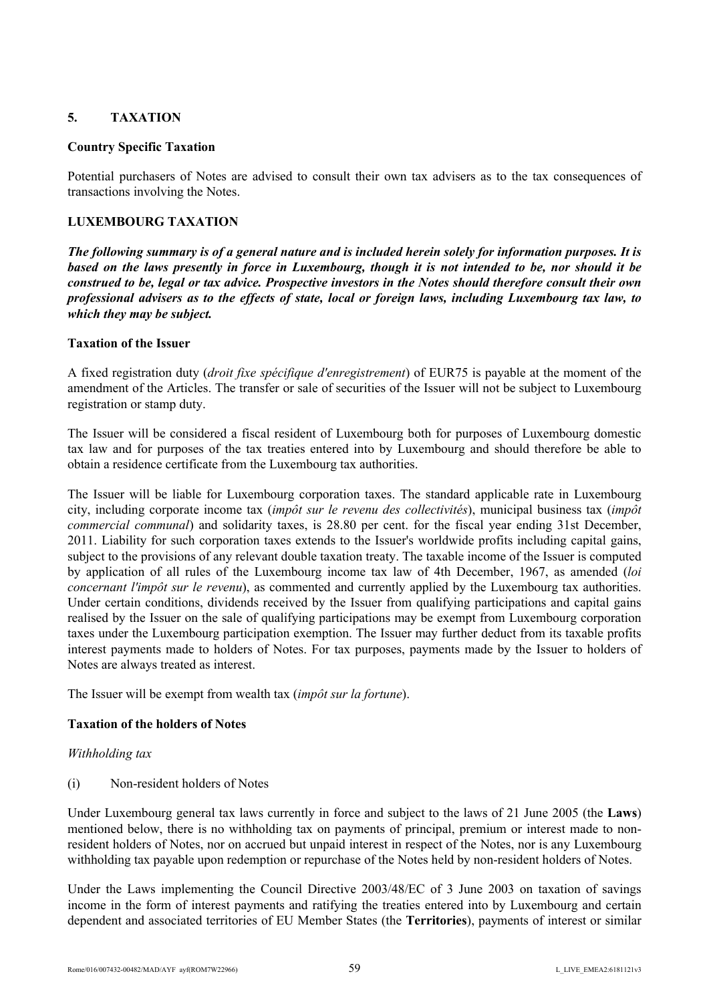# **5. TAXATION**

## **Country Specific Taxation**

Potential purchasers of Notes are advised to consult their own tax advisers as to the tax consequences of transactions involving the Notes.

# **LUXEMBOURG TAXATION**

*The following summary is of a general nature and is included herein solely for information purposes. It is based on the laws presently in force in Luxembourg, though it is not intended to be, nor should it be construed to be, legal or tax advice. Prospective investors in the Notes should therefore consult their own professional advisers as to the effects of state, local or foreign laws, including Luxembourg tax law, to which they may be subject.*

# **Taxation of the Issuer**

A fixed registration duty (*droit fixe spécifique d'enregistrement*) of EUR75 is payable at the moment of the amendment of the Articles. The transfer or sale of securities of the Issuer will not be subject to Luxembourg registration or stamp duty.

The Issuer will be considered a fiscal resident of Luxembourg both for purposes of Luxembourg domestic tax law and for purposes of the tax treaties entered into by Luxembourg and should therefore be able to obtain a residence certificate from the Luxembourg tax authorities.

The Issuer will be liable for Luxembourg corporation taxes. The standard applicable rate in Luxembourg city, including corporate income tax (*impôt sur le revenu des collectivités*), municipal business tax (*impôt commercial communal*) and solidarity taxes, is 28.80 per cent. for the fiscal year ending 31st December, 2011. Liability for such corporation taxes extends to the Issuer's worldwide profits including capital gains, subject to the provisions of any relevant double taxation treaty. The taxable income of the Issuer is computed by application of all rules of the Luxembourg income tax law of 4th December, 1967, as amended (*loi concernant l'impôt sur le revenu*), as commented and currently applied by the Luxembourg tax authorities. Under certain conditions, dividends received by the Issuer from qualifying participations and capital gains realised by the Issuer on the sale of qualifying participations may be exempt from Luxembourg corporation taxes under the Luxembourg participation exemption. The Issuer may further deduct from its taxable profits interest payments made to holders of Notes. For tax purposes, payments made by the Issuer to holders of Notes are always treated as interest.

The Issuer will be exempt from wealth tax (*impôt sur la fortune*).

# **Taxation of the holders of Notes**

## *Withholding tax*

(i) Non-resident holders of Notes

Under Luxembourg general tax laws currently in force and subject to the laws of 21 June 2005 (the **Laws**) mentioned below, there is no withholding tax on payments of principal, premium or interest made to nonresident holders of Notes, nor on accrued but unpaid interest in respect of the Notes, nor is any Luxembourg withholding tax payable upon redemption or repurchase of the Notes held by non-resident holders of Notes.

Under the Laws implementing the Council Directive 2003/48/EC of 3 June 2003 on taxation of savings income in the form of interest payments and ratifying the treaties entered into by Luxembourg and certain dependent and associated territories of EU Member States (the **Territories**), payments of interest or similar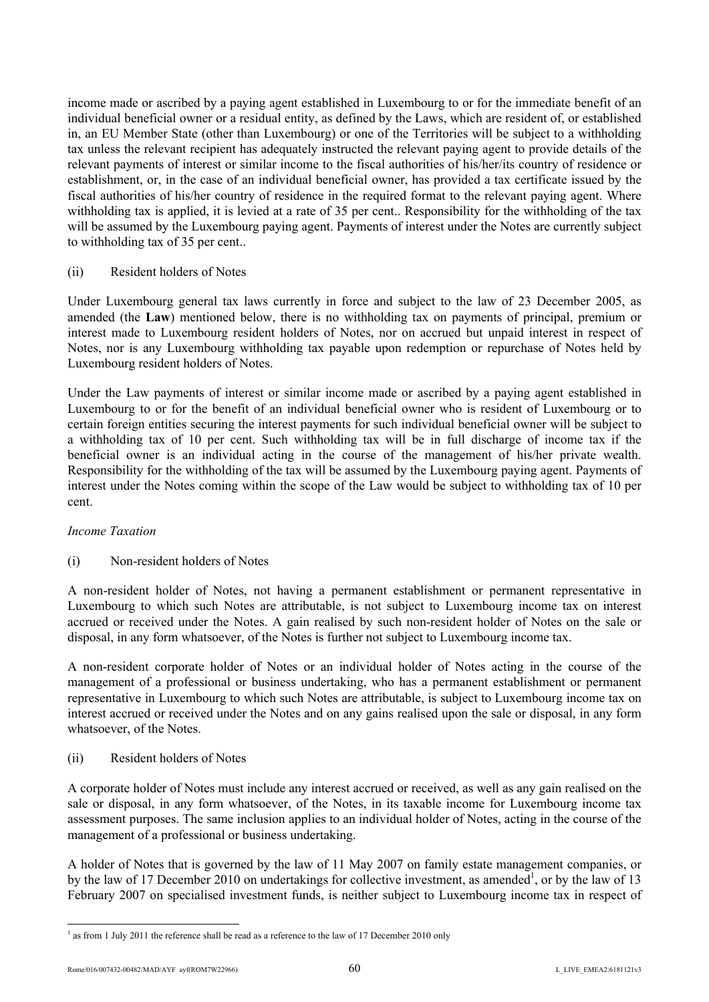income made or ascribed by a paying agent established in Luxembourg to or for the immediate benefit of an individual beneficial owner or a residual entity, as defined by the Laws, which are resident of, or established in, an EU Member State (other than Luxembourg) or one of the Territories will be subject to a withholding tax unless the relevant recipient has adequately instructed the relevant paying agent to provide details of the relevant payments of interest or similar income to the fiscal authorities of his/her/its country of residence or establishment, or, in the case of an individual beneficial owner, has provided a tax certificate issued by the fiscal authorities of his/her country of residence in the required format to the relevant paying agent. Where withholding tax is applied, it is levied at a rate of 35 per cent.. Responsibility for the withholding of the tax will be assumed by the Luxembourg paying agent. Payments of interest under the Notes are currently subject to withholding tax of 35 per cent..

### (ii) Resident holders of Notes

Under Luxembourg general tax laws currently in force and subject to the law of 23 December 2005, as amended (the **Law**) mentioned below, there is no withholding tax on payments of principal, premium or interest made to Luxembourg resident holders of Notes, nor on accrued but unpaid interest in respect of Notes, nor is any Luxembourg withholding tax payable upon redemption or repurchase of Notes held by Luxembourg resident holders of Notes.

Under the Law payments of interest or similar income made or ascribed by a paying agent established in Luxembourg to or for the benefit of an individual beneficial owner who is resident of Luxembourg or to certain foreign entities securing the interest payments for such individual beneficial owner will be subject to a withholding tax of 10 per cent. Such withholding tax will be in full discharge of income tax if the beneficial owner is an individual acting in the course of the management of his/her private wealth. Responsibility for the withholding of the tax will be assumed by the Luxembourg paying agent. Payments of interest under the Notes coming within the scope of the Law would be subject to withholding tax of 10 per cent.

## *Income Taxation*

## (i) Non-resident holders of Notes

A non-resident holder of Notes, not having a permanent establishment or permanent representative in Luxembourg to which such Notes are attributable, is not subject to Luxembourg income tax on interest accrued or received under the Notes. A gain realised by such non-resident holder of Notes on the sale or disposal, in any form whatsoever, of the Notes is further not subject to Luxembourg income tax.

A non-resident corporate holder of Notes or an individual holder of Notes acting in the course of the management of a professional or business undertaking, who has a permanent establishment or permanent representative in Luxembourg to which such Notes are attributable, is subject to Luxembourg income tax on interest accrued or received under the Notes and on any gains realised upon the sale or disposal, in any form whatsoever, of the Notes.

## (ii) Resident holders of Notes

A corporate holder of Notes must include any interest accrued or received, as well as any gain realised on the sale or disposal, in any form whatsoever, of the Notes, in its taxable income for Luxembourg income tax assessment purposes. The same inclusion applies to an individual holder of Notes, acting in the course of the management of a professional or business undertaking.

A holder of Notes that is governed by the law of 11 May 2007 on family estate management companies, or by the law of 17 December 2010 on undertakings for collective investment, as amended<sup>1</sup>, or by the law of 13 February 2007 on specialised investment funds, is neither subject to Luxembourg income tax in respect of

l

 $1$  as from 1 July 2011 the reference shall be read as a reference to the law of 17 December 2010 only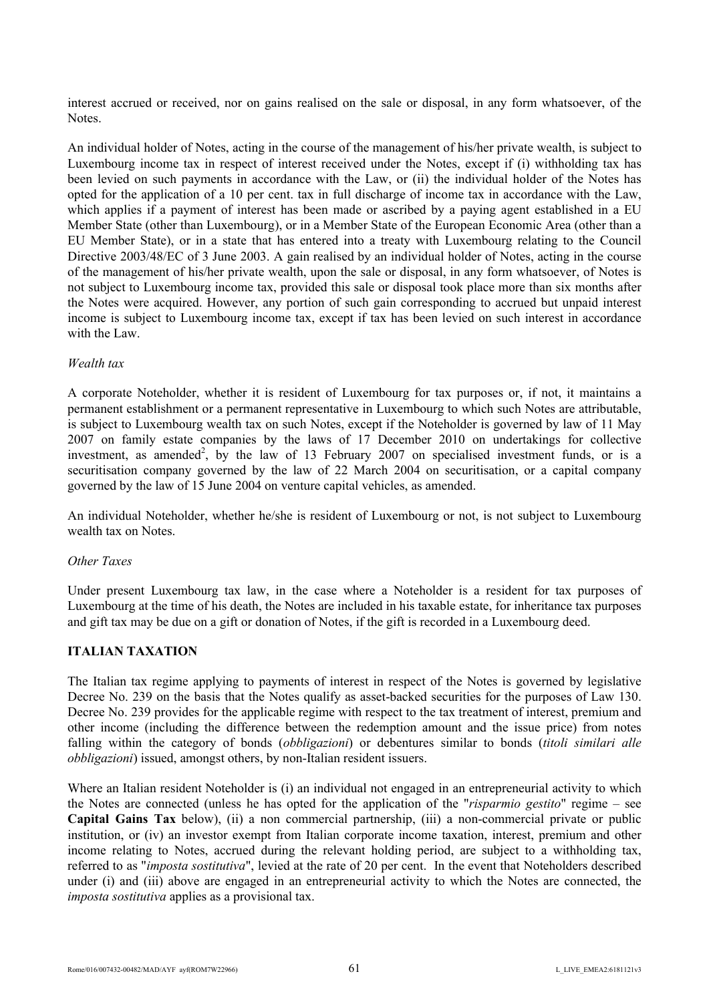interest accrued or received, nor on gains realised on the sale or disposal, in any form whatsoever, of the Notes.

An individual holder of Notes, acting in the course of the management of his/her private wealth, is subject to Luxembourg income tax in respect of interest received under the Notes, except if (i) withholding tax has been levied on such payments in accordance with the Law, or (ii) the individual holder of the Notes has opted for the application of a 10 per cent. tax in full discharge of income tax in accordance with the Law, which applies if a payment of interest has been made or ascribed by a paying agent established in a EU Member State (other than Luxembourg), or in a Member State of the European Economic Area (other than a EU Member State), or in a state that has entered into a treaty with Luxembourg relating to the Council Directive 2003/48/EC of 3 June 2003. A gain realised by an individual holder of Notes, acting in the course of the management of his/her private wealth, upon the sale or disposal, in any form whatsoever, of Notes is not subject to Luxembourg income tax, provided this sale or disposal took place more than six months after the Notes were acquired. However, any portion of such gain corresponding to accrued but unpaid interest income is subject to Luxembourg income tax, except if tax has been levied on such interest in accordance with the Law.

### *Wealth tax*

A corporate Noteholder, whether it is resident of Luxembourg for tax purposes or, if not, it maintains a permanent establishment or a permanent representative in Luxembourg to which such Notes are attributable, is subject to Luxembourg wealth tax on such Notes, except if the Noteholder is governed by law of 11 May 2007 on family estate companies by the laws of 17 December 2010 on undertakings for collective investment, as amended<sup>2</sup>, by the law of 13 February 2007 on specialised investment funds, or is a securitisation company governed by the law of 22 March 2004 on securitisation, or a capital company governed by the law of 15 June 2004 on venture capital vehicles, as amended.

An individual Noteholder, whether he/she is resident of Luxembourg or not, is not subject to Luxembourg wealth tax on Notes.

#### *Other Taxes*

Under present Luxembourg tax law, in the case where a Noteholder is a resident for tax purposes of Luxembourg at the time of his death, the Notes are included in his taxable estate, for inheritance tax purposes and gift tax may be due on a gift or donation of Notes, if the gift is recorded in a Luxembourg deed.

## **ITALIAN TAXATION**

The Italian tax regime applying to payments of interest in respect of the Notes is governed by legislative Decree No. 239 on the basis that the Notes qualify as asset-backed securities for the purposes of Law 130. Decree No. 239 provides for the applicable regime with respect to the tax treatment of interest, premium and other income (including the difference between the redemption amount and the issue price) from notes falling within the category of bonds (*obbligazioni*) or debentures similar to bonds (*titoli similari alle obbligazioni*) issued, amongst others, by non-Italian resident issuers.

Where an Italian resident Noteholder is (i) an individual not engaged in an entrepreneurial activity to which the Notes are connected (unless he has opted for the application of the "*risparmio gestito*" regime – see **Capital Gains Tax** below), (ii) a non commercial partnership, (iii) a non-commercial private or public institution, or (iv) an investor exempt from Italian corporate income taxation, interest, premium and other income relating to Notes, accrued during the relevant holding period, are subject to a withholding tax, referred to as "*imposta sostitutiva*", levied at the rate of 20 per cent. In the event that Noteholders described under (i) and (iii) above are engaged in an entrepreneurial activity to which the Notes are connected, the *imposta sostitutiva* applies as a provisional tax.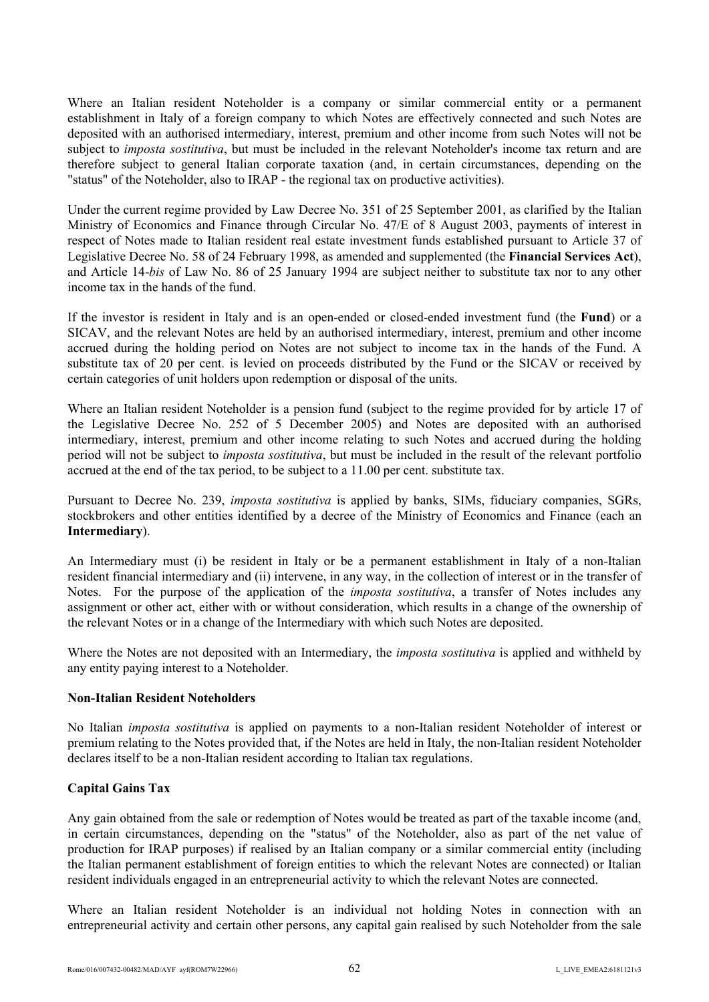Where an Italian resident Noteholder is a company or similar commercial entity or a permanent establishment in Italy of a foreign company to which Notes are effectively connected and such Notes are deposited with an authorised intermediary, interest, premium and other income from such Notes will not be subject to *imposta sostitutiva*, but must be included in the relevant Noteholder's income tax return and are therefore subject to general Italian corporate taxation (and, in certain circumstances, depending on the "status" of the Noteholder, also to IRAP - the regional tax on productive activities).

Under the current regime provided by Law Decree No. 351 of 25 September 2001, as clarified by the Italian Ministry of Economics and Finance through Circular No. 47/E of 8 August 2003, payments of interest in respect of Notes made to Italian resident real estate investment funds established pursuant to Article 37 of Legislative Decree No. 58 of 24 February 1998, as amended and supplemented (the **Financial Services Act**), and Article 14-*bis* of Law No. 86 of 25 January 1994 are subject neither to substitute tax nor to any other income tax in the hands of the fund.

If the investor is resident in Italy and is an open-ended or closed-ended investment fund (the **Fund**) or a SICAV, and the relevant Notes are held by an authorised intermediary, interest, premium and other income accrued during the holding period on Notes are not subject to income tax in the hands of the Fund. A substitute tax of 20 per cent. is levied on proceeds distributed by the Fund or the SICAV or received by certain categories of unit holders upon redemption or disposal of the units.

Where an Italian resident Noteholder is a pension fund (subject to the regime provided for by article 17 of the Legislative Decree No. 252 of 5 December 2005) and Notes are deposited with an authorised intermediary, interest, premium and other income relating to such Notes and accrued during the holding period will not be subject to *imposta sostitutiva*, but must be included in the result of the relevant portfolio accrued at the end of the tax period, to be subject to a 11.00 per cent. substitute tax.

Pursuant to Decree No. 239, *imposta sostitutiva* is applied by banks, SIMs, fiduciary companies, SGRs, stockbrokers and other entities identified by a decree of the Ministry of Economics and Finance (each an **Intermediary**).

An Intermediary must (i) be resident in Italy or be a permanent establishment in Italy of a non-Italian resident financial intermediary and (ii) intervene, in any way, in the collection of interest or in the transfer of Notes. For the purpose of the application of the *imposta sostitutiva*, a transfer of Notes includes any assignment or other act, either with or without consideration, which results in a change of the ownership of the relevant Notes or in a change of the Intermediary with which such Notes are deposited.

Where the Notes are not deposited with an Intermediary, the *imposta sostitutiva* is applied and withheld by any entity paying interest to a Noteholder.

## **Non-Italian Resident Noteholders**

No Italian *imposta sostitutiva* is applied on payments to a non-Italian resident Noteholder of interest or premium relating to the Notes provided that, if the Notes are held in Italy, the non-Italian resident Noteholder declares itself to be a non-Italian resident according to Italian tax regulations.

# **Capital Gains Tax**

Any gain obtained from the sale or redemption of Notes would be treated as part of the taxable income (and, in certain circumstances, depending on the "status" of the Noteholder, also as part of the net value of production for IRAP purposes) if realised by an Italian company or a similar commercial entity (including the Italian permanent establishment of foreign entities to which the relevant Notes are connected) or Italian resident individuals engaged in an entrepreneurial activity to which the relevant Notes are connected.

Where an Italian resident Noteholder is an individual not holding Notes in connection with an entrepreneurial activity and certain other persons, any capital gain realised by such Noteholder from the sale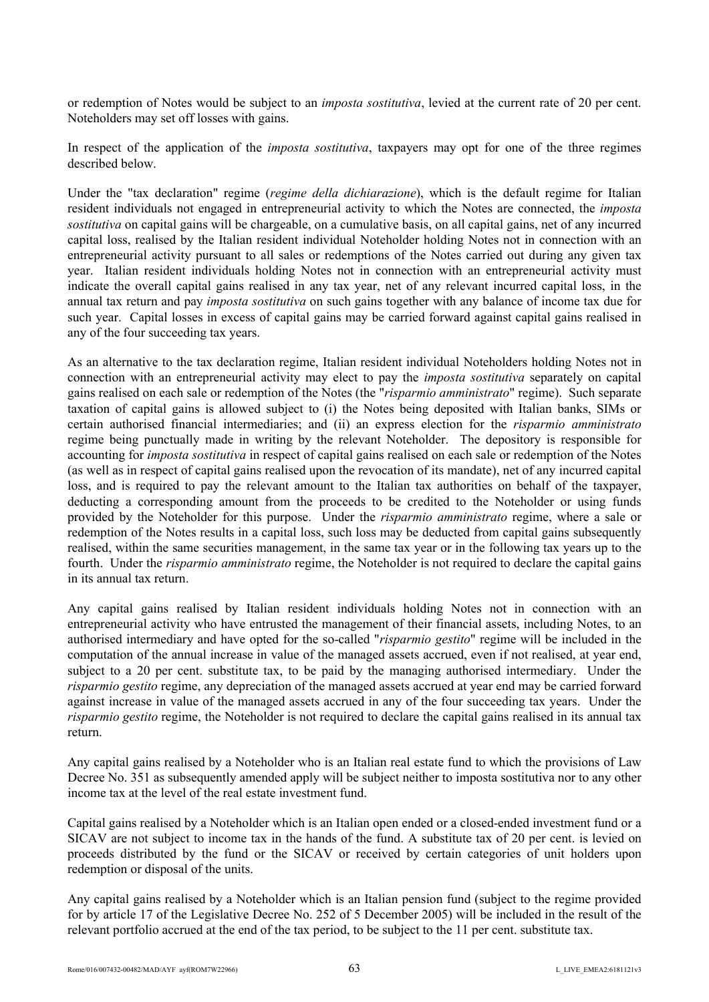or redemption of Notes would be subject to an *imposta sostitutiva*, levied at the current rate of 20 per cent. Noteholders may set off losses with gains.

In respect of the application of the *imposta sostitutiva*, taxpayers may opt for one of the three regimes described below.

Under the "tax declaration" regime (*regime della dichiarazione*), which is the default regime for Italian resident individuals not engaged in entrepreneurial activity to which the Notes are connected, the *imposta sostitutiva* on capital gains will be chargeable, on a cumulative basis, on all capital gains, net of any incurred capital loss, realised by the Italian resident individual Noteholder holding Notes not in connection with an entrepreneurial activity pursuant to all sales or redemptions of the Notes carried out during any given tax year. Italian resident individuals holding Notes not in connection with an entrepreneurial activity must indicate the overall capital gains realised in any tax year, net of any relevant incurred capital loss, in the annual tax return and pay *imposta sostitutiva* on such gains together with any balance of income tax due for such year. Capital losses in excess of capital gains may be carried forward against capital gains realised in any of the four succeeding tax years.

As an alternative to the tax declaration regime, Italian resident individual Noteholders holding Notes not in connection with an entrepreneurial activity may elect to pay the *imposta sostitutiva* separately on capital gains realised on each sale or redemption of the Notes (the "*risparmio amministrato*" regime). Such separate taxation of capital gains is allowed subject to (i) the Notes being deposited with Italian banks, SIMs or certain authorised financial intermediaries; and (ii) an express election for the *risparmio amministrato* regime being punctually made in writing by the relevant Noteholder. The depository is responsible for accounting for *imposta sostitutiva* in respect of capital gains realised on each sale or redemption of the Notes (as well as in respect of capital gains realised upon the revocation of its mandate), net of any incurred capital loss, and is required to pay the relevant amount to the Italian tax authorities on behalf of the taxpayer, deducting a corresponding amount from the proceeds to be credited to the Noteholder or using funds provided by the Noteholder for this purpose. Under the *risparmio amministrato* regime, where a sale or redemption of the Notes results in a capital loss, such loss may be deducted from capital gains subsequently realised, within the same securities management, in the same tax year or in the following tax years up to the fourth. Under the *risparmio amministrato* regime, the Noteholder is not required to declare the capital gains in its annual tax return.

Any capital gains realised by Italian resident individuals holding Notes not in connection with an entrepreneurial activity who have entrusted the management of their financial assets, including Notes, to an authorised intermediary and have opted for the so-called "*risparmio gestito*" regime will be included in the computation of the annual increase in value of the managed assets accrued, even if not realised, at year end, subject to a 20 per cent. substitute tax, to be paid by the managing authorised intermediary. Under the *risparmio gestito* regime, any depreciation of the managed assets accrued at year end may be carried forward against increase in value of the managed assets accrued in any of the four succeeding tax years. Under the *risparmio gestito* regime, the Noteholder is not required to declare the capital gains realised in its annual tax return.

Any capital gains realised by a Noteholder who is an Italian real estate fund to which the provisions of Law Decree No. 351 as subsequently amended apply will be subject neither to imposta sostitutiva nor to any other income tax at the level of the real estate investment fund.

Capital gains realised by a Noteholder which is an Italian open ended or a closed-ended investment fund or a SICAV are not subject to income tax in the hands of the fund. A substitute tax of 20 per cent. is levied on proceeds distributed by the fund or the SICAV or received by certain categories of unit holders upon redemption or disposal of the units.

Any capital gains realised by a Noteholder which is an Italian pension fund (subject to the regime provided for by article 17 of the Legislative Decree No. 252 of 5 December 2005) will be included in the result of the relevant portfolio accrued at the end of the tax period, to be subject to the 11 per cent. substitute tax.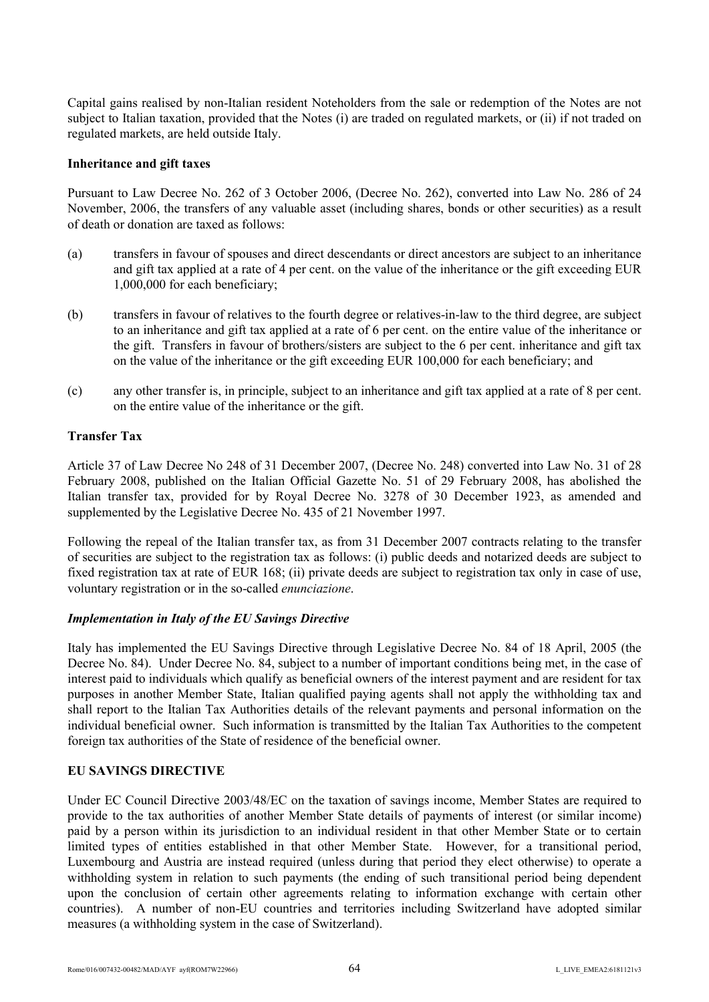Capital gains realised by non-Italian resident Noteholders from the sale or redemption of the Notes are not subject to Italian taxation, provided that the Notes (i) are traded on regulated markets, or (ii) if not traded on regulated markets, are held outside Italy.

### **Inheritance and gift taxes**

Pursuant to Law Decree No. 262 of 3 October 2006, (Decree No. 262), converted into Law No. 286 of 24 November, 2006, the transfers of any valuable asset (including shares, bonds or other securities) as a result of death or donation are taxed as follows:

- (a) transfers in favour of spouses and direct descendants or direct ancestors are subject to an inheritance and gift tax applied at a rate of 4 per cent. on the value of the inheritance or the gift exceeding EUR 1,000,000 for each beneficiary;
- (b) transfers in favour of relatives to the fourth degree or relatives-in-law to the third degree, are subject to an inheritance and gift tax applied at a rate of 6 per cent. on the entire value of the inheritance or the gift. Transfers in favour of brothers/sisters are subject to the 6 per cent. inheritance and gift tax on the value of the inheritance or the gift exceeding EUR 100,000 for each beneficiary; and
- (c) any other transfer is, in principle, subject to an inheritance and gift tax applied at a rate of 8 per cent. on the entire value of the inheritance or the gift.

# **Transfer Tax**

Article 37 of Law Decree No 248 of 31 December 2007, (Decree No. 248) converted into Law No. 31 of 28 February 2008, published on the Italian Official Gazette No. 51 of 29 February 2008, has abolished the Italian transfer tax, provided for by Royal Decree No. 3278 of 30 December 1923, as amended and supplemented by the Legislative Decree No. 435 of 21 November 1997.

Following the repeal of the Italian transfer tax, as from 31 December 2007 contracts relating to the transfer of securities are subject to the registration tax as follows: (i) public deeds and notarized deeds are subject to fixed registration tax at rate of EUR 168; (ii) private deeds are subject to registration tax only in case of use, voluntary registration or in the so-called *enunciazione*.

## *Implementation in Italy of the EU Savings Directive*

Italy has implemented the EU Savings Directive through Legislative Decree No. 84 of 18 April, 2005 (the Decree No. 84). Under Decree No. 84, subject to a number of important conditions being met, in the case of interest paid to individuals which qualify as beneficial owners of the interest payment and are resident for tax purposes in another Member State, Italian qualified paying agents shall not apply the withholding tax and shall report to the Italian Tax Authorities details of the relevant payments and personal information on the individual beneficial owner. Such information is transmitted by the Italian Tax Authorities to the competent foreign tax authorities of the State of residence of the beneficial owner.

## **EU SAVINGS DIRECTIVE**

Under EC Council Directive 2003/48/EC on the taxation of savings income, Member States are required to provide to the tax authorities of another Member State details of payments of interest (or similar income) paid by a person within its jurisdiction to an individual resident in that other Member State or to certain limited types of entities established in that other Member State. However, for a transitional period, Luxembourg and Austria are instead required (unless during that period they elect otherwise) to operate a withholding system in relation to such payments (the ending of such transitional period being dependent upon the conclusion of certain other agreements relating to information exchange with certain other countries). A number of non-EU countries and territories including Switzerland have adopted similar measures (a withholding system in the case of Switzerland).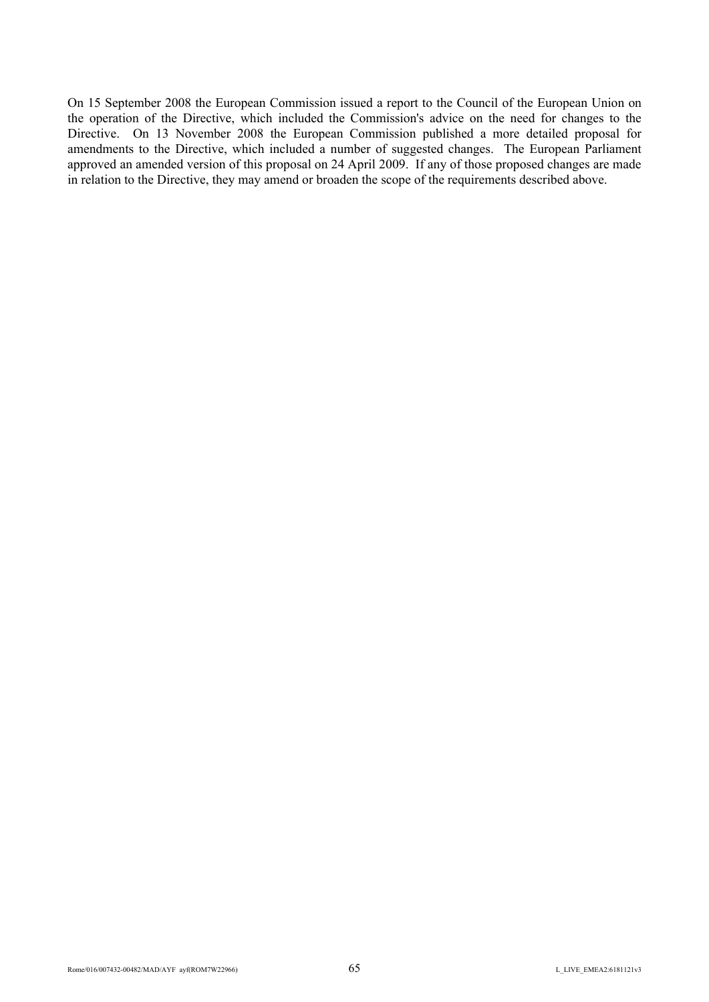On 15 September 2008 the European Commission issued a report to the Council of the European Union on the operation of the Directive, which included the Commission's advice on the need for changes to the Directive. On 13 November 2008 the European Commission published a more detailed proposal for amendments to the Directive, which included a number of suggested changes. The European Parliament approved an amended version of this proposal on 24 April 2009. If any of those proposed changes are made in relation to the Directive, they may amend or broaden the scope of the requirements described above.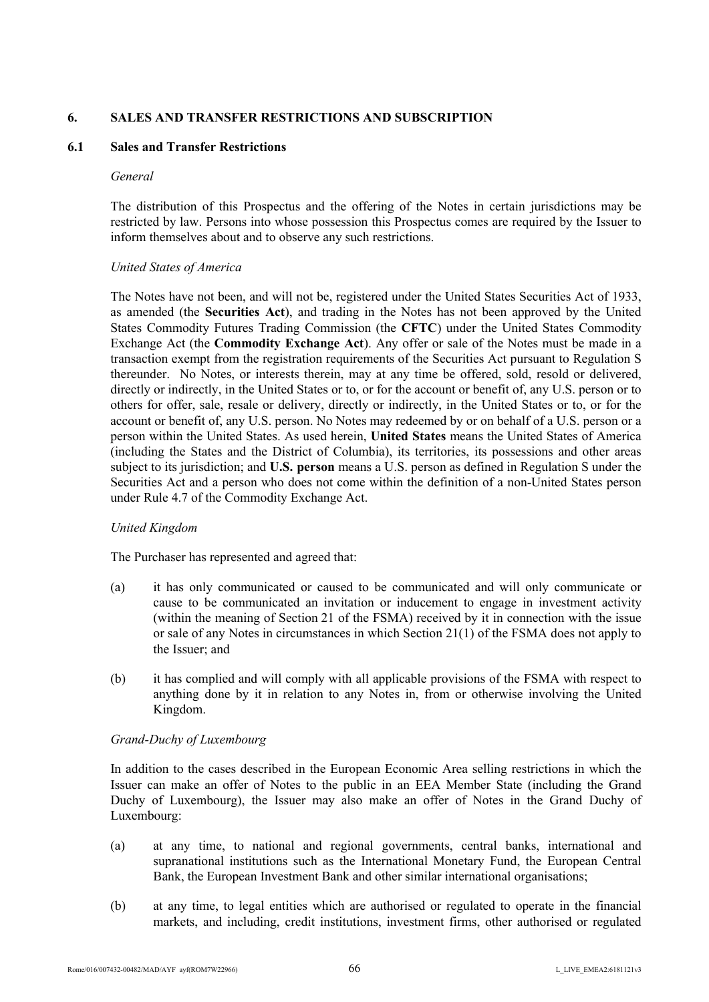## **6. SALES AND TRANSFER RESTRICTIONS AND SUBSCRIPTION**

## **6.1 Sales and Transfer Restrictions**

#### *General*

The distribution of this Prospectus and the offering of the Notes in certain jurisdictions may be restricted by law. Persons into whose possession this Prospectus comes are required by the Issuer to inform themselves about and to observe any such restrictions.

## *United States of America*

The Notes have not been, and will not be, registered under the United States Securities Act of 1933, as amended (the **Securities Act**), and trading in the Notes has not been approved by the United States Commodity Futures Trading Commission (the **CFTC**) under the United States Commodity Exchange Act (the **Commodity Exchange Act**). Any offer or sale of the Notes must be made in a transaction exempt from the registration requirements of the Securities Act pursuant to Regulation S thereunder. No Notes, or interests therein, may at any time be offered, sold, resold or delivered, directly or indirectly, in the United States or to, or for the account or benefit of, any U.S. person or to others for offer, sale, resale or delivery, directly or indirectly, in the United States or to, or for the account or benefit of, any U.S. person. No Notes may redeemed by or on behalf of a U.S. person or a person within the United States. As used herein, **United States** means the United States of America (including the States and the District of Columbia), its territories, its possessions and other areas subject to its jurisdiction; and **U.S. person** means a U.S. person as defined in Regulation S under the Securities Act and a person who does not come within the definition of a non-United States person under Rule 4.7 of the Commodity Exchange Act.

## *United Kingdom*

The Purchaser has represented and agreed that:

- (a) it has only communicated or caused to be communicated and will only communicate or cause to be communicated an invitation or inducement to engage in investment activity (within the meaning of Section 21 of the FSMA) received by it in connection with the issue or sale of any Notes in circumstances in which Section 21(1) of the FSMA does not apply to the Issuer<sup>,</sup> and
- (b) it has complied and will comply with all applicable provisions of the FSMA with respect to anything done by it in relation to any Notes in, from or otherwise involving the United Kingdom.

## *Grand-Duchy of Luxembourg*

In addition to the cases described in the European Economic Area selling restrictions in which the Issuer can make an offer of Notes to the public in an EEA Member State (including the Grand Duchy of Luxembourg), the Issuer may also make an offer of Notes in the Grand Duchy of Luxembourg:

- (a) at any time, to national and regional governments, central banks, international and supranational institutions such as the International Monetary Fund, the European Central Bank, the European Investment Bank and other similar international organisations;
- (b) at any time, to legal entities which are authorised or regulated to operate in the financial markets, and including, credit institutions, investment firms, other authorised or regulated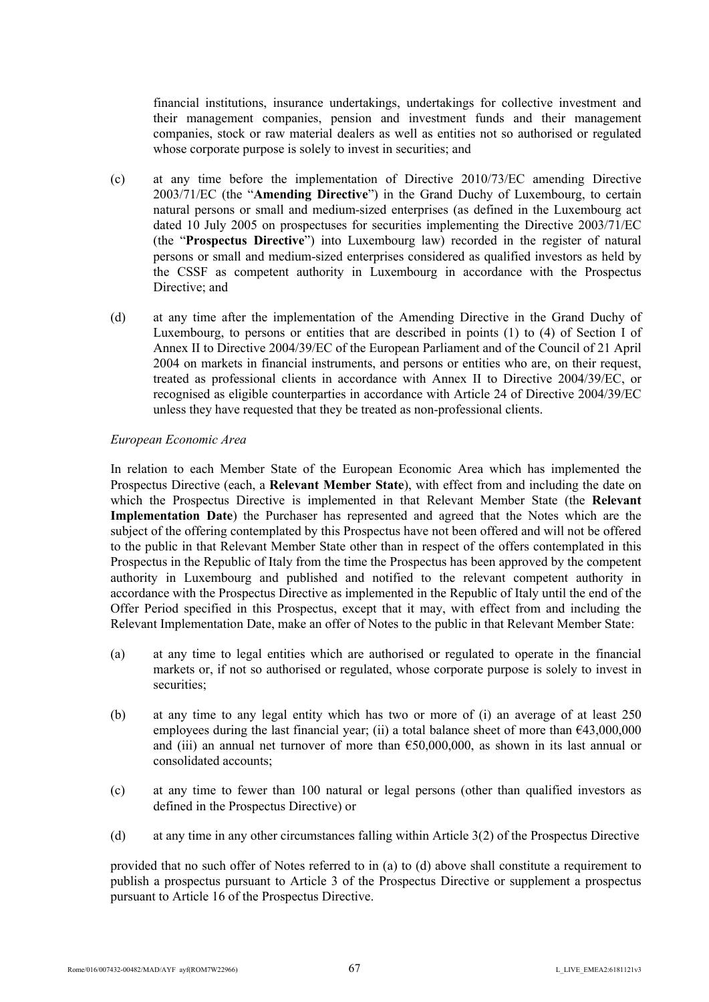financial institutions, insurance undertakings, undertakings for collective investment and their management companies, pension and investment funds and their management companies, stock or raw material dealers as well as entities not so authorised or regulated whose corporate purpose is solely to invest in securities; and

- (c) at any time before the implementation of Directive 2010/73/EC amending Directive 2003/71/EC (the "**Amending Directive**") in the Grand Duchy of Luxembourg, to certain natural persons or small and medium-sized enterprises (as defined in the Luxembourg act dated 10 July 2005 on prospectuses for securities implementing the Directive 2003/71/EC (the "**Prospectus Directive**") into Luxembourg law) recorded in the register of natural persons or small and medium-sized enterprises considered as qualified investors as held by the CSSF as competent authority in Luxembourg in accordance with the Prospectus Directive; and
- (d) at any time after the implementation of the Amending Directive in the Grand Duchy of Luxembourg, to persons or entities that are described in points (1) to (4) of Section I of Annex II to Directive 2004/39/EC of the European Parliament and of the Council of 21 April 2004 on markets in financial instruments, and persons or entities who are, on their request, treated as professional clients in accordance with Annex II to Directive 2004/39/EC, or recognised as eligible counterparties in accordance with Article 24 of Directive 2004/39/EC unless they have requested that they be treated as non-professional clients.

### *European Economic Area*

In relation to each Member State of the European Economic Area which has implemented the Prospectus Directive (each, a **Relevant Member State**), with effect from and including the date on which the Prospectus Directive is implemented in that Relevant Member State (the **Relevant Implementation Date**) the Purchaser has represented and agreed that the Notes which are the subject of the offering contemplated by this Prospectus have not been offered and will not be offered to the public in that Relevant Member State other than in respect of the offers contemplated in this Prospectus in the Republic of Italy from the time the Prospectus has been approved by the competent authority in Luxembourg and published and notified to the relevant competent authority in accordance with the Prospectus Directive as implemented in the Republic of Italy until the end of the Offer Period specified in this Prospectus, except that it may, with effect from and including the Relevant Implementation Date, make an offer of Notes to the public in that Relevant Member State:

- (a) at any time to legal entities which are authorised or regulated to operate in the financial markets or, if not so authorised or regulated, whose corporate purpose is solely to invest in securities:
- (b) at any time to any legal entity which has two or more of (i) an average of at least 250 employees during the last financial year; (ii) a total balance sheet of more than  $643,000,000$ and (iii) an annual net turnover of more than  $650,000,000$ , as shown in its last annual or consolidated accounts;
- (c) at any time to fewer than 100 natural or legal persons (other than qualified investors as defined in the Prospectus Directive) or
- (d) at any time in any other circumstances falling within Article 3(2) of the Prospectus Directive

provided that no such offer of Notes referred to in (a) to (d) above shall constitute a requirement to publish a prospectus pursuant to Article 3 of the Prospectus Directive or supplement a prospectus pursuant to Article 16 of the Prospectus Directive.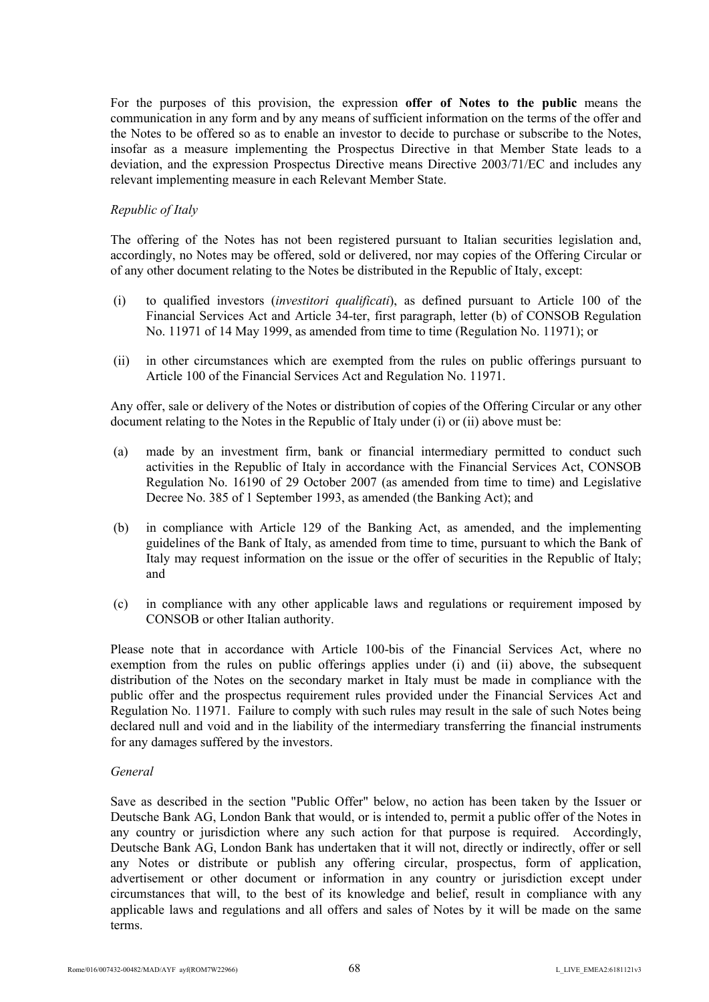For the purposes of this provision, the expression **offer of Notes to the public** means the communication in any form and by any means of sufficient information on the terms of the offer and the Notes to be offered so as to enable an investor to decide to purchase or subscribe to the Notes, insofar as a measure implementing the Prospectus Directive in that Member State leads to a deviation, and the expression Prospectus Directive means Directive 2003/71/EC and includes any relevant implementing measure in each Relevant Member State.

## *Republic of Italy*

The offering of the Notes has not been registered pursuant to Italian securities legislation and, accordingly, no Notes may be offered, sold or delivered, nor may copies of the Offering Circular or of any other document relating to the Notes be distributed in the Republic of Italy, except:

- (i) to qualified investors (*investitori qualificati*), as defined pursuant to Article 100 of the Financial Services Act and Article 34-ter, first paragraph, letter (b) of CONSOB Regulation No. 11971 of 14 May 1999, as amended from time to time (Regulation No. 11971); or
- (ii) in other circumstances which are exempted from the rules on public offerings pursuant to Article 100 of the Financial Services Act and Regulation No. 11971.

Any offer, sale or delivery of the Notes or distribution of copies of the Offering Circular or any other document relating to the Notes in the Republic of Italy under (i) or (ii) above must be:

- (a) made by an investment firm, bank or financial intermediary permitted to conduct such activities in the Republic of Italy in accordance with the Financial Services Act, CONSOB Regulation No. 16190 of 29 October 2007 (as amended from time to time) and Legislative Decree No. 385 of 1 September 1993, as amended (the Banking Act); and
- (b) in compliance with Article 129 of the Banking Act, as amended, and the implementing guidelines of the Bank of Italy, as amended from time to time, pursuant to which the Bank of Italy may request information on the issue or the offer of securities in the Republic of Italy; and
- (c) in compliance with any other applicable laws and regulations or requirement imposed by CONSOB or other Italian authority.

Please note that in accordance with Article 100-bis of the Financial Services Act, where no exemption from the rules on public offerings applies under (i) and (ii) above, the subsequent distribution of the Notes on the secondary market in Italy must be made in compliance with the public offer and the prospectus requirement rules provided under the Financial Services Act and Regulation No. 11971. Failure to comply with such rules may result in the sale of such Notes being declared null and void and in the liability of the intermediary transferring the financial instruments for any damages suffered by the investors.

#### *General*

Save as described in the section "Public Offer" below, no action has been taken by the Issuer or Deutsche Bank AG, London Bank that would, or is intended to, permit a public offer of the Notes in any country or jurisdiction where any such action for that purpose is required. Accordingly, Deutsche Bank AG, London Bank has undertaken that it will not, directly or indirectly, offer or sell any Notes or distribute or publish any offering circular, prospectus, form of application, advertisement or other document or information in any country or jurisdiction except under circumstances that will, to the best of its knowledge and belief, result in compliance with any applicable laws and regulations and all offers and sales of Notes by it will be made on the same terms.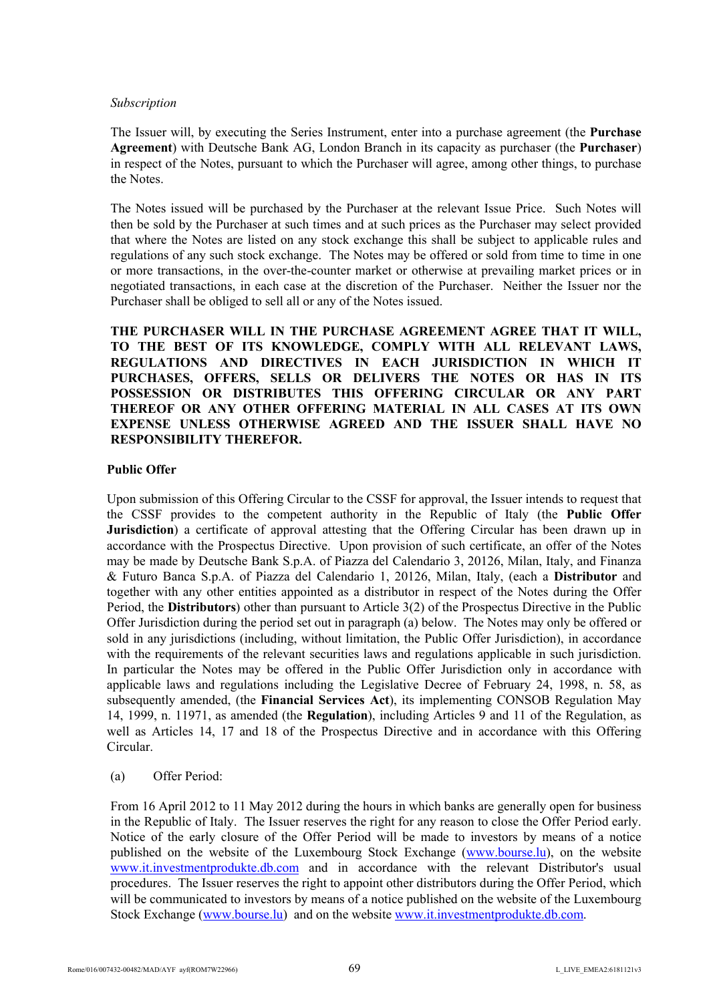## *Subscription*

The Issuer will, by executing the Series Instrument, enter into a purchase agreement (the **Purchase Agreement**) with Deutsche Bank AG, London Branch in its capacity as purchaser (the **Purchaser**) in respect of the Notes, pursuant to which the Purchaser will agree, among other things, to purchase the Notes.

The Notes issued will be purchased by the Purchaser at the relevant Issue Price. Such Notes will then be sold by the Purchaser at such times and at such prices as the Purchaser may select provided that where the Notes are listed on any stock exchange this shall be subject to applicable rules and regulations of any such stock exchange. The Notes may be offered or sold from time to time in one or more transactions, in the over-the-counter market or otherwise at prevailing market prices or in negotiated transactions, in each case at the discretion of the Purchaser. Neither the Issuer nor the Purchaser shall be obliged to sell all or any of the Notes issued.

**THE PURCHASER WILL IN THE PURCHASE AGREEMENT AGREE THAT IT WILL, TO THE BEST OF ITS KNOWLEDGE, COMPLY WITH ALL RELEVANT LAWS, REGULATIONS AND DIRECTIVES IN EACH JURISDICTION IN WHICH IT PURCHASES, OFFERS, SELLS OR DELIVERS THE NOTES OR HAS IN ITS POSSESSION OR DISTRIBUTES THIS OFFERING CIRCULAR OR ANY PART THEREOF OR ANY OTHER OFFERING MATERIAL IN ALL CASES AT ITS OWN EXPENSE UNLESS OTHERWISE AGREED AND THE ISSUER SHALL HAVE NO RESPONSIBILITY THEREFOR.**

## **Public Offer**

Upon submission of this Offering Circular to the CSSF for approval, the Issuer intends to request that the CSSF provides to the competent authority in the Republic of Italy (the **Public Offer Jurisdiction**) a certificate of approval attesting that the Offering Circular has been drawn up in accordance with the Prospectus Directive. Upon provision of such certificate, an offer of the Notes may be made by Deutsche Bank S.p.A. of Piazza del Calendario 3, 20126, Milan, Italy, and Finanza & Futuro Banca S.p.A. of Piazza del Calendario 1, 20126, Milan, Italy, (each a **Distributor** and together with any other entities appointed as a distributor in respect of the Notes during the Offer Period, the **Distributors**) other than pursuant to Article 3(2) of the Prospectus Directive in the Public Offer Jurisdiction during the period set out in paragraph (a) below. The Notes may only be offered or sold in any jurisdictions (including, without limitation, the Public Offer Jurisdiction), in accordance with the requirements of the relevant securities laws and regulations applicable in such jurisdiction. In particular the Notes may be offered in the Public Offer Jurisdiction only in accordance with applicable laws and regulations including the Legislative Decree of February 24, 1998, n. 58, as subsequently amended, (the **Financial Services Act**), its implementing CONSOB Regulation May 14, 1999, n. 11971, as amended (the **Regulation**), including Articles 9 and 11 of the Regulation, as well as Articles 14, 17 and 18 of the Prospectus Directive and in accordance with this Offering Circular.

(a) Offer Period:

From 16 April 2012 to 11 May 2012 during the hours in which banks are generally open for business in the Republic of Italy. The Issuer reserves the right for any reason to close the Offer Period early. Notice of the early closure of the Offer Period will be made to investors by means of a notice published on the website of the Luxembourg Stock Exchange (www.bourse.lu), on the website www.it.investmentprodukte.db.com and in accordance with t[he relevant D](http://www.bourse.lu/)istributor's usual [procedures. The Issuer reserves the](http://www.it.investmentprodukte.db.com/) right to appoint other distributors during the Offer Period, which will be communicated to investors by means of a notice published on the website of the Luxembourg Stock Exchange ([www.bourse.lu\)](http://www.bourse.lu/) and on the website [www.it.investmentprodukte.db.com.](http://www.it.investmentprodukte.db.com/)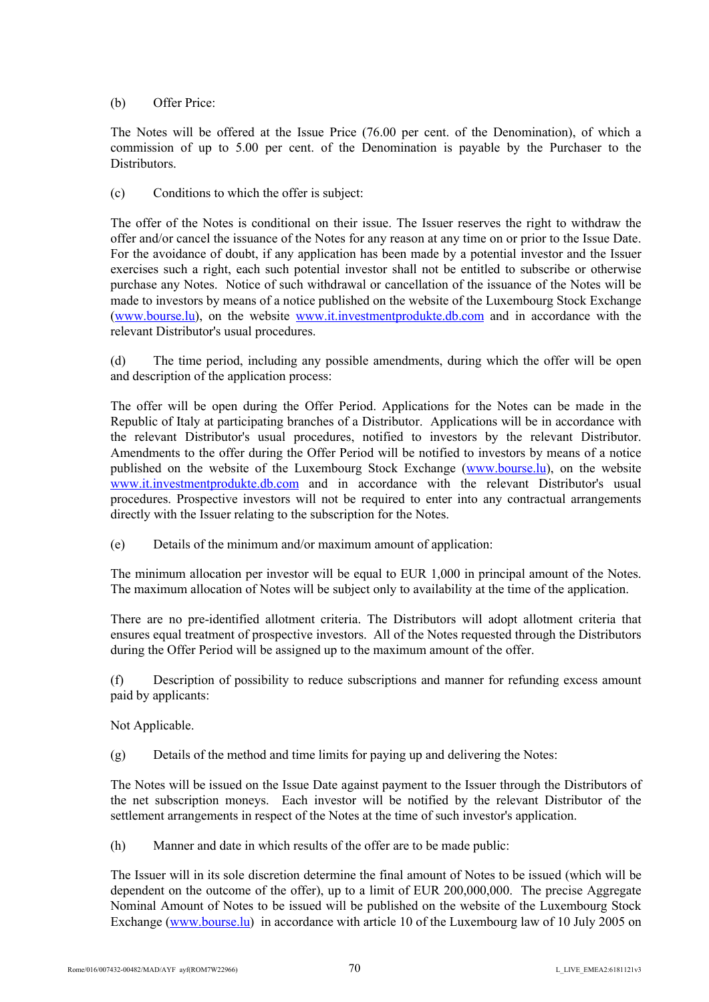# (b) Offer Price:

The Notes will be offered at the Issue Price (76.00 per cent. of the Denomination), of which a commission of up to 5.00 per cent. of the Denomination is payable by the Purchaser to the Distributors.

(c) Conditions to which the offer is subject:

The offer of the Notes is conditional on their issue. The Issuer reserves the right to withdraw the offer and/or cancel the issuance of the Notes for any reason at any time on or prior to the Issue Date. For the avoidance of doubt, if any application has been made by a potential investor and the Issuer exercises such a right, each such potential investor shall not be entitled to subscribe or otherwise purchase any Notes. Notice of such withdrawal or cancellation of the issuance of the Notes will be made to investors by means of a notice published on the website of the Luxembourg Stock Exchange (www.bourse.lu), on the website www.it.investmentprodukte.db.com and in accordance with the [relevant Distribu](http://www.bourse.lu/)tor's usual proced[ures.](http://www.it.investmentprodukte.db.com/) 

(d) The time period, including any possible amendments, during which the offer will be open and description of the application process:

The offer will be open during the Offer Period. Applications for the Notes can be made in the Republic of Italy at participating branches of a Distributor. Applications will be in accordance with the relevant Distributor's usual procedures, notified to investors by the relevant Distributor. Amendments to the offer during the Offer Period will be notified to investors by means of a notice published on the website of the Luxembourg Stock Exchange (www.bourse.lu), on the website www.it.investmentprodukte.db.com and in accordance with t[he relevant D](http://www.bourse.lu/)istributor's usual [procedures. Prospective investors w](http://www.it.investmentprodukte.db.com/)ill not be required to enter into any contractual arrangements directly with the Issuer relating to the subscription for the Notes.

(e) Details of the minimum and/or maximum amount of application:

The minimum allocation per investor will be equal to EUR 1,000 in principal amount of the Notes. The maximum allocation of Notes will be subject only to availability at the time of the application.

There are no pre-identified allotment criteria. The Distributors will adopt allotment criteria that ensures equal treatment of prospective investors. All of the Notes requested through the Distributors during the Offer Period will be assigned up to the maximum amount of the offer.

(f) Description of possibility to reduce subscriptions and manner for refunding excess amount paid by applicants:

Not Applicable.

(g) Details of the method and time limits for paying up and delivering the Notes:

The Notes will be issued on the Issue Date against payment to the Issuer through the Distributors of the net subscription moneys. Each investor will be notified by the relevant Distributor of the settlement arrangements in respect of the Notes at the time of such investor's application.

(h) Manner and date in which results of the offer are to be made public:

The Issuer will in its sole discretion determine the final amount of Notes to be issued (which will be dependent on the outcome of the offer), up to a limit of EUR 200,000,000. The precise Aggregate Nominal Amount of Notes to be issued will be published on the website of the Luxembourg Stock Exchange ([www.bourse.lu\)](http://www.bourse.lu/) in accordance with article 10 of the Luxembourg law of 10 July 2005 on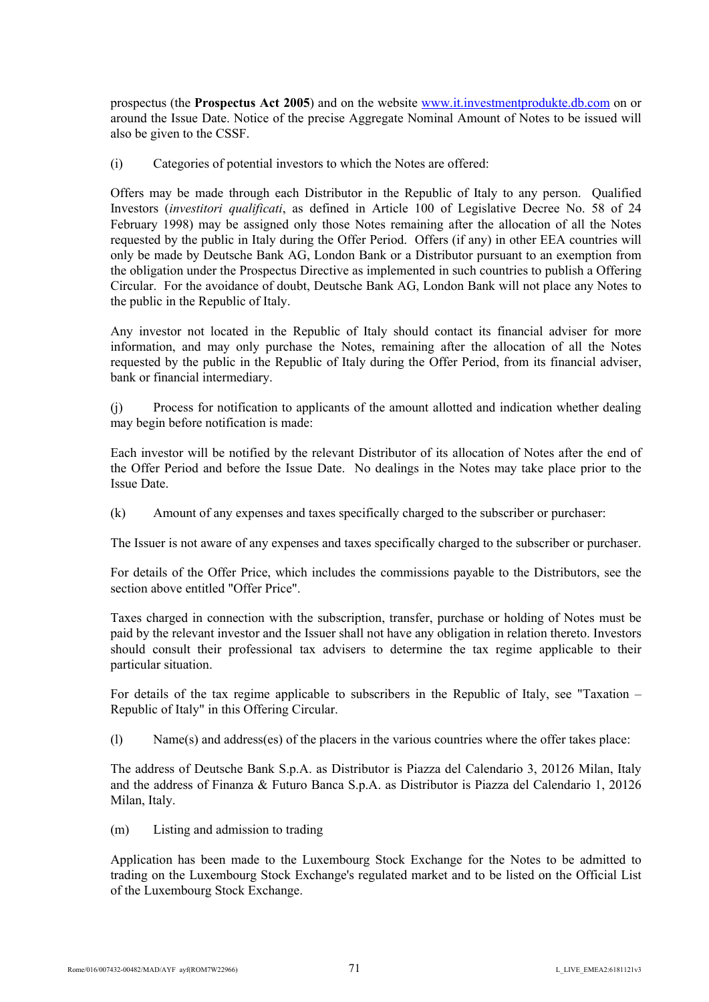prospectus (the **Prospectus Act 2005**) and on the website www.it.investmentprodukte.db.com on or around the Issue Date. Notice of the precise Aggregate N[ominal Amount of Notes to be issue](http://www.it.investmentprodukte.db.com/)d will also be given to the CSSF.

(i) Categories of potential investors to which the Notes are offered:

Offers may be made through each Distributor in the Republic of Italy to any person. Qualified Investors (*investitori qualificati*, as defined in Article 100 of Legislative Decree No. 58 of 24 February 1998) may be assigned only those Notes remaining after the allocation of all the Notes requested by the public in Italy during the Offer Period. Offers (if any) in other EEA countries will only be made by Deutsche Bank AG, London Bank or a Distributor pursuant to an exemption from the obligation under the Prospectus Directive as implemented in such countries to publish a Offering Circular. For the avoidance of doubt, Deutsche Bank AG, London Bank will not place any Notes to the public in the Republic of Italy.

Any investor not located in the Republic of Italy should contact its financial adviser for more information, and may only purchase the Notes, remaining after the allocation of all the Notes requested by the public in the Republic of Italy during the Offer Period, from its financial adviser, bank or financial intermediary.

(j) Process for notification to applicants of the amount allotted and indication whether dealing may begin before notification is made:

Each investor will be notified by the relevant Distributor of its allocation of Notes after the end of the Offer Period and before the Issue Date. No dealings in the Notes may take place prior to the Issue Date.

(k) Amount of any expenses and taxes specifically charged to the subscriber or purchaser:

The Issuer is not aware of any expenses and taxes specifically charged to the subscriber or purchaser.

For details of the Offer Price, which includes the commissions payable to the Distributors, see the section above entitled "Offer Price".

Taxes charged in connection with the subscription, transfer, purchase or holding of Notes must be paid by the relevant investor and the Issuer shall not have any obligation in relation thereto. Investors should consult their professional tax advisers to determine the tax regime applicable to their particular situation.

For details of the tax regime applicable to subscribers in the Republic of Italy, see "Taxation – Republic of Italy" in this Offering Circular.

(l) Name(s) and address(es) of the placers in the various countries where the offer takes place:

The address of Deutsche Bank S.p.A. as Distributor is Piazza del Calendario 3, 20126 Milan, Italy and the address of Finanza & Futuro Banca S.p.A. as Distributor is Piazza del Calendario 1, 20126 Milan, Italy.

(m) Listing and admission to trading

Application has been made to the Luxembourg Stock Exchange for the Notes to be admitted to trading on the Luxembourg Stock Exchange's regulated market and to be listed on the Official List of the Luxembourg Stock Exchange.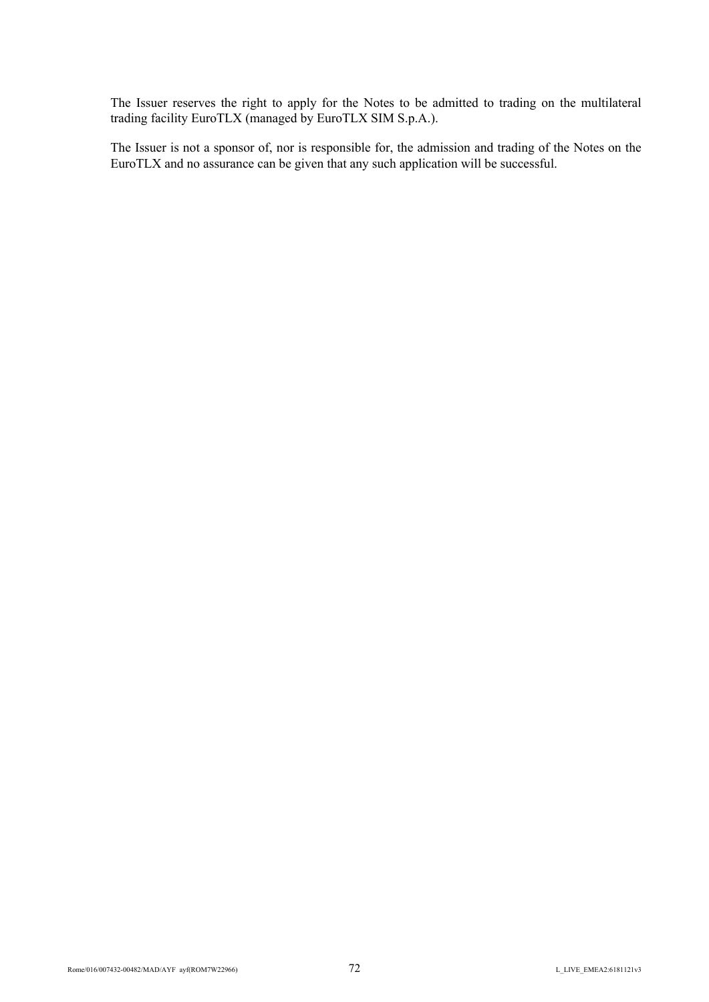The Issuer reserves the right to apply for the Notes to be admitted to trading on the multilateral trading facility EuroTLX (managed by EuroTLX SIM S.p.A.).

The Issuer is not a sponsor of, nor is responsible for, the admission and trading of the Notes on the EuroTLX and no assurance can be given that any such application will be successful.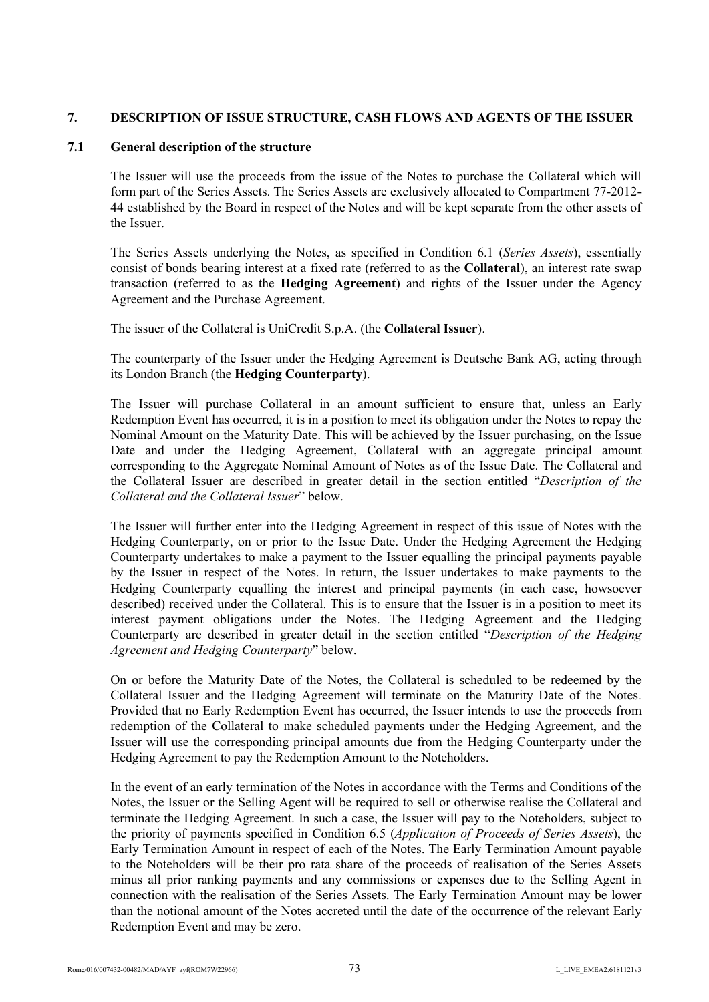# **7. DESCRIPTION OF ISSUE STRUCTURE, CASH FLOWS AND AGENTS OF THE ISSUER**

## **7.1 General description of the structure**

The Issuer will use the proceeds from the issue of the Notes to purchase the Collateral which will form part of the Series Assets. The Series Assets are exclusively allocated to Compartment 77-2012- 44 established by the Board in respect of the Notes and will be kept separate from the other assets of the Issuer.

The Series Assets underlying the Notes, as specified in Condition 6.1 (*Series Assets*), essentially consist of bonds bearing interest at a fixed rate (referred to as the **Collateral**), an interest rate swap transaction (referred to as the **Hedging Agreement**) and rights of the Issuer under the Agency Agreement and the Purchase Agreement.

The issuer of the Collateral is UniCredit S.p.A. (the **Collateral Issuer**).

The counterparty of the Issuer under the Hedging Agreement is Deutsche Bank AG, acting through its London Branch (the **Hedging Counterparty**).

The Issuer will purchase Collateral in an amount sufficient to ensure that, unless an Early Redemption Event has occurred, it is in a position to meet its obligation under the Notes to repay the Nominal Amount on the Maturity Date. This will be achieved by the Issuer purchasing, on the Issue Date and under the Hedging Agreement. Collateral with an aggregate principal amount corresponding to the Aggregate Nominal Amount of Notes as of the Issue Date. The Collateral and the Collateral Issuer are described in greater detail in the section entitled "*Description of the Collateral and the Collateral Issuer*" below.

The Issuer will further enter into the Hedging Agreement in respect of this issue of Notes with the Hedging Counterparty, on or prior to the Issue Date. Under the Hedging Agreement the Hedging Counterparty undertakes to make a payment to the Issuer equalling the principal payments payable by the Issuer in respect of the Notes. In return, the Issuer undertakes to make payments to the Hedging Counterparty equalling the interest and principal payments (in each case, howsoever described) received under the Collateral. This is to ensure that the Issuer is in a position to meet its interest payment obligations under the Notes. The Hedging Agreement and the Hedging Counterparty are described in greater detail in the section entitled "*Description of the Hedging Agreement and Hedging Counterparty*" below.

On or before the Maturity Date of the Notes, the Collateral is scheduled to be redeemed by the Collateral Issuer and the Hedging Agreement will terminate on the Maturity Date of the Notes. Provided that no Early Redemption Event has occurred, the Issuer intends to use the proceeds from redemption of the Collateral to make scheduled payments under the Hedging Agreement, and the Issuer will use the corresponding principal amounts due from the Hedging Counterparty under the Hedging Agreement to pay the Redemption Amount to the Noteholders.

In the event of an early termination of the Notes in accordance with the Terms and Conditions of the Notes, the Issuer or the Selling Agent will be required to sell or otherwise realise the Collateral and terminate the Hedging Agreement. In such a case, the Issuer will pay to the Noteholders, subject to the priority of payments specified in Condition 6.5 (*Application of Proceeds of Series Assets*), the Early Termination Amount in respect of each of the Notes. The Early Termination Amount payable to the Noteholders will be their pro rata share of the proceeds of realisation of the Series Assets minus all prior ranking payments and any commissions or expenses due to the Selling Agent in connection with the realisation of the Series Assets. The Early Termination Amount may be lower than the notional amount of the Notes accreted until the date of the occurrence of the relevant Early Redemption Event and may be zero.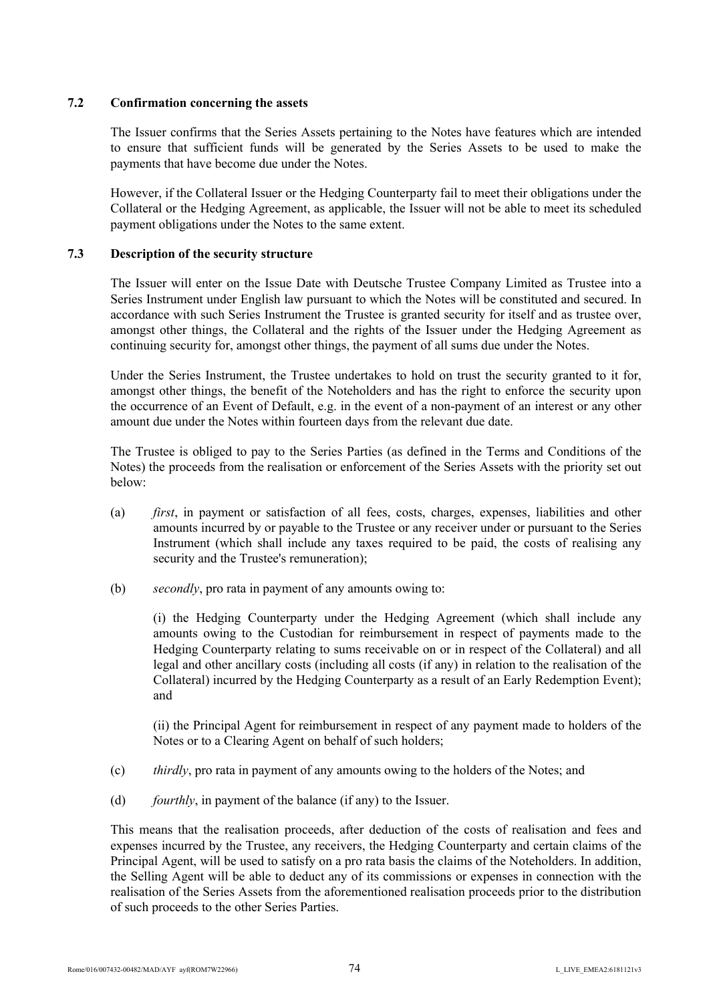# **7.2 Confirmation concerning the assets**

The Issuer confirms that the Series Assets pertaining to the Notes have features which are intended to ensure that sufficient funds will be generated by the Series Assets to be used to make the payments that have become due under the Notes.

However, if the Collateral Issuer or the Hedging Counterparty fail to meet their obligations under the Collateral or the Hedging Agreement, as applicable, the Issuer will not be able to meet its scheduled payment obligations under the Notes to the same extent.

# **7.3 Description of the security structure**

The Issuer will enter on the Issue Date with Deutsche Trustee Company Limited as Trustee into a Series Instrument under English law pursuant to which the Notes will be constituted and secured. In accordance with such Series Instrument the Trustee is granted security for itself and as trustee over, amongst other things, the Collateral and the rights of the Issuer under the Hedging Agreement as continuing security for, amongst other things, the payment of all sums due under the Notes.

Under the Series Instrument, the Trustee undertakes to hold on trust the security granted to it for, amongst other things, the benefit of the Noteholders and has the right to enforce the security upon the occurrence of an Event of Default, e.g. in the event of a non-payment of an interest or any other amount due under the Notes within fourteen days from the relevant due date.

The Trustee is obliged to pay to the Series Parties (as defined in the Terms and Conditions of the Notes) the proceeds from the realisation or enforcement of the Series Assets with the priority set out below:

- (a) *first*, in payment or satisfaction of all fees, costs, charges, expenses, liabilities and other amounts incurred by or payable to the Trustee or any receiver under or pursuant to the Series Instrument (which shall include any taxes required to be paid, the costs of realising any security and the Trustee's remuneration);
- (b) *secondly*, pro rata in payment of any amounts owing to:

(i) the Hedging Counterparty under the Hedging Agreement (which shall include any amounts owing to the Custodian for reimbursement in respect of payments made to the Hedging Counterparty relating to sums receivable on or in respect of the Collateral) and all legal and other ancillary costs (including all costs (if any) in relation to the realisation of the Collateral) incurred by the Hedging Counterparty as a result of an Early Redemption Event); and

(ii) the Principal Agent for reimbursement in respect of any payment made to holders of the Notes or to a Clearing Agent on behalf of such holders;

- (c) *thirdly*, pro rata in payment of any amounts owing to the holders of the Notes; and
- (d) *fourthly*, in payment of the balance (if any) to the Issuer.

This means that the realisation proceeds, after deduction of the costs of realisation and fees and expenses incurred by the Trustee, any receivers, the Hedging Counterparty and certain claims of the Principal Agent, will be used to satisfy on a pro rata basis the claims of the Noteholders. In addition, the Selling Agent will be able to deduct any of its commissions or expenses in connection with the realisation of the Series Assets from the aforementioned realisation proceeds prior to the distribution of such proceeds to the other Series Parties.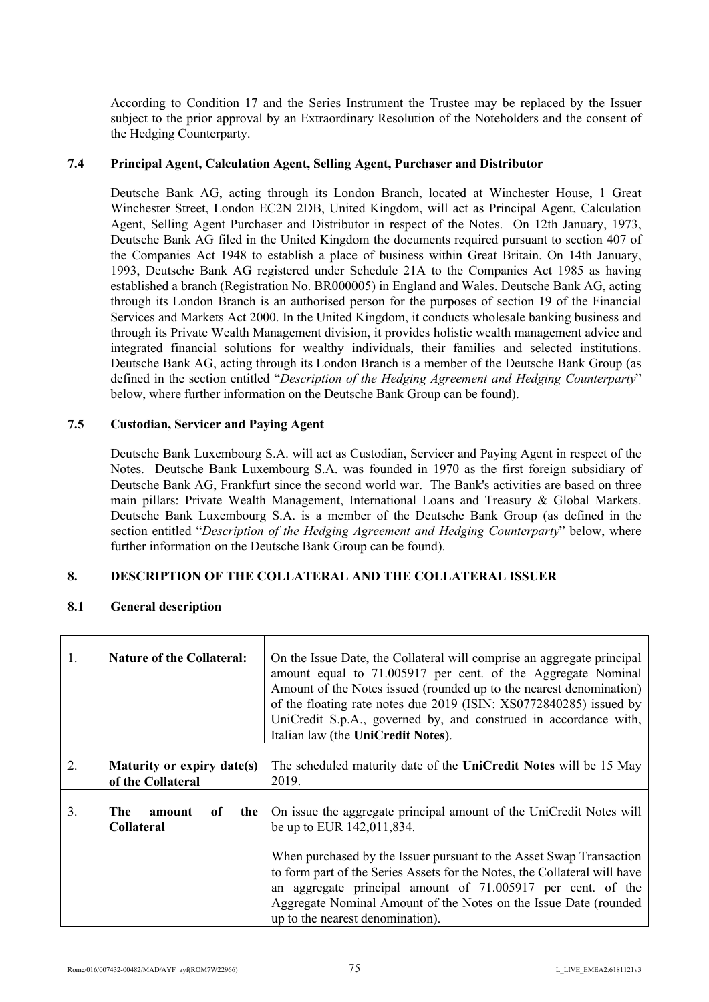According to Condition 17 and the Series Instrument the Trustee may be replaced by the Issuer subject to the prior approval by an Extraordinary Resolution of the Noteholders and the consent of the Hedging Counterparty.

## **7.4 Principal Agent, Calculation Agent, Selling Agent, Purchaser and Distributor**

Deutsche Bank AG, acting through its London Branch, located at Winchester House, 1 Great Winchester Street, London EC2N 2DB, United Kingdom, will act as Principal Agent, Calculation Agent, Selling Agent Purchaser and Distributor in respect of the Notes. On 12th January, 1973, Deutsche Bank AG filed in the United Kingdom the documents required pursuant to section 407 of the Companies Act 1948 to establish a place of business within Great Britain. On 14th January, 1993, Deutsche Bank AG registered under Schedule 21A to the Companies Act 1985 as having established a branch (Registration No. BR000005) in England and Wales. Deutsche Bank AG, acting through its London Branch is an authorised person for the purposes of section 19 of the Financial Services and Markets Act 2000. In the United Kingdom, it conducts wholesale banking business and through its Private Wealth Management division, it provides holistic wealth management advice and integrated financial solutions for wealthy individuals, their families and selected institutions. Deutsche Bank AG, acting through its London Branch is a member of the Deutsche Bank Group (as defined in the section entitled "*Description of the Hedging Agreement and Hedging Counterparty*" below, where further information on the Deutsche Bank Group can be found).

## **7.5 Custodian, Servicer and Paying Agent**

Deutsche Bank Luxembourg S.A. will act as Custodian, Servicer and Paying Agent in respect of the Notes. Deutsche Bank Luxembourg S.A. was founded in 1970 as the first foreign subsidiary of Deutsche Bank AG, Frankfurt since the second world war. The Bank's activities are based on three main pillars: Private Wealth Management, International Loans and Treasury & Global Markets. Deutsche Bank Luxembourg S.A. is a member of the Deutsche Bank Group (as defined in the section entitled "*Description of the Hedging Agreement and Hedging Counterparty*" below, where further information on the Deutsche Bank Group can be found).

## **8. DESCRIPTION OF THE COLLATERAL AND THE COLLATERAL ISSUER**

# **8.1 General description**

| 1. | <b>Nature of the Collateral:</b>                | On the Issue Date, the Collateral will comprise an aggregate principal<br>amount equal to 71.005917 per cent. of the Aggregate Nominal<br>Amount of the Notes issued (rounded up to the nearest denomination)<br>of the floating rate notes due 2019 (ISIN: XS0772840285) issued by<br>UniCredit S.p.A., governed by, and construed in accordance with,<br>Italian law (the UniCredit Notes).                               |
|----|-------------------------------------------------|-----------------------------------------------------------------------------------------------------------------------------------------------------------------------------------------------------------------------------------------------------------------------------------------------------------------------------------------------------------------------------------------------------------------------------|
| 2. | Maturity or expiry date(s)<br>of the Collateral | The scheduled maturity date of the UniCredit Notes will be 15 May<br>2019.                                                                                                                                                                                                                                                                                                                                                  |
| 3. | The<br>amount<br>of<br>the<br><b>Collateral</b> | On issue the aggregate principal amount of the UniCredit Notes will<br>be up to EUR 142,011,834.<br>When purchased by the Issuer pursuant to the Asset Swap Transaction<br>to form part of the Series Assets for the Notes, the Collateral will have<br>an aggregate principal amount of 71.005917 per cent. of the<br>Aggregate Nominal Amount of the Notes on the Issue Date (rounded<br>up to the nearest denomination). |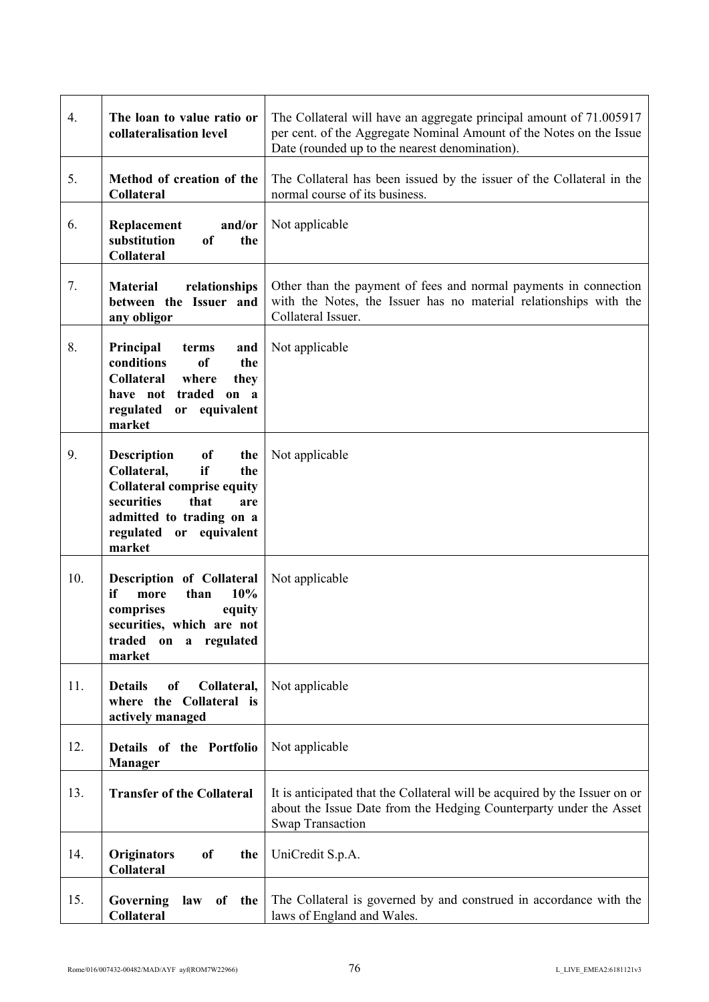| 4.  | The loan to value ratio or<br>collateralisation level                                                                                                                                             | The Collateral will have an aggregate principal amount of 71.005917<br>per cent. of the Aggregate Nominal Amount of the Notes on the Issue<br>Date (rounded up to the nearest denomination). |
|-----|---------------------------------------------------------------------------------------------------------------------------------------------------------------------------------------------------|----------------------------------------------------------------------------------------------------------------------------------------------------------------------------------------------|
| 5.  | Method of creation of the<br><b>Collateral</b>                                                                                                                                                    | The Collateral has been issued by the issuer of the Collateral in the<br>normal course of its business.                                                                                      |
| 6.  | and/or<br>Replacement<br>substitution<br>of<br>the<br><b>Collateral</b>                                                                                                                           | Not applicable                                                                                                                                                                               |
| 7.  | relationships<br><b>Material</b><br>between the Issuer and<br>any obligor                                                                                                                         | Other than the payment of fees and normal payments in connection<br>with the Notes, the Issuer has no material relationships with the<br>Collateral Issuer.                                  |
| 8.  | Principal<br>terms<br>and<br>conditions<br>of<br>the<br><b>Collateral</b><br>where<br>they<br>have not traded on a<br>regulated<br>or equivalent<br>market                                        | Not applicable                                                                                                                                                                               |
| 9.  | of<br><b>Description</b><br>the<br>Collateral,<br>if<br>the<br><b>Collateral comprise equity</b><br>securities<br>that<br>are<br>admitted to trading on a<br>or equivalent<br>regulated<br>market | Not applicable                                                                                                                                                                               |
| 10. | Description of Collateral<br>10%<br>if<br>than<br>more<br>comprises<br>equity<br>securities, which are not<br>traded<br>regulated<br>on<br>$\mathbf{a}$<br>market                                 | Not applicable                                                                                                                                                                               |
| 11. | <b>Details</b><br><sub>of</sub><br>Collateral,<br>where the Collateral is<br>actively managed                                                                                                     | Not applicable                                                                                                                                                                               |
| 12. | Details of the Portfolio<br><b>Manager</b>                                                                                                                                                        | Not applicable                                                                                                                                                                               |
| 13. | <b>Transfer of the Collateral</b>                                                                                                                                                                 | It is anticipated that the Collateral will be acquired by the Issuer on or<br>about the Issue Date from the Hedging Counterparty under the Asset<br><b>Swap Transaction</b>                  |
| 14. | <b>Originators</b><br><sub>of</sub><br>the<br><b>Collateral</b>                                                                                                                                   | UniCredit S.p.A.                                                                                                                                                                             |
| 15. | Governing<br>law<br>of<br>the<br>Collateral                                                                                                                                                       | The Collateral is governed by and construed in accordance with the<br>laws of England and Wales.                                                                                             |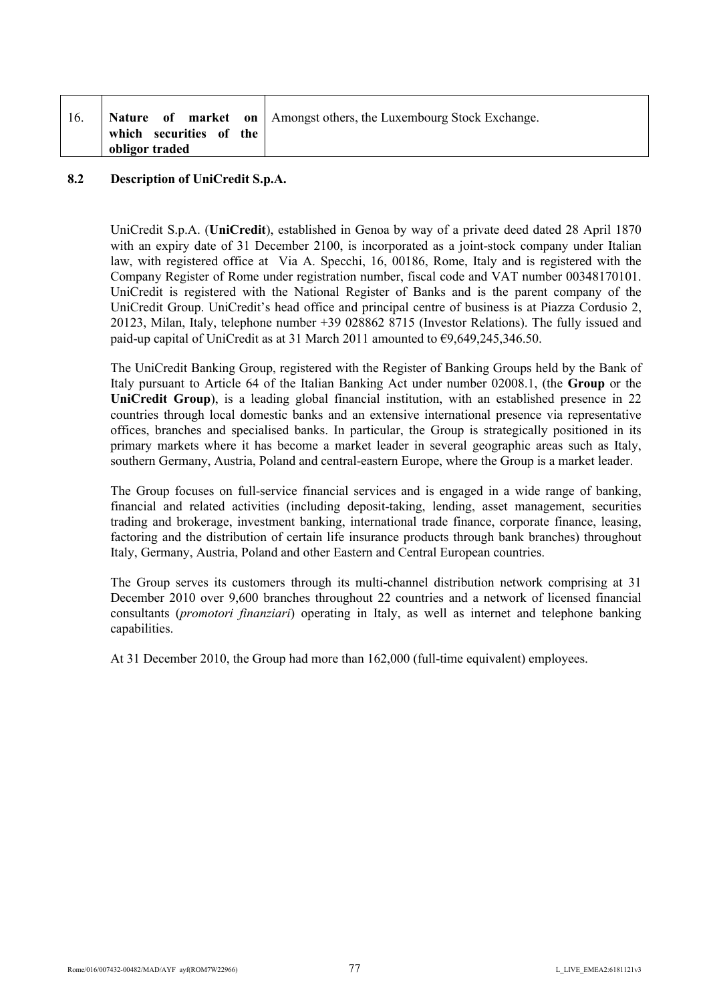|                                           | Nature of market on   Amongst others, the Luxembourg Stock Exchange. |
|-------------------------------------------|----------------------------------------------------------------------|
| which securities of the<br>obligor traded |                                                                      |

# **8.2 Description of UniCredit S.p.A.**

UniCredit S.p.A. (**UniCredit**), established in Genoa by way of a private deed dated 28 April 1870 with an expiry date of 31 December 2100, is incorporated as a joint-stock company under Italian law, with registered office at Via A. Specchi, 16, 00186, Rome, Italy and is registered with the Company Register of Rome under registration number, fiscal code and VAT number 00348170101. UniCredit is registered with the National Register of Banks and is the parent company of the UniCredit Group. UniCredit's head office and principal centre of business is at Piazza Cordusio 2, 20123, Milan, Italy, telephone number +39 028862 8715 (Investor Relations). The fully issued and paid-up capital of UniCredit as at 31 March 2011 amounted to  $\epsilon$ 9,649,245,346.50.

The UniCredit Banking Group, registered with the Register of Banking Groups held by the Bank of Italy pursuant to Article 64 of the Italian Banking Act under number 02008.1, (the **Group** or the **UniCredit Group**), is a leading global financial institution, with an established presence in 22 countries through local domestic banks and an extensive international presence via representative offices, branches and specialised banks. In particular, the Group is strategically positioned in its primary markets where it has become a market leader in several geographic areas such as Italy, southern Germany, Austria, Poland and central-eastern Europe, where the Group is a market leader.

The Group focuses on full-service financial services and is engaged in a wide range of banking, financial and related activities (including deposit-taking, lending, asset management, securities trading and brokerage, investment banking, international trade finance, corporate finance, leasing, factoring and the distribution of certain life insurance products through bank branches) throughout Italy, Germany, Austria, Poland and other Eastern and Central European countries.

The Group serves its customers through its multi-channel distribution network comprising at 31 December 2010 over 9,600 branches throughout 22 countries and a network of licensed financial consultants (*promotori finanziari*) operating in Italy, as well as internet and telephone banking capabilities.

At 31 December 2010, the Group had more than 162,000 (full-time equivalent) employees.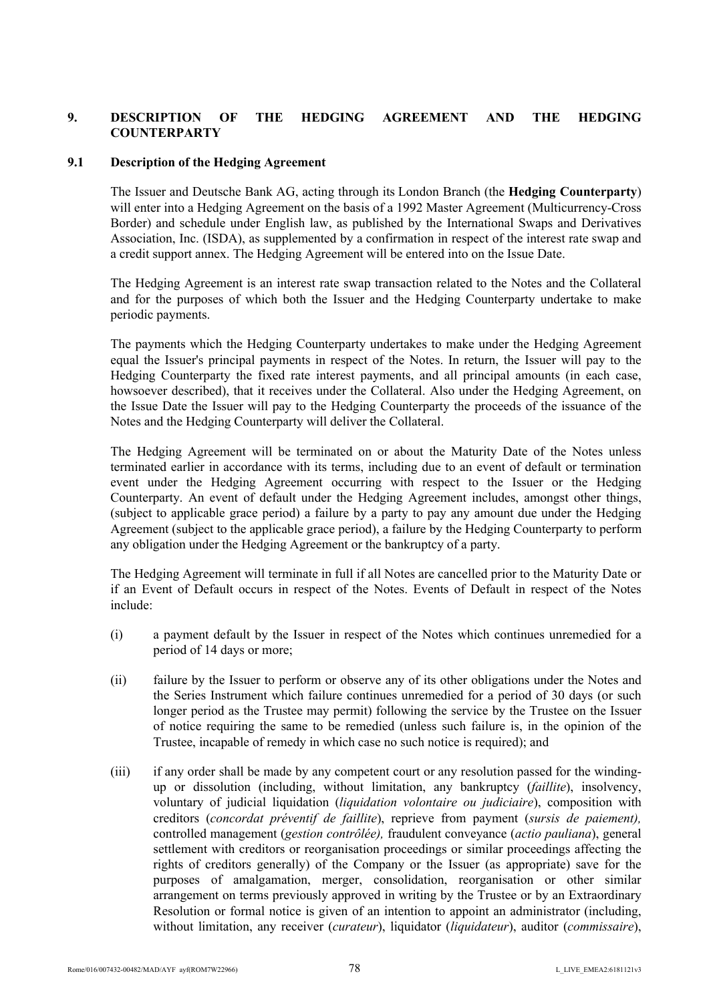# **9. DESCRIPTION OF THE HEDGING AGREEMENT AND THE HEDGING COUNTERPARTY**

# **9.1 Description of the Hedging Agreement**

The Issuer and Deutsche Bank AG, acting through its London Branch (the **Hedging Counterparty**) will enter into a Hedging Agreement on the basis of a 1992 Master Agreement (Multicurrency-Cross Border) and schedule under English law, as published by the International Swaps and Derivatives Association, Inc. (ISDA), as supplemented by a confirmation in respect of the interest rate swap and a credit support annex. The Hedging Agreement will be entered into on the Issue Date.

The Hedging Agreement is an interest rate swap transaction related to the Notes and the Collateral and for the purposes of which both the Issuer and the Hedging Counterparty undertake to make periodic payments.

The payments which the Hedging Counterparty undertakes to make under the Hedging Agreement equal the Issuer's principal payments in respect of the Notes. In return, the Issuer will pay to the Hedging Counterparty the fixed rate interest payments, and all principal amounts (in each case, howsoever described), that it receives under the Collateral. Also under the Hedging Agreement, on the Issue Date the Issuer will pay to the Hedging Counterparty the proceeds of the issuance of the Notes and the Hedging Counterparty will deliver the Collateral.

The Hedging Agreement will be terminated on or about the Maturity Date of the Notes unless terminated earlier in accordance with its terms, including due to an event of default or termination event under the Hedging Agreement occurring with respect to the Issuer or the Hedging Counterparty. An event of default under the Hedging Agreement includes, amongst other things, (subject to applicable grace period) a failure by a party to pay any amount due under the Hedging Agreement (subject to the applicable grace period), a failure by the Hedging Counterparty to perform any obligation under the Hedging Agreement or the bankruptcy of a party.

The Hedging Agreement will terminate in full if all Notes are cancelled prior to the Maturity Date or if an Event of Default occurs in respect of the Notes. Events of Default in respect of the Notes include:

- (i) a payment default by the Issuer in respect of the Notes which continues unremedied for a period of 14 days or more;
- (ii) failure by the Issuer to perform or observe any of its other obligations under the Notes and the Series Instrument which failure continues unremedied for a period of 30 days (or such longer period as the Trustee may permit) following the service by the Trustee on the Issuer of notice requiring the same to be remedied (unless such failure is, in the opinion of the Trustee, incapable of remedy in which case no such notice is required); and
- (iii) if any order shall be made by any competent court or any resolution passed for the windingup or dissolution (including, without limitation, any bankruptcy (*faillite*), insolvency, voluntary of judicial liquidation (*liquidation volontaire ou judiciaire*), composition with creditors (*concordat préventif de faillite*), reprieve from payment (*sursis de paiement),*  controlled management (*gestion contrôlée),* fraudulent conveyance (*actio pauliana*), general settlement with creditors or reorganisation proceedings or similar proceedings affecting the rights of creditors generally) of the Company or the Issuer (as appropriate) save for the purposes of amalgamation, merger, consolidation, reorganisation or other similar arrangement on terms previously approved in writing by the Trustee or by an Extraordinary Resolution or formal notice is given of an intention to appoint an administrator (including, without limitation, any receiver (*curateur*), liquidator (*liquidateur*), auditor (*commissaire*),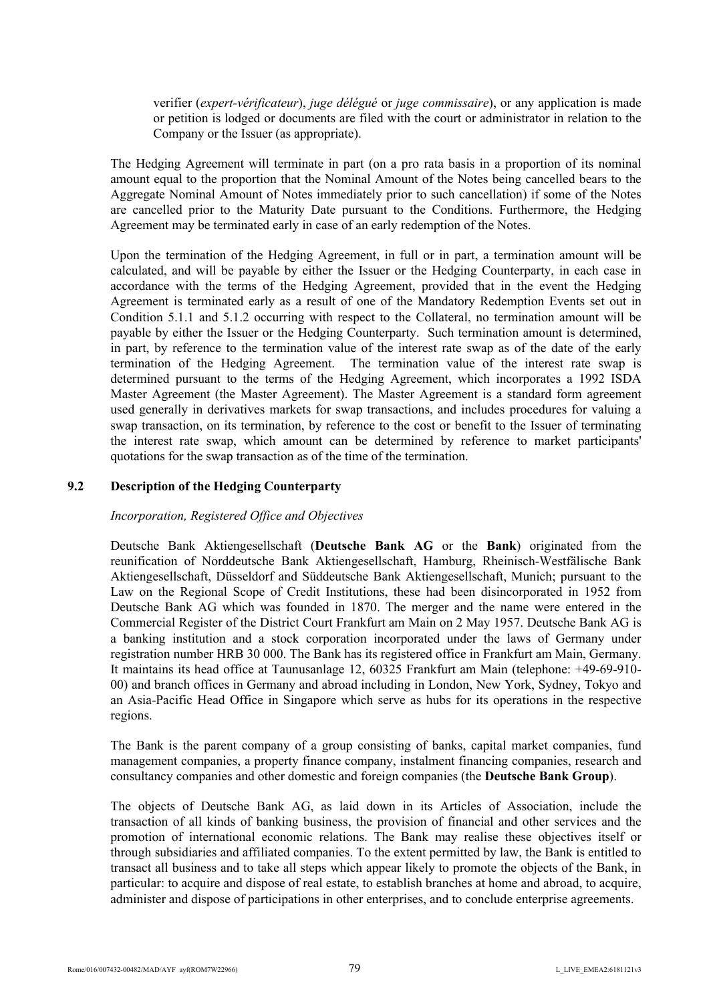verifier (*expert-vérificateur*), *juge délégué* or *juge commissaire*), or any application is made or petition is lodged or documents are filed with the court or administrator in relation to the Company or the Issuer (as appropriate).

The Hedging Agreement will terminate in part (on a pro rata basis in a proportion of its nominal amount equal to the proportion that the Nominal Amount of the Notes being cancelled bears to the Aggregate Nominal Amount of Notes immediately prior to such cancellation) if some of the Notes are cancelled prior to the Maturity Date pursuant to the Conditions. Furthermore, the Hedging Agreement may be terminated early in case of an early redemption of the Notes.

Upon the termination of the Hedging Agreement, in full or in part, a termination amount will be calculated, and will be payable by either the Issuer or the Hedging Counterparty, in each case in accordance with the terms of the Hedging Agreement, provided that in the event the Hedging Agreement is terminated early as a result of one of the Mandatory Redemption Events set out in Condition 5.1.1 and 5.1.2 occurring with respect to the Collateral, no termination amount will be payable by either the Issuer or the Hedging Counterparty. Such termination amount is determined, in part, by reference to the termination value of the interest rate swap as of the date of the early termination of the Hedging Agreement. The termination value of the interest rate swap is determined pursuant to the terms of the Hedging Agreement, which incorporates a 1992 ISDA Master Agreement (the Master Agreement). The Master Agreement is a standard form agreement used generally in derivatives markets for swap transactions, and includes procedures for valuing a swap transaction, on its termination, by reference to the cost or benefit to the Issuer of terminating the interest rate swap, which amount can be determined by reference to market participants' quotations for the swap transaction as of the time of the termination.

## **9.2 Description of the Hedging Counterparty**

#### *Incorporation, Registered Office and Objectives*

Deutsche Bank Aktiengesellschaft (**Deutsche Bank AG** or the **Bank**) originated from the reunification of Norddeutsche Bank Aktiengesellschaft, Hamburg, Rheinisch-Westfälische Bank Aktiengesellschaft, Düsseldorf and Süddeutsche Bank Aktiengesellschaft, Munich; pursuant to the Law on the Regional Scope of Credit Institutions, these had been disincorporated in 1952 from Deutsche Bank AG which was founded in 1870. The merger and the name were entered in the Commercial Register of the District Court Frankfurt am Main on 2 May 1957. Deutsche Bank AG is a banking institution and a stock corporation incorporated under the laws of Germany under registration number HRB 30 000. The Bank has its registered office in Frankfurt am Main, Germany. It maintains its head office at Taunusanlage 12, 60325 Frankfurt am Main (telephone: +49-69-910- 00) and branch offices in Germany and abroad including in London, New York, Sydney, Tokyo and an Asia-Pacific Head Office in Singapore which serve as hubs for its operations in the respective regions.

The Bank is the parent company of a group consisting of banks, capital market companies, fund management companies, a property finance company, instalment financing companies, research and consultancy companies and other domestic and foreign companies (the **Deutsche Bank Group**).

The objects of Deutsche Bank AG, as laid down in its Articles of Association, include the transaction of all kinds of banking business, the provision of financial and other services and the promotion of international economic relations. The Bank may realise these objectives itself or through subsidiaries and affiliated companies. To the extent permitted by law, the Bank is entitled to transact all business and to take all steps which appear likely to promote the objects of the Bank, in particular: to acquire and dispose of real estate, to establish branches at home and abroad, to acquire, administer and dispose of participations in other enterprises, and to conclude enterprise agreements.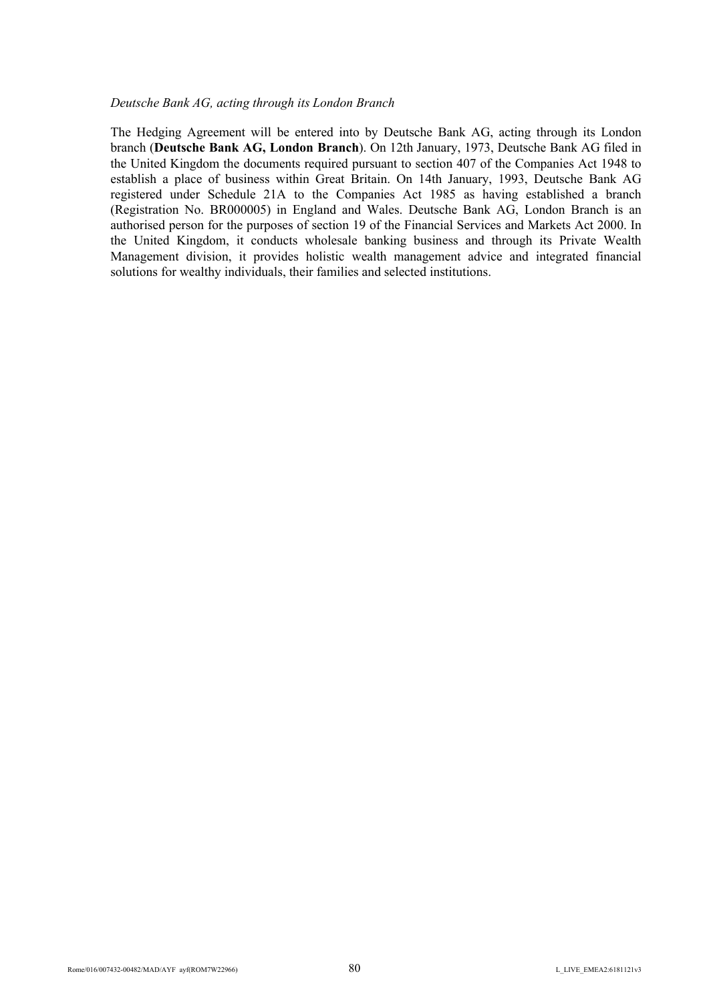#### *Deutsche Bank AG, acting through its London Branch*

The Hedging Agreement will be entered into by Deutsche Bank AG, acting through its London branch (**Deutsche Bank AG, London Branch**). On 12th January, 1973, Deutsche Bank AG filed in the United Kingdom the documents required pursuant to section 407 of the Companies Act 1948 to establish a place of business within Great Britain. On 14th January, 1993, Deutsche Bank AG registered under Schedule 21A to the Companies Act 1985 as having established a branch (Registration No. BR000005) in England and Wales. Deutsche Bank AG, London Branch is an authorised person for the purposes of section 19 of the Financial Services and Markets Act 2000. In the United Kingdom, it conducts wholesale banking business and through its Private Wealth Management division, it provides holistic wealth management advice and integrated financial solutions for wealthy individuals, their families and selected institutions.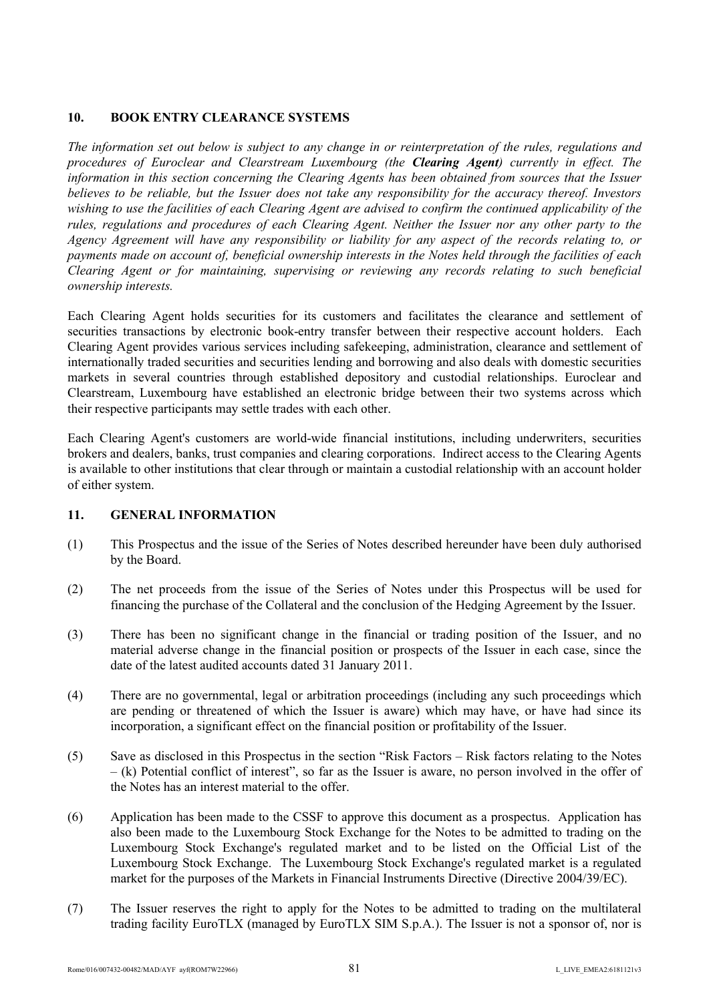# **10. BOOK ENTRY CLEARANCE SYSTEMS**

*The information set out below is subject to any change in or reinterpretation of the rules, regulations and procedures of Euroclear and Clearstream Luxembourg (the Clearing Agent) currently in effect. The information in this section concerning the Clearing Agents has been obtained from sources that the Issuer believes to be reliable, but the Issuer does not take any responsibility for the accuracy thereof. Investors wishing to use the facilities of each Clearing Agent are advised to confirm the continued applicability of the rules, regulations and procedures of each Clearing Agent. Neither the Issuer nor any other party to the Agency Agreement will have any responsibility or liability for any aspect of the records relating to, or payments made on account of, beneficial ownership interests in the Notes held through the facilities of each Clearing Agent or for maintaining, supervising or reviewing any records relating to such beneficial ownership interests.*

Each Clearing Agent holds securities for its customers and facilitates the clearance and settlement of securities transactions by electronic book-entry transfer between their respective account holders. Each Clearing Agent provides various services including safekeeping, administration, clearance and settlement of internationally traded securities and securities lending and borrowing and also deals with domestic securities markets in several countries through established depository and custodial relationships. Euroclear and Clearstream, Luxembourg have established an electronic bridge between their two systems across which their respective participants may settle trades with each other.

Each Clearing Agent's customers are world-wide financial institutions, including underwriters, securities brokers and dealers, banks, trust companies and clearing corporations. Indirect access to the Clearing Agents is available to other institutions that clear through or maintain a custodial relationship with an account holder of either system.

# **11. GENERAL INFORMATION**

- (1) This Prospectus and the issue of the Series of Notes described hereunder have been duly authorised by the Board.
- (2) The net proceeds from the issue of the Series of Notes under this Prospectus will be used for financing the purchase of the Collateral and the conclusion of the Hedging Agreement by the Issuer.
- (3) There has been no significant change in the financial or trading position of the Issuer, and no material adverse change in the financial position or prospects of the Issuer in each case, since the date of the latest audited accounts dated 31 January 2011.
- (4) There are no governmental, legal or arbitration proceedings (including any such proceedings which are pending or threatened of which the Issuer is aware) which may have, or have had since its incorporation, a significant effect on the financial position or profitability of the Issuer.
- (5) Save as disclosed in this Prospectus in the section "Risk Factors Risk factors relating to the Notes – (k) Potential conflict of interest", so far as the Issuer is aware, no person involved in the offer of the Notes has an interest material to the offer.
- (6) Application has been made to the CSSF to approve this document as a prospectus. Application has also been made to the Luxembourg Stock Exchange for the Notes to be admitted to trading on the Luxembourg Stock Exchange's regulated market and to be listed on the Official List of the Luxembourg Stock Exchange. The Luxembourg Stock Exchange's regulated market is a regulated market for the purposes of the Markets in Financial Instruments Directive (Directive 2004/39/EC).
- (7) The Issuer reserves the right to apply for the Notes to be admitted to trading on the multilateral trading facility EuroTLX (managed by EuroTLX SIM S.p.A.). The Issuer is not a sponsor of, nor is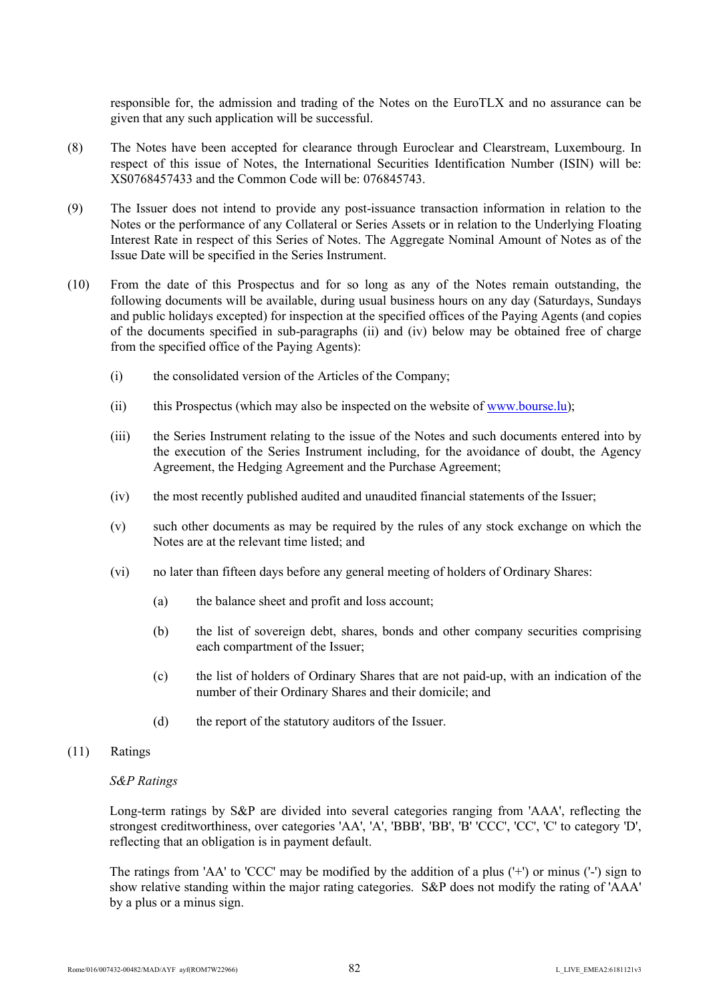responsible for, the admission and trading of the Notes on the EuroTLX and no assurance can be given that any such application will be successful.

- (8) The Notes have been accepted for clearance through Euroclear and Clearstream, Luxembourg. In respect of this issue of Notes, the International Securities Identification Number (ISIN) will be: XS0768457433 and the Common Code will be: 076845743.
- (9) The Issuer does not intend to provide any post-issuance transaction information in relation to the Notes or the performance of any Collateral or Series Assets or in relation to the Underlying Floating Interest Rate in respect of this Series of Notes. The Aggregate Nominal Amount of Notes as of the Issue Date will be specified in the Series Instrument.
- (10) From the date of this Prospectus and for so long as any of the Notes remain outstanding, the following documents will be available, during usual business hours on any day (Saturdays, Sundays and public holidays excepted) for inspection at the specified offices of the Paying Agents (and copies of the documents specified in sub-paragraphs (ii) and (iv) below may be obtained free of charge from the specified office of the Paying Agents):
	- (i) the consolidated version of the Articles of the Company;
	- (ii) this Prospectus (which may also be inspected on the website of [www.bourse.lu](http://www.bourse.lu/));
	- (iii) the Series Instrument relating to the issue of the Notes and such documents entered into by the execution of the Series Instrument including, for the avoidance of doubt, the Agency Agreement, the Hedging Agreement and the Purchase Agreement;
	- (iv) the most recently published audited and unaudited financial statements of the Issuer;
	- (v) such other documents as may be required by the rules of any stock exchange on which the Notes are at the relevant time listed; and
	- (vi) no later than fifteen days before any general meeting of holders of Ordinary Shares:
		- (a) the balance sheet and profit and loss account;
		- (b) the list of sovereign debt, shares, bonds and other company securities comprising each compartment of the Issuer;
		- (c) the list of holders of Ordinary Shares that are not paid-up, with an indication of the number of their Ordinary Shares and their domicile; and
		- (d) the report of the statutory auditors of the Issuer.
- (11) Ratings

#### *S&P Ratings*

Long-term ratings by S&P are divided into several categories ranging from 'AAA', reflecting the strongest creditworthiness, over categories 'AA', 'A', 'BBB', 'BB', 'B' 'CCC', 'CC', 'C' to category 'D', reflecting that an obligation is in payment default.

The ratings from 'AA' to 'CCC' may be modified by the addition of a plus ('+') or minus ('-') sign to show relative standing within the major rating categories. S&P does not modify the rating of 'AAA' by a plus or a minus sign.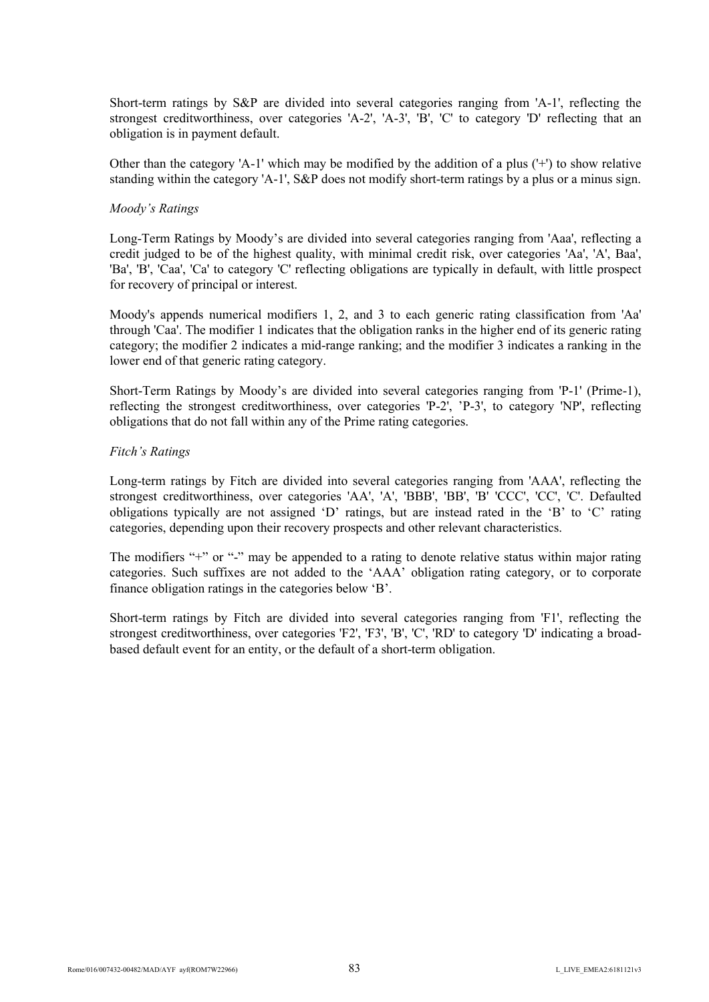Short-term ratings by S&P are divided into several categories ranging from 'A-1', reflecting the strongest creditworthiness, over categories 'A-2', 'A-3', 'B', 'C' to category 'D' reflecting that an obligation is in payment default.

Other than the category 'A-1' which may be modified by the addition of a plus  $(+)$  to show relative standing within the category 'A-1',  $S\&P$  does not modify short-term ratings by a plus or a minus sign.

#### *Moody's Ratings*

Long-Term Ratings by Moody's are divided into several categories ranging from 'Aaa', reflecting a credit judged to be of the highest quality, with minimal credit risk, over categories 'Aa', 'A', Baa', 'Ba', 'B', 'Caa', 'Ca' to category 'C' reflecting obligations are typically in default, with little prospect for recovery of principal or interest.

Moody's appends numerical modifiers 1, 2, and 3 to each generic rating classification from 'Aa' through 'Caa'. The modifier 1 indicates that the obligation ranks in the higher end of its generic rating category; the modifier 2 indicates a mid-range ranking; and the modifier 3 indicates a ranking in the lower end of that generic rating category.

Short-Term Ratings by Moody's are divided into several categories ranging from 'P-1' (Prime-1), reflecting the strongest creditworthiness, over categories 'P-2', 'P-3', to category 'NP', reflecting obligations that do not fall within any of the Prime rating categories.

### *Fitch's Ratings*

Long-term ratings by Fitch are divided into several categories ranging from 'AAA', reflecting the strongest creditworthiness, over categories 'AA', 'A', 'BBB', 'BB', 'B' 'CCC', 'CC', 'C'. Defaulted obligations typically are not assigned 'D' ratings, but are instead rated in the 'B' to 'C' rating categories, depending upon their recovery prospects and other relevant characteristics.

The modifiers "+" or "-" may be appended to a rating to denote relative status within major rating categories. Such suffixes are not added to the 'AAA' obligation rating category, or to corporate finance obligation ratings in the categories below 'B'.

Short-term ratings by Fitch are divided into several categories ranging from 'F1', reflecting the strongest creditworthiness, over categories 'F2', 'F3', 'B', 'C', 'RD' to category 'D' indicating a broadbased default event for an entity, or the default of a short-term obligation.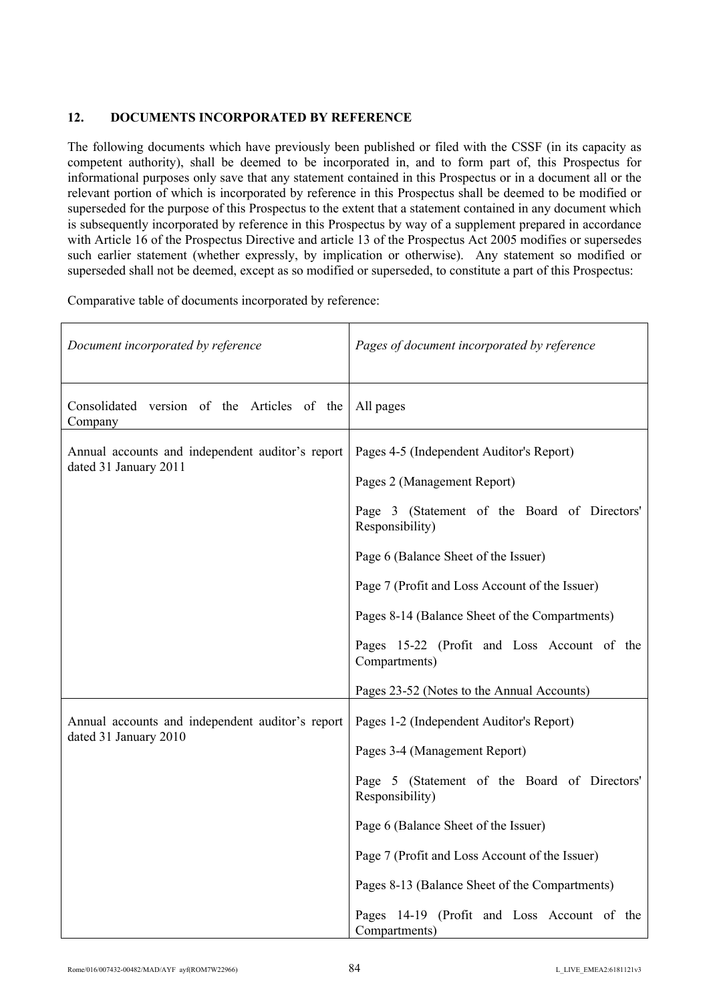# **12. DOCUMENTS INCORPORATED BY REFERENCE**

The following documents which have previously been published or filed with the CSSF (in its capacity as competent authority), shall be deemed to be incorporated in, and to form part of, this Prospectus for informational purposes only save that any statement contained in this Prospectus or in a document all or the relevant portion of which is incorporated by reference in this Prospectus shall be deemed to be modified or superseded for the purpose of this Prospectus to the extent that a statement contained in any document which is subsequently incorporated by reference in this Prospectus by way of a supplement prepared in accordance with Article 16 of the Prospectus Directive and article 13 of the Prospectus Act 2005 modifies or supersedes such earlier statement (whether expressly, by implication or otherwise). Any statement so modified or superseded shall not be deemed, except as so modified or superseded, to constitute a part of this Prospectus:

Comparative table of documents incorporated by reference:

| Document incorporated by reference                                        | Pages of document incorporated by reference                                                                                                                                                                                                                                                                                                              |
|---------------------------------------------------------------------------|----------------------------------------------------------------------------------------------------------------------------------------------------------------------------------------------------------------------------------------------------------------------------------------------------------------------------------------------------------|
| Consolidated version of the Articles of the<br>Company                    | All pages                                                                                                                                                                                                                                                                                                                                                |
| Annual accounts and independent auditor's report<br>dated 31 January 2011 | Pages 4-5 (Independent Auditor's Report)<br>Pages 2 (Management Report)<br>Page 3 (Statement of the Board of Directors'<br>Responsibility)<br>Page 6 (Balance Sheet of the Issuer)<br>Page 7 (Profit and Loss Account of the Issuer)<br>Pages 8-14 (Balance Sheet of the Compartments)<br>Pages 15-22 (Profit and Loss Account of the<br>Compartments)   |
|                                                                           | Pages 23-52 (Notes to the Annual Accounts)                                                                                                                                                                                                                                                                                                               |
| Annual accounts and independent auditor's report<br>dated 31 January 2010 | Pages 1-2 (Independent Auditor's Report)<br>Pages 3-4 (Management Report)<br>Page 5 (Statement of the Board of Directors'<br>Responsibility)<br>Page 6 (Balance Sheet of the Issuer)<br>Page 7 (Profit and Loss Account of the Issuer)<br>Pages 8-13 (Balance Sheet of the Compartments)<br>Pages 14-19 (Profit and Loss Account of the<br>Compartments) |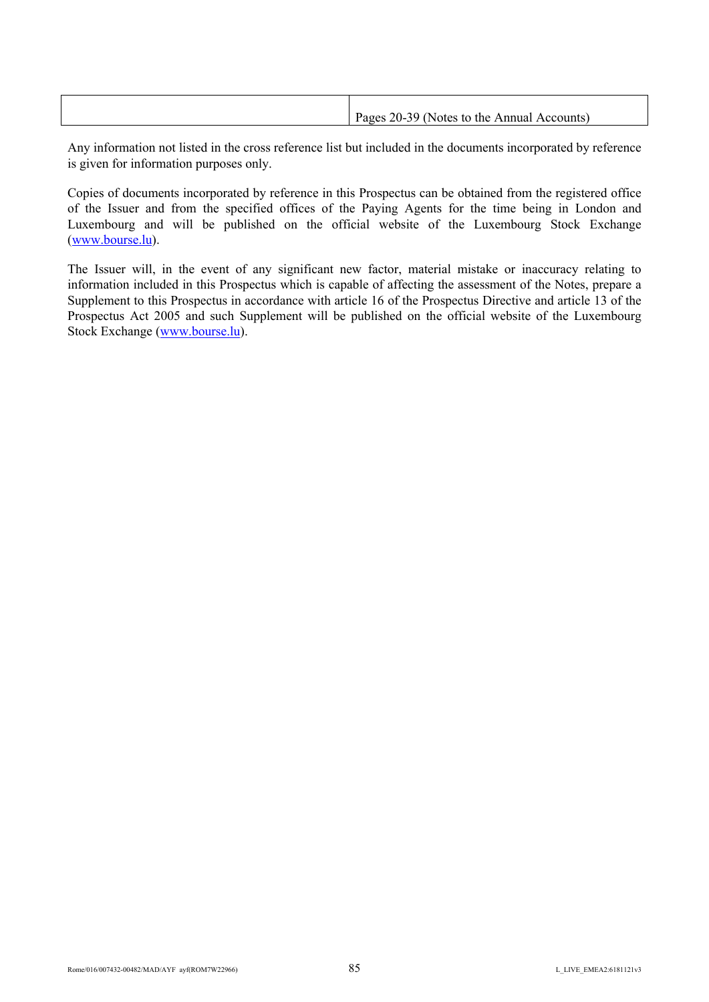| Pages 20-39 (Notes to the Annual Accounts) |
|--------------------------------------------|
|                                            |

Any information not listed in the cross reference list but included in the documents incorporated by reference is given for information purposes only.

Copies of documents incorporated by reference in this Prospectus can be obtained from the registered office of the Issuer and from the specified offices of the Paying Agents for the time being in London and Luxembourg and will be published on the official website of the Luxembourg Stock Exchange [\(www.bourse.lu\)](http://www.bourse.lu/).

The Issuer will, in the event of any significant new factor, material mistake or inaccuracy relating to information included in this Prospectus which is capable of affecting the assessment of the Notes, prepare a Supplement to this Prospectus in accordance with article 16 of the Prospectus Directive and article 13 of the Prospectus Act 2005 and such Supplement will be published on the official website of the Luxembourg Stock Exchange ([www.bourse.lu\)](http://www.bourse.lu/).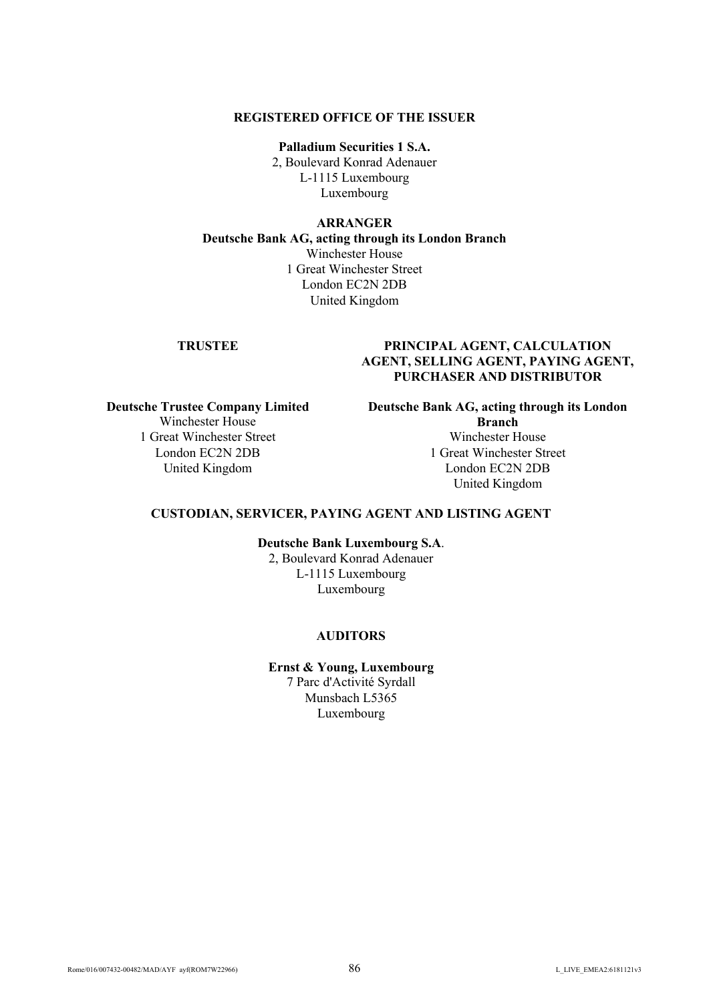#### **REGISTERED OFFICE OF THE ISSUER**

**Palladium Securities 1 S.A.** 2, Boulevard Konrad Adenauer L-1115 Luxembourg Luxembourg

#### **ARRANGER**

**Deutsche Bank AG, acting through its London Branch** Winchester House 1 Great Winchester Street London EC2N 2DB United Kingdom

# **TRUSTEE PRINCIPAL AGENT, CALCULATION AGENT, SELLING AGENT, PAYING AGENT, PURCHASER AND DISTRIBUTOR**

**Deutsche Trustee Company Limited** Winchester House 1 Great Winchester Street London EC2N 2DB United Kingdom

**Deutsche Bank AG, acting through its London Branch** Winchester House

1 Great Winchester Street London EC2N 2DB United Kingdom

## **CUSTODIAN, SERVICER, PAYING AGENT AND LISTING AGENT**

**Deutsche Bank Luxembourg S.A**.

2, Boulevard Konrad Adenauer L-1115 Luxembourg Luxembourg

## **AUDITORS**

**Ernst & Young, Luxembourg** 7 Parc d'Activité Syrdall Munsbach L5365 Luxembourg

Rome/016/007432-00482/MAD/AYF ayf(ROM7W22966) 86 86 86 2012 12 L LIVE EMEA2:6181121v3